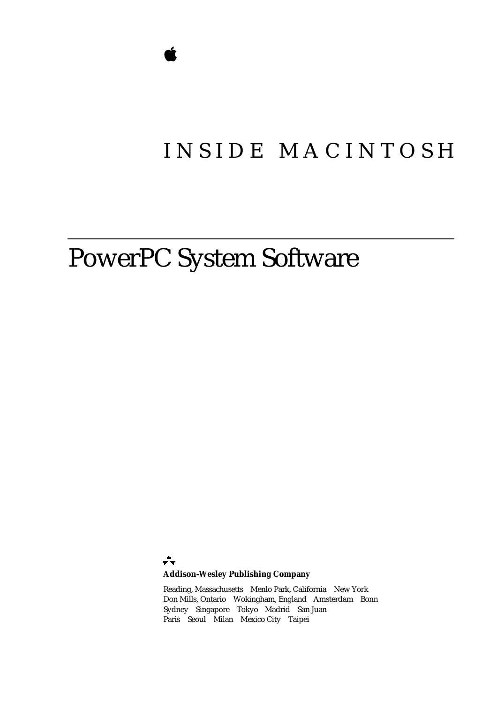# INSIDE MACINTOSH

# PowerPC System Software

÷ **Addison-Wesley Publishing Company**

Reading, Massachusetts Menlo Park, California New York Don Mills, Ontario Wokingham, England Amsterdam Bonn Sydney Singapore Tokyo Madrid San Juan Paris Seoul Milan Mexico City Taipei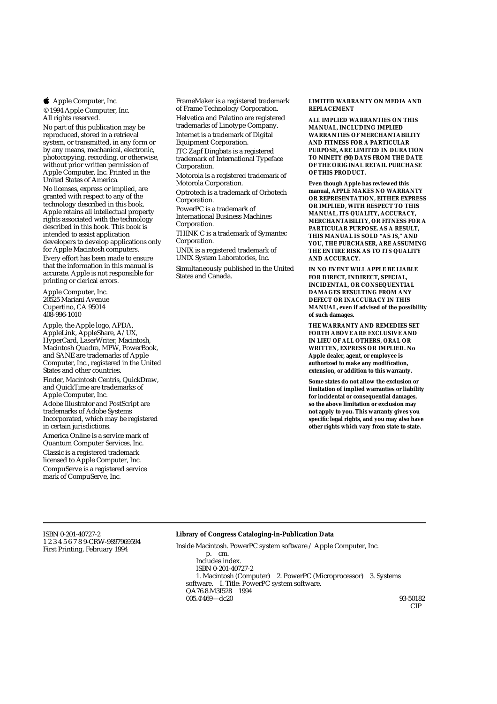**4** Apple Computer, Inc.

© 1994 Apple Computer, Inc. All rights reserved.

No part of this publication may be reproduced, stored in a retrieval system, or transmitted, in any form or by any means, mechanical, electronic, photocopying, recording, or otherwise, without prior written permission of Apple Computer, Inc. Printed in the United States of America. No licenses, express or implied, are granted with respect to any of the technology described in this book. Apple retains all intellectual property rights associated with the technology described in this book. This book is intended to assist application developers to develop applications only for Apple Macintosh computers.

Every effort has been made to ensure that the information in this manual is accurate. Apple is not responsible for printing or clerical errors.

Apple Computer, Inc. 20525 Mariani Avenue Cupertino, CA 95014 408-996-1010

Apple, the Apple logo, APDA, AppleLink, AppleShare, A/UX, HyperCard, LaserWriter, Macintosh, Macintosh Quadra, MPW, PowerBook, and SANE are trademarks of Apple Computer, Inc., registered in the United States and other countries. Finder, Macintosh Centris, QuickDraw, and QuickTime are trademarks of Apple Computer, Inc. Adobe Illustrator and PostScript are trademarks of Adobe Systems Incorporated, which may be registered in certain jurisdictions. America Online is a service mark of Quantum Computer Services, Inc. Classic is a registered trademark licensed to Apple Computer, Inc. CompuServe is a registered service

FrameMaker is a registered trademark of Frame Technology Corporation. Helvetica and Palatino are registered trademarks of Linotype Company. Internet is a trademark of Digital Equipment Corporation. ITC Zapf Dingbats is a registered trademark of International Typeface Corporation. Motorola is a registered trademark of Motorola Corporation. Optrotech is a trademark of Orbotech **Corporation** PowerPC is a trademark of International Business Machines Corporation. THINK C is a trademark of Symantec Corporation. UNIX is a registered trademark of UNIX System Laboratories, Inc.

Simultaneously published in the United States and Canada.

**LIMITED WARRANTY ON MEDIA AND REPLACEMENT**

**ALL IMPLIED WARRANTIES ON THIS MANUAL, INCLUDING IMPLIED WARRANTIES OF MERCHANTABILITY AND FITNESS FOR A PARTICULAR PURPOSE, ARE LIMITED IN DURATION TO NINETY (90) DAYS FROM THE DATE OF THE ORIGINAL RETAIL PURCHASE OF THIS PRODUCT.**

**Even though Apple has reviewed this manual, APPLE MAKES NO WARRANTY OR REPRESENTATION, EITHER EXPRESS OR IMPLIED, WITH RESPECT TO THIS MANUAL, ITS QUALITY, ACCURACY, MERCHANTABILITY, OR FITNESS FOR A PARTICULAR PURPOSE. AS A RESULT, THIS MANUAL IS SOLD "AS IS," AND YOU, THE PURCHASER, ARE ASSUMING THE ENTIRE RISK AS TO ITS QUALITY AND ACCURACY.**

**IN NO EVENT WILL APPLE BE LIABLE FOR DIRECT, INDIRECT, SPECIAL, INCIDENTAL, OR CONSEQUENTIAL DAMAGES RESULTING FROM ANY DEFECT OR INACCURACY IN THIS MANUAL, even if advised of the possibility of such damages.**

**THE WARRANTY AND REMEDIES SET FORTH ABOVE ARE EXCLUSIVE AND IN LIEU OF ALL OTHERS, ORAL OR WRITTEN, EXPRESS OR IMPLIED. No Apple dealer, agent, or employee is authorized to make any modification, extension, or addition to this warranty.**

**Some states do not allow the exclusion or limitation of implied warranties or liability for incidental or consequential damages, so the above limitation or exclusion may not apply to you. This warranty gives you specific legal rights, and you may also have other rights which vary from state to state.**

ISBN 0-201-40727-2 1 2 3 4 5 6 7 8 9-CRW-9897969594 First Printing, February 1994

mark of CompuServe, Inc.

# **Library of Congress Cataloging-in-Publication Data**

Inside Macintosh. PowerPC system software / Apple Computer, Inc. p. cm. Includes index. ISBN 0-201-40727-2 1. Macintosh (Computer) 2. PowerPC (Microprocessor) 3. Systems software. I. Title: PowerPC system software. QA76.8.M3I528 1994  $005.4'469 - d c20$  93-50182 CIP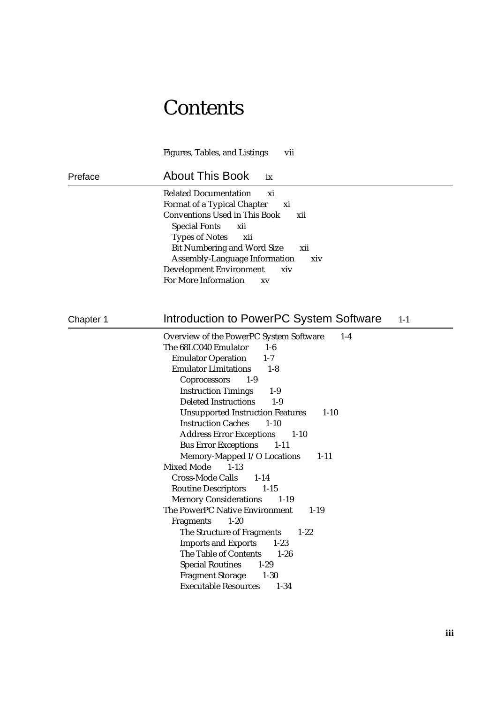# **Contents**

Figures, Tables, and Listings vii Preface About This Book ix Related Documentation xi Format of a Typical Chapter xi Conventions Used in This Book xii Special Fonts xii Types of Notes xii Bit Numbering and Word Size xii Assembly-Language Information xiv Development Environment xiv For More Information xv Chapter 1 **Introduction to PowerPC System Software** 1-1 Overview of the PowerPC System Software 1-4 The 68LC040 Emulator 1-6 Emulator Operation 1-7 Emulator Limitations 1-8 Coprocessors 1-9 Instruction Timings 1-9 Deleted Instructions 1-9 Unsupported Instruction Features 1-10 Instruction Caches 1-10 Address Error Exceptions 1-10 Bus Error Exceptions 1-11 Memory-Mapped I/O Locations 1-11 Mixed Mode 1-13 Cross-Mode Calls 1-14 Routine Descriptors 1-15 Memory Considerations 1-19 The PowerPC Native Environment 1-19 Fragments 1-20 The Structure of Fragments 1-22 Imports and Exports 1-23 The Table of Contents 1-26 Special Routines 1-29 Fragment Storage 1-30 Executable Resources 1-34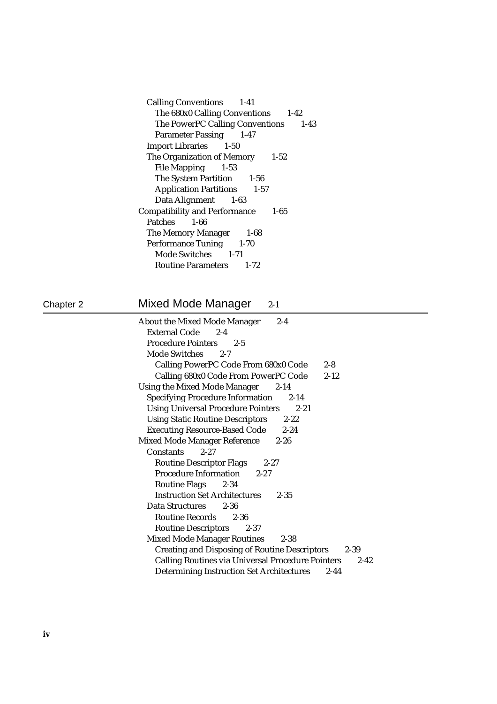| <b>Calling Conventions</b> 1-41                  |
|--------------------------------------------------|
| The 680x0 Calling Conventions 1-42               |
| The PowerPC Calling Conventions<br>1-43          |
| <b>Parameter Passing</b><br>- 1-47               |
| <b>Import Libraries</b> 1-50                     |
| The Organization of Memory<br>$1 - 52$           |
| File Mapping 1-53                                |
| The System Partition 1-56                        |
| <b>Application Partitions</b> 1-57               |
| Data Alignment 1-63                              |
| <b>Compatibility and Performance</b><br>$1 - 65$ |
| Patches 1-66                                     |
| <b>The Memory Manager</b><br>1-68                |
| Performance Tuning 1-70                          |
| Mode Switches 1-71                               |
| <b>Routine Parameters</b><br>$1 - 72$            |

# Chapter 2 Mixed Mode Manager 2-1

| <b>About the Mixed Mode Manager</b><br>$2 - 4$               |          |
|--------------------------------------------------------------|----------|
| External Code 2-4                                            |          |
| <b>Procedure Pointers</b> 2-5                                |          |
| Mode Switches 2-7                                            |          |
| Calling PowerPC Code From 680x0 Code<br>$2 - 8$              |          |
| Calling 680x0 Code From PowerPC Code<br>$2 - 12$             |          |
| Using the Mixed Mode Manager 2-14                            |          |
| <b>Specifying Procedure Information</b><br>$2 - 14$          |          |
| <b>Using Universal Procedure Pointers</b><br>$2 - 21$        |          |
| <b>Using Static Routine Descriptors 2-22</b>                 |          |
| <b>Executing Resource-Based Code</b> 2-24                    |          |
| Mixed Mode Manager Reference 2-26                            |          |
| Constants 2-27                                               |          |
| <b>Routine Descriptor Flags</b><br>$2 - 27$                  |          |
| Procedure Information 2-27                                   |          |
| Routine Flags 2-34                                           |          |
| <b>Instruction Set Architectures</b><br>$2 - 35$             |          |
| Data Structures 2-36                                         |          |
| Routine Records 2-36                                         |          |
| <b>Routine Descriptors</b> 2-37                              |          |
| Mixed Mode Manager Routines 2-38                             |          |
| <b>Creating and Disposing of Routine Descriptors</b>         | $2 - 39$ |
| <b>Calling Routines via Universal Procedure Pointers</b>     | $2 - 42$ |
| <b>Determining Instruction Set Architectures</b><br>$2 - 44$ |          |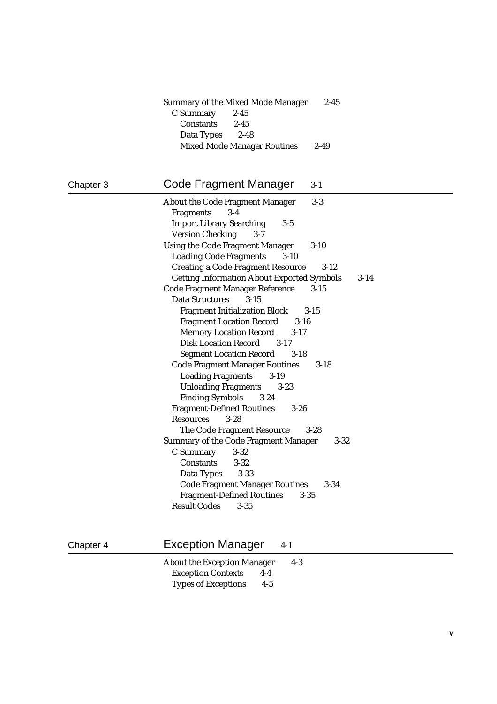| Summary of the Mixed Mode Manager |                                    | $2 - 45$ |
|-----------------------------------|------------------------------------|----------|
| C Summary                         | $2 - 45$                           |          |
| <b>Constants</b>                  | $2 - 45$                           |          |
| Data Types                        | $2 - 48$                           |          |
|                                   | <b>Mixed Mode Manager Routines</b> | $2 - 49$ |

# Chapter 3 Code Fragment Manager 3-1

| <b>About the Code Fragment Manager</b><br>$3-3$                     |  |
|---------------------------------------------------------------------|--|
| <b>Fragments</b><br>$3-4$                                           |  |
| <b>Import Library Searching</b><br>$3 - 5$                          |  |
| <b>Version Checking</b><br>$3 - 7$                                  |  |
| <b>Using the Code Fragment Manager</b><br>$3-10$                    |  |
| <b>Loading Code Fragments</b><br>$3 - 10$                           |  |
| <b>Creating a Code Fragment Resource</b><br>$3-12$                  |  |
| <b>Getting Information About Exported Symbols</b><br>$3-14$         |  |
| <b>Code Fragment Manager Reference</b><br>$3 - 15$                  |  |
| Data Structures<br>$3 - 15$                                         |  |
| <b>Fragment Initialization Block 3-15</b>                           |  |
| <b>Fragment Location Record 3-16</b>                                |  |
| <b>Memory Location Record 3-17</b>                                  |  |
| <b>Disk Location Record</b> 3-17                                    |  |
| <b>Segment Location Record 3-18</b>                                 |  |
|                                                                     |  |
| Code Fragment Manager Routines 3-18                                 |  |
| <b>Loading Fragments</b><br>$3-19$                                  |  |
| <b>Unloading Fragments</b><br>$3 - 23$                              |  |
| <b>Finding Symbols</b><br>$3 - 24$                                  |  |
| <b>Fragment-Defined Routines</b> 3-26                               |  |
| <b>Resources</b><br>$3 - 28$                                        |  |
| The Code Fragment Resource<br>$3 - 28$                              |  |
| <b>Summary of the Code Fragment Manager</b><br>$3 - 32$             |  |
| C Summary<br>$3 - 32$                                               |  |
| <b>Constants</b><br>$3 - 32$                                        |  |
| Data Types<br>$3 - 33$                                              |  |
| <b>Code Fragment Manager Routines</b><br>$3 - 34$                   |  |
| <b>Fragment-Defined Routines</b><br>$3 - 35$<br><b>Result Codes</b> |  |

|  | Chapter 4 |  |
|--|-----------|--|
|  |           |  |

Exception Manager 4-1

About the Exception Manager 4-3 Exception Contexts 4-4 Types of Exceptions 4-5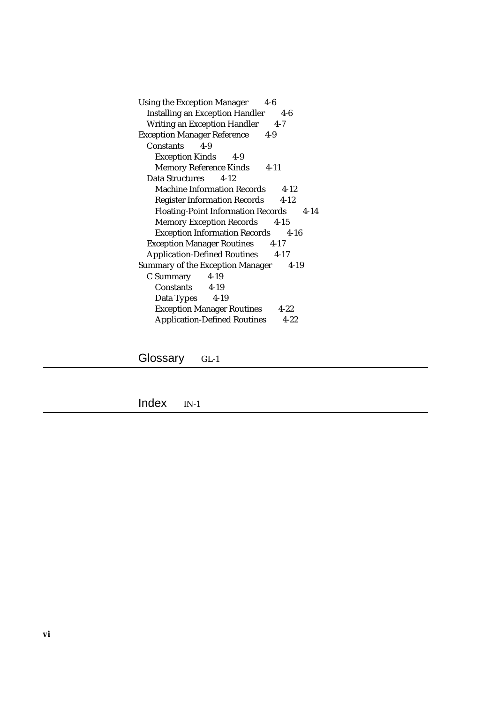| Using the Exception Manager<br>$4-6$                  |
|-------------------------------------------------------|
| <b>Installing an Exception Handler</b><br>4-6         |
| Writing an Exception Handler 4-7                      |
| <b>Exception Manager Reference</b> 4-9                |
| <b>Constants</b><br>$4-9$                             |
| <b>Exception Kinds</b><br>4-9                         |
| <b>Memory Reference Kinds</b> 4-11                    |
| Data Structures<br>$4 - 12$                           |
| <b>Machine Information Records</b> 4-12               |
| <b>Register Information Records 4-12</b>              |
| <b>Floating-Point Information Records</b><br>$4 - 14$ |
| <b>Memory Exception Records</b><br>$4-15$             |
| <b>Exception Information Records</b><br>$4 - 16$      |
| <b>Exception Manager Routines</b> 4-17                |
| <b>Application-Defined Routines</b> 4-17              |
| <b>Summary of the Exception Manager</b><br>$4 - 19$   |
| C Summary 4-19                                        |
| Constants 4-19                                        |
| Data Types 4-19                                       |
| <b>Exception Manager Routines</b> 4-22                |
| <b>Application-Defined Routines</b><br>$4 - 22$       |
|                                                       |

Glossary GL-1

Index IN-1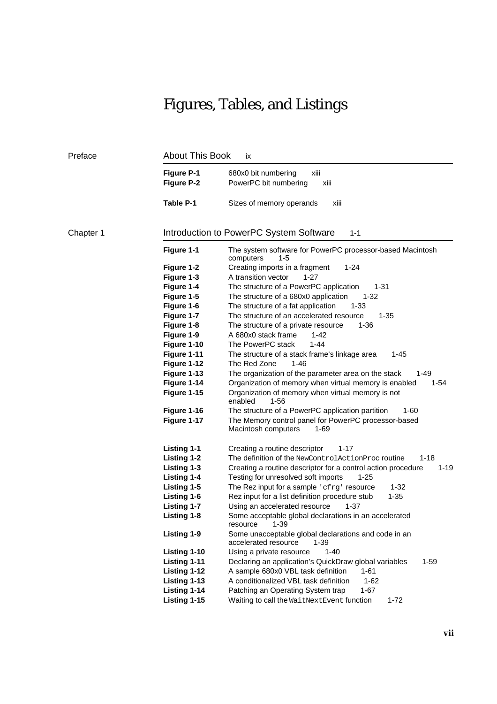# Figures, Tables, and Listings

| Preface   | <b>About This Book</b><br>ix |                                                                                                                             |  |
|-----------|------------------------------|-----------------------------------------------------------------------------------------------------------------------------|--|
|           | Figure P-1<br>Figure P-2     | 680x0 bit numbering<br>xiii<br>PowerPC bit numbering<br>xiii                                                                |  |
|           | <b>Table P-1</b>             | Sizes of memory operands<br>xiii                                                                                            |  |
| Chapter 1 |                              | Introduction to PowerPC System Software<br>$1 - 1$                                                                          |  |
|           | Figure 1-1                   | The system software for PowerPC processor-based Macintosh<br>computers<br>1-5                                               |  |
|           | Figure 1-2                   | Creating imports in a fragment<br>1-24                                                                                      |  |
|           | Figure 1-3                   | A transition vector<br>$1-27$                                                                                               |  |
|           | Figure 1-4                   | The structure of a PowerPC application<br>1-31                                                                              |  |
|           | Figure 1-5                   | The structure of a 680x0 application<br>$1 - 32$                                                                            |  |
|           | Figure 1-6                   | The structure of a fat application<br>$1 - 33$                                                                              |  |
|           | Figure 1-7                   | $1 - 35$<br>The structure of an accelerated resource                                                                        |  |
|           | Figure 1-8                   | $1 - 36$<br>The structure of a private resource                                                                             |  |
|           | Figure 1-9<br>Figure 1-10    | A 680x0 stack frame<br>$1 - 42$<br>The PowerPC stack<br>$1 - 44$                                                            |  |
|           | Figure 1-11                  | The structure of a stack frame's linkage area<br>1-45                                                                       |  |
|           | Figure 1-12                  | The Red Zone<br>$1 - 46$                                                                                                    |  |
|           | Figure 1-13                  | The organization of the parameter area on the stack<br>1-49                                                                 |  |
|           | Figure 1-14                  | Organization of memory when virtual memory is enabled<br>1-54                                                               |  |
|           | Figure 1-15                  | Organization of memory when virtual memory is not<br>enabled<br>1-56                                                        |  |
|           | Figure 1-16                  | The structure of a PowerPC application partition<br>1-60                                                                    |  |
|           | Figure 1-17                  | The Memory control panel for PowerPC processor-based<br>Macintosh computers<br>1-69                                         |  |
|           | <b>Listing 1-1</b>           | Creating a routine descriptor<br>1-17                                                                                       |  |
|           | <b>Listing 1-2</b>           | $1 - 18$<br>The definition of the NewControlActionProc routine                                                              |  |
|           | Listing 1-3<br>Listing 1-4   | Creating a routine descriptor for a control action procedure<br>$1 - 19$<br>Testing for unresolved soft imports<br>$1 - 25$ |  |
|           | Listing 1-5                  | The Rez input for a sample 'cfrg' resource<br>$1 - 32$                                                                      |  |
|           | <b>Listing 1-6</b>           | Rez input for a list definition procedure stub<br>$1 - 35$                                                                  |  |
|           | Listing 1-7<br>Listing 1-8   | Using an accelerated resource<br>$1 - 37$<br>Some acceptable global declarations in an accelerated                          |  |
|           |                              | resource 1-39                                                                                                               |  |
|           | Listing 1-9                  | Some unacceptable global declarations and code in an<br>accelerated resource<br>1-39                                        |  |
|           | Listing 1-10<br>Listing 1-11 | $1 - 40$<br>Using a private resource<br>Declaring an application's QuickDraw global variables<br>$1 - 59$                   |  |
|           | Listing 1-12                 | A sample 680x0 VBL task definition<br>$1 - 61$                                                                              |  |
|           | Listing 1-13                 | A conditionalized VBL task definition<br>$1 - 62$                                                                           |  |
|           | Listing 1-14                 | $1 - 67$<br>Patching an Operating System trap                                                                               |  |
|           | Listing 1-15                 | Waiting to call the WaitNextEvent function<br>$1 - 72$                                                                      |  |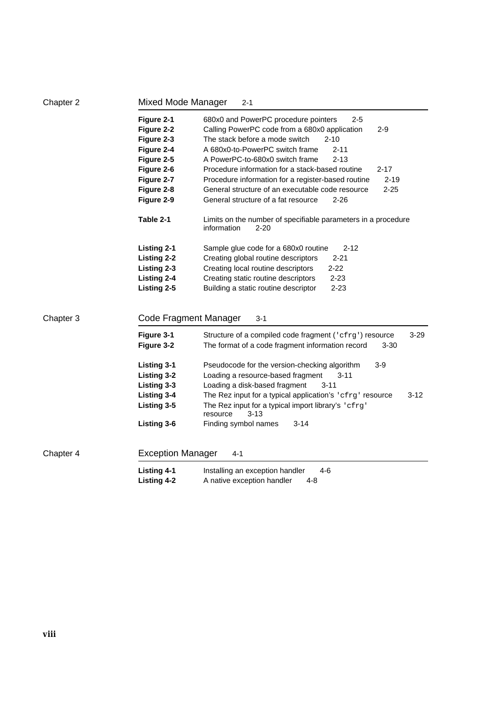| Mixed Mode Manager<br>Chapter 2<br>$2 - 1$ |                                                                                                |                                                                                                                                                                                                                                                                                                                                                                                  |
|--------------------------------------------|------------------------------------------------------------------------------------------------|----------------------------------------------------------------------------------------------------------------------------------------------------------------------------------------------------------------------------------------------------------------------------------------------------------------------------------------------------------------------------------|
|                                            | Figure 2-1<br>Figure 2-2<br>Figure 2-3<br>Figure 2-4<br>Figure 2-5<br>Figure 2-6<br>Figure 2-7 | 680x0 and PowerPC procedure pointers<br>$2 - 5$<br>Calling PowerPC code from a 680x0 application<br>$2 - 9$<br>The stack before a mode switch<br>$2 - 10$<br>A 680x0-to-PowerPC switch frame<br>2-11<br>A PowerPC-to-680x0 switch frame<br>2-13<br>$2 - 17$<br>Procedure information for a stack-based routine<br>Procedure information for a register-based routine<br>$2 - 19$ |
|                                            | Figure 2-8<br>Figure 2-9                                                                       | General structure of an executable code resource<br>$2 - 25$<br>General structure of a fat resource<br>$2 - 26$                                                                                                                                                                                                                                                                  |
|                                            | Table 2-1                                                                                      | Limits on the number of specifiable parameters in a procedure<br>information<br>2-20                                                                                                                                                                                                                                                                                             |
|                                            | <b>Listing 2-1</b><br><b>Listing 2-2</b><br>Listing 2-3<br><b>Listing 2-4</b><br>Listing 2-5   | $2 - 12$<br>Sample glue code for a 680x0 routine<br>Creating global routine descriptors<br>$2 - 21$<br>$2 - 22$<br>Creating local routine descriptors<br>Creating static routine descriptors<br>$2 - 23$<br>Building a static routine descriptor<br>$2 - 23$                                                                                                                     |
| Chapter 3                                  |                                                                                                | Code Fragment Manager<br>$3 - 1$                                                                                                                                                                                                                                                                                                                                                 |
|                                            | Figure 3-1<br>Figure 3-2                                                                       | $3 - 29$<br>Structure of a compiled code fragment ('cfrg') resource<br>The format of a code fragment information record<br>3-30                                                                                                                                                                                                                                                  |
|                                            | <b>Listing 3-1</b><br><b>Listing 3-2</b><br>Listing 3-3<br><b>Listing 3-4</b><br>Listing 3-5   | Pseudocode for the version-checking algorithm<br>$3-9$<br>Loading a resource-based fragment<br>$3 - 11$<br>Loading a disk-based fragment<br>$3 - 11$<br>The Rez input for a typical application's 'cfrg' resource<br>$3 - 12$<br>The Rez input for a typical import library's 'cfrg'                                                                                             |
|                                            | Listing 3-6                                                                                    | resource<br>3-13<br>Finding symbol names<br>$3 - 14$                                                                                                                                                                                                                                                                                                                             |
| Chapter 4                                  | <b>Exception Manager</b>                                                                       | $4 - 1$                                                                                                                                                                                                                                                                                                                                                                          |
|                                            | <b>Listing 4-1</b><br><b>Listing 4-2</b>                                                       | Installing an exception handler<br>$4-6$<br>A native exception handler<br>$4 - 8$                                                                                                                                                                                                                                                                                                |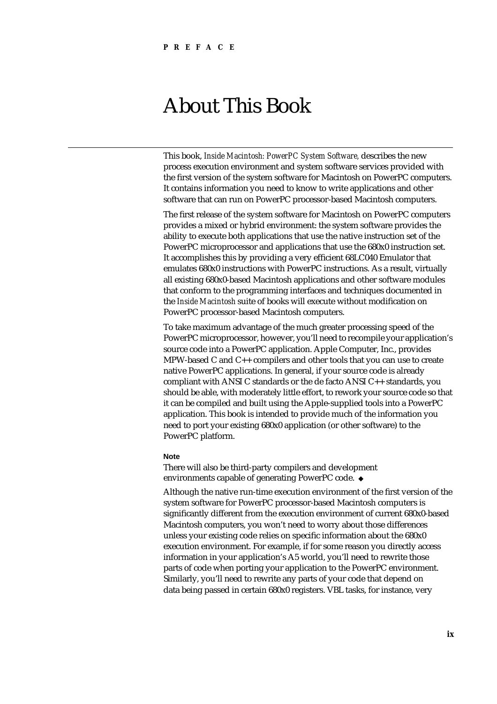# About This Book

This book, *Inside Macintosh: PowerPC System Software,* describes the new process execution environment and system software services provided with the first version of the system software for Macintosh on PowerPC computers. It contains information you need to know to write applications and other software that can run on PowerPC processor-based Macintosh computers.

The first release of the system software for Macintosh on PowerPC computers provides a mixed or hybrid environment: the system software provides the ability to execute both applications that use the native instruction set of the PowerPC microprocessor and applications that use the 680x0 instruction set. It accomplishes this by providing a very efficient 68LC040 Emulator that emulates 680x0 instructions with PowerPC instructions. As a result, virtually all existing 680x0-based Macintosh applications and other software modules that conform to the programming interfaces and techniques documented in the *Inside Macintosh* suite of books will execute without modification on PowerPC processor-based Macintosh computers.

To take maximum advantage of the much greater processing speed of the PowerPC microprocessor, however, you'll need to recompile your application's source code into a PowerPC application. Apple Computer, Inc., provides MPW-based C and C++ compilers and other tools that you can use to create native PowerPC applications. In general, if your source code is already compliant with ANSI C standards or the de facto ANSI C++ standards, you should be able, with moderately little effort, to rework your source code so that it can be compiled and built using the Apple-supplied tools into a PowerPC application. This book is intended to provide much of the information you need to port your existing 680x0 application (or other software) to the PowerPC platform.

# **Note**

There will also be third-party compilers and development environments capable of generating PowerPC code.

Although the native run-time execution environment of the first version of the system software for PowerPC processor-based Macintosh computers is significantly different from the execution environment of current 680x0-based Macintosh computers, you won't need to worry about those differences unless your existing code relies on specific information about the 680x0 execution environment. For example, if for some reason you directly access information in your application's A5 world, you'll need to rewrite those parts of code when porting your application to the PowerPC environment. Similarly, you'll need to rewrite any parts of your code that depend on data being passed in certain 680x0 registers. VBL tasks, for instance, very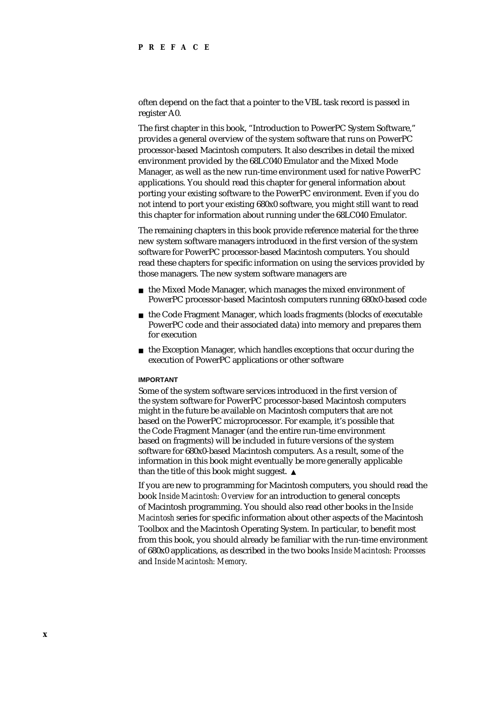often depend on the fact that a pointer to the VBL task record is passed in register A0.

The first chapter in this book, "Introduction to PowerPC System Software," provides a general overview of the system software that runs on PowerPC processor-based Macintosh computers. It also describes in detail the mixed environment provided by the 68LC040 Emulator and the Mixed Mode Manager, as well as the new run-time environment used for native PowerPC applications. You should read this chapter for general information about porting your existing software to the PowerPC environment. Even if you do not intend to port your existing 680x0 software, you might still want to read this chapter for information about running under the 68LC040 Emulator.

The remaining chapters in this book provide reference material for the three new system software managers introduced in the first version of the system software for PowerPC processor-based Macintosh computers. You should read these chapters for specific information on using the services provided by those managers. The new system software managers are

- n the Mixed Mode Manager, which manages the mixed environment of PowerPC processor-based Macintosh computers running 680x0-based code
- n the Code Fragment Manager, which loads fragments (blocks of executable PowerPC code and their associated data) into memory and prepares them for execution
- n the Exception Manager, which handles exceptions that occur during the execution of PowerPC applications or other software

## **IMPORTANT**

Some of the system software services introduced in the first version of the system software for PowerPC processor-based Macintosh computers might in the future be available on Macintosh computers that are not based on the PowerPC microprocessor. For example, it's possible that the Code Fragment Manager (and the entire run-time environment based on fragments) will be included in future versions of the system software for 680x0-based Macintosh computers. As a result, some of the information in this book might eventually be more generally applicable than the title of this book might suggest. s

If you are new to programming for Macintosh computers, you should read the book *Inside Macintosh: Overview* for an introduction to general concepts of Macintosh programming. You should also read other books in the *Inside Macintosh* series for specific information about other aspects of the Macintosh Toolbox and the Macintosh Operating System. In particular, to benefit most from this book, you should already be familiar with the run-time environment of 680x0 applications, as described in the two books *Inside Macintosh: Processes* and *Inside Macintosh: Memory*.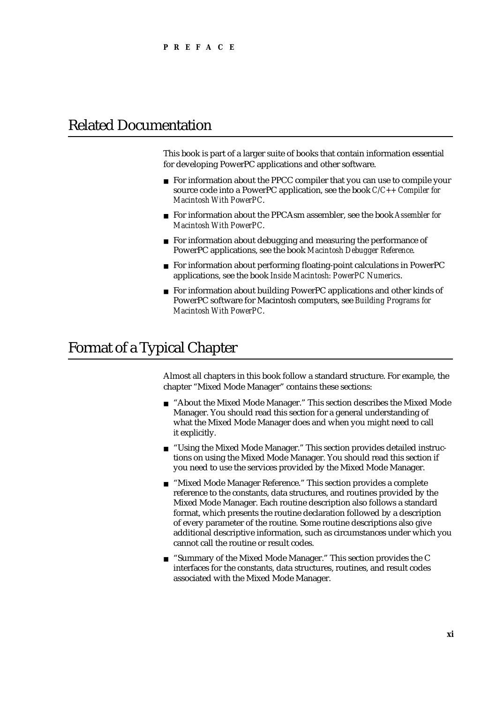# Related Documentation

This book is part of a larger suite of books that contain information essential for developing PowerPC applications and other software.

- For information about the PPCC compiler that you can use to compile your source code into a PowerPC application, see the book *C/C++ Compiler for Macintosh With PowerPC*.
- For information about the PPCAsm assembler, see the book *Assembler for Macintosh With PowerPC*.
- n For information about debugging and measuring the performance of PowerPC applications, see the book *Macintosh Debugger Reference*.
- For information about performing floating-point calculations in PowerPC applications, see the book *Inside Macintosh: PowerPC Numerics*.
- For information about building PowerPC applications and other kinds of  $\mathsf{n}$ PowerPC software for Macintosh computers, see *Building Programs for Macintosh With PowerPC*.

# Format of a Typical Chapter

Almost all chapters in this book follow a standard structure. For example, the chapter "Mixed Mode Manager" contains these sections:

- n "About the Mixed Mode Manager." This section describes the Mixed Mode Manager. You should read this section for a general understanding of what the Mixed Mode Manager does and when you might need to call it explicitly.
- n "Using the Mixed Mode Manager." This section provides detailed instructions on using the Mixed Mode Manager. You should read this section if you need to use the services provided by the Mixed Mode Manager.
- n "Mixed Mode Manager Reference." This section provides a complete reference to the constants, data structures, and routines provided by the Mixed Mode Manager. Each routine description also follows a standard format, which presents the routine declaration followed by a description of every parameter of the routine. Some routine descriptions also give additional descriptive information, such as circumstances under which you cannot call the routine or result codes.
- "Summary of the Mixed Mode Manager." This section provides the C  $n$ interfaces for the constants, data structures, routines, and result codes associated with the Mixed Mode Manager.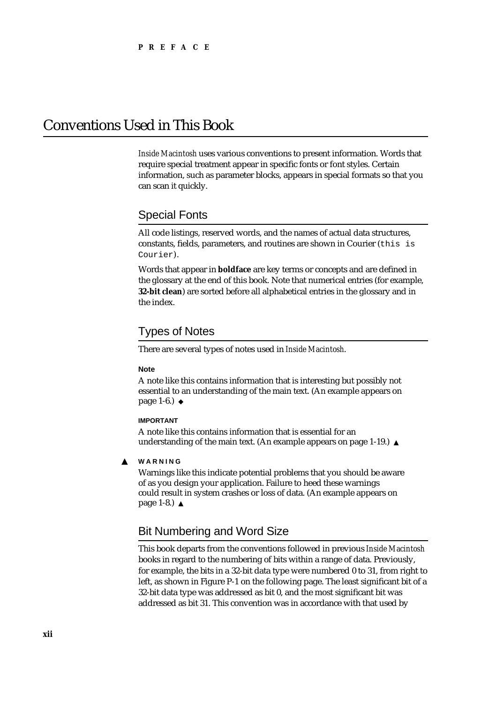# Conventions Used in This Book

*Inside Macintosh* uses various conventions to present information. Words that require special treatment appear in specific fonts or font styles. Certain information, such as parameter blocks, appears in special formats so that you can scan it quickly.

# Special Fonts

All code listings, reserved words, and the names of actual data structures, constants, fields, parameters, and routines are shown in Courier (this is Courier).

Words that appear in **boldface** are key terms or concepts and are defined in the glossary at the end of this book. Note that numerical entries (for example, **32-bit clean**) are sorted before all alphabetical entries in the glossary and in the index.

# Types of Notes

There are several types of notes used in *Inside Macintosh*.

# **Note**

A note like this contains information that is interesting but possibly not essential to an understanding of the main text. (An example appears on page 1-6.)

# **IMPORTANT**

A note like this contains information that is essential for an understanding of the main text. (An example appears on page 1-19.)

#### **WARNING**  $\mathbf{s}$

Warnings like this indicate potential problems that you should be aware of as you design your application. Failure to heed these warnings could result in system crashes or loss of data. (An example appears on page 1-8.)

# Bit Numbering and Word Size

This book departs from the conventions followed in previous *Inside Macintosh* books in regard to the numbering of bits within a range of data. Previously, for example, the bits in a 32-bit data type were numbered 0 to 31, from right to left, as shown in Figure P-1 on the following page. The least significant bit of a 32-bit data type was addressed as bit 0, and the most significant bit was addressed as bit 31. This convention was in accordance with that used by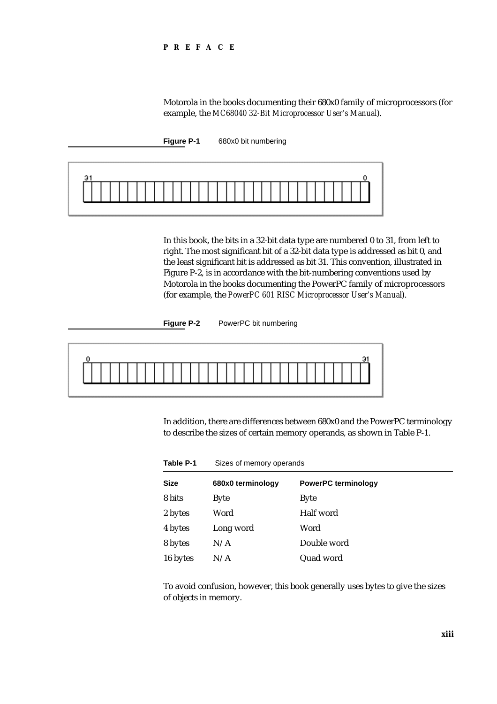# **PREFACE**

Motorola in the books documenting their 680x0 family of microprocessors (for example, the *MC68040 32-Bit Microprocessor User's Manual*).

**Figure P-1** 680x0 bit numbering



In this book, the bits in a 32-bit data type are numbered 0 to 31, from left to right. The most significant bit of a 32-bit data type is addressed as bit 0, and the least significant bit is addressed as bit 31. This convention, illustrated in Figure P-2, is in accordance with the bit-numbering conventions used by Motorola in the books documenting the PowerPC family of microprocessors (for example, the *PowerPC 601 RISC Microprocessor User's Manual*).

**Figure P-2** PowerPC bit numbering



In addition, there are differences between 680x0 and the PowerPC terminology to describe the sizes of certain memory operands, as shown in Table P-1.

| Table P-1   | Sizes of memory operands |                            |  |
|-------------|--------------------------|----------------------------|--|
| <b>Size</b> | 680x0 terminology        | <b>PowerPC terminology</b> |  |
| 8 bits      | <b>Byte</b>              | <b>Byte</b>                |  |
| 2 bytes     | Word                     | Half word                  |  |
| 4 bytes     | Long word                | Word                       |  |
| 8 bytes     | N/A                      | Double word                |  |
| 16 bytes    | N/A                      | Quad word                  |  |

To avoid confusion, however, this book generally uses bytes to give the sizes of objects in memory.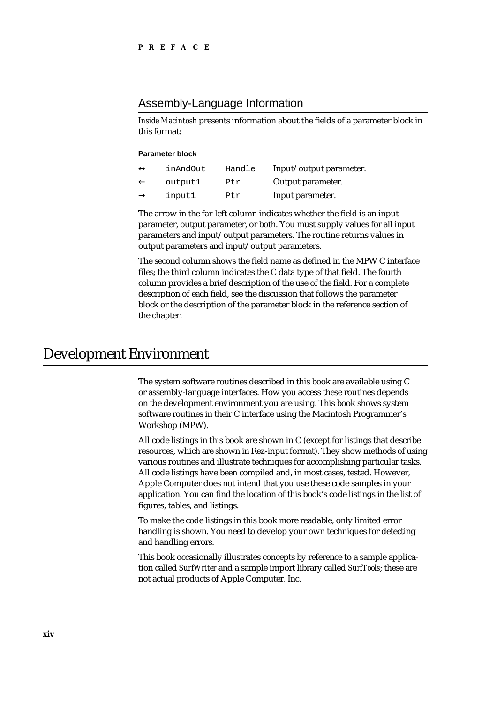# Assembly-Language Information

*Inside Macintosh* presents information about the fields of a parameter block in this format:

# **Parameter block**

| inAndOut | Handle | Input/output parameter. |
|----------|--------|-------------------------|
| output1  | Ptr    | Output parameter.       |
| input1   | Ptr    | Input parameter.        |

The arrow in the far-left column indicates whether the field is an input parameter, output parameter, or both. You must supply values for all input parameters and input/output parameters. The routine returns values in output parameters and input/output parameters.

The second column shows the field name as defined in the MPW C interface files; the third column indicates the C data type of that field. The fourth column provides a brief description of the use of the field. For a complete description of each field, see the discussion that follows the parameter block or the description of the parameter block in the reference section of the chapter.

# Development Environment

The system software routines described in this book are available using C or assembly-language interfaces. How you access these routines depends on the development environment you are using. This book shows system software routines in their C interface using the Macintosh Programmer's Workshop (MPW).

All code listings in this book are shown in C (except for listings that describe resources, which are shown in Rez-input format). They show methods of using various routines and illustrate techniques for accomplishing particular tasks. All code listings have been compiled and, in most cases, tested. However, Apple Computer does not intend that you use these code samples in your application. You can find the location of this book's code listings in the list of figures, tables, and listings.

To make the code listings in this book more readable, only limited error handling is shown. You need to develop your own techniques for detecting and handling errors.

This book occasionally illustrates concepts by reference to a sample application called *SurfWriter* and a sample import library called *SurfTools*; these are not actual products of Apple Computer, Inc.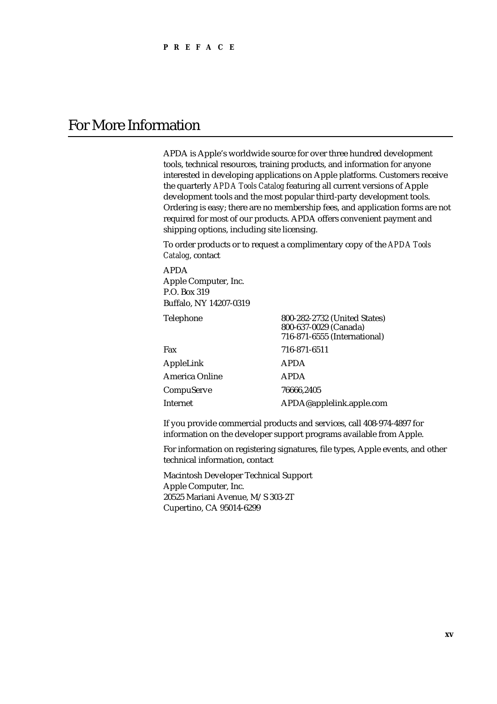# For More Information

APDA is Apple's worldwide source for over three hundred development tools, technical resources, training products, and information for anyone interested in developing applications on Apple platforms. Customers receive the quarterly *APDA Tools Catalog* featuring all current versions of Apple development tools and the most popular third-party development tools. Ordering is easy; there are no membership fees, and application forms are not required for most of our products. APDA offers convenient payment and shipping options, including site licensing.

To order products or to request a complimentary copy of the *APDA Tools Catalog*, contact

APDA Apple Computer, Inc. P.O. Box 319 Buffalo, NY 14207-0319

| <b>Telephone</b>      | 800-282-2732 (United States)<br>800-637-0029 (Canada)<br>716-871-6555 (International) |
|-----------------------|---------------------------------------------------------------------------------------|
| Fax                   | 716-871-6511                                                                          |
| AppleLink             | <b>APDA</b>                                                                           |
| <b>America Online</b> | <b>APDA</b>                                                                           |
| CompuServe            | 76666.2405                                                                            |
| Internet              | APDA@applelink.apple.com                                                              |
|                       |                                                                                       |

If you provide commercial products and services, call 408-974-4897 for information on the developer support programs available from Apple.

For information on registering signatures, file types, Apple events, and other technical information, contact

Macintosh Developer Technical Support Apple Computer, Inc. 20525 Mariani Avenue, M/S 303-2T Cupertino, CA 95014-6299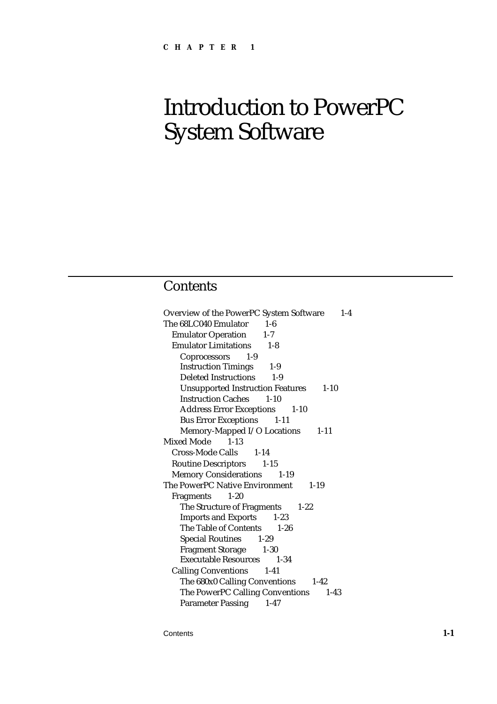# **Contents**

| Overview of the PowerPC System Software<br>$1 - 4$  |
|-----------------------------------------------------|
| The 68LC040 Emulator<br>$-1-6$                      |
| <b>Emulator Operation</b><br>$1 - 7$                |
| <b>Emulator Limitations</b><br>$1 - 8$              |
| $1-9$<br>Coprocessors                               |
| <b>Instruction Timings</b><br>$1-9$                 |
| <b>Deleted Instructions</b><br>$1 - 9$              |
| <b>Unsupported Instruction Features</b><br>$1 - 10$ |
| <b>Instruction Caches</b> 1-10                      |
| <b>Address Error Exceptions</b><br>$1 - 10$         |
| <b>Bus Error Exceptions</b> 1-11                    |
| Memory-Mapped I/O Locations 1-11                    |
| <b>Mixed Mode</b><br>$1-13$                         |
| Cross-Mode Calls 1-14                               |
| <b>Routine Descriptors</b><br>$1 - 15$              |
| <b>Memory Considerations</b><br>$1 - 19$            |
| The PowerPC Native Environment<br>$1 - 19$          |
| Fragments<br>$1-20$                                 |
| The Structure of Fragments<br>$1 - 22$              |
| <b>Imports and Exports</b><br>$1 - 23$              |
| The Table of Contents<br>$1 - 26$                   |
| <b>Special Routines</b><br>$1 - 29$                 |
| <b>Fragment Storage</b> 1-30                        |
| <b>Executable Resources</b><br>$1 - 34$             |
| <b>Calling Conventions</b><br>$1-41$                |
| The 680x0 Calling Conventions<br>$1 - 42$           |
| The PowerPC Calling Conventions<br>$1-43$           |
| <b>Parameter Passing</b><br>$1 - 47$                |

Contents **1-1**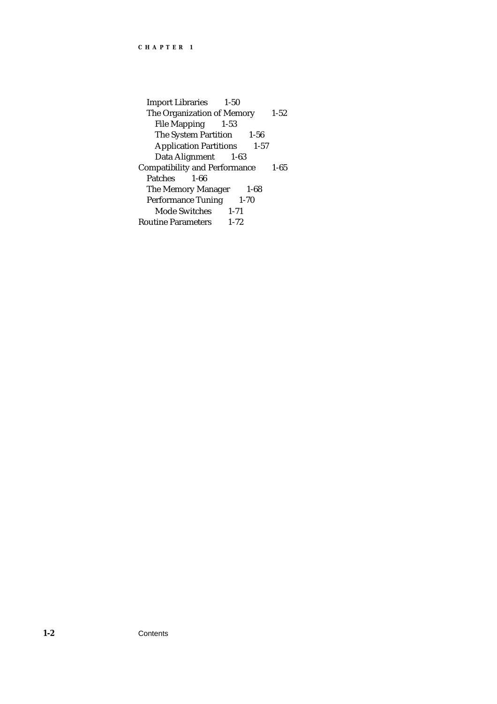Import Libraries 1-50 The Organization of Memory 1-52 File Mapping 1-53 The System Partition 1-56 Application Partitions 1-57 Data Alignment 1-63 Compatibility and Performance 1-65 Patches 1-66 The Memory Manager 1-68 Performance Tuning 1-70<br>Mode Switches 1-71 Mode Switches Routine Parameters 1-72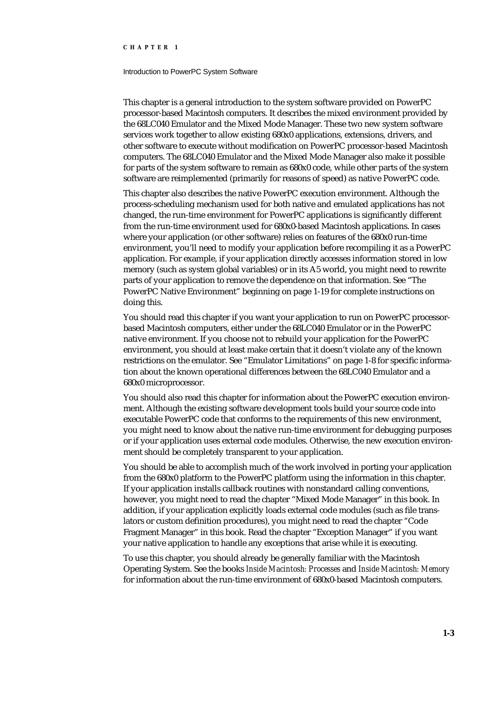#### Introduction to PowerPC System Software

This chapter is a general introduction to the system software provided on PowerPC processor-based Macintosh computers. It describes the mixed environment provided by the 68LC040 Emulator and the Mixed Mode Manager. These two new system software services work together to allow existing 680x0 applications, extensions, drivers, and other software to execute without modification on PowerPC processor-based Macintosh computers. The 68LC040 Emulator and the Mixed Mode Manager also make it possible for parts of the system software to remain as 680x0 code, while other parts of the system software are reimplemented (primarily for reasons of speed) as native PowerPC code.

This chapter also describes the native PowerPC execution environment. Although the process-scheduling mechanism used for both native and emulated applications has not changed, the run-time environment for PowerPC applications is significantly different from the run-time environment used for 680x0-based Macintosh applications. In cases where your application (or other software) relies on features of the 680x0 run-time environment, you'll need to modify your application before recompiling it as a PowerPC application. For example, if your application directly accesses information stored in low memory (such as system global variables) or in its A5 world, you might need to rewrite parts of your application to remove the dependence on that information. See "The PowerPC Native Environment" beginning on page 1-19 for complete instructions on doing this.

You should read this chapter if you want your application to run on PowerPC processorbased Macintosh computers, either under the 68LC040 Emulator or in the PowerPC native environment. If you choose not to rebuild your application for the PowerPC environment, you should at least make certain that it doesn't violate any of the known restrictions on the emulator. See "Emulator Limitations" on page 1-8 for specific information about the known operational differences between the 68LC040 Emulator and a 680x0 microprocessor.

You should also read this chapter for information about the PowerPC execution environment. Although the existing software development tools build your source code into executable PowerPC code that conforms to the requirements of this new environment, you might need to know about the native run-time environment for debugging purposes or if your application uses external code modules. Otherwise, the new execution environment should be completely transparent to your application.

You should be able to accomplish much of the work involved in porting your application from the 680x0 platform to the PowerPC platform using the information in this chapter. If your application installs callback routines with nonstandard calling conventions, however, you might need to read the chapter "Mixed Mode Manager" in this book. In addition, if your application explicitly loads external code modules (such as file translators or custom definition procedures), you might need to read the chapter "Code Fragment Manager" in this book. Read the chapter "Exception Manager" if you want your native application to handle any exceptions that arise while it is executing.

To use this chapter, you should already be generally familiar with the Macintosh Operating System. See the books *Inside Macintosh: Processes* and *Inside Macintosh: Memory* for information about the run-time environment of 680x0-based Macintosh computers.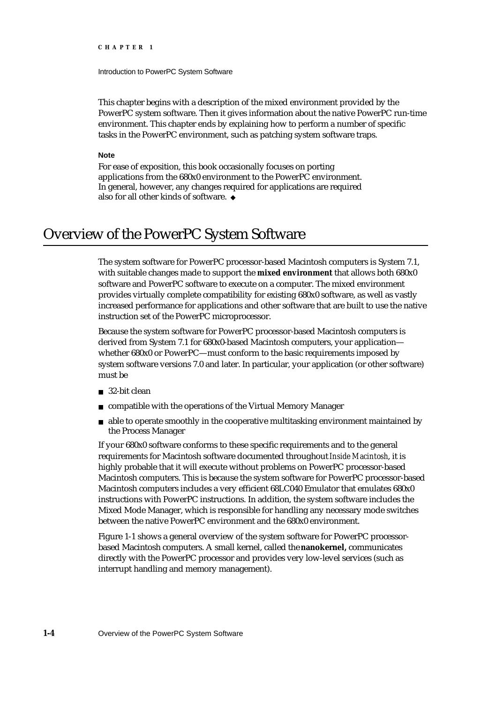## Introduction to PowerPC System Software

This chapter begins with a description of the mixed environment provided by the PowerPC system software. Then it gives information about the native PowerPC run-time environment. This chapter ends by explaining how to perform a number of specific tasks in the PowerPC environment, such as patching system software traps.

# **Note**

For ease of exposition, this book occasionally focuses on porting applications from the 680x0 environment to the PowerPC environment. In general, however, any changes required for applications are required also for all other kinds of software.

# Overview of the PowerPC System Software

The system software for PowerPC processor-based Macintosh computers is System 7.1, with suitable changes made to support the **mixed environment** that allows both 680x0 software and PowerPC software to execute on a computer. The mixed environment provides virtually complete compatibility for existing 680x0 software, as well as vastly increased performance for applications and other software that are built to use the native instruction set of the PowerPC microprocessor.

Because the system software for PowerPC processor-based Macintosh computers is derived from System 7.1 for 680x0-based Macintosh computers, your application whether 680x0 or PowerPC—must conform to the basic requirements imposed by system software versions 7.0 and later. In particular, your application (or other software) must be

- 32-bit clean
- compatible with the operations of the Virtual Memory Manager
- $n$  able to operate smoothly in the cooperative multitasking environment maintained by the Process Manager

If your 680x0 software conforms to these specific requirements and to the general requirements for Macintosh software documented throughout *Inside Macintosh*, it is highly probable that it will execute without problems on PowerPC processor-based Macintosh computers. This is because the system software for PowerPC processor-based Macintosh computers includes a very efficient 68LC040 Emulator that emulates 680x0 instructions with PowerPC instructions. In addition, the system software includes the Mixed Mode Manager, which is responsible for handling any necessary mode switches between the native PowerPC environment and the 680x0 environment.

Figure 1-1 shows a general overview of the system software for PowerPC processorbased Macintosh computers. A small kernel, called the **nanokernel,** communicates directly with the PowerPC processor and provides very low-level services (such as interrupt handling and memory management).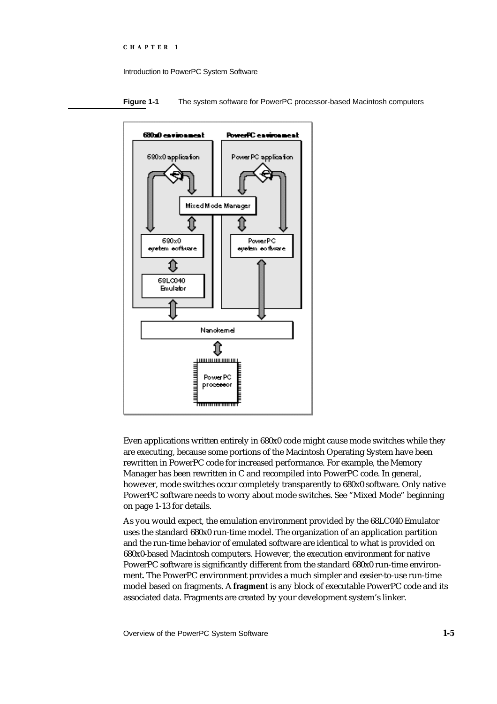680a0 environment **PowerPC** environment 690x0 application Power PC application Mixed Mode Manager î ſì PowerPC 690x0 eyetem eofbyare eveten eofbuare Ω 69LC040 Enulator Nanokemel ĴÌ, <u>լասասասաա</u> Power PC processor . . . . . . . . . . . . . . . . . .

**Figure 1-1** The system software for PowerPC processor-based Macintosh computers

Even applications written entirely in 680x0 code might cause mode switches while they are executing, because some portions of the Macintosh Operating System have been rewritten in PowerPC code for increased performance. For example, the Memory Manager has been rewritten in C and recompiled into PowerPC code. In general, however, mode switches occur completely transparently to 680x0 software. Only native PowerPC software needs to worry about mode switches. See "Mixed Mode" beginning on page 1-13 for details.

As you would expect, the emulation environment provided by the 68LC040 Emulator uses the standard 680x0 run-time model. The organization of an application partition and the run-time behavior of emulated software are identical to what is provided on 680x0-based Macintosh computers. However, the execution environment for native PowerPC software is significantly different from the standard 680x0 run-time environment. The PowerPC environment provides a much simpler and easier-to-use run-time model based on fragments. A **fragment** is any block of executable PowerPC code and its associated data. Fragments are created by your development system's linker.

Overview of the PowerPC System Software **1-5**

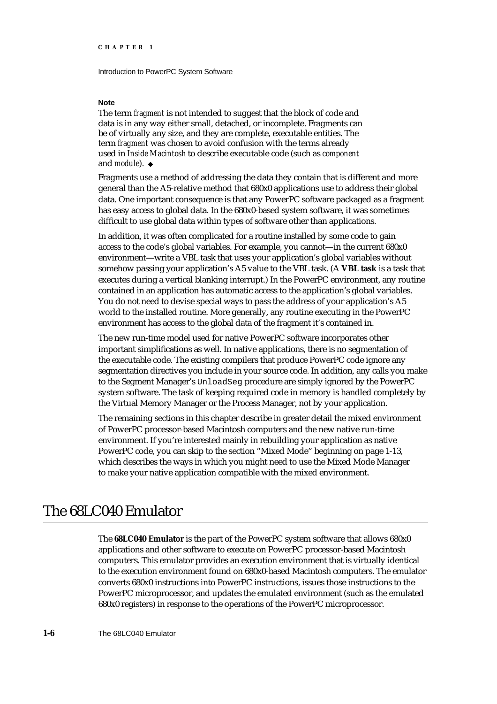### **Note**

The term *fragment* is not intended to suggest that the block of code and data is in any way either small, detached, or incomplete. Fragments can be of virtually any size, and they are complete, executable entities. The term *fragment* was chosen to avoid confusion with the terms already used in *Inside Macintosh* to describe executable code (such as *component* and *module*).

Fragments use a method of addressing the data they contain that is different and more general than the A5-relative method that 680x0 applications use to address their global data. One important consequence is that any PowerPC software packaged as a fragment has easy access to global data. In the 680x0-based system software, it was sometimes difficult to use global data within types of software other than applications.

In addition, it was often complicated for a routine installed by some code to gain access to the code's global variables. For example, you cannot—in the current 680x0 environment—write a VBL task that uses your application's global variables without somehow passing your application's A5 value to the VBL task. (A **VBL task** is a task that executes during a vertical blanking interrupt.) In the PowerPC environment, any routine contained in an application has automatic access to the application's global variables. You do not need to devise special ways to pass the address of your application's A5 world to the installed routine. More generally, any routine executing in the PowerPC environment has access to the global data of the fragment it's contained in.

The new run-time model used for native PowerPC software incorporates other important simplifications as well. In native applications, there is no segmentation of the executable code. The existing compilers that produce PowerPC code ignore any segmentation directives you include in your source code. In addition, any calls you make to the Segment Manager's UnloadSeg procedure are simply ignored by the PowerPC system software. The task of keeping required code in memory is handled completely by the Virtual Memory Manager or the Process Manager, not by your application.

The remaining sections in this chapter describe in greater detail the mixed environment of PowerPC processor-based Macintosh computers and the new native run-time environment. If you're interested mainly in rebuilding your application as native PowerPC code, you can skip to the section "Mixed Mode" beginning on page 1-13, which describes the ways in which you might need to use the Mixed Mode Manager to make your native application compatible with the mixed environment.

# The 68LC040 Emulator

The **68LC040 Emulator** is the part of the PowerPC system software that allows 680x0 applications and other software to execute on PowerPC processor-based Macintosh computers. This emulator provides an execution environment that is virtually identical to the execution environment found on 680x0-based Macintosh computers. The emulator converts 680x0 instructions into PowerPC instructions, issues those instructions to the PowerPC microprocessor, and updates the emulated environment (such as the emulated 680x0 registers) in response to the operations of the PowerPC microprocessor.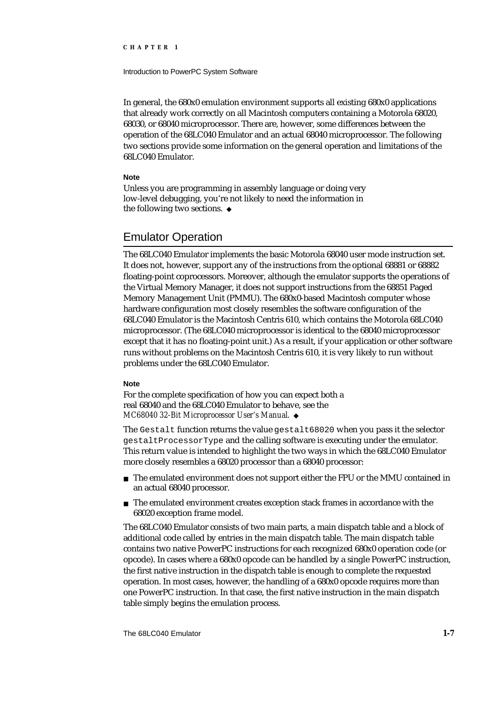#### Introduction to PowerPC System Software

In general, the 680x0 emulation environment supports all existing 680x0 applications that already work correctly on all Macintosh computers containing a Motorola 68020, 68030, or 68040 microprocessor. There are, however, some differences between the operation of the 68LC040 Emulator and an actual 68040 microprocessor. The following two sections provide some information on the general operation and limitations of the 68LC040 Emulator.

# **Note**

Unless you are programming in assembly language or doing very low-level debugging, you're not likely to need the information in the following two sections.

# Emulator Operation

The 68LC040 Emulator implements the basic Motorola 68040 user mode instruction set. It does not, however, support any of the instructions from the optional 68881 or 68882 floating-point coprocessors. Moreover, although the emulator supports the operations of the Virtual Memory Manager, it does not support instructions from the 68851 Paged Memory Management Unit (PMMU). The 680x0-based Macintosh computer whose hardware configuration most closely resembles the software configuration of the 68LC040 Emulator is the Macintosh Centris 610, which contains the Motorola 68LC040 microprocessor. (The 68LC040 microprocessor is identical to the 68040 microprocessor except that it has no floating-point unit.) As a result, if your application or other software runs without problems on the Macintosh Centris 610, it is very likely to run without problems under the 68LC040 Emulator.

# **Note**

For the complete specification of how you can expect both a real 68040 and the 68LC040 Emulator to behave, see the *MC68040 32-Bit Microprocessor User's Manual*.

The Gestalt function returns the value gestalt68020 when you pass it the selector gestaltProcessorType and the calling software is executing under the emulator. This return value is intended to highlight the two ways in which the 68LC040 Emulator more closely resembles a 68020 processor than a 68040 processor:

- n The emulated environment does not support either the FPU or the MMU contained in an actual 68040 processor.
- n The emulated environment creates exception stack frames in accordance with the 68020 exception frame model.

The 68LC040 Emulator consists of two main parts, a main dispatch table and a block of additional code called by entries in the main dispatch table. The main dispatch table contains two native PowerPC instructions for each recognized 680x0 operation code (or opcode). In cases where a 680x0 opcode can be handled by a single PowerPC instruction, the first native instruction in the dispatch table is enough to complete the requested operation. In most cases, however, the handling of a 680x0 opcode requires more than one PowerPC instruction. In that case, the first native instruction in the main dispatch table simply begins the emulation process.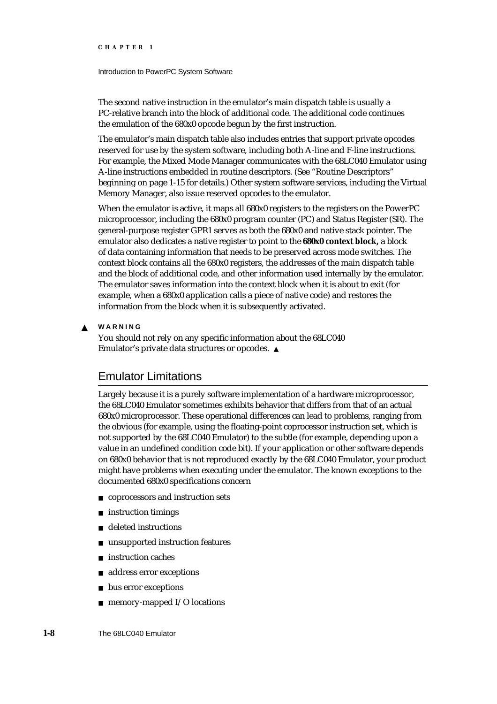#### Introduction to PowerPC System Software

The second native instruction in the emulator's main dispatch table is usually a PC-relative branch into the block of additional code. The additional code continues the emulation of the 680x0 opcode begun by the first instruction.

The emulator's main dispatch table also includes entries that support private opcodes reserved for use by the system software, including both A-line and F-line instructions. For example, the Mixed Mode Manager communicates with the 68LC040 Emulator using A-line instructions embedded in routine descriptors. (See "Routine Descriptors" beginning on page 1-15 for details.) Other system software services, including the Virtual Memory Manager, also issue reserved opcodes to the emulator.

When the emulator is active, it maps all 680x0 registers to the registers on the PowerPC microprocessor, including the 680x0 program counter (PC) and Status Register (SR). The general-purpose register GPR1 serves as both the 680x0 and native stack pointer. The emulator also dedicates a native register to point to the **680x0 context block,** a block of data containing information that needs to be preserved across mode switches. The context block contains all the 680x0 registers, the addresses of the main dispatch table and the block of additional code, and other information used internally by the emulator. The emulator saves information into the context block when it is about to exit (for example, when a 680x0 application calls a piece of native code) and restores the information from the block when it is subsequently activated.

**WARNING**  $\mathbf{c}$ 

> You should not rely on any specific information about the 68LC040 Emulator's private data structures or opcodes.

# Emulator Limitations

Largely because it is a purely software implementation of a hardware microprocessor, the 68LC040 Emulator sometimes exhibits behavior that differs from that of an actual 680x0 microprocessor. These operational differences can lead to problems, ranging from the obvious (for example, using the floating-point coprocessor instruction set, which is not supported by the 68LC040 Emulator) to the subtle (for example, depending upon a value in an undefined condition code bit). If your application or other software depends on 680x0 behavior that is not reproduced exactly by the 68LC040 Emulator, your product might have problems when executing under the emulator. The known exceptions to the documented 680x0 specifications concern

- coprocessors and instruction sets  $n$
- $n$  instruction timings
- deleted instructions n.
- unsupported instruction features  $\sf n$
- instruction caches n.
- address error exceptions  $n$
- bus error exceptions
- memory-mapped I/O locationsn.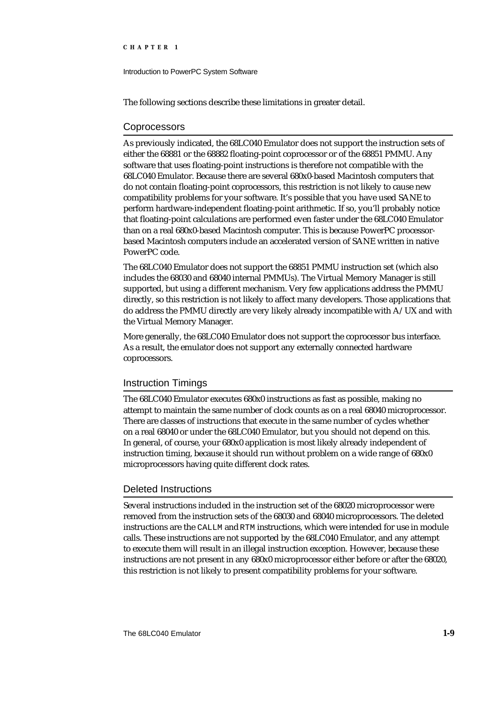Introduction to PowerPC System Software

The following sections describe these limitations in greater detail.

# **Coprocessors**

As previously indicated, the 68LC040 Emulator does not support the instruction sets of either the 68881 or the 68882 floating-point coprocessor or of the 68851 PMMU. Any software that uses floating-point instructions is therefore not compatible with the 68LC040 Emulator. Because there are several 680x0-based Macintosh computers that do not contain floating-point coprocessors, this restriction is not likely to cause new compatibility problems for your software. It's possible that you have used SANE to perform hardware-independent floating-point arithmetic. If so, you'll probably notice that floating-point calculations are performed even faster under the 68LC040 Emulator than on a real 680x0-based Macintosh computer. This is because PowerPC processorbased Macintosh computers include an accelerated version of SANE written in native PowerPC code.

The 68LC040 Emulator does not support the 68851 PMMU instruction set (which also includes the 68030 and 68040 internal PMMUs). The Virtual Memory Manager is still supported, but using a different mechanism. Very few applications address the PMMU directly, so this restriction is not likely to affect many developers. Those applications that do address the PMMU directly are very likely already incompatible with A/UX and with the Virtual Memory Manager.

More generally, the 68LC040 Emulator does not support the coprocessor bus interface. As a result, the emulator does not support any externally connected hardware coprocessors.

# Instruction Timings

The 68LC040 Emulator executes 680x0 instructions as fast as possible, making no attempt to maintain the same number of clock counts as on a real 68040 microprocessor. There are classes of instructions that execute in the same number of cycles whether on a real 68040 or under the 68LC040 Emulator, but you should not depend on this. In general, of course, your 680x0 application is most likely already independent of instruction timing, because it should run without problem on a wide range of 680x0 microprocessors having quite different clock rates.

# Deleted Instructions

Several instructions included in the instruction set of the 68020 microprocessor were removed from the instruction sets of the 68030 and 68040 microprocessors. The deleted instructions are the CALLM and RTM instructions, which were intended for use in module calls. These instructions are not supported by the 68LC040 Emulator, and any attempt to execute them will result in an illegal instruction exception. However, because these instructions are not present in any 680x0 microprocessor either before or after the 68020, this restriction is not likely to present compatibility problems for your software.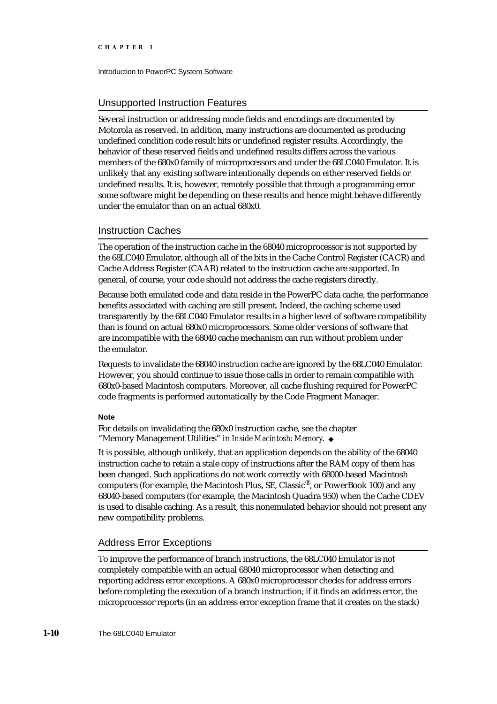# Unsupported Instruction Features

Several instruction or addressing mode fields and encodings are documented by Motorola as reserved. In addition, many instructions are documented as producing undefined condition code result bits or undefined register results. Accordingly, the behavior of these reserved fields and undefined results differs across the various members of the 680x0 family of microprocessors and under the 68LC040 Emulator. It is unlikely that any existing software intentionally depends on either reserved fields or undefined results. It is, however, remotely possible that through a programming error some software might be depending on these results and hence might behave differently under the emulator than on an actual 680x0.

# Instruction Caches

The operation of the instruction cache in the 68040 microprocessor is not supported by the 68LC040 Emulator, although all of the bits in the Cache Control Register (CACR) and Cache Address Register (CAAR) related to the instruction cache are supported. In general, of course, your code should not address the cache registers directly.

Because both emulated code and data reside in the PowerPC data cache, the performance benefits associated with caching are still present. Indeed, the caching scheme used transparently by the 68LC040 Emulator results in a higher level of software compatibility than is found on actual 680x0 microprocessors. Some older versions of software that are incompatible with the 68040 cache mechanism can run without problem under the emulator.

Requests to invalidate the 68040 instruction cache are ignored by the 68LC040 Emulator. However, you should continue to issue those calls in order to remain compatible with 680x0-based Macintosh computers. Moreover, all cache flushing required for PowerPC code fragments is performed automatically by the Code Fragment Manager.

# **Note**

For details on invalidating the 680x0 instruction cache, see the chapter "Memory Management Utilities" in *Inside Macintosh: Memory*.

It is possible, although unlikely, that an application depends on the ability of the 68040 instruction cache to retain a stale copy of instructions after the RAM copy of them has been changed. Such applications do not work correctly with 68000-based Macintosh computers (for example, the Macintosh Plus, SE, Classic®, or PowerBook 100) and any 68040-based computers (for example, the Macintosh Quadra 950) when the Cache CDEV is used to disable caching. As a result, this nonemulated behavior should not present any new compatibility problems.

# Address Error Exceptions

To improve the performance of branch instructions, the 68LC040 Emulator is not completely compatible with an actual 68040 microprocessor when detecting and reporting address error exceptions. A 680x0 microprocessor checks for address errors before completing the execution of a branch instruction; if it finds an address error, the microprocessor reports (in an address error exception frame that it creates on the stack)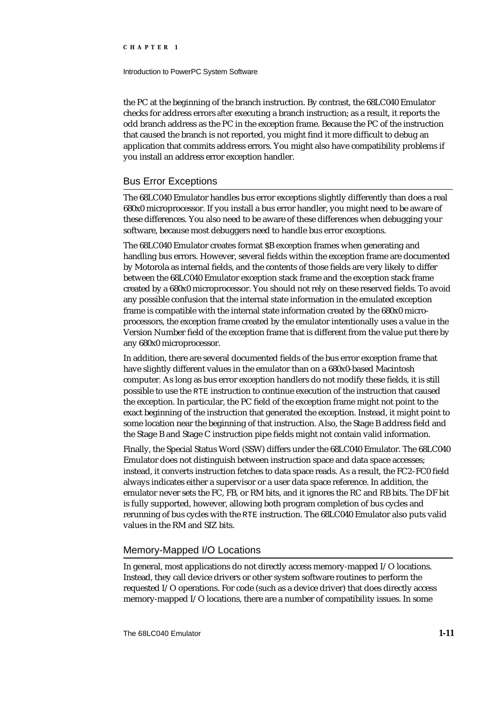## Introduction to PowerPC System Software

the PC at the beginning of the branch instruction. By contrast, the 68LC040 Emulator checks for address errors *after* executing a branch instruction; as a result, it reports the odd branch address as the PC in the exception frame. Because the PC of the instruction that caused the branch is not reported, you might find it more difficult to debug an application that commits address errors. You might also have compatibility problems if you install an address error exception handler.

# Bus Error Exceptions

The 68LC040 Emulator handles bus error exceptions slightly differently than does a real 680x0 microprocessor. If you install a bus error handler, you might need to be aware of these differences. You also need to be aware of these differences when debugging your software, because most debuggers need to handle bus error exceptions.

The 68LC040 Emulator creates format \$B exception frames when generating and handling bus errors. However, several fields within the exception frame are documented by Motorola as internal fields, and the contents of those fields are very likely to differ between the 68LC040 Emulator exception stack frame and the exception stack frame created by a 680x0 microprocessor. You should not rely on these reserved fields. To avoid any possible confusion that the internal state information in the emulated exception frame is compatible with the internal state information created by the 680x0 microprocessors, the exception frame created by the emulator intentionally uses a value in the Version Number field of the exception frame that is different from the value put there by any 680x0 microprocessor.

In addition, there are several documented fields of the bus error exception frame that have slightly different values in the emulator than on a 680x0-based Macintosh computer. As long as bus error exception handlers do not modify these fields, it is still possible to use the RTE instruction to continue execution of the instruction that caused the exception. In particular, the PC field of the exception frame might not point to the exact beginning of the instruction that generated the exception. Instead, it might point to some location near the beginning of that instruction. Also, the Stage B address field and the Stage B and Stage C instruction pipe fields might not contain valid information.

Finally, the Special Status Word (SSW) differs under the 68LC040 Emulator. The 68LC040 Emulator does not distinguish between instruction space and data space accesses; instead, it converts instruction fetches to data space reads. As a result, the FC2–FC0 field always indicates either a supervisor or a user data space reference. In addition, the emulator never sets the FC, FB, or RM bits, and it ignores the RC and RB bits. The DF bit is fully supported, however, allowing both program completion of bus cycles and rerunning of bus cycles with the RTE instruction. The 68LC040 Emulator also puts valid values in the RM and SIZ bits.

# Memory-Mapped I/O Locations

In general, most applications do not directly access memory-mapped I/O locations. Instead, they call device drivers or other system software routines to perform the requested I/O operations. For code (such as a device driver) that does directly access memory-mapped I/O locations, there are a number of compatibility issues. In some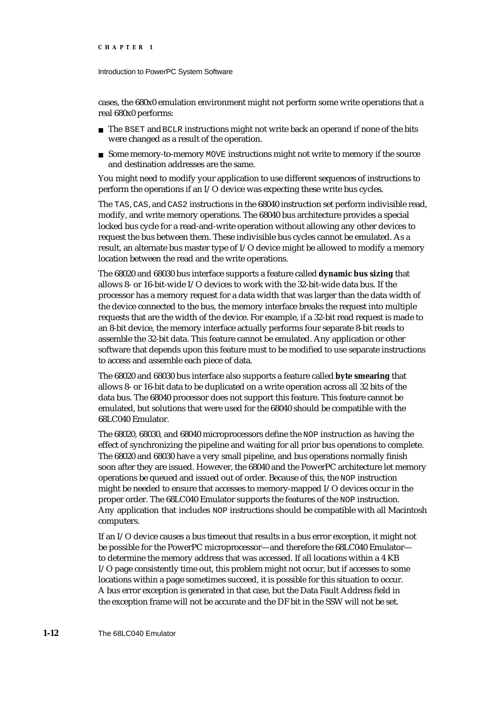```
CHAPTER 1
```
cases, the 680x0 emulation environment might not perform some write operations that a real 680x0 performs:

- $n$  The BSET and BCLR instructions might not write back an operand if none of the bits were changed as a result of the operation.
- $n$  Some memory-to-memory MOVE instructions might not write to memory if the source and destination addresses are the same.

You might need to modify your application to use different sequences of instructions to perform the operations if an I/O device was expecting these write bus cycles.

The TAS, CAS, and CAS2 instructions in the 68040 instruction set perform indivisible read, modify, and write memory operations. The 68040 bus architecture provides a special locked bus cycle for a read-and-write operation without allowing any other devices to request the bus between them. These indivisible bus cycles cannot be emulated. As a result, an alternate bus master type of I/O device might be allowed to modify a memory location between the read and the write operations.

The 68020 and 68030 bus interface supports a feature called **dynamic bus sizing** that allows 8- or 16-bit-wide I/O devices to work with the 32-bit-wide data bus. If the processor has a memory request for a data width that was larger than the data width of the device connected to the bus, the memory interface breaks the request into multiple requests that are the width of the device. For example, if a 32-bit read request is made to an 8-bit device, the memory interface actually performs four separate 8-bit reads to assemble the 32-bit data. This feature cannot be emulated. Any application or other software that depends upon this feature must to be modified to use separate instructions to access and assemble each piece of data.

The 68020 and 68030 bus interface also supports a feature called **byte smearing** that allows 8- or 16-bit data to be duplicated on a write operation across all 32 bits of the data bus. The 68040 processor does not support this feature. This feature cannot be emulated, but solutions that were used for the 68040 should be compatible with the 68LC040 Emulator.

The 68020, 68030, and 68040 microprocessors define the NOP instruction as having the effect of synchronizing the pipeline and waiting for all prior bus operations to complete. The 68020 and 68030 have a very small pipeline, and bus operations normally finish soon after they are issued. However, the 68040 and the PowerPC architecture let memory operations be queued and issued out of order. Because of this, the NOP instruction might be needed to ensure that accesses to memory-mapped I/O devices occur in the proper order. The 68LC040 Emulator supports the features of the NOP instruction. Any application that includes NOP instructions should be compatible with all Macintosh computers.

If an I/O device causes a bus timeout that results in a bus error exception, it might not be possible for the PowerPC microprocessor—and therefore the 68LC040 Emulator to determine the memory address that was accessed. If all locations within a 4 KB I/O page consistently time out, this problem might not occur, but if accesses to some locations within a page sometimes succeed, it is possible for this situation to occur. A bus error exception is generated in that case, but the Data Fault Address field in the exception frame will not be accurate and the DF bit in the SSW will not be set.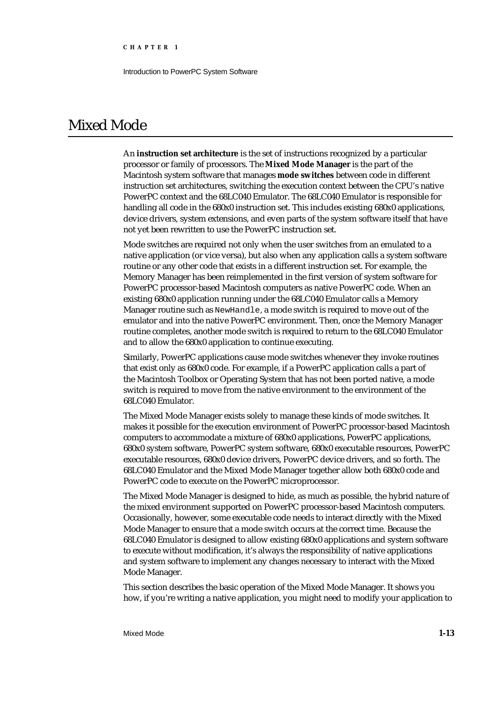# Mixed Mode

An **instruction set architecture** is the set of instructions recognized by a particular processor or family of processors. The **Mixed Mode Manager** is the part of the Macintosh system software that manages **mode switches** between code in different instruction set architectures, switching the execution context between the CPU's native PowerPC context and the 68LC040 Emulator. The 68LC040 Emulator is responsible for handling all code in the 680x0 instruction set. This includes existing 680x0 applications, device drivers, system extensions, and even parts of the system software itself that have not yet been rewritten to use the PowerPC instruction set.

Mode switches are required not only when the user switches from an emulated to a native application (or vice versa), but also when any application calls a system software routine or any other code that exists in a different instruction set. For example, the Memory Manager has been reimplemented in the first version of system software for PowerPC processor-based Macintosh computers as native PowerPC code. When an existing 680x0 application running under the 68LC040 Emulator calls a Memory Manager routine such as NewHandle, a mode switch is required to move out of the emulator and into the native PowerPC environment. Then, once the Memory Manager routine completes, another mode switch is required to return to the 68LC040 Emulator and to allow the 680x0 application to continue executing.

Similarly, PowerPC applications cause mode switches whenever they invoke routines that exist only as 680x0 code. For example, if a PowerPC application calls a part of the Macintosh Toolbox or Operating System that has not been ported native, a mode switch is required to move from the native environment to the environment of the 68LC040 Emulator.

The Mixed Mode Manager exists solely to manage these kinds of mode switches. It makes it possible for the execution environment of PowerPC processor-based Macintosh computers to accommodate a mixture of 680x0 applications, PowerPC applications, 680x0 system software, PowerPC system software, 680x0 executable resources, PowerPC executable resources, 680x0 device drivers, PowerPC device drivers, and so forth. The 68LC040 Emulator and the Mixed Mode Manager together allow both 680x0 code and PowerPC code to execute on the PowerPC microprocessor.

The Mixed Mode Manager is designed to hide, as much as possible, the hybrid nature of the mixed environment supported on PowerPC processor-based Macintosh computers. Occasionally, however, some executable code needs to interact directly with the Mixed Mode Manager to ensure that a mode switch occurs at the correct time. Because the 68LC040 Emulator is designed to allow existing 680x0 applications and system software to execute without modification, it's always the responsibility of native applications and system software to implement any changes necessary to interact with the Mixed Mode Manager.

This section describes the basic operation of the Mixed Mode Manager. It shows you how, if you're writing a native application, you might need to modify your application to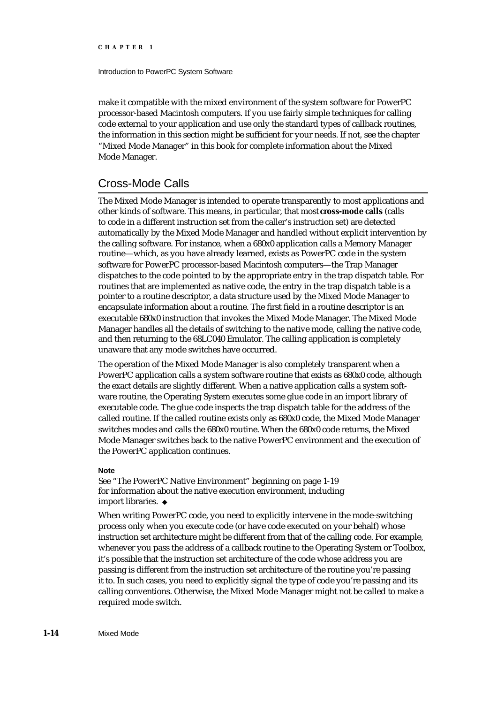## Introduction to PowerPC System Software

make it compatible with the mixed environment of the system software for PowerPC processor-based Macintosh computers. If you use fairly simple techniques for calling code external to your application and use only the standard types of callback routines, the information in this section might be sufficient for your needs. If not, see the chapter "Mixed Mode Manager" in this book for complete information about the Mixed Mode Manager.

# Cross-Mode Calls

The Mixed Mode Manager is intended to operate transparently to most applications and other kinds of software. This means, in particular, that most **cross-mode calls** (calls to code in a different instruction set from the caller's instruction set) are detected automatically by the Mixed Mode Manager and handled without explicit intervention by the calling software. For instance, when a 680x0 application calls a Memory Manager routine—which, as you have already learned, exists as PowerPC code in the system software for PowerPC processor-based Macintosh computers—the Trap Manager dispatches to the code pointed to by the appropriate entry in the trap dispatch table. For routines that are implemented as native code, the entry in the trap dispatch table is a pointer to a routine descriptor, a data structure used by the Mixed Mode Manager to encapsulate information about a routine. The first field in a routine descriptor is an executable 680x0 instruction that invokes the Mixed Mode Manager. The Mixed Mode Manager handles all the details of switching to the native mode, calling the native code, and then returning to the 68LC040 Emulator. The calling application is completely unaware that any mode switches have occurred.

The operation of the Mixed Mode Manager is also completely transparent when a PowerPC application calls a system software routine that exists as 680x0 code, although the exact details are slightly different. When a native application calls a system software routine, the Operating System executes some glue code in an import library of executable code. The glue code inspects the trap dispatch table for the address of the called routine. If the called routine exists only as 680x0 code, the Mixed Mode Manager switches modes and calls the 680x0 routine. When the 680x0 code returns, the Mixed Mode Manager switches back to the native PowerPC environment and the execution of the PowerPC application continues.

# **Note**

See "The PowerPC Native Environment" beginning on page 1-19 for information about the native execution environment, including import libraries. u

When writing PowerPC code, you need to explicitly intervene in the mode-switching process only when you execute code (or have code executed on your behalf) whose instruction set architecture might be different from that of the calling code. For example, whenever you pass the address of a callback routine to the Operating System or Toolbox, it's possible that the instruction set architecture of the code whose address you are passing is different from the instruction set architecture of the routine you're passing it to. In such cases, you need to explicitly signal the type of code you're passing and its calling conventions. Otherwise, the Mixed Mode Manager might not be called to make a required mode switch.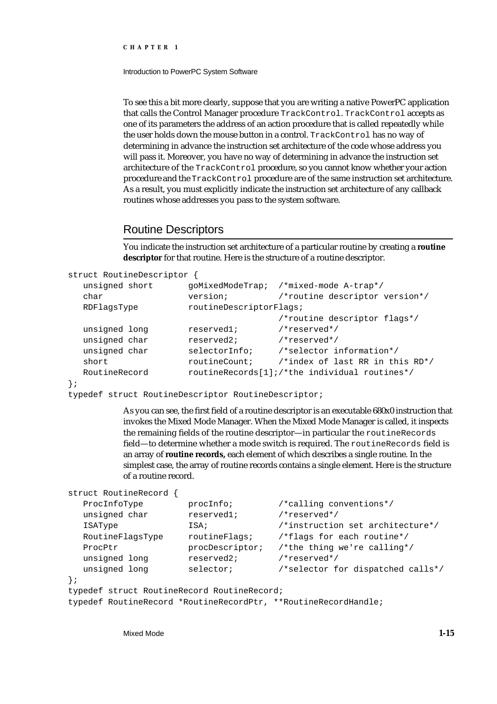Introduction to PowerPC System Software

To see this a bit more clearly, suppose that you are writing a native PowerPC application that calls the Control Manager procedure TrackControl. TrackControl accepts as one of its parameters the address of an action procedure that is called repeatedly while the user holds down the mouse button in a control. TrackControl has no way of determining in advance the instruction set architecture of the code whose address you will pass it. Moreover, you have no way of determining in advance the instruction set architecture of the TrackControl procedure, so you cannot know whether your action procedure and the TrackControl procedure are of the same instruction set architecture. As a result, you must explicitly indicate the instruction set architecture of any callback routines whose addresses you pass to the system software.

# Routine Descriptors

You indicate the instruction set architecture of a particular routine by creating a **routine descriptor** for that routine. Here is the structure of a routine descriptor.

```
struct RoutineDescriptor {
  unsigned short goMixedModeTrap; /*mixed-mode A-trap*/
  char version; /*routine descriptor version*/
  RDFlagsType routineDescriptorFlags;
                                  /*routine descriptor flags*/
  unsigned long reserved1; /*reserved*/
  unsigned char reserved2; /*reserved*/
  unsigned char selectorInfo; /*selector information*/
  short routineCount; /*index of last RR in this RD*/
  RoutineRecord routineRecords[1];/*the individual routines*/
};
```
typedef struct RoutineDescriptor RoutineDescriptor;

As you can see, the first field of a routine descriptor is an executable 680x0 instruction that invokes the Mixed Mode Manager. When the Mixed Mode Manager is called, it inspects the remaining fields of the routine descriptor—in particular the routineRecords field—to determine whether a mode switch is required. The routineRecords field is an array of **routine records,** each element of which describes a single routine. In the simplest case, the array of routine records contains a single element. Here is the structure of a routine record.

```
struct RoutineRecord {
  ProcInfoType procInfo; /*calling conventions*/
  unsigned char reserved1; /*reserved*/
  ISAType ISA; /*instruction set architecture*/
  RoutineFlagsType routineFlags; /*flags for each routine*/
  ProcPtr procDescriptor; /*the thing we're calling*/
  unsigned long reserved2; /*reserved*/
  unsigned long selector; \qquad /*selector for dispatched calls*/
};
typedef struct RoutineRecord RoutineRecord;
typedef RoutineRecord *RoutineRecordPtr, **RoutineRecordHandle;
```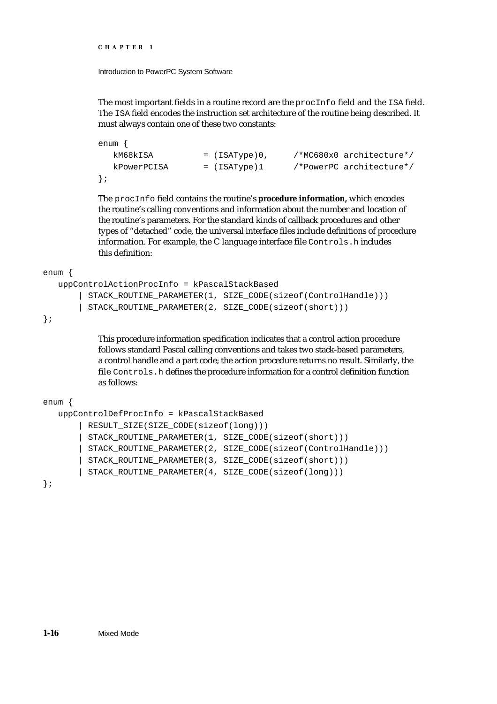```
CHAPTER 1
```
The most important fields in a routine record are the procInfo field and the ISA field. The ISA field encodes the instruction set architecture of the routine being described. It must always contain one of these two constants:

```
enum {
  kM68kISA = (ISAType)0, /*MC680x0 architecture*/
  kPowerPCISA = (ISAType)1 /*PowerPC architecture*/
};
```
The procInfo field contains the routine's **procedure information,** which encodes the routine's calling conventions and information about the number and location of the routine's parameters. For the standard kinds of callback procedures and other types of "detached" code, the universal interface files include definitions of procedure information. For example, the C language interface file Controls.h includes this definition:

# enum {

```
uppControlActionProcInfo = kPascalStackBased
```

```
 | STACK_ROUTINE_PARAMETER(1, SIZE_CODE(sizeof(ControlHandle)))
 | STACK_ROUTINE_PARAMETER(2, SIZE_CODE(sizeof(short)))
```
};

This procedure information specification indicates that a control action procedure follows standard Pascal calling conventions and takes two stack-based parameters, a control handle and a part code; the action procedure returns no result. Similarly, the file Controls.h defines the procedure information for a control definition function as follows:

enum {

```
uppControlDefProcInfo = kPascalStackBased
     | RESULT_SIZE(SIZE_CODE(sizeof(long)))
     | STACK_ROUTINE_PARAMETER(1, SIZE_CODE(sizeof(short)))
     | STACK_ROUTINE_PARAMETER(2, SIZE_CODE(sizeof(ControlHandle)))
     | STACK_ROUTINE_PARAMETER(3, SIZE_CODE(sizeof(short)))
     | STACK_ROUTINE_PARAMETER(4, SIZE_CODE(sizeof(long)))
```
};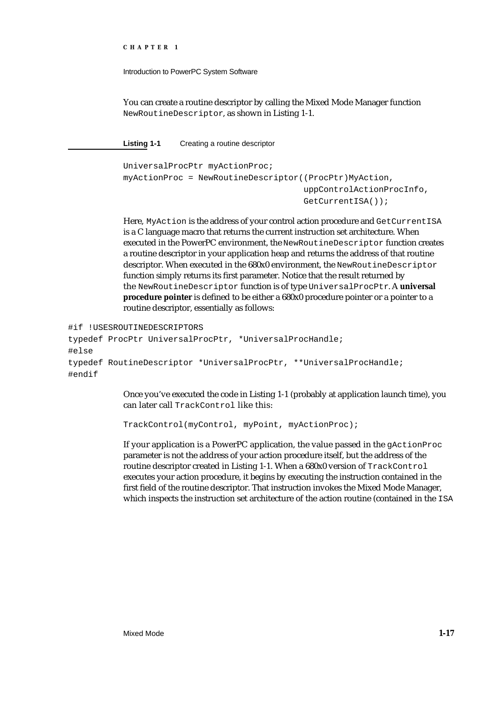Introduction to PowerPC System Software

You can create a routine descriptor by calling the Mixed Mode Manager function NewRoutineDescriptor, as shown in Listing 1-1.

**Listing 1-1** Creating a routine descriptor

```
UniversalProcPtr myActionProc;
myActionProc = NewRoutineDescriptor((ProcPtr)MyAction, 
                                     uppControlActionProcInfo, 
                                     GetCurrentISA());
```
Here, MyAction is the address of your control action procedure and GetCurrentISA is a C language macro that returns the current instruction set architecture. When executed in the PowerPC environment, the NewRoutineDescriptor function creates a routine descriptor in your application heap and returns the address of that routine descriptor. When executed in the 680x0 environment, the NewRoutineDescriptor function simply returns its first parameter. Notice that the result returned by the NewRoutineDescriptor function is of type UniversalProcPtr. A **universal procedure pointer** is defined to be either a 680x0 procedure pointer or a pointer to a routine descriptor, essentially as follows:

```
#if !USESROUTINEDESCRIPTORS
```

```
typedef ProcPtr UniversalProcPtr, *UniversalProcHandle;
#else
typedef RoutineDescriptor *UniversalProcPtr, **UniversalProcHandle;
#endif
```
Once you've executed the code in Listing 1-1 (probably at application launch time), you can later call TrackControl like this:

TrackControl(myControl, myPoint, myActionProc);

If your application is a PowerPC application, the value passed in the  $q$ ActionProc parameter is not the address of your action procedure itself, but the address of the routine descriptor created in Listing 1-1. When a 680x0 version of TrackControl executes your action procedure, it begins by executing the instruction contained in the first field of the routine descriptor. That instruction invokes the Mixed Mode Manager, which inspects the instruction set architecture of the action routine (contained in the ISA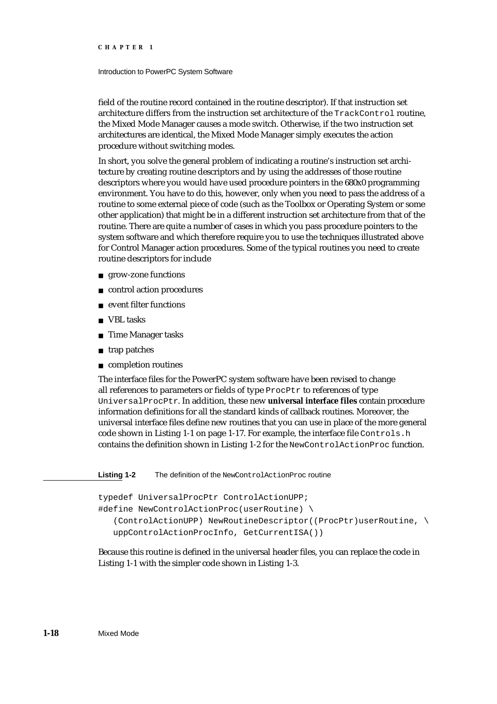## Introduction to PowerPC System Software

field of the routine record contained in the routine descriptor). If that instruction set architecture differs from the instruction set architecture of the TrackControl routine, the Mixed Mode Manager causes a mode switch. Otherwise, if the two instruction set architectures are identical, the Mixed Mode Manager simply executes the action procedure without switching modes.

In short, you solve the general problem of indicating a routine's instruction set architecture by creating routine descriptors and by using the addresses of those routine descriptors where you would have used procedure pointers in the 680x0 programming environment. You have to do this, however, only when you need to pass the address of a routine to some external piece of code (such as the Toolbox or Operating System or some other application) that might be in a different instruction set architecture from that of the routine. There are quite a number of cases in which you pass procedure pointers to the system software and which therefore require you to use the techniques illustrated above for Control Manager action procedures. Some of the typical routines you need to create routine descriptors for include

- grow-zone functions
- control action procedures
- event filter functions
- VBL tasks
- n Time Manager tasks
- trap patches  $n$
- completion routines  $n$

The interface files for the PowerPC system software have been revised to change all references to parameters or fields of type ProcPtr to references of type UniversalProcPtr. In addition, these new **universal interface files** contain procedure information definitions for all the standard kinds of callback routines. Moreover, the universal interface files define new routines that you can use in place of the more general code shown in Listing 1-1 on page 1-17. For example, the interface file Controls.h contains the definition shown in Listing 1-2 for the NewControlActionProc function.

**Listing 1-2** The definition of the NewControlActionProc routine

```
typedef UniversalProcPtr ControlActionUPP;
#define NewControlActionProc(userRoutine) \
   (ControlActionUPP) NewRoutineDescriptor((ProcPtr)userRoutine, \
   uppControlActionProcInfo, GetCurrentISA())
```
Because this routine is defined in the universal header files, you can replace the code in Listing 1-1 with the simpler code shown in Listing 1-3.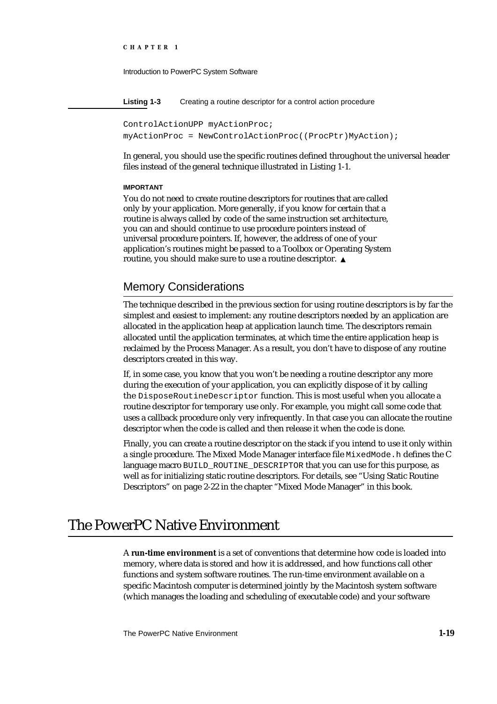```
CHAPTER 1
```
**Listing 1-3** Creating a routine descriptor for a control action procedure

```
ControlActionUPP myActionProc;
myActionProc = NewControlActionProc((ProcPtr)MyAction);
```
In general, you should use the specific routines defined throughout the universal header files instead of the general technique illustrated in Listing 1-1.

# **IMPORTANT**

You do not need to create routine descriptors for routines that are called only by your application. More generally, if you know for certain that a routine is always called by code of the same instruction set architecture, you can and should continue to use procedure pointers instead of universal procedure pointers. If, however, the address of one of your application's routines might be passed to a Toolbox or Operating System routine, you should make sure to use a routine descriptor.

# Memory Considerations

The technique described in the previous section for using routine descriptors is by far the simplest and easiest to implement: any routine descriptors needed by an application are allocated in the application heap at application launch time. The descriptors remain allocated until the application terminates, at which time the entire application heap is reclaimed by the Process Manager. As a result, you don't have to dispose of any routine descriptors created in this way.

If, in some case, you know that you won't be needing a routine descriptor any more during the execution of your application, you can explicitly dispose of it by calling the DisposeRoutineDescriptor function. This is most useful when you allocate a routine descriptor for temporary use only. For example, you might call some code that uses a callback procedure only very infrequently. In that case you can allocate the routine descriptor when the code is called and then release it when the code is done.

Finally, you can create a routine descriptor on the stack if you intend to use it only within a single procedure. The Mixed Mode Manager interface file MixedMode.h defines the C language macro BUILD\_ROUTINE\_DESCRIPTOR that you can use for this purpose, as well as for initializing static routine descriptors. For details, see "Using Static Routine Descriptors" on page 2-22 in the chapter "Mixed Mode Manager" in this book.

# The PowerPC Native Environment

A **run-time environment** is a set of conventions that determine how code is loaded into memory, where data is stored and how it is addressed, and how functions call other functions and system software routines. The run-time environment available on a specific Macintosh computer is determined jointly by the Macintosh system software (which manages the loading and scheduling of executable code) and your software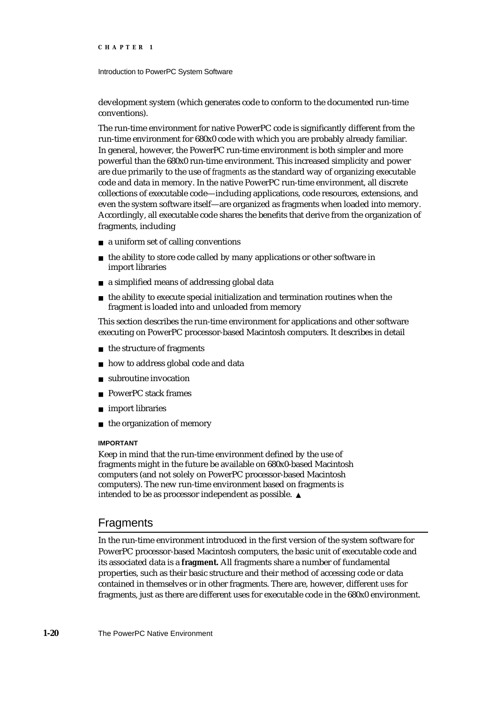Introduction to PowerPC System Software

development system (which generates code to conform to the documented run-time conventions).

The run-time environment for native PowerPC code is significantly different from the run-time environment for 680x0 code with which you are probably already familiar. In general, however, the PowerPC run-time environment is both simpler and more powerful than the 680x0 run-time environment. This increased simplicity and power are due primarily to the use of *fragments* as the standard way of organizing executable code and data in memory. In the native PowerPC run-time environment, all discrete collections of executable code—including applications, code resources, extensions, and even the system software itself—are organized as fragments when loaded into memory. Accordingly, all executable code shares the benefits that derive from the organization of fragments, including

- a uniform set of calling conventions
- the ability to store code called by many applications or other software in import libraries
- a simplified means of addressing global data
- $n$  the ability to execute special initialization and termination routines when the fragment is loaded into and unloaded from memory

This section describes the run-time environment for applications and other software executing on PowerPC processor-based Macintosh computers. It describes in detail

- n the structure of fragments
- n how to address global code and data
- subroutine invocation
- PowerPC stack frames
- import libraries
- n the organization of memory

# **IMPORTANT**

Keep in mind that the run-time environment defined by the use of fragments might in the future be available on 680x0-based Macintosh computers (and not solely on PowerPC processor-based Macintosh computers). The new run-time environment based on fragments is intended to be as processor independent as possible.

# **Fragments**

In the run-time environment introduced in the first version of the system software for PowerPC processor-based Macintosh computers, the basic unit of executable code and its associated data is a **fragment.** All fragments share a number of fundamental properties, such as their basic structure and their method of accessing code or data contained in themselves or in other fragments. There are, however, different *uses* for fragments, just as there are different uses for executable code in the 680x0 environment.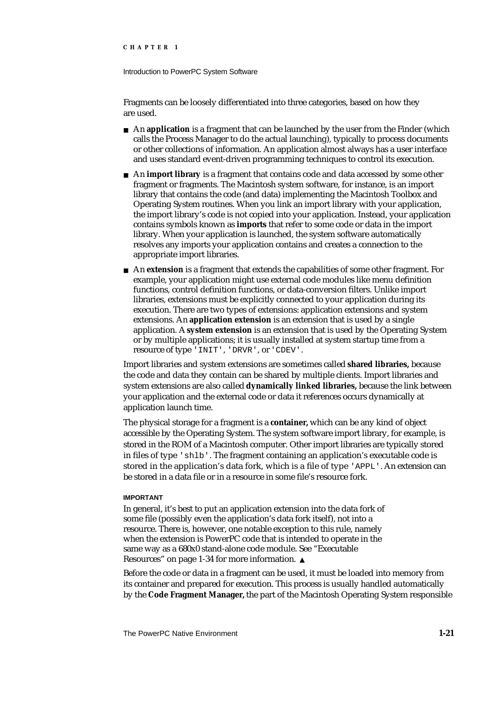#### Introduction to PowerPC System Software

Fragments can be loosely differentiated into three categories, based on how they are used.

- An **application** is a fragment that can be launched by the user from the Finder (which calls the Process Manager to do the actual launching), typically to process documents or other collections of information. An application almost always has a user interface and uses standard event-driven programming techniques to control its execution.
- An **import library** is a fragment that contains code and data accessed by some other fragment or fragments. The Macintosh system software, for instance, is an import library that contains the code (and data) implementing the Macintosh Toolbox and Operating System routines. When you link an import library with your application, the import library's code is not copied into your application. Instead, your application contains symbols known as **imports** that refer to some code or data in the import library. When your application is launched, the system software automatically resolves any imports your application contains and creates a connection to the appropriate import libraries.
- An **extension** is a fragment that extends the capabilities of some other fragment. For example, your application might use external code modules like menu definition functions, control definition functions, or data-conversion filters. Unlike import libraries, extensions must be explicitly connected to your application during its execution. There are two types of extensions: application extensions and system extensions. An **application extension** is an extension that is used by a single application. A **system extension** is an extension that is used by the Operating System or by multiple applications; it is usually installed at system startup time from a resource of type 'INIT', 'DRVR', or 'CDEV'.

Import libraries and system extensions are sometimes called **shared libraries,** because the code and data they contain can be shared by multiple clients. Import libraries and system extensions are also called **dynamically linked libraries,** because the link between your application and the external code or data it references occurs dynamically at application launch time.

The physical storage for a fragment is a **container,** which can be any kind of object accessible by the Operating System. The system software import library, for example, is stored in the ROM of a Macintosh computer. Other import libraries are typically stored in files of type 'shlb'. The fragment containing an application's executable code is stored in the application's data fork, which is a file of type 'APPL'. An extension can be stored in a data file or in a resource in some file's resource fork.

# **IMPORTANT**

In general, it's best to put an application extension into the data fork of some file (possibly even the application's data fork itself), not into a resource. There is, however, one notable exception to this rule, namely when the extension is PowerPC code that is intended to operate in the same way as a 680x0 stand-alone code module. See "Executable Resources" on page 1-34 for more information.

Before the code or data in a fragment can be used, it must be loaded into memory from its container and prepared for execution. This process is usually handled automatically by the **Code Fragment Manager,** the part of the Macintosh Operating System responsible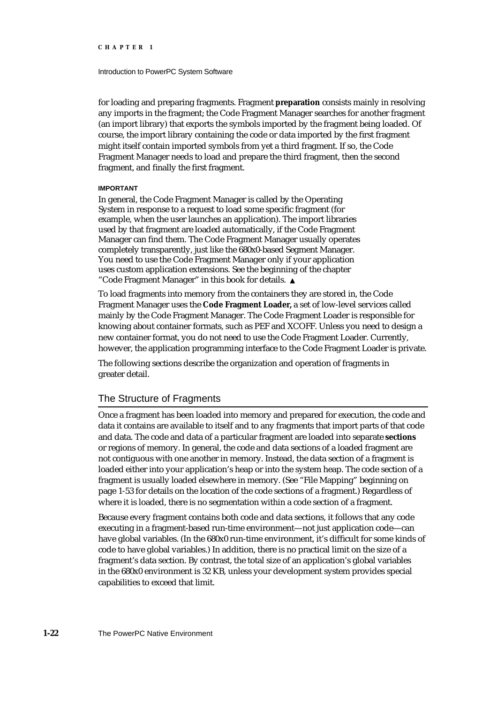#### Introduction to PowerPC System Software

for loading and preparing fragments. Fragment **preparation** consists mainly in resolving any imports in the fragment; the Code Fragment Manager searches for another fragment (an import library) that exports the symbols imported by the fragment being loaded. Of course, the import library containing the code or data imported by the first fragment might itself contain imported symbols from yet a third fragment. If so, the Code Fragment Manager needs to load and prepare the third fragment, then the second fragment, and finally the first fragment.

# **IMPORTANT**

In general, the Code Fragment Manager is called by the Operating System in response to a request to load some specific fragment (for example, when the user launches an application). The import libraries used by that fragment are loaded automatically, if the Code Fragment Manager can find them. The Code Fragment Manager usually operates completely transparently, just like the 680x0-based Segment Manager. You need to use the Code Fragment Manager only if your application uses custom application extensions. See the beginning of the chapter "Code Fragment Manager" in this book for details.

To load fragments into memory from the containers they are stored in, the Code Fragment Manager uses the **Code Fragment Loader,** a set of low-level services called mainly by the Code Fragment Manager. The Code Fragment Loader is responsible for knowing about container formats, such as PEF and XCOFF. Unless you need to design a new container format, you do not need to use the Code Fragment Loader. Currently, however, the application programming interface to the Code Fragment Loader is private.

The following sections describe the organization and operation of fragments in greater detail.

# The Structure of Fragments

Once a fragment has been loaded into memory and prepared for execution, the code and data it contains are available to itself and to any fragments that import parts of that code and data. The code and data of a particular fragment are loaded into separate **sections** or regions of memory. In general, the code and data sections of a loaded fragment are not contiguous with one another in memory. Instead, the data section of a fragment is loaded either into your application's heap or into the system heap. The code section of a fragment is usually loaded elsewhere in memory. (See "File Mapping" beginning on page 1-53 for details on the location of the code sections of a fragment.) Regardless of where it is loaded, there is no segmentation within a code section of a fragment.

Because every fragment contains both code and data sections, it follows that any code executing in a fragment-based run-time environment—not just application code—can have global variables. (In the 680x0 run-time environment, it's difficult for some kinds of code to have global variables.) In addition, there is no practical limit on the size of a fragment's data section. By contrast, the total size of an application's global variables in the 680x0 environment is 32 KB, unless your development system provides special capabilities to exceed that limit.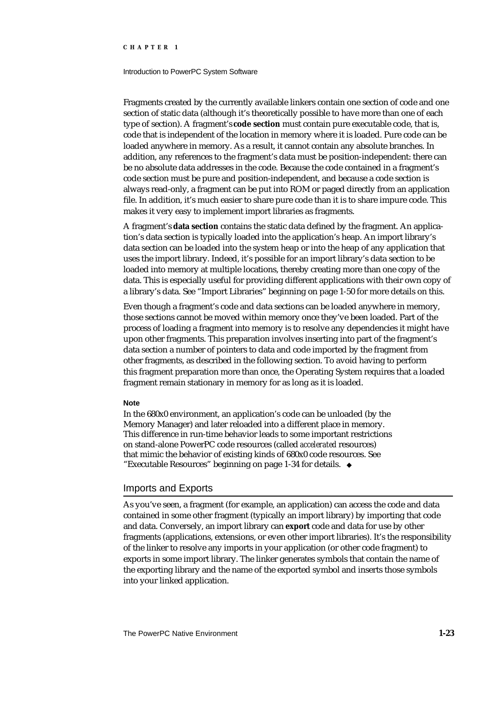#### Introduction to PowerPC System Software

Fragments created by the currently available linkers contain one section of code and one section of static data (although it's theoretically possible to have more than one of each type of section). A fragment's **code section** must contain pure executable code, that is, code that is independent of the location in memory where it is loaded. Pure code can be loaded anywhere in memory. As a result, it cannot contain any absolute branches. In addition, any references to the fragment's data must be position-independent: there can be no absolute data addresses in the code. Because the code contained in a fragment's code section must be pure and position-independent, and because a code section is always read-only, a fragment can be put into ROM or paged directly from an application file. In addition, it's much easier to share pure code than it is to share impure code. This makes it very easy to implement import libraries as fragments.

A fragment's **data section** contains the static data defined by the fragment. An application's data section is typically loaded into the application's heap. An import library's data section can be loaded into the system heap or into the heap of any application that uses the import library. Indeed, it's possible for an import library's data section to be loaded into memory at multiple locations, thereby creating more than one copy of the data. This is especially useful for providing different applications with their own copy of a library's data. See "Import Libraries" beginning on page 1-50 for more details on this.

Even though a fragment's code and data sections can be loaded anywhere in memory, those sections cannot be moved within memory once they've been loaded. Part of the process of loading a fragment into memory is to resolve any dependencies it might have upon other fragments. This preparation involves inserting into part of the fragment's data section a number of pointers to data and code imported by the fragment from other fragments, as described in the following section. To avoid having to perform this fragment preparation more than once, the Operating System requires that a loaded fragment remain stationary in memory for as long as it is loaded.

#### **Note**

In the 680x0 environment, an application's code can be unloaded (by the Memory Manager) and later reloaded into a different place in memory. This difference in run-time behavior leads to some important restrictions on stand-alone PowerPC code resources (called *accelerated* resources) that mimic the behavior of existing kinds of 680x0 code resources. See "Executable Resources" beginning on page 1-34 for details.

# Imports and Exports

As you've seen, a fragment (for example, an application) can access the code and data contained in some other fragment (typically an import library) by importing that code and data. Conversely, an import library can **export** code and data for use by other fragments (applications, extensions, or even other import libraries). It's the responsibility of the linker to resolve any imports in your application (or other code fragment) to exports in some import library. The linker generates symbols that contain the name of the exporting library and the name of the exported symbol and inserts those symbols into your linked application.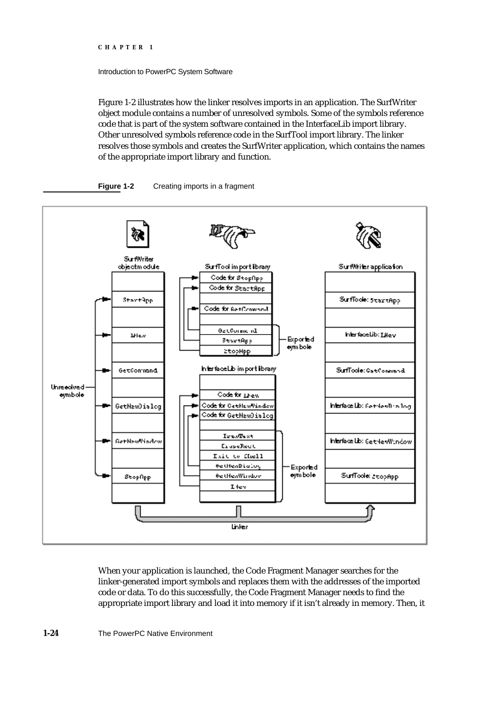#### Introduction to PowerPC System Software

Figure 1-2 illustrates how the linker resolves imports in an application. The SurfWriter object module contains a number of unresolved symbols. Some of the symbols reference code that is part of the system software contained in the InterfaceLib import library. Other unresolved symbols reference code in the SurfTool import library. The linker resolves those symbols and creates the SurfWriter application, which contains the names of the appropriate import library and function.





When your application is launched, the Code Fragment Manager searches for the linker-generated import symbols and replaces them with the addresses of the imported code or data. To do this successfully, the Code Fragment Manager needs to find the appropriate import library and load it into memory if it isn't already in memory. Then, it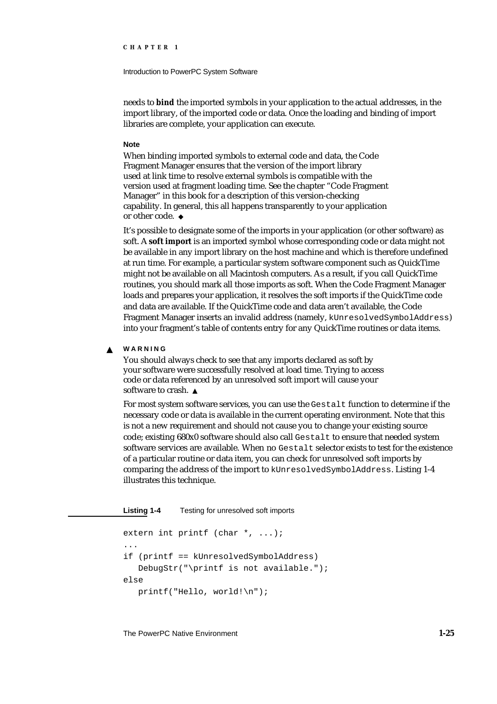#### Introduction to PowerPC System Software

needs to **bind** the imported symbols in your application to the actual addresses, in the import library, of the imported code or data. Once the loading and binding of import libraries are complete, your application can execute.

#### **Note**

When binding imported symbols to external code and data, the Code Fragment Manager ensures that the version of the import library used at link time to resolve external symbols is compatible with the version used at fragment loading time. See the chapter "Code Fragment Manager" in this book for a description of this version-checking capability. In general, this all happens transparently to your application or other code.

It's possible to designate some of the imports in your application (or other software) as soft. A **soft import** is an imported symbol whose corresponding code or data might not be available in any import library on the host machine and which is therefore undefined at run time. For example, a particular system software component such as QuickTime might not be available on all Macintosh computers. As a result, if you call QuickTime routines, you should mark all those imports as soft. When the Code Fragment Manager loads and prepares your application, it resolves the soft imports if the QuickTime code and data are available. If the QuickTime code and data aren't available, the Code Fragment Manager inserts an invalid address (namely, kUnresolvedSymbolAddress) into your fragment's table of contents entry for any QuickTime routines or data items.

#### **WARNING** <sub>S</sub>

You should always check to see that any imports declared as soft by your software were successfully resolved at load time. Trying to access code or data referenced by an unresolved soft import will cause your software to crash. s

For most system software services, you can use the Gestalt function to determine if the necessary code or data is available in the current operating environment. Note that this is not a new requirement and should not cause you to change your existing source code; existing 680x0 software should also call Gestalt to ensure that needed system software services are available. When no Gestalt selector exists to test for the existence of a particular routine or data item, you can check for unresolved soft imports by comparing the address of the import to kUnresolvedSymbolAddress. Listing 1-4 illustrates this technique.

# **Listing 1-4** Testing for unresolved soft imports

```
extern int printf (char *, ...);
...
if (printf == kUnresolvedSymbolAddress)
   DebugStr("\printf is not available.");
else
   printf("Hello, world!\n");
```
The PowerPC Native Environment **1-25**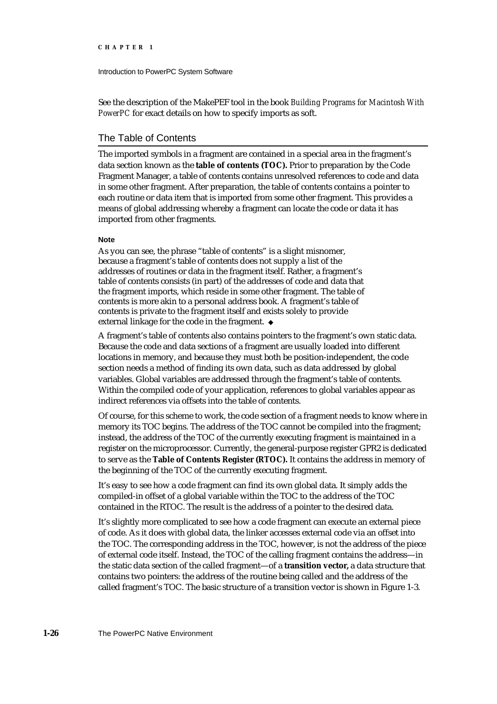#### Introduction to PowerPC System Software

See the description of the MakePEF tool in the book *Building Programs for Macintosh With PowerPC* for exact details on how to specify imports as soft.

# The Table of Contents

The imported symbols in a fragment are contained in a special area in the fragment's data section known as the **table of contents (TOC).** Prior to preparation by the Code Fragment Manager, a table of contents contains unresolved references to code and data in some other fragment. After preparation, the table of contents contains a pointer to each routine or data item that is imported from some other fragment. This provides a means of global addressing whereby a fragment can locate the code or data it has imported from other fragments.

# **Note**

As you can see, the phrase "table of contents" is a slight misnomer. because a fragment's table of contents does not supply a list of the addresses of routines or data in the fragment itself. Rather, a fragment's table of contents consists (in part) of the addresses of code and data that the fragment imports, which reside in some other fragment. The table of contents is more akin to a personal address book. A fragment's table of contents is private to the fragment itself and exists solely to provide external linkage for the code in the fragment.

A fragment's table of contents also contains pointers to the fragment's own static data. Because the code and data sections of a fragment are usually loaded into different locations in memory, and because they must both be position-independent, the code section needs a method of finding its own data, such as data addressed by global variables. Global variables are addressed through the fragment's table of contents. Within the compiled code of your application, references to global variables appear as indirect references via offsets into the table of contents.

Of course, for this scheme to work, the code section of a fragment needs to know where in memory its TOC begins. The address of the TOC cannot be compiled into the fragment; instead, the address of the TOC of the currently executing fragment is maintained in a register on the microprocessor. Currently, the general-purpose register GPR2 is dedicated to serve as the **Table of Contents Register (RTOC).** It contains the address in memory of the beginning of the TOC of the currently executing fragment.

It's easy to see how a code fragment can find its own global data. It simply adds the compiled-in offset of a global variable within the TOC to the address of the TOC contained in the RTOC. The result is the address of a pointer to the desired data.

It's slightly more complicated to see how a code fragment can execute an external piece of code. As it does with global data, the linker accesses external code via an offset into the TOC. The corresponding address in the TOC, however, is not the address of the piece of external code itself. Instead, the TOC of the calling fragment contains the address—in the static data section of the called fragment—of a **transition vector,** a data structure that contains two pointers: the address of the routine being called and the address of the called fragment's TOC. The basic structure of a transition vector is shown in Figure 1-3.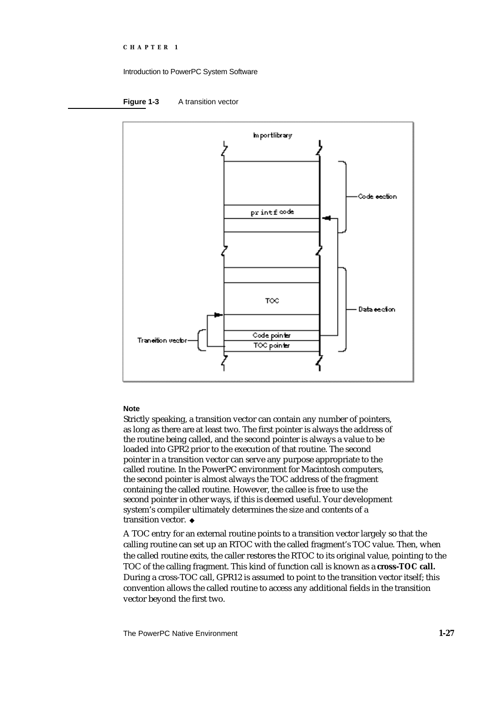#### Introduction to PowerPC System Software

#### **Figure 1-3** A transition vector



# **Note**

Strictly speaking, a transition vector can contain any number of pointers, as long as there are at least two. The first pointer is always the address of the routine being called, and the second pointer is always a value to be loaded into GPR2 prior to the execution of that routine. The second pointer in a transition vector can serve any purpose appropriate to the called routine. In the PowerPC environment for Macintosh computers, the second pointer is almost always the TOC address of the fragment containing the called routine. However, the callee is free to use the second pointer in other ways, if this is deemed useful. Your development system's compiler ultimately determines the size and contents of a transition vector. u

A TOC entry for an external routine points to a transition vector largely so that the calling routine can set up an RTOC with the called fragment's TOC value. Then, when the called routine exits, the caller restores the RTOC to its original value, pointing to the TOC of the calling fragment. This kind of function call is known as a **cross-TOC call.** During a cross-TOC call, GPR12 is assumed to point to the transition vector itself; this convention allows the called routine to access any additional fields in the transition vector beyond the first two.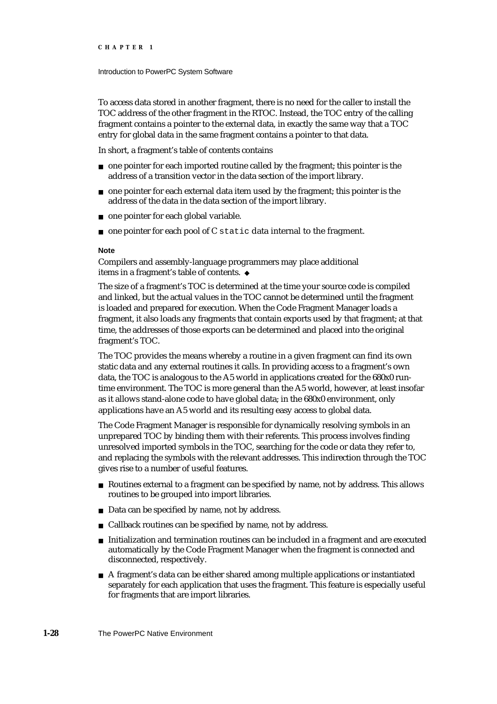#### Introduction to PowerPC System Software

To access data stored in another fragment, there is no need for the caller to install the TOC address of the other fragment in the RTOC. Instead, the TOC entry of the calling fragment contains a pointer to the external data, in exactly the same way that a TOC entry for global data in the same fragment contains a pointer to that data.

In short, a fragment's table of contents contains

- $n$  one pointer for each imported routine called by the fragment; this pointer is the address of a transition vector in the data section of the import library.
- n one pointer for each external data item used by the fragment; this pointer is the address of the data in the data section of the import library.
- n one pointer for each global variable.
- one pointer for each pool of C static data internal to the fragment.  $n$

# **Note**

Compilers and assembly-language programmers may place additional items in a fragment's table of contents.

The size of a fragment's TOC is determined at the time your source code is compiled and linked, but the actual values in the TOC cannot be determined until the fragment is loaded and prepared for execution. When the Code Fragment Manager loads a fragment, it also loads any fragments that contain exports used by that fragment; at that time, the addresses of those exports can be determined and placed into the original fragment's TOC.

The TOC provides the means whereby a routine in a given fragment can find its own static data and any external routines it calls. In providing access to a fragment's own data, the TOC is analogous to the A5 world in applications created for the 680x0 runtime environment. The TOC is more general than the A5 world, however, at least insofar as it allows stand-alone code to have global data; in the 680x0 environment, only applications have an A5 world and its resulting easy access to global data.

The Code Fragment Manager is responsible for dynamically resolving symbols in an unprepared TOC by binding them with their referents. This process involves finding unresolved imported symbols in the TOC, searching for the code or data they refer to, and replacing the symbols with the relevant addresses. This indirection through the TOC gives rise to a number of useful features.

- n Routines external to a fragment can be specified by name, not by address. This allows routines to be grouped into import libraries.
- Data can be specified by name, not by address.
- n Callback routines can be specified by name, not by address.
- $n$  Initialization and termination routines can be included in a fragment and are executed automatically by the Code Fragment Manager when the fragment is connected and disconnected, respectively.
- A fragment's data can be either shared among multiple applications or instantiated separately for each application that uses the fragment. This feature is especially useful for fragments that are import libraries.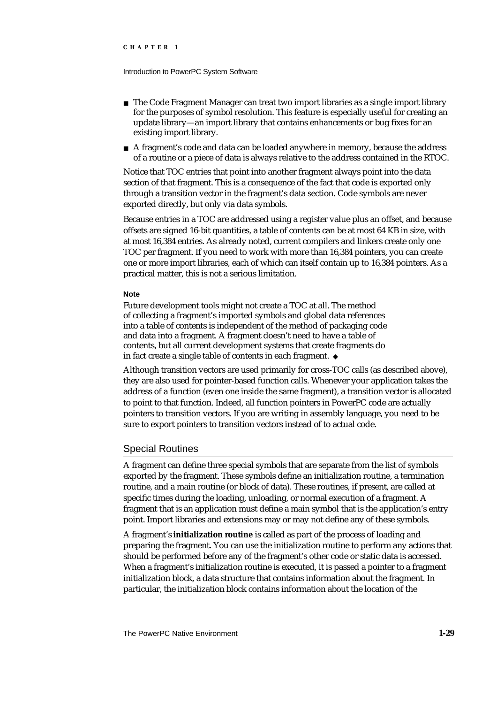#### Introduction to PowerPC System Software

- n The Code Fragment Manager can treat two import libraries as a single import library for the purposes of symbol resolution. This feature is especially useful for creating an update library—an import library that contains enhancements or bug fixes for an existing import library.
- A fragment's code and data can be loaded anywhere in memory, because the address of a routine or a piece of data is always relative to the address contained in the RTOC.

Notice that TOC entries that point into another fragment always point into the data section of that fragment. This is a consequence of the fact that code is exported only through a transition vector in the fragment's data section. Code symbols are never exported directly, but only via data symbols.

Because entries in a TOC are addressed using a register value plus an offset, and because offsets are signed 16-bit quantities, a table of contents can be at most 64 KB in size, with at most 16,384 entries. As already noted, current compilers and linkers create only one TOC per fragment. If you need to work with more than 16,384 pointers, you can create one or more import libraries, each of which can itself contain up to 16,384 pointers. As a practical matter, this is not a serious limitation.

# **Note**

Future development tools might not create a TOC at all. The method of collecting a fragment's imported symbols and global data references into a table of contents is independent of the method of packaging code and data into a fragment. A fragment doesn't need to have a table of contents, but all current development systems that create fragments do in fact create a single table of contents in each fragment.

Although transition vectors are used primarily for cross-TOC calls (as described above), they are also used for pointer-based function calls. Whenever your application takes the address of a function (even one inside the same fragment), a transition vector is allocated to point to that function. Indeed, all function pointers in PowerPC code are actually pointers to transition vectors. If you are writing in assembly language, you need to be sure to export pointers to transition vectors instead of to actual code.

# Special Routines

A fragment can define three special symbols that are separate from the list of symbols exported by the fragment. These symbols define an initialization routine, a termination routine, and a main routine (or block of data). These routines, if present, are called at specific times during the loading, unloading, or normal execution of a fragment. A fragment that is an application must define a main symbol that is the application's entry point. Import libraries and extensions may or may not define any of these symbols.

A fragment's **initialization routine** is called as part of the process of loading and preparing the fragment. You can use the initialization routine to perform any actions that should be performed before any of the fragment's other code or static data is accessed. When a fragment's initialization routine is executed, it is passed a pointer to a fragment initialization block, a data structure that contains information about the fragment. In particular, the initialization block contains information about the location of the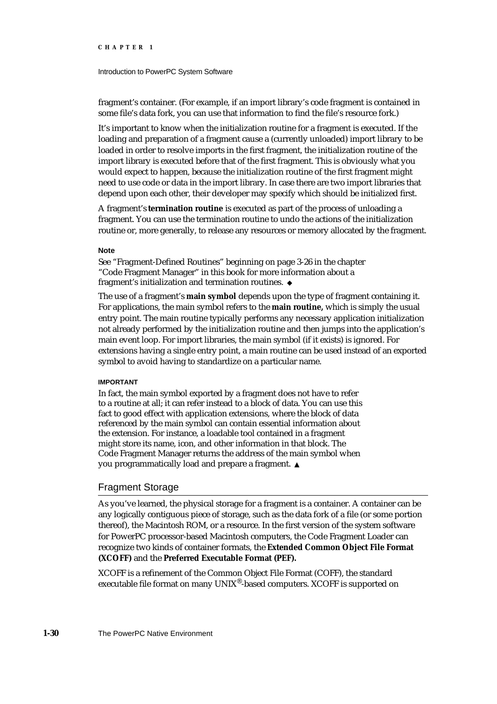#### Introduction to PowerPC System Software

fragment's container. (For example, if an import library's code fragment is contained in some file's data fork, you can use that information to find the file's resource fork.)

It's important to know when the initialization routine for a fragment is executed. If the loading and preparation of a fragment cause a (currently unloaded) import library to be loaded in order to resolve imports in the first fragment, the initialization routine of the import library is executed before that of the first fragment. This is obviously what you would expect to happen, because the initialization routine of the first fragment might need to use code or data in the import library. In case there are two import libraries that depend upon each other, their developer may specify which should be initialized first.

A fragment's **termination routine** is executed as part of the process of unloading a fragment. You can use the termination routine to undo the actions of the initialization routine or, more generally, to release any resources or memory allocated by the fragment.

# **Note**

See "Fragment-Defined Routines" beginning on page 3-26 in the chapter "Code Fragment Manager" in this book for more information about a fragment's initialization and termination routines.

The use of a fragment's **main symbol** depends upon the type of fragment containing it. For applications, the main symbol refers to the **main routine,** which is simply the usual entry point. The main routine typically performs any necessary application initialization not already performed by the initialization routine and then jumps into the application's main event loop. For import libraries, the main symbol (if it exists) is ignored. For extensions having a single entry point, a main routine can be used instead of an exported symbol to avoid having to standardize on a particular name.

# **IMPORTANT**

In fact, the main symbol exported by a fragment does not have to refer to a routine at all; it can refer instead to a block of data. You can use this fact to good effect with application extensions, where the block of data referenced by the main symbol can contain essential information about the extension. For instance, a loadable tool contained in a fragment might store its name, icon, and other information in that block. The Code Fragment Manager returns the address of the main symbol when you programmatically load and prepare a fragment.

# Fragment Storage

As you've learned, the physical storage for a fragment is a container. A container can be any logically contiguous piece of storage, such as the data fork of a file (or some portion thereof), the Macintosh ROM, or a resource. In the first version of the system software for PowerPC processor-based Macintosh computers, the Code Fragment Loader can recognize two kinds of container formats, the **Extended Common Object File Format (XCOFF)** and the **Preferred Executable Format (PEF).**

XCOFF is a refinement of the Common Object File Format (COFF), the standard executable file format on many UNIX®-based computers. XCOFF is supported on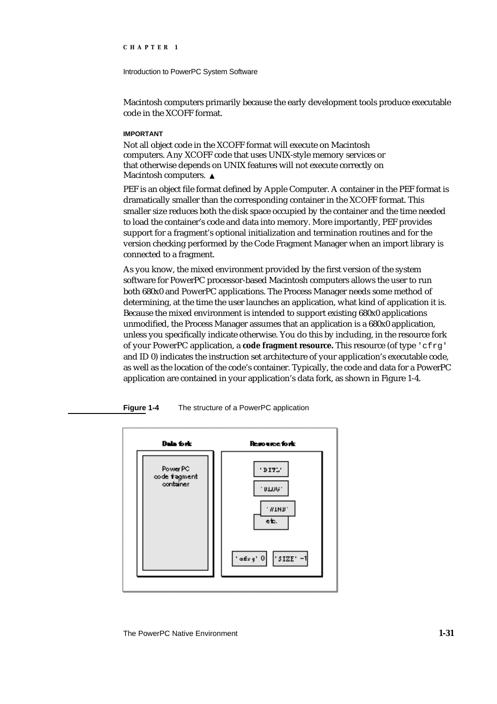Introduction to PowerPC System Software

Macintosh computers primarily because the early development tools produce executable code in the XCOFF format.

# **IMPORTANT**

Not all object code in the XCOFF format will execute on Macintosh computers. Any XCOFF code that uses UNIX-style memory services or that otherwise depends on UNIX features will not execute correctly on Macintosh computers. s

PEF is an object file format defined by Apple Computer. A container in the PEF format is dramatically smaller than the corresponding container in the XCOFF format. This smaller size reduces both the disk space occupied by the container and the time needed to load the container's code and data into memory. More importantly, PEF provides support for a fragment's optional initialization and termination routines and for the version checking performed by the Code Fragment Manager when an import library is connected to a fragment.

As you know, the mixed environment provided by the first version of the system software for PowerPC processor-based Macintosh computers allows the user to run both 680x0 and PowerPC applications. The Process Manager needs some method of determining, at the time the user launches an application, what kind of application it is. Because the mixed environment is intended to support existing 680x0 applications unmodified, the Process Manager assumes that an application is a 680x0 application, unless you specifically indicate otherwise. You do this by including, in the resource fork of your PowerPC application, a **code fragment resource.** This resource (of type 'cfrg' and ID 0) indicates the instruction set architecture of your application's executable code, as well as the location of the code's container. Typically, the code and data for a PowerPC application are contained in your application's data fork, as shown in Figure 1-4.





The PowerPC Native Environment **1-31**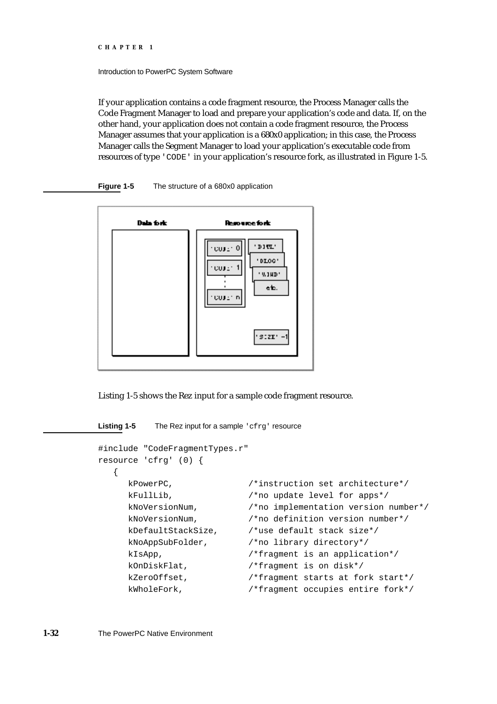Introduction to PowerPC System Software

If your application contains a code fragment resource, the Process Manager calls the Code Fragment Manager to load and prepare your application's code and data. If, on the other hand, your application does not contain a code fragment resource, the Process Manager assumes that your application is a 680x0 application; in this case, the Process Manager calls the Segment Manager to load your application's executable code from resources of type 'CODE' in your application's resource fork, as illustrated in Figure 1-5.





Listing 1-5 shows the Rez input for a sample code fragment resource.

Listing 1-5 The Rez input for a sample 'cfrg' resource #include "CodeFragmentTypes.r" resource 'cfrg' (0) { { kPowerPC, /\*instruction set architecture\*/ kFullLib, /\*no update level for apps\*/ kNoVersionNum, /\*no implementation version number\*/ kNoVersionNum, /\*no definition version number\*/ kDefaultStackSize, /\*use default stack size\*/ kNoAppSubFolder, /\*no library directory\*/ kIsApp, /\*fragment is an application\*/ kOnDiskFlat, /\*fragment is on disk\*/ kZeroOffset, /\*fragment starts at fork start\*/ kWholeFork, /\*fragment occupies entire fork\*/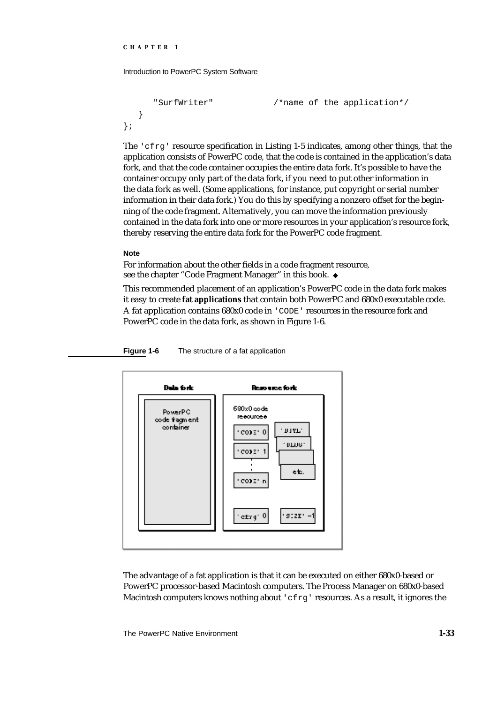Introduction to PowerPC System Software

```
"SurfWriter" /*name of the application*/
  }
};
```
The  $'cfrq'$  resource specification in Listing 1-5 indicates, among other things, that the application consists of PowerPC code, that the code is contained in the application's data fork, and that the code container occupies the entire data fork. It's possible to have the container occupy only part of the data fork, if you need to put other information in the data fork as well. (Some applications, for instance, put copyright or serial number information in their data fork.) You do this by specifying a nonzero offset for the beginning of the code fragment. Alternatively, you can move the information previously contained in the data fork into one or more resources in your application's resource fork, thereby reserving the entire data fork for the PowerPC code fragment.

#### **Note**

For information about the other fields in a code fragment resource, see the chapter "Code Fragment Manager" in this book. u

This recommended placement of an application's PowerPC code in the data fork makes it easy to create **fat applications** that contain both PowerPC and 680x0 executable code. A fat application contains 680x0 code in 'CODE' resources in the resource fork and PowerPC code in the data fork, as shown in Figure 1-6.

**Dala fork Resource fork** 690x0 code PowerPC recources code fragment container DITL.  $CODZ' = 0$ .nme. robar 1 ete. 'COXE' n  $9.2E' - 1$ etrg'  $\overline{0}$ 

**Figure 1-6** The structure of a fat application

The advantage of a fat application is that it can be executed on either 680x0-based or PowerPC processor-based Macintosh computers. The Process Manager on 680x0-based Macintosh computers knows nothing about 'cfrg' resources. As a result, it ignores the

The PowerPC Native Environment **1-33**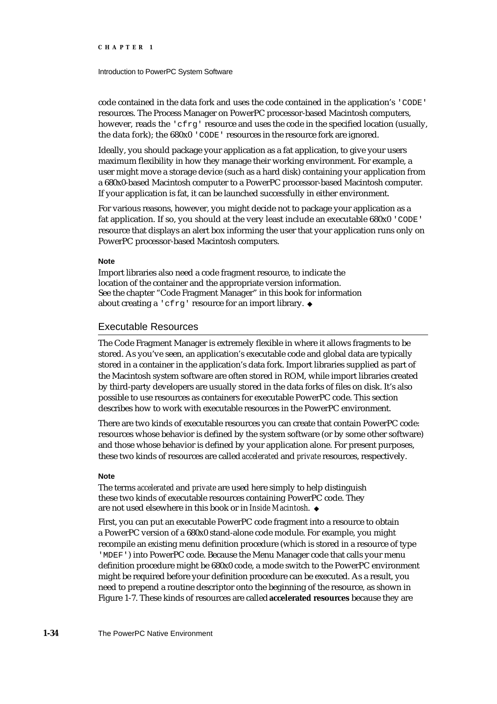#### Introduction to PowerPC System Software

code contained in the data fork and uses the code contained in the application's 'CODE' resources. The Process Manager on PowerPC processor-based Macintosh computers, however, reads the 'cfrg' resource and uses the code in the specified location (usually, the data fork); the 680x0 'CODE' resources in the resource fork are ignored.

Ideally, you should package your application as a fat application, to give your users maximum flexibility in how they manage their working environment. For example, a user might move a storage device (such as a hard disk) containing your application from a 680x0-based Macintosh computer to a PowerPC processor-based Macintosh computer. If your application is fat, it can be launched successfully in either environment.

For various reasons, however, you might decide not to package your application as a fat application. If so, you should at the very least include an executable 680x0 'CODE' resource that displays an alert box informing the user that your application runs only on PowerPC processor-based Macintosh computers.

# **Note**

Import libraries also need a code fragment resource, to indicate the location of the container and the appropriate version information. See the chapter "Code Fragment Manager" in this book for information about creating a 'cfrg' resource for an import library. u

# Executable Resources

The Code Fragment Manager is extremely flexible in where it allows fragments to be stored. As you've seen, an application's executable code and global data are typically stored in a container in the application's data fork. Import libraries supplied as part of the Macintosh system software are often stored in ROM, while import libraries created by third-party developers are usually stored in the data forks of files on disk. It's also possible to use resources as containers for executable PowerPC code. This section describes how to work with executable resources in the PowerPC environment.

There are two kinds of executable resources you can create that contain PowerPC code: resources whose behavior is defined by the system software (or by some other software) and those whose behavior is defined by your application alone. For present purposes, these two kinds of resources are called *accelerated* and *private* resources, respectively.

# **Note**

The terms *accelerated* and *private* are used here simply to help distinguish these two kinds of executable resources containing PowerPC code. They are not used elsewhere in this book or in *Inside Macintosh*.

First, you can put an executable PowerPC code fragment into a resource to obtain a PowerPC version of a 680x0 stand-alone code module. For example, you might recompile an existing menu definition procedure (which is stored in a resource of type 'MDEF') into PowerPC code. Because the Menu Manager code that calls your menu definition procedure might be 680x0 code, a mode switch to the PowerPC environment might be required before your definition procedure can be executed. As a result, you need to prepend a routine descriptor onto the beginning of the resource, as shown in Figure 1-7. These kinds of resources are called **accelerated resources** because they are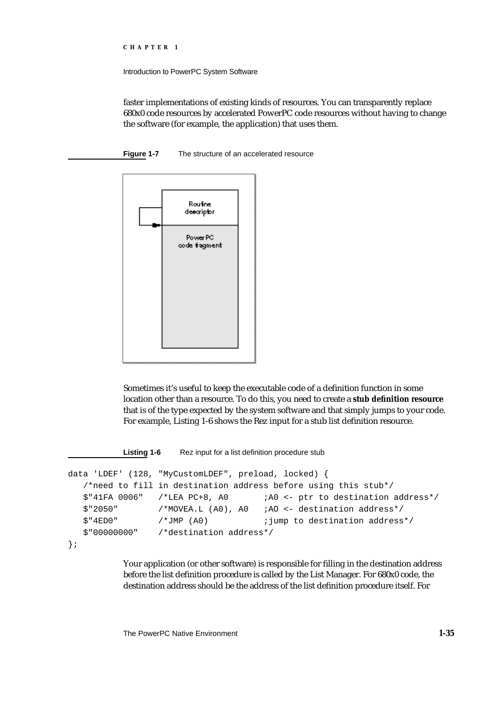Introduction to PowerPC System Software

faster implementations of existing kinds of resources. You can transparently replace 680x0 code resources by accelerated PowerPC code resources without having to change the software (for example, the application) that uses them.





Sometimes it's useful to keep the executable code of a definition function in some location other than a resource. To do this, you need to create a **stub definition resource** that is of the type expected by the system software and that simply jumps to your code. For example, Listing 1-6 shows the Rez input for a stub list definition resource.

**Listing 1-6** Rez input for a list definition procedure stub

```
data 'LDEF' (128, "MyCustomLDEF", preload, locked) {
  /*need to fill in destination address before using this stub*/
  $"41FA 0006" /*LEA PC+8, A0 ;A0 <- ptr to destination address*/
  $^{\circ} 2050" /*MOVEA.L (A0), A0 ;AO <- destination address*/
  $"4ED0" /*JMP (A0) ;jump to destination address*/
  $"00000000" /*destination address*/
};
```
Your application (or other software) is responsible for filling in the destination address before the list definition procedure is called by the List Manager. For 680x0 code, the destination address should be the address of the list definition procedure itself. For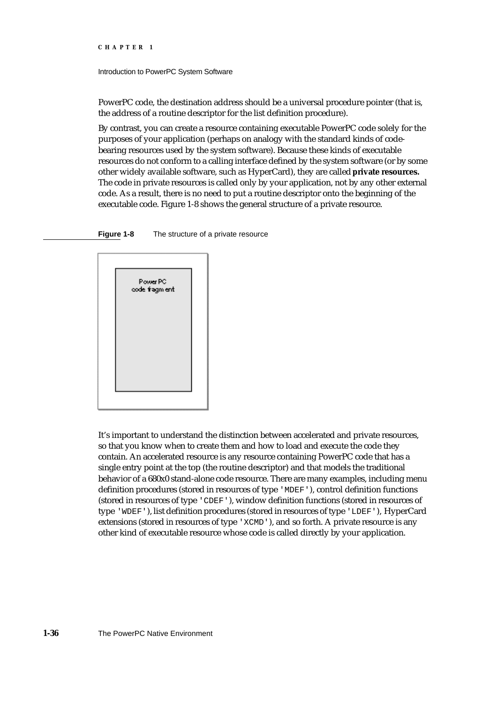#### Introduction to PowerPC System Software

PowerPC code, the destination address should be a universal procedure pointer (that is, the address of a routine descriptor for the list definition procedure).

By contrast, you can create a resource containing executable PowerPC code solely for the purposes of your application (perhaps on analogy with the standard kinds of codebearing resources used by the system software). Because these kinds of executable resources do not conform to a calling interface defined by the system software (or by some other widely available software, such as HyperCard), they are called **private resources.** The code in private resources is called only by your application, not by any other external code. As a result, there is no need to put a routine descriptor onto the beginning of the executable code. Figure 1-8 shows the general structure of a private resource.

**Figure 1-8** The structure of a private resource

| PowerPC<br>code fragment |  |
|--------------------------|--|
|                          |  |
|                          |  |
|                          |  |
|                          |  |
|                          |  |
|                          |  |
|                          |  |

It's important to understand the distinction between accelerated and private resources, so that you know when to create them and how to load and execute the code they contain. An accelerated resource is any resource containing PowerPC code that has a single entry point at the top (the routine descriptor) and that models the traditional behavior of a 680x0 stand-alone code resource. There are many examples, including menu definition procedures (stored in resources of type 'MDEF'), control definition functions (stored in resources of type 'CDEF'), window definition functions (stored in resources of type 'WDEF'), list definition procedures (stored in resources of type 'LDEF'), HyperCard extensions (stored in resources of type 'XCMD'), and so forth. A private resource is any other kind of executable resource whose code is called directly by your application.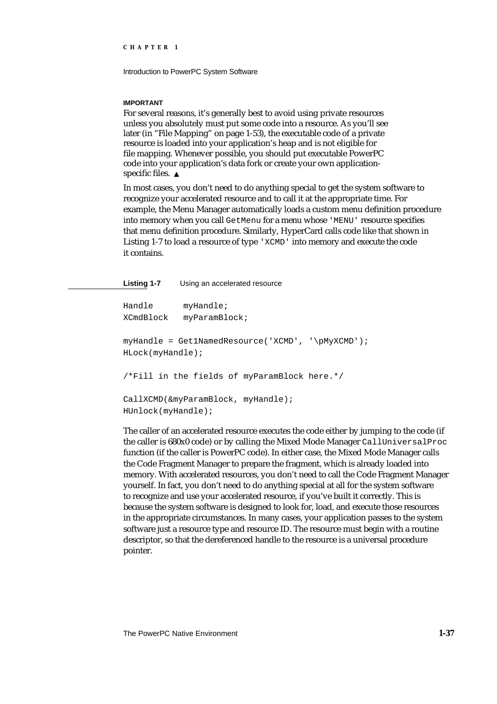Introduction to PowerPC System Software

#### **IMPORTANT**

For several reasons, it's generally best to avoid using private resources unless you absolutely must put some code into a resource. As you'll see later (in "File Mapping" on page 1-53), the executable code of a private resource is loaded into your application's heap and is not eligible for file mapping. Whenever possible, you should put executable PowerPC code into your application's data fork or create your own applicationspecific files. s

In most cases, you don't need to do anything special to get the system software to recognize your accelerated resource and to call it at the appropriate time. For example, the Menu Manager automatically loads a custom menu definition procedure into memory when you call GetMenu for a menu whose 'MENU' resource specifies that menu definition procedure. Similarly, HyperCard calls code like that shown in Listing 1-7 to load a resource of type 'XCMD' into memory and execute the code it contains.

# **Listing 1-7** Using an accelerated resource Handle myHandle;

```
XCmdBlock myParamBlock;
myHandle = Get1NamedResource('XCMD', '\pMyXCMD');
HLock(myHandle);
/*Fill in the fields of myParamBlock here.*/
CallXCMD(&myParamBlock, myHandle);
HUnlock(myHandle);
```
The caller of an accelerated resource executes the code either by jumping to the code (if the caller is 680x0 code) or by calling the Mixed Mode Manager CallUniversalProc function (if the caller is PowerPC code). In either case, the Mixed Mode Manager calls the Code Fragment Manager to prepare the fragment, which is already loaded into memory. With accelerated resources, you don't need to call the Code Fragment Manager yourself. In fact, you don't need to do anything special at all for the system software to recognize and use your accelerated resource, if you've built it correctly. This is because the system software is designed to look for, load, and execute those resources in the appropriate circumstances. In many cases, your application passes to the system software just a resource type and resource ID. The resource must begin with a routine descriptor, so that the dereferenced handle to the resource is a universal procedure pointer.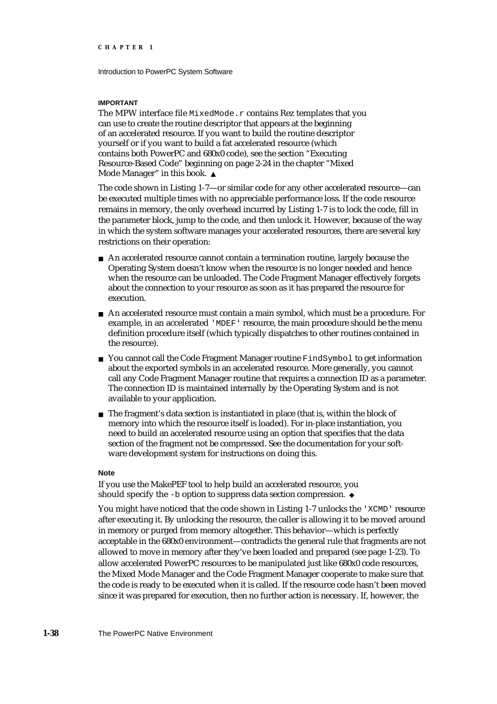Introduction to PowerPC System Software

#### **IMPORTANT**

The MPW interface file MixedMode.r contains Rez templates that you can use to create the routine descriptor that appears at the beginning of an accelerated resource. If you want to build the routine descriptor yourself or if you want to build a fat accelerated resource (which contains both PowerPC and 680x0 code), see the section "Executing Resource-Based Code" beginning on page 2-24 in the chapter "Mixed Mode Manager" in this book. s

The code shown in Listing 1-7—or similar code for any other accelerated resource—can be executed multiple times with no appreciable performance loss. If the code resource remains in memory, the only overhead incurred by Listing 1-7 is to lock the code, fill in the parameter block, jump to the code, and then unlock it. However, because of the way in which the system software manages your accelerated resources, there are several key restrictions on their operation:

- An accelerated resource cannot contain a termination routine, largely because the Operating System doesn't know when the resource is no longer needed and hence when the resource can be unloaded. The Code Fragment Manager effectively forgets about the connection to your resource as soon as it has prepared the resource for execution.
- An accelerated resource must contain a main symbol, which must be a procedure. For example, in an accelerated 'MDEF' resource, the main procedure should be the menu definition procedure itself (which typically dispatches to other routines contained in the resource).
- You cannot call the Code Fragment Manager routine FindSymbol to get information about the exported symbols in an accelerated resource. More generally, you cannot call any Code Fragment Manager routine that requires a connection ID as a parameter. The connection ID is maintained internally by the Operating System and is not available to your application.
- The fragment's data section is instantiated in place (that is, within the block of memory into which the resource itself is loaded). For in-place instantiation, you need to build an accelerated resource using an option that specifies that the data section of the fragment not be compressed. See the documentation for your software development system for instructions on doing this.

#### **Note**

If you use the MakePEF tool to help build an accelerated resource, you should specify the -b option to suppress data section compression. u

You might have noticed that the code shown in Listing 1-7 unlocks the 'XCMD' resource after executing it. By unlocking the resource, the caller is allowing it to be moved around in memory or purged from memory altogether. This behavior—which is perfectly acceptable in the 680x0 environment—contradicts the general rule that fragments are not allowed to move in memory after they've been loaded and prepared (see page 1-23). To allow accelerated PowerPC resources to be manipulated just like 680x0 code resources, the Mixed Mode Manager and the Code Fragment Manager cooperate to make sure that the code is ready to be executed when it is called. If the resource code hasn't been moved since it was prepared for execution, then no further action is necessary. If, however, the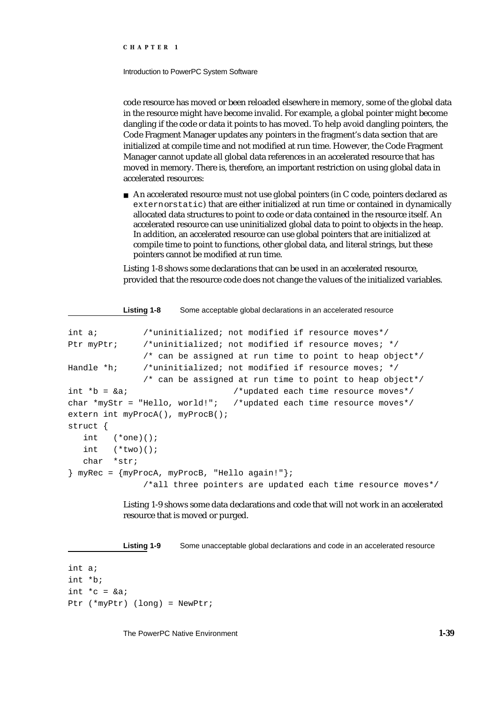Introduction to PowerPC System Software

code resource has moved or been reloaded elsewhere in memory, some of the global data in the resource might have become invalid. For example, a global pointer might become dangling if the code or data it points to has moved. To help avoid dangling pointers, the Code Fragment Manager updates any pointers in the fragment's data section that are initialized at compile time and not modified at run time. However, the Code Fragment Manager cannot update all global data references in an accelerated resource that has moved in memory. There is, therefore, an important restriction on using global data in accelerated resources:

An accelerated resource must not use global pointers (in C code, pointers declared as extern or static) that are either initialized at run time or contained in dynamically allocated data structures to point to code or data contained in the resource itself. An accelerated resource can use uninitialized global data to point to objects in the heap. In addition, an accelerated resource can use global pointers that are initialized at compile time to point to functions, other global data, and literal strings, but these pointers cannot be modified at run time.

Listing 1-8 shows some declarations that can be used in an accelerated resource, provided that the resource code does not change the values of the initialized variables.

Listing 1-8 Some acceptable global declarations in an accelerated resource

```
int a; /*uninitialized; not modified if resource moves*/
Ptr myPtr; /*uninitialized; not modified if resource moves; */
              /* can be assigned at run time to point to heap object*/
Handle *h; /*uninitialized; not modified if resource moves; */
              /* can be assigned at run time to point to heap object*/
int *b = &a; /*updated each time resource moves*/
char *myStr = "Hello, world!"; /*updated each time resource moves*/
extern int myProcA(), myProcB();
struct {
  int (*one)();
  int (*two)();
  char *str;
\{ myRec = {myProcA, myProcB, "Hello again!"};/*all three pointers are updated each time resource moves*/
```
Listing 1-9 shows some data declarations and code that will not work in an accelerated resource that is moved or purged.

**Listing 1-9** Some unacceptable global declarations and code in an accelerated resource

```
int a;
int *b;
int *c = 8a;
Ptr (*myPtr) (long) = NewPtr;
```
The PowerPC Native Environment **1-39**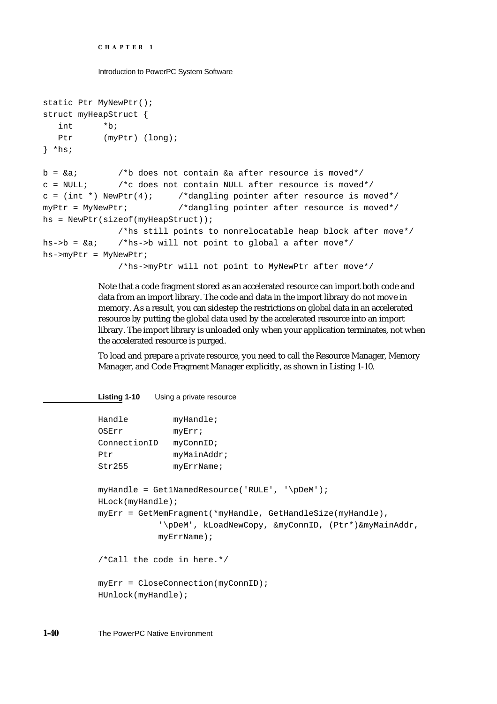Introduction to PowerPC System Software

```
static Ptr MyNewPtr();
struct myHeapStruct {
   int *b;
   Ptr (myPtr) (long);
\} *hs;
b = \& a; \qquad \qquad /*b does not contain \& a after resource is moved*/
c = NULL; /*c does not contain NULL after resource is moved*/
c = (int * ) NewPtr(4); /*dangling pointer after resource is moved*/
myPtr = MyNewPtr; \frac{1}{2} /*dangling pointer after resource is moved*/
hs = NewPtr(sizeof(myHeapStruct));
               /*hs still points to nonrelocatable heap block after move*/
hs->b = &ai /*hs->b will not point to global a after move*/
hs->myPtr = MyNewPtr;
               /*hs->myPtr will not point to MyNewPtr after move*/
```
Note that a code fragment stored as an accelerated resource can import both code and data from an import library. The code and data in the import library do not move in memory. As a result, you can sidestep the restrictions on global data in an accelerated resource by putting the global data used by the accelerated resource into an import library. The import library is unloaded only when your application terminates, not when the accelerated resource is purged.

To load and prepare a *private* resource, you need to call the Resource Manager, Memory Manager, and Code Fragment Manager explicitly, as shown in Listing 1-10.

```
Listing 1-10 Using a private resource
```

```
Handle myHandle;
OSErr myErr;
ConnectionID myConnID;
Ptr myMainAddr;
Str255 myErrName;
myHandle = Get1NamedResource('RULE', '\pDeM');
HLock(myHandle);
myErr = GetMemFragment(*myHandle, GetHandleSize(myHandle),
           '\pDeM', kLoadNewCopy, &myConnID, (Ptr*)&myMainAddr, 
           myErrName);
/*Call the code in here.*/
myErr = CloseConnection(myConnID);
HUnlock(myHandle);
```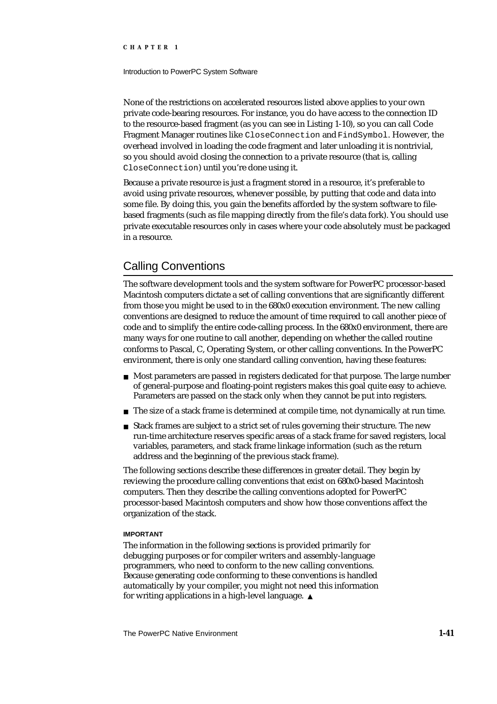#### Introduction to PowerPC System Software

None of the restrictions on accelerated resources listed above applies to your own private code-bearing resources. For instance, you do have access to the connection ID to the resource-based fragment (as you can see in Listing 1-10), so you can call Code Fragment Manager routines like CloseConnection and FindSymbol. However, the overhead involved in loading the code fragment and later unloading it is nontrivial, so you should avoid closing the connection to a private resource (that is, calling CloseConnection) until you're done using it.

Because a private resource is just a fragment stored in a resource, it's preferable to avoid using private resources, whenever possible, by putting that code and data into some file. By doing this, you gain the benefits afforded by the system software to filebased fragments (such as file mapping directly from the file's data fork). You should use private executable resources only in cases where your code absolutely must be packaged in a resource.

# Calling Conventions

The software development tools and the system software for PowerPC processor-based Macintosh computers dictate a set of calling conventions that are significantly different from those you might be used to in the 680x0 execution environment. The new calling conventions are designed to reduce the amount of time required to call another piece of code and to simplify the entire code-calling process. In the 680x0 environment, there are many ways for one routine to call another, depending on whether the called routine conforms to Pascal, C, Operating System, or other calling conventions. In the PowerPC environment, there is only one standard calling convention, having these features:

- n Most parameters are passed in registers dedicated for that purpose. The large number of general-purpose and floating-point registers makes this goal quite easy to achieve. Parameters are passed on the stack only when they cannot be put into registers.
- $n$  The size of a stack frame is determined at compile time, not dynamically at run time.
- $n$  Stack frames are subject to a strict set of rules governing their structure. The new run-time architecture reserves specific areas of a stack frame for saved registers, local variables, parameters, and stack frame linkage information (such as the return address and the beginning of the previous stack frame).

The following sections describe these differences in greater detail. They begin by reviewing the procedure calling conventions that exist on 680x0-based Macintosh computers. Then they describe the calling conventions adopted for PowerPC processor-based Macintosh computers and show how those conventions affect the organization of the stack.

# **IMPORTANT**

The information in the following sections is provided primarily for debugging purposes or for compiler writers and assembly-language programmers, who need to conform to the new calling conventions. Because generating code conforming to these conventions is handled automatically by your compiler, you might not need this information for writing applications in a high-level language.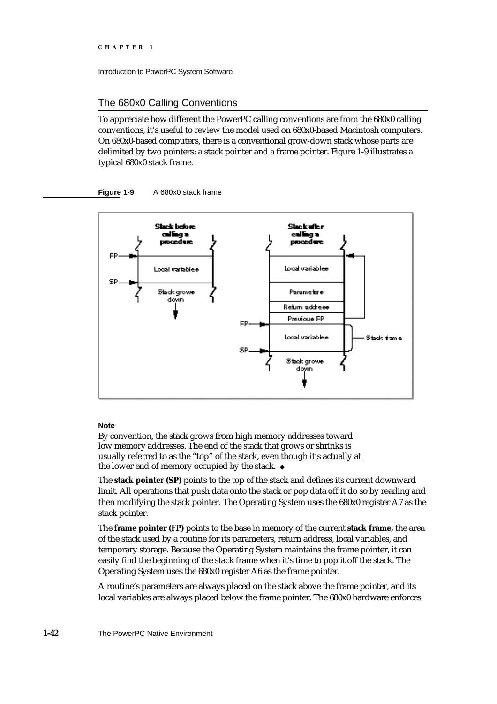Introduction to PowerPC System Software

# The 680x0 Calling Conventions

To appreciate how different the PowerPC calling conventions are from the 680x0 calling conventions, it's useful to review the model used on 680x0-based Macintosh computers. On 680x0-based computers, there is a conventional grow-down stack whose parts are delimited by two pointers: a stack pointer and a frame pointer. Figure 1-9 illustrates a typical 680x0 stack frame.





# **Note**

By convention, the stack grows from high memory addresses toward low memory addresses. The end of the stack that grows or shrinks is usually referred to as the "top" of the stack, even though it's actually at the lower end of memory occupied by the stack.

The **stack pointer (SP)** points to the top of the stack and defines its current downward limit. All operations that push data onto the stack or pop data off it do so by reading and then modifying the stack pointer. The Operating System uses the 680x0 register A7 as the stack pointer.

The **frame pointer (FP)** points to the base in memory of the current **stack frame,** the area of the stack used by a routine for its parameters, return address, local variables, and temporary storage. Because the Operating System maintains the frame pointer, it can easily find the beginning of the stack frame when it's time to pop it off the stack. The Operating System uses the 680x0 register A6 as the frame pointer.

A routine's parameters are always placed on the stack above the frame pointer, and its local variables are always placed below the frame pointer. The 680x0 hardware enforces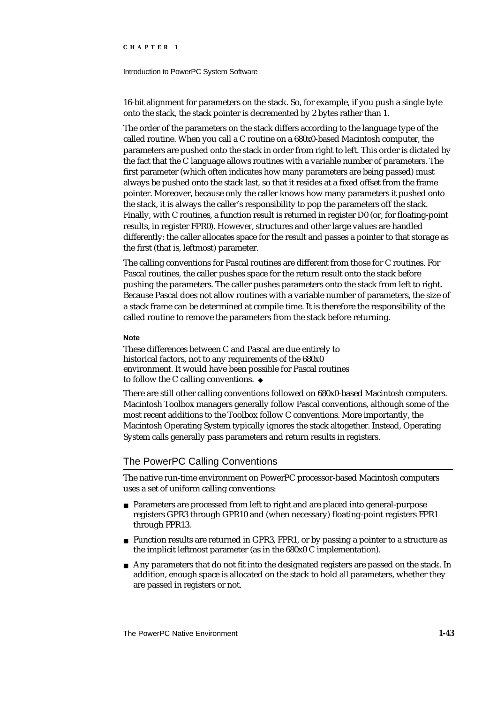#### Introduction to PowerPC System Software

16-bit alignment for parameters on the stack. So, for example, if you push a single byte onto the stack, the stack pointer is decremented by 2 bytes rather than 1.

The order of the parameters on the stack differs according to the language type of the called routine. When you call a C routine on a 680x0-based Macintosh computer, the parameters are pushed onto the stack in order from right to left. This order is dictated by the fact that the C language allows routines with a variable number of parameters. The first parameter (which often indicates how many parameters are being passed) must always be pushed onto the stack last, so that it resides at a fixed offset from the frame pointer. Moreover, because only the caller knows how many parameters it pushed onto the stack, it is always the caller's responsibility to pop the parameters off the stack. Finally, with C routines, a function result is returned in register D0 (or, for floating-point results, in register FPR0). However, structures and other large values are handled differently: the caller allocates space for the result and passes a pointer to that storage as the first (that is, leftmost) parameter.

The calling conventions for Pascal routines are different from those for C routines. For Pascal routines, the caller pushes space for the return result onto the stack before pushing the parameters. The caller pushes parameters onto the stack from left to right. Because Pascal does not allow routines with a variable number of parameters, the size of a stack frame can be determined at compile time. It is therefore the responsibility of the called routine to remove the parameters from the stack before returning.

#### **Note**

These differences between C and Pascal are due entirely to historical factors, not to any requirements of the 680x0 environment. It would have been possible for Pascal routines to follow the C calling conventions.

There are still other calling conventions followed on 680x0-based Macintosh computers. Macintosh Toolbox managers generally follow Pascal conventions, although some of the most recent additions to the Toolbox follow C conventions. More importantly, the Macintosh Operating System typically ignores the stack altogether. Instead, Operating System calls generally pass parameters and return results in registers.

# The PowerPC Calling Conventions

The native run-time environment on PowerPC processor-based Macintosh computers uses a set of uniform calling conventions:

- n Parameters are processed from left to right and are placed into general-purpose registers GPR3 through GPR10 and (when necessary) floating-point registers FPR1 through FPR13.
- n Function results are returned in GPR3, FPR1, or by passing a pointer to a structure as the implicit leftmost parameter (as in the 680x0 C implementation).
- $n_A$  Any parameters that do not fit into the designated registers are passed on the stack. In addition, enough space is allocated on the stack to hold all parameters, whether they are passed in registers or not.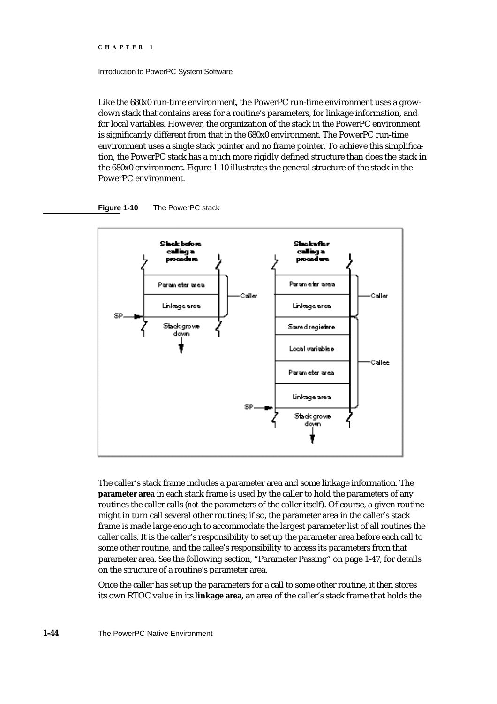#### Introduction to PowerPC System Software

Like the 680x0 run-time environment, the PowerPC run-time environment uses a growdown stack that contains areas for a routine's parameters, for linkage information, and for local variables. However, the organization of the stack in the PowerPC environment is significantly different from that in the 680x0 environment. The PowerPC run-time environment uses a single stack pointer and no frame pointer. To achieve this simplification, the PowerPC stack has a much more rigidly defined structure than does the stack in the 680x0 environment. Figure 1-10 illustrates the general structure of the stack in the PowerPC environment.





The caller's stack frame includes a parameter area and some linkage information. The **parameter area** in each stack frame is used by the caller to hold the parameters of any routines the caller calls (*not* the parameters of the caller itself). Of course, a given routine might in turn call several other routines; if so, the parameter area in the caller's stack frame is made large enough to accommodate the largest parameter list of all routines the caller calls. It is the caller's responsibility to set up the parameter area before each call to some other routine, and the callee's responsibility to access its parameters from that parameter area. See the following section, "Parameter Passing" on page 1-47, for details on the structure of a routine's parameter area.

Once the caller has set up the parameters for a call to some other routine, it then stores its own RTOC value in its **linkage area,** an area of the caller's stack frame that holds the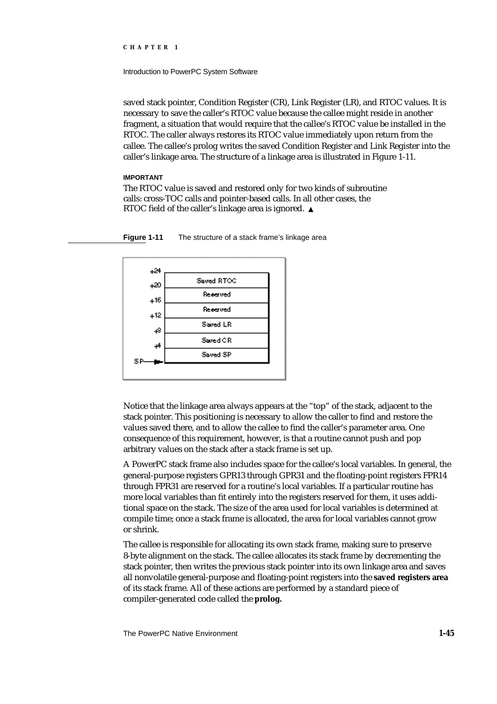Introduction to PowerPC System Software

saved stack pointer, Condition Register (CR), Link Register (LR), and RTOC values. It is necessary to save the caller's RTOC value because the callee might reside in another fragment, a situation that would require that the callee's RTOC value be installed in the RTOC. The caller always restores its RTOC value immediately upon return from the callee. The callee's prolog writes the saved Condition Register and Link Register into the caller's linkage area. The structure of a linkage area is illustrated in Figure 1-11.

#### **IMPORTANT**

The RTOC value is saved and restored only for two kinds of subroutine calls: cross-TOC calls and pointer-based calls. In all other cases, the RTOC field of the caller's linkage area is ignored.



**Figure 1-11** The structure of a stack frame's linkage area

Notice that the linkage area always appears at the "top" of the stack, adjacent to the stack pointer. This positioning is necessary to allow the caller to find and restore the values saved there, and to allow the callee to find the caller's parameter area. One consequence of this requirement, however, is that a routine cannot push and pop arbitrary values on the stack after a stack frame is set up.

A PowerPC stack frame also includes space for the callee's local variables. In general, the general-purpose registers GPR13 through GPR31 and the floating-point registers FPR14 through FPR31 are reserved for a routine's local variables. If a particular routine has more local variables than fit entirely into the registers reserved for them, it uses additional space on the stack. The size of the area used for local variables is determined at compile time; once a stack frame is allocated, the area for local variables cannot grow or shrink.

The callee is responsible for allocating its own stack frame, making sure to preserve 8-byte alignment on the stack. The callee allocates its stack frame by decrementing the stack pointer, then writes the previous stack pointer into its own linkage area and saves all nonvolatile general-purpose and floating-point registers into the **saved registers area** of its stack frame. All of these actions are performed by a standard piece of compiler-generated code called the **prolog.**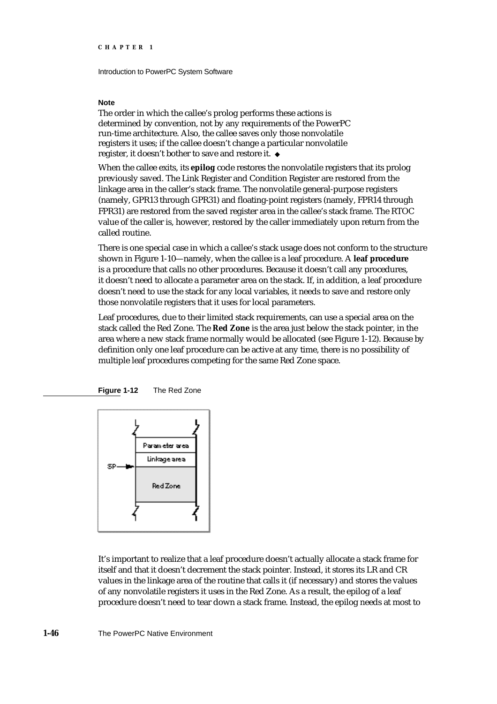Introduction to PowerPC System Software

#### **Note**

The order in which the callee's prolog performs these actions is determined by convention, not by any requirements of the PowerPC run-time architecture. Also, the callee saves only those nonvolatile registers it uses; if the callee doesn't change a particular nonvolatile register, it doesn't bother to save and restore it.

When the callee exits, its **epilog** code restores the nonvolatile registers that its prolog previously saved. The Link Register and Condition Register are restored from the linkage area in the caller's stack frame. The nonvolatile general-purpose registers (namely, GPR13 through GPR31) and floating-point registers (namely, FPR14 through FPR31) are restored from the saved register area in the callee's stack frame. The RTOC value of the caller is, however, restored by the caller immediately upon return from the called routine.

There is one special case in which a callee's stack usage does not conform to the structure shown in Figure 1-10—namely, when the callee is a leaf procedure. A **leaf procedure** is a procedure that calls no other procedures. Because it doesn't call any procedures, it doesn't need to allocate a parameter area on the stack. If, in addition, a leaf procedure doesn't need to use the stack for any local variables, it needs to save and restore only those nonvolatile registers that it uses for local parameters.

Leaf procedures, due to their limited stack requirements, can use a special area on the stack called the Red Zone. The **Red Zone** is the area just below the stack pointer, in the area where a new stack frame normally would be allocated (see Figure 1-12). Because by definition only one leaf procedure can be active at any time, there is no possibility of multiple leaf procedures competing for the same Red Zone space.





It's important to realize that a leaf procedure doesn't actually allocate a stack frame for itself and that it doesn't decrement the stack pointer. Instead, it stores its LR and CR values in the linkage area of the routine that calls it (if necessary) and stores the values of any nonvolatile registers it uses in the Red Zone. As a result, the epilog of a leaf procedure doesn't need to tear down a stack frame. Instead, the epilog needs at most to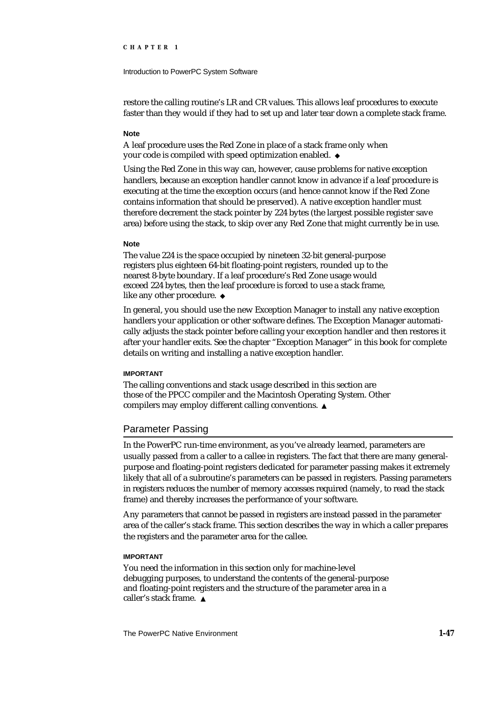Introduction to PowerPC System Software

restore the calling routine's LR and CR values. This allows leaf procedures to execute faster than they would if they had to set up and later tear down a complete stack frame.

# **Note**

A leaf procedure uses the Red Zone in place of a stack frame only when your code is compiled with speed optimization enabled.

Using the Red Zone in this way can, however, cause problems for native exception handlers, because an exception handler cannot know in advance if a leaf procedure is executing at the time the exception occurs (and hence cannot know if the Red Zone contains information that should be preserved). A native exception handler must therefore decrement the stack pointer by 224 bytes (the largest possible register save area) before using the stack, to skip over any Red Zone that might currently be in use.

#### **Note**

The value 224 is the space occupied by nineteen 32-bit general-purpose registers plus eighteen 64-bit floating-point registers, rounded up to the nearest 8-byte boundary. If a leaf procedure's Red Zone usage would exceed 224 bytes, then the leaf procedure is forced to use a stack frame, like any other procedure. u

In general, you should use the new Exception Manager to install any native exception handlers your application or other software defines. The Exception Manager automatically adjusts the stack pointer before calling your exception handler and then restores it after your handler exits. See the chapter "Exception Manager" in this book for complete details on writing and installing a native exception handler.

#### **IMPORTANT**

The calling conventions and stack usage described in this section are those of the PPCC compiler and the Macintosh Operating System. Other compilers may employ different calling conventions.

# Parameter Passing

In the PowerPC run-time environment, as you've already learned, parameters are usually passed from a caller to a callee in registers. The fact that there are many generalpurpose and floating-point registers dedicated for parameter passing makes it extremely likely that all of a subroutine's parameters can be passed in registers. Passing parameters in registers reduces the number of memory accesses required (namely, to read the stack frame) and thereby increases the performance of your software.

Any parameters that cannot be passed in registers are instead passed in the parameter area of the caller's stack frame. This section describes the way in which a caller prepares the registers and the parameter area for the callee.

#### **IMPORTANT**

You need the information in this section only for machine-level debugging purposes, to understand the contents of the general-purpose and floating-point registers and the structure of the parameter area in a caller's stack frame.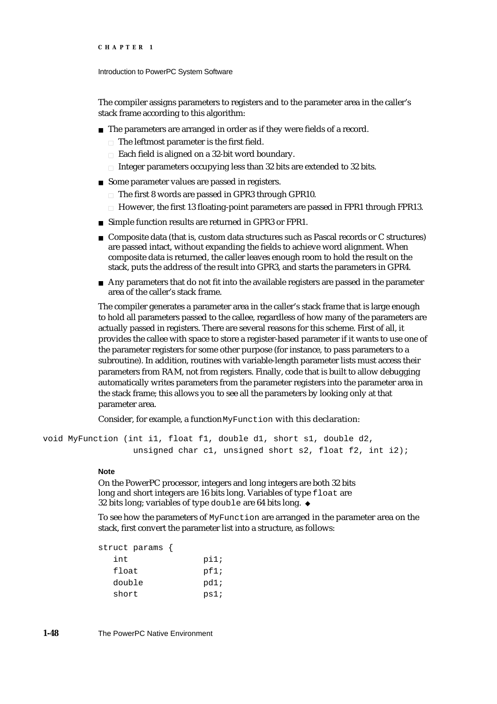```
CHAPTER 1
```
Introduction to PowerPC System Software

The compiler assigns parameters to registers and to the parameter area in the caller's stack frame according to this algorithm:

- n The parameters are arranged in order as if they were fields of a record.
	- n The leftmost parameter is the first field.
	- n Each field is aligned on a 32-bit word boundary.
	- $n$  Integer parameters occupying less than 32 bits are extended to 32 bits.
- Some parameter values are passed in registers.
	- The first 8 words are passed in GPR3 through GPR10.
	- n However, the first 13 floating-point parameters are passed in FPR1 through FPR13.
- Simple function results are returned in GPR3 or FPR1.
- Composite data (that is, custom data structures such as Pascal records or C structures) are passed intact, without expanding the fields to achieve word alignment. When composite data is returned, the caller leaves enough room to hold the result on the stack, puts the address of the result into GPR3, and starts the parameters in GPR4.
- $n_A$  Any parameters that do not fit into the available registers are passed in the parameter area of the caller's stack frame.

The compiler generates a parameter area in the caller's stack frame that is large enough to hold all parameters passed to the callee, regardless of how many of the parameters are actually passed in registers. There are several reasons for this scheme. First of all, it provides the callee with space to store a register-based parameter if it wants to use one of the parameter registers for some other purpose (for instance, to pass parameters to a subroutine). In addition, routines with variable-length parameter lists must access their parameters from RAM, not from registers. Finally, code that is built to allow debugging automatically writes parameters from the parameter registers into the parameter area in the stack frame; this allows you to see all the parameters by looking only at that parameter area.

Consider, for example, a function MyFunction with this declaration:

```
void MyFunction (int i1, float f1, double d1, short s1, double d2, 
                  unsigned char c1, unsigned short s2, float f2, int i2);
```
# **Note**

On the PowerPC processor, integers and long integers are both 32 bits long and short integers are 16 bits long. Variables of type float are 32 bits long; variables of type double are 64 bits long.

To see how the parameters of MyFunction are arranged in the parameter area on the stack, first convert the parameter list into a structure, as follows:

| struct params { |         |
|-----------------|---------|
| int             | $pi1$ ; |
| float           | pf1;    |
| double          | pd1;    |
| short           | ps1;    |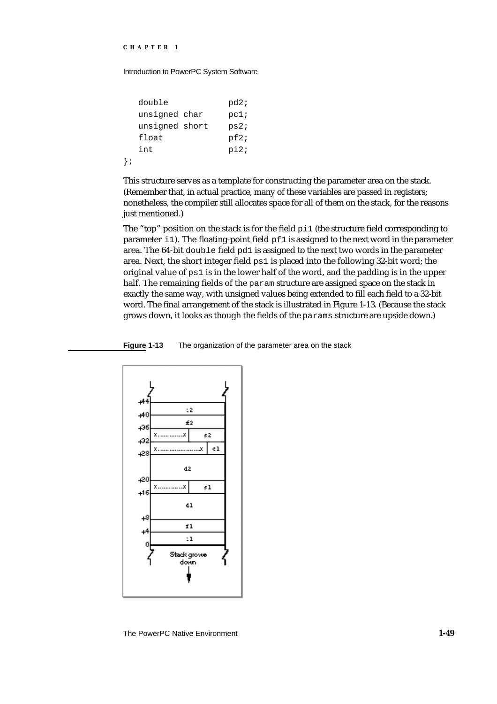};

Introduction to PowerPC System Software

| double         | p d2;   |
|----------------|---------|
| unsigned char  | pc1;    |
| unsigned short | ps2;    |
| float          | pf2;    |
| int            | $pi2$ ; |
|                |         |

This structure serves as a template for constructing the parameter area on the stack. (Remember that, in actual practice, many of these variables are passed in registers; nonetheless, the compiler still allocates space for all of them on the stack, for the reasons just mentioned.)

The "top" position on the stack is for the field  $pi1$  (the structure field corresponding to parameter i1). The floating-point field  $pf1$  is assigned to the next word in the parameter area. The 64-bit double field pd1 is assigned to the next two words in the parameter area. Next, the short integer field  $psl1$  is placed into the following 32-bit word; the original value of  $p \le 1$  is in the lower half of the word, and the padding is in the upper half. The remaining fields of the param structure are assigned space on the stack in exactly the same way, with unsigned values being extended to fill each field to a 32-bit word. The final arrangement of the stack is illustrated in Figure 1-13. (Because the stack grows down, it looks as though the fields of the params structure are upside down.)

**Figure 1-13** The organization of the parameter area on the stack



The PowerPC Native Environment **1-49**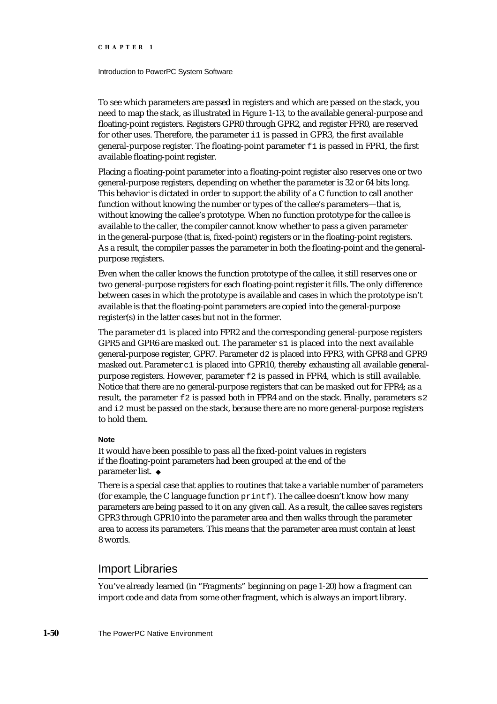#### Introduction to PowerPC System Software

To see which parameters are passed in registers and which are passed on the stack, you need to map the stack, as illustrated in Figure 1-13, to the available general-purpose and floating-point registers. Registers GPR0 through GPR2, and register FPR0, are reserved for other uses. Therefore, the parameter i1 is passed in GPR3, the first available general-purpose register. The floating-point parameter f1 is passed in FPR1, the first available floating-point register.

Placing a floating-point parameter into a floating-point register also reserves one or two general-purpose registers, depending on whether the parameter is 32 or 64 bits long. This behavior is dictated in order to support the ability of a C function to call another function without knowing the number or types of the callee's parameters—that is, without knowing the callee's prototype. When no function prototype for the callee is available to the caller, the compiler cannot know whether to pass a given parameter in the general-purpose (that is, fixed-point) registers or in the floating-point registers. As a result, the compiler passes the parameter in both the floating-point and the generalpurpose registers.

Even when the caller knows the function prototype of the callee, it still reserves one or two general-purpose registers for each floating-point register it fills. The only difference between cases in which the prototype is available and cases in which the prototype isn't available is that the floating-point parameters are copied into the general-purpose register(s) in the latter cases but not in the former.

The parameter  $d1$  is placed into FPR2 and the corresponding general-purpose registers GPR5 and GPR6 are masked out. The parameter  $s1$  is placed into the next available general-purpose register, GPR7. Parameter d2 is placed into FPR3, with GPR8 and GPR9 masked out. Parameter  $c1$  is placed into GPR10, thereby exhausting all available generalpurpose registers. However, parameter f2 is passed in FPR4, which is still available. Notice that there are no general-purpose registers that can be masked out for FPR4; as a result, the parameter  $\pm 2$  is passed both in FPR4 and on the stack. Finally, parameters  $\pm 2$ and i2 must be passed on the stack, because there are no more general-purpose registers to hold them.

# **Note**

It would have been possible to pass all the fixed-point values in registers if the floating-point parameters had been grouped at the end of the parameter list. u

There is a special case that applies to routines that take a variable number of parameters (for example, the C language function  $\text{print}$ ). The callee doesn't know how many parameters are being passed to it on any given call. As a result, the callee saves registers GPR3 through GPR10 into the parameter area and then walks through the parameter area to access its parameters. This means that the parameter area must contain at least 8 words.

# Import Libraries

You've already learned (in "Fragments" beginning on page 1-20) how a fragment can import code and data from some other fragment, which is always an import library.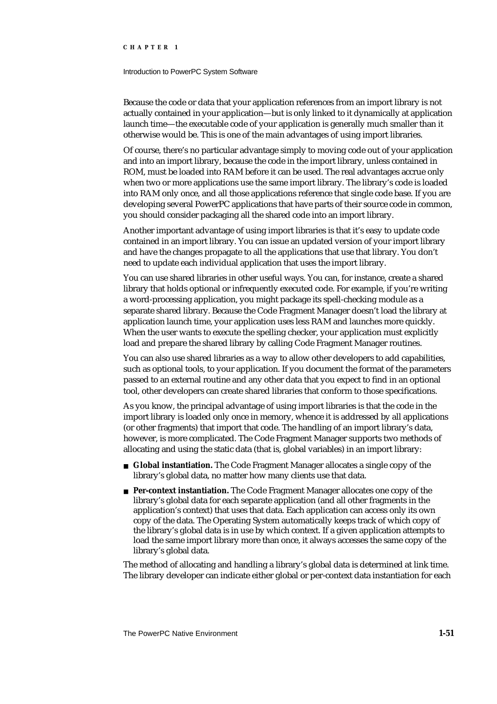#### Introduction to PowerPC System Software

Because the code or data that your application references from an import library is not actually contained in your application—but is only linked to it dynamically at application launch time—the executable code of your application is generally much smaller than it otherwise would be. This is one of the main advantages of using import libraries.

Of course, there's no particular advantage simply to moving code out of your application and into an import library, because the code in the import library, unless contained in ROM, must be loaded into RAM before it can be used. The real advantages accrue only when two or more applications use the same import library. The library's code is loaded into RAM only once, and all those applications reference that single code base. If you are developing several PowerPC applications that have parts of their source code in common, you should consider packaging all the shared code into an import library.

Another important advantage of using import libraries is that it's easy to update code contained in an import library. You can issue an updated version of your import library and have the changes propagate to all the applications that use that library. You don't need to update each individual application that uses the import library.

You can use shared libraries in other useful ways. You can, for instance, create a shared library that holds optional or infrequently executed code. For example, if you're writing a word-processing application, you might package its spell-checking module as a separate shared library. Because the Code Fragment Manager doesn't load the library at application launch time, your application uses less RAM and launches more quickly. When the user wants to execute the spelling checker, your application must explicitly load and prepare the shared library by calling Code Fragment Manager routines.

You can also use shared libraries as a way to allow other developers to add capabilities, such as optional tools, to your application. If you document the format of the parameters passed to an external routine and any other data that you expect to find in an optional tool, other developers can create shared libraries that conform to those specifications.

As you know, the principal advantage of using import libraries is that the code in the import library is loaded only once in memory, whence it is addressed by all applications (or other fragments) that import that code. The handling of an import library's data, however, is more complicated. The Code Fragment Manager supports two methods of allocating and using the static data (that is, global variables) in an import library:

- **Global instantiation.** The Code Fragment Manager allocates a single copy of the library's global data, no matter how many clients use that data.
- **Per-context instantiation.** The Code Fragment Manager allocates one copy of the library's global data for each separate application (and all other fragments in the application's context) that uses that data. Each application can access only its own copy of the data. The Operating System automatically keeps track of which copy of the library's global data is in use by which context. If a given application attempts to load the same import library more than once, it always accesses the same copy of the library's global data.

The method of allocating and handling a library's global data is determined at link time. The library developer can indicate either global or per-context data instantiation for each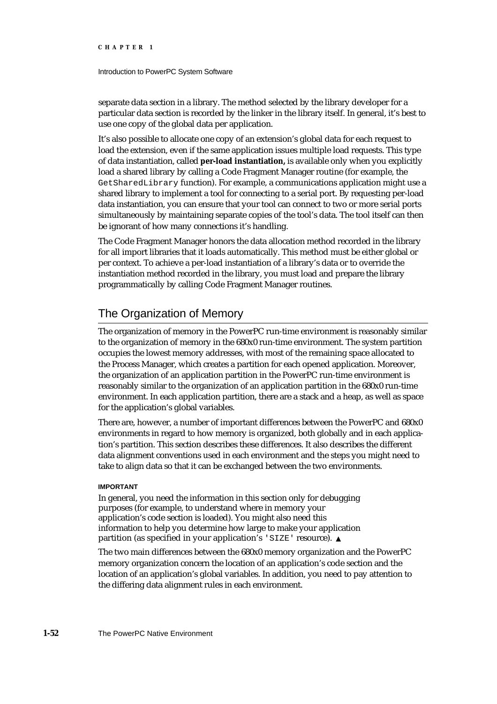#### Introduction to PowerPC System Software

separate data section in a library. The method selected by the library developer for a particular data section is recorded by the linker in the library itself. In general, it's best to use one copy of the global data per application.

It's also possible to allocate one copy of an extension's global data for each request to load the extension, even if the same application issues multiple load requests. This type of data instantiation, called **per-load instantiation,** is available only when you explicitly load a shared library by calling a Code Fragment Manager routine (for example, the GetSharedLibrary function). For example, a communications application might use a shared library to implement a tool for connecting to a serial port. By requesting per-load data instantiation, you can ensure that your tool can connect to two or more serial ports simultaneously by maintaining separate copies of the tool's data. The tool itself can then be ignorant of how many connections it's handling.

The Code Fragment Manager honors the data allocation method recorded in the library for all import libraries that it loads automatically. This method must be either global or per context. To achieve a per-load instantiation of a library's data or to override the instantiation method recorded in the library, you must load and prepare the library programmatically by calling Code Fragment Manager routines.

# The Organization of Memory

The organization of memory in the PowerPC run-time environment is reasonably similar to the organization of memory in the 680x0 run-time environment. The system partition occupies the lowest memory addresses, with most of the remaining space allocated to the Process Manager, which creates a partition for each opened application. Moreover, the organization of an application partition in the PowerPC run-time environment is reasonably similar to the organization of an application partition in the 680x0 run-time environment. In each application partition, there are a stack and a heap, as well as space for the application's global variables.

There are, however, a number of important differences between the PowerPC and 680x0 environments in regard to how memory is organized, both globally and in each application's partition. This section describes these differences. It also describes the different data alignment conventions used in each environment and the steps you might need to take to align data so that it can be exchanged between the two environments.

# **IMPORTANT**

In general, you need the information in this section only for debugging purposes (for example, to understand where in memory your application's code section is loaded). You might also need this information to help you determine how large to make your application partition (as specified in your application's 'SIZE' resource). s

The two main differences between the 680x0 memory organization and the PowerPC memory organization concern the location of an application's code section and the location of an application's global variables. In addition, you need to pay attention to the differing data alignment rules in each environment.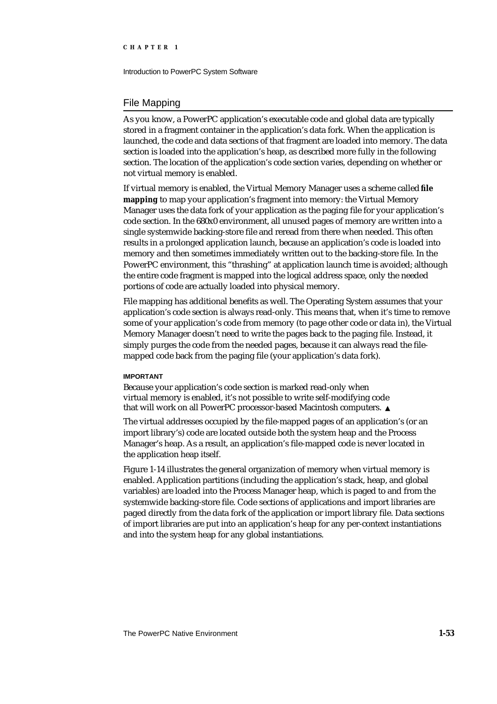Introduction to PowerPC System Software

# File Mapping

As you know, a PowerPC application's executable code and global data are typically stored in a fragment container in the application's data fork. When the application is launched, the code and data sections of that fragment are loaded into memory. The data section is loaded into the application's heap, as described more fully in the following section. The location of the application's code section varies, depending on whether or not virtual memory is enabled.

If virtual memory is enabled, the Virtual Memory Manager uses a scheme called **file mapping** to map your application's fragment into memory: the Virtual Memory Manager uses the data fork of your application as the paging file for your application's code section. In the 680x0 environment, all unused pages of memory are written into a single systemwide backing-store file and reread from there when needed. This often results in a prolonged application launch, because an application's code is loaded into memory and then sometimes immediately written out to the backing-store file. In the PowerPC environment, this "thrashing" at application launch time is avoided; although the entire code fragment is mapped into the logical address space, only the needed portions of code are actually loaded into physical memory.

File mapping has additional benefits as well. The Operating System assumes that your application's code section is always read-only. This means that, when it's time to remove some of your application's code from memory (to page other code or data in), the Virtual Memory Manager doesn't need to write the pages back to the paging file. Instead, it simply purges the code from the needed pages, because it can always read the filemapped code back from the paging file (your application's data fork).

#### **IMPORTANT**

Because your application's code section is marked read-only when virtual memory is enabled, it's not possible to write self-modifying code that will work on all PowerPC processor-based Macintosh computers.

The virtual addresses occupied by the file-mapped pages of an application's (or an import library's) code are located outside both the system heap and the Process Manager's heap. As a result, an application's file-mapped code is never located in the application heap itself.

Figure 1-14 illustrates the general organization of memory when virtual memory is enabled. Application partitions (including the application's stack, heap, and global variables) are loaded into the Process Manager heap, which is paged to and from the systemwide backing-store file. Code sections of applications and import libraries are paged directly from the data fork of the application or import library file. Data sections of import libraries are put into an application's heap for any per-context instantiations and into the system heap for any global instantiations.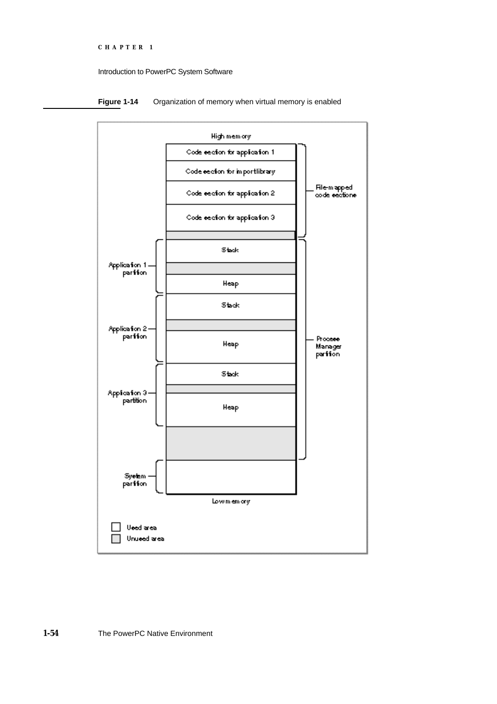# Introduction to PowerPC System Software





**1-54** The PowerPC Native Environment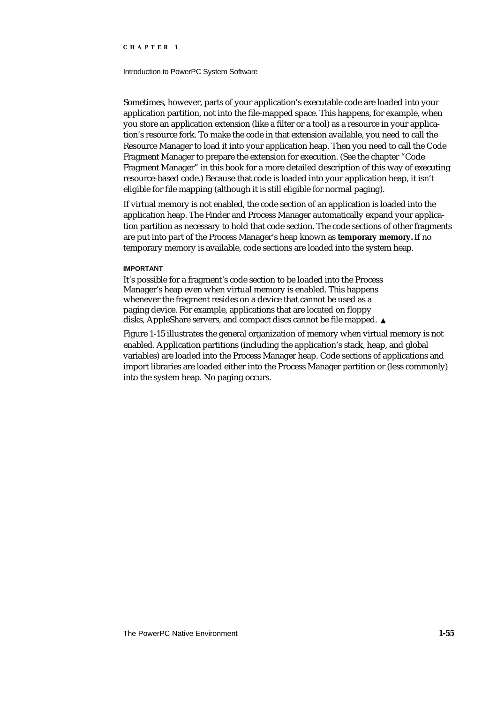#### Introduction to PowerPC System Software

Sometimes, however, parts of your application's executable code are loaded into your application partition, not into the file-mapped space. This happens, for example, when you store an application extension (like a filter or a tool) as a resource in your application's resource fork. To make the code in that extension available, you need to call the Resource Manager to load it into your application heap. Then you need to call the Code Fragment Manager to prepare the extension for execution. (See the chapter "Code Fragment Manager" in this book for a more detailed description of this way of executing resource-based code.) Because that code is loaded into your application heap, it isn't eligible for file mapping (although it is still eligible for normal paging).

If virtual memory is not enabled, the code section of an application is loaded into the application heap. The Finder and Process Manager automatically expand your application partition as necessary to hold that code section. The code sections of other fragments are put into part of the Process Manager's heap known as **temporary memory.** If no temporary memory is available, code sections are loaded into the system heap.

#### **IMPORTANT**

It's possible for a fragment's code section to be loaded into the Process Manager's heap even when virtual memory is enabled. This happens whenever the fragment resides on a device that cannot be used as a paging device. For example, applications that are located on floppy disks, AppleShare servers, and compact discs cannot be file mapped.

Figure 1-15 illustrates the general organization of memory when virtual memory is not enabled. Application partitions (including the application's stack, heap, and global variables) are loaded into the Process Manager heap. Code sections of applications and import libraries are loaded either into the Process Manager partition or (less commonly) into the system heap. No paging occurs.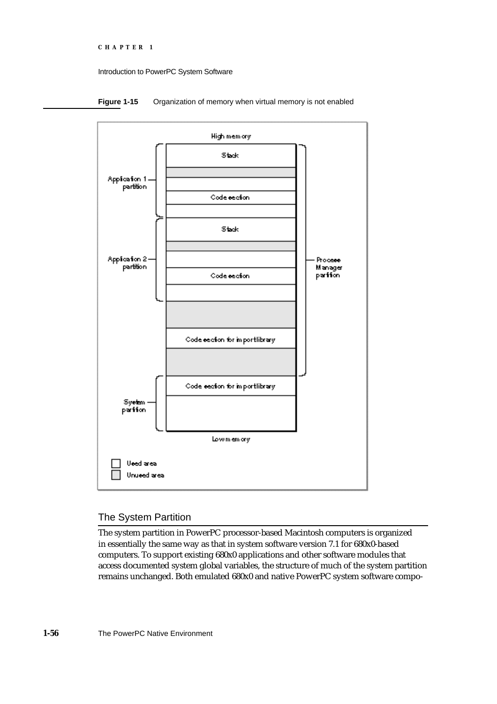# Introduction to PowerPC System Software





# The System Partition

The system partition in PowerPC processor-based Macintosh computers is organized in essentially the same way as that in system software version 7.1 for 680x0-based computers. To support existing 680x0 applications and other software modules that access documented system global variables, the structure of much of the system partition remains unchanged. Both emulated 680x0 and native PowerPC system software compo-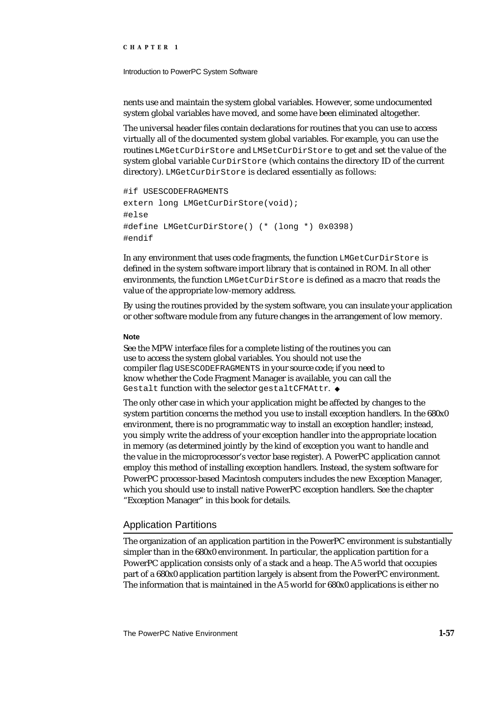Introduction to PowerPC System Software

nents use and maintain the system global variables. However, some undocumented system global variables have moved, and some have been eliminated altogether.

The universal header files contain declarations for routines that you can use to access virtually all of the documented system global variables. For example, you can use the routines LMGetCurDirStore and LMSetCurDirStore to get and set the value of the system global variable CurDirStore (which contains the directory ID of the current directory). LMGetCurDirStore is declared essentially as follows:

```
#if USESCODEFRAGMENTS
extern long LMGetCurDirStore(void);
#else
#define LMGetCurDirStore() (* (long *) 0x0398)
#endif
```
In any environment that uses code fragments, the function LMGetCurDirStore is defined in the system software import library that is contained in ROM. In all other environments, the function LMGetCurDirStore is defined as a macro that reads the value of the appropriate low-memory address.

By using the routines provided by the system software, you can insulate your application or other software module from any future changes in the arrangement of low memory.

#### **Note**

See the MPW interface files for a complete listing of the routines you can use to access the system global variables. You should not use the compiler flag USESCODEFRAGMENTS in your source code; if you need to know whether the Code Fragment Manager is available, you can call the Gestalt function with the selector gestaltCFMAttr. u

The only other case in which your application might be affected by changes to the system partition concerns the method you use to install exception handlers. In the 680x0 environment, there is no programmatic way to install an exception handler; instead, you simply write the address of your exception handler into the appropriate location in memory (as determined jointly by the kind of exception you want to handle and the value in the microprocessor's vector base register). A PowerPC application cannot employ this method of installing exception handlers. Instead, the system software for PowerPC processor-based Macintosh computers includes the new Exception Manager, which you should use to install native PowerPC exception handlers. See the chapter "Exception Manager" in this book for details.

### Application Partitions

The organization of an application partition in the PowerPC environment is substantially simpler than in the 680x0 environment. In particular, the application partition for a PowerPC application consists only of a stack and a heap. The A5 world that occupies part of a 680x0 application partition largely is absent from the PowerPC environment. The information that is maintained in the A5 world for 680x0 applications is either no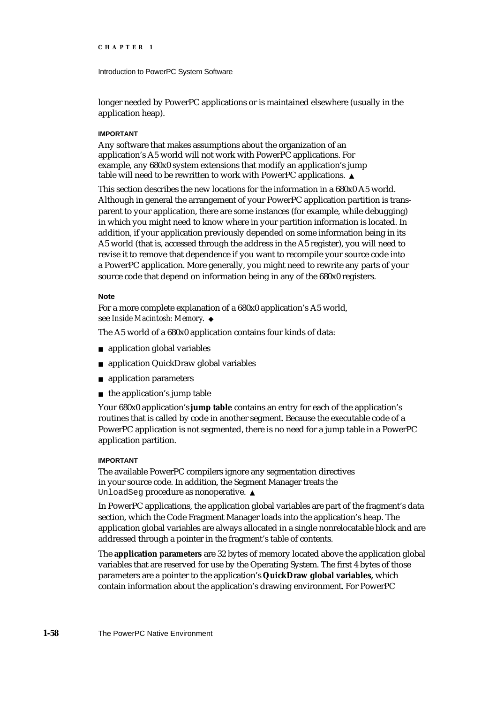Introduction to PowerPC System Software

longer needed by PowerPC applications or is maintained elsewhere (usually in the application heap).

#### **IMPORTANT**

Any software that makes assumptions about the organization of an application's A5 world will not work with PowerPC applications. For example, any 680x0 system extensions that modify an application's jump table will need to be rewritten to work with PowerPC applications.

This section describes the new locations for the information in a 680x0 A5 world. Although in general the arrangement of your PowerPC application partition is transparent to your application, there are some instances (for example, while debugging) in which you might need to know where in your partition information is located. In addition, if your application previously depended on some information being in its A5 world (that is, accessed through the address in the A5 register), you will need to revise it to remove that dependence if you want to recompile your source code into a PowerPC application. More generally, you might need to rewrite any parts of your source code that depend on information being in any of the 680x0 registers.

#### **Note**

For a more complete explanation of a 680x0 application's A5 world, see *Inside Macintosh: Memory*.

The A5 world of a 680x0 application contains four kinds of data:

- application global variables
- application QuickDraw global variables  $n$
- n application parameters
- $n$  the application's jump table

Your 680x0 application's **jump table** contains an entry for each of the application's routines that is called by code in another segment. Because the executable code of a PowerPC application is not segmented, there is no need for a jump table in a PowerPC application partition.

#### **IMPORTANT**

The available PowerPC compilers ignore any segmentation directives in your source code. In addition, the Segment Manager treats the UnloadSeg procedure as nonoperative.

In PowerPC applications, the application global variables are part of the fragment's data section, which the Code Fragment Manager loads into the application's heap. The application global variables are always allocated in a single nonrelocatable block and are addressed through a pointer in the fragment's table of contents.

The **application parameters** are 32 bytes of memory located above the application global variables that are reserved for use by the Operating System. The first 4 bytes of those parameters are a pointer to the application's **QuickDraw global variables,** which contain information about the application's drawing environment. For PowerPC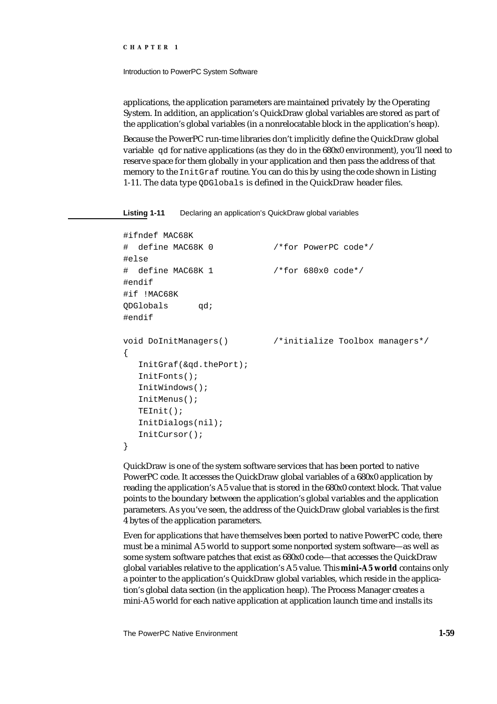Introduction to PowerPC System Software

applications, the application parameters are maintained privately by the Operating System. In addition, an application's QuickDraw global variables are stored as part of the application's global variables (in a nonrelocatable block in the application's heap).

Because the PowerPC run-time libraries don't implicitly define the QuickDraw global variable qd for native applications (as they do in the 680x0 environment), you'll need to reserve space for them globally in your application and then pass the address of that memory to the InitGraf routine. You can do this by using the code shown in Listing 1-11. The data type QDGlobals is defined in the QuickDraw header files.

**Listing 1-11** Declaring an application's QuickDraw global variables

```
#ifndef MAC68K
# define MAC68K 0 /*for PowerPC code*/
#else
# define MAC68K 1 /*for 680x0 code*/
#endif
#if !MAC68K
QDGlobals qd;
#endif
void DoInitManagers() /*initialize Toolbox managers*/
{
  InitGraf(&qd.thePort);
  InitFonts();
  InitWindows();
  InitMenus();
  TEInit();
  InitDialogs(nil);
  InitCursor();
}
```
QuickDraw is one of the system software services that has been ported to native PowerPC code. It accesses the QuickDraw global variables of a 680x0 application by reading the application's A5 value that is stored in the 680x0 context block. That value points to the boundary between the application's global variables and the application parameters. As you've seen, the address of the QuickDraw global variables is the first 4 bytes of the application parameters.

Even for applications that have themselves been ported to native PowerPC code, there must be a minimal A5 world to support some nonported system software—as well as some system software patches that exist as 680x0 code—that accesses the QuickDraw global variables relative to the application's A5 value. This **mini-A5 world** contains only a pointer to the application's QuickDraw global variables, which reside in the application's global data section (in the application heap). The Process Manager creates a mini-A5 world for each native application at application launch time and installs its

The PowerPC Native Environment **1-59**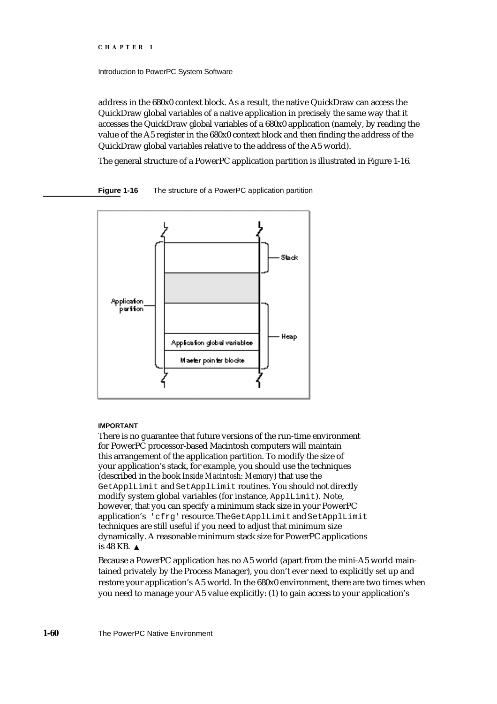#### Introduction to PowerPC System Software

address in the 680x0 context block. As a result, the native QuickDraw can access the QuickDraw global variables of a native application in precisely the same way that it accesses the QuickDraw global variables of a 680x0 application (namely, by reading the value of the A5 register in the 680x0 context block and then finding the address of the QuickDraw global variables relative to the address of the A5 world).

The general structure of a PowerPC application partition is illustrated in Figure 1-16.

**Figure 1-16** The structure of a PowerPC application partition



#### **IMPORTANT**

There is no guarantee that future versions of the run-time environment for PowerPC processor-based Macintosh computers will maintain this arrangement of the application partition. To modify the size of your application's stack, for example, you should use the techniques (described in the book *Inside Macintosh: Memory*) that use the GetApplLimit and SetApplLimit routines. You should not directly modify system global variables (for instance, ApplLimit). Note, however, that you can specify a minimum stack size in your PowerPC application's 'cfrg' resource. The GetApplLimit and SetApplLimit techniques are still useful if you need to adjust that minimum size dynamically. A reasonable minimum stack size for PowerPC applications is 48 KB.

Because a PowerPC application has no A5 world (apart from the mini-A5 world maintained privately by the Process Manager), you don't ever need to explicitly set up and restore your application's A5 world. In the 680x0 environment, there are two times when you need to manage your A5 value explicitly: (1) to gain access to your application's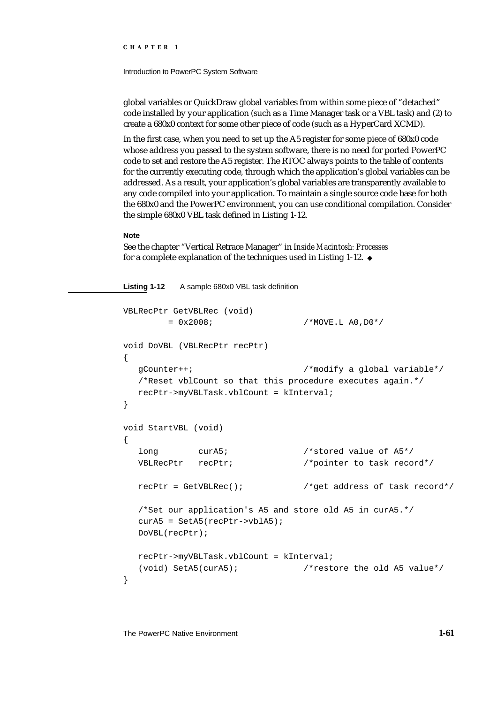Introduction to PowerPC System Software

global variables or QuickDraw global variables from within some piece of "detached" code installed by your application (such as a Time Manager task or a VBL task) and (2) to create a 680x0 context for some other piece of code (such as a HyperCard XCMD).

In the first case, when you need to set up the A5 register for some piece of 680x0 code whose address you passed to the system software, there is no need for ported PowerPC code to set and restore the A5 register. The RTOC always points to the table of contents for the currently executing code, through which the application's global variables can be addressed. As a result, your application's global variables are transparently available to any code compiled into your application. To maintain a single source code base for both the 680x0 and the PowerPC environment, you can use conditional compilation. Consider the simple 680x0 VBL task defined in Listing 1-12.

#### **Note**

See the chapter "Vertical Retrace Manager" in *Inside Macintosh: Processes* for a complete explanation of the techniques used in Listing 1-12.

**Listing 1-12** A sample 680x0 VBL task definition VBLRecPtr GetVBLRec (void)  $= 0x2008$ ; /\*MOVE.L A0,D0\*/ void DoVBL (VBLRecPtr recPtr) { gCounter++; /\*modify a global variable\*/ /\*Reset vblCount so that this procedure executes again.\*/ recPtr->myVBLTask.vblCount = kInterval; } void StartVBL (void) { long curA5; /\*stored value of A5\*/ VBLRecPtr recPtr; /\*pointer to task record\*/ recPtr = GetVBLRec(); /\*get address of task record\*/ /\*Set our application's A5 and store old A5 in curA5.\*/  $curA5 = SetA5(recPtr->vblA5);$ DoVBL(recPtr); recPtr->myVBLTask.vblCount = kInterval; (void) SetA5(curA5); /\*restore the old A5 value\*/ }

The PowerPC Native Environment **1-61**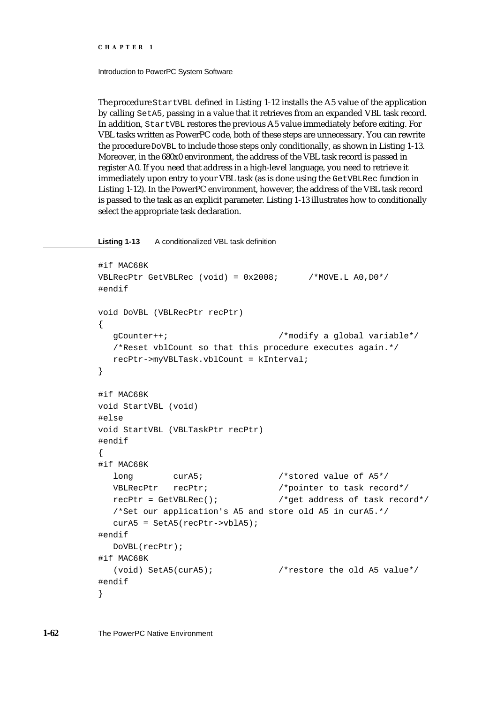Introduction to PowerPC System Software

The procedure StartVBL defined in Listing 1-12 installs the A5 value of the application by calling SetA5, passing in a value that it retrieves from an expanded VBL task record. In addition, StartVBL restores the previous A5 value immediately before exiting. For VBL tasks written as PowerPC code, both of these steps are unnecessary. You can rewrite the procedure DoVBL to include those steps only conditionally, as shown in Listing 1-13. Moreover, in the 680x0 environment, the address of the VBL task record is passed in register A0. If you need that address in a high-level language, you need to retrieve it immediately upon entry to your VBL task (as is done using the GetVBLRec function in Listing 1-12). In the PowerPC environment, however, the address of the VBL task record is passed to the task as an explicit parameter. Listing 1-13 illustrates how to conditionally select the appropriate task declaration.

**Listing 1-13** A conditionalized VBL task definition

```
#if MAC68K
VBLRecPtr GetVBLRec (void) = 0x2008; /*MOVE.L A0,D0*/
#endif
void DoVBL (VBLRecPtr recPtr)
{
  gCounter++; /*modify a global variable*/
  /*Reset vblCount so that this procedure executes again.*/
  recPtr->myVBLTask.vblCount = kInterval;
}
#if MAC68K
void StartVBL (void)
#else
void StartVBL (VBLTaskPtr recPtr)
#endif
{
#if MAC68K
  long curA5; /*stored value of A5*/
  VBLRecPtr recPtr; /*pointer to task record*/
  recPtr = GetVBLRec(); \angle /*get address of task record*/
  /*Set our application's A5 and store old A5 in curA5.*/
  curA5 = SetA5(recPtr->vblA5);#endif
  DoVBL(recPtr);
#if MAC68K
  (void) SetA5(curA5); /*restore the old A5 value*/
#endif
}
```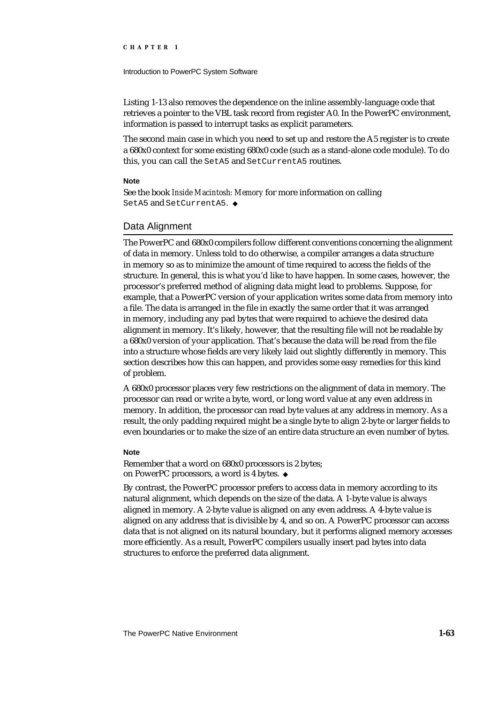#### Introduction to PowerPC System Software

Listing 1-13 also removes the dependence on the inline assembly-language code that retrieves a pointer to the VBL task record from register A0. In the PowerPC environment, information is passed to interrupt tasks as explicit parameters.

The second main case in which you need to set up and restore the A5 register is to create a 680x0 context for some existing 680x0 code (such as a stand-alone code module). To do this, you can call the SetA5 and SetCurrentA5 routines.

#### **Note**

See the book *Inside Macintosh: Memory* for more information on calling SetA5 and SetCurrentA5. u

#### Data Alignment

The PowerPC and 680x0 compilers follow different conventions concerning the alignment of data in memory. Unless told to do otherwise, a compiler arranges a data structure in memory so as to minimize the amount of time required to access the fields of the structure. In general, this is what you'd like to have happen. In some cases, however, the processor's preferred method of aligning data might lead to problems. Suppose, for example, that a PowerPC version of your application writes some data from memory into a file. The data is arranged in the file in exactly the same order that it was arranged in memory, including any pad bytes that were required to achieve the desired data alignment in memory. It's likely, however, that the resulting file will not be readable by a 680x0 version of your application. That's because the data will be read from the file into a structure whose fields are very likely laid out slightly differently in memory. This section describes how this can happen, and provides some easy remedies for this kind of problem.

A 680x0 processor places very few restrictions on the alignment of data in memory. The processor can read or write a byte, word, or long word value at any even address in memory. In addition, the processor can read byte values at any address in memory. As a result, the only padding required might be a single byte to align 2-byte or larger fields to even boundaries or to make the size of an entire data structure an even number of bytes.

#### **Note**

Remember that a word on 680x0 processors is 2 bytes; on PowerPC processors, a word is 4 bytes.

By contrast, the PowerPC processor prefers to access data in memory according to its natural alignment, which depends on the size of the data. A 1-byte value is always aligned in memory. A 2-byte value is aligned on any even address. A 4-byte value is aligned on any address that is divisible by 4, and so on. A PowerPC processor can access data that is not aligned on its natural boundary, but it performs aligned memory accesses more efficiently. As a result, PowerPC compilers usually insert pad bytes into data structures to enforce the preferred data alignment.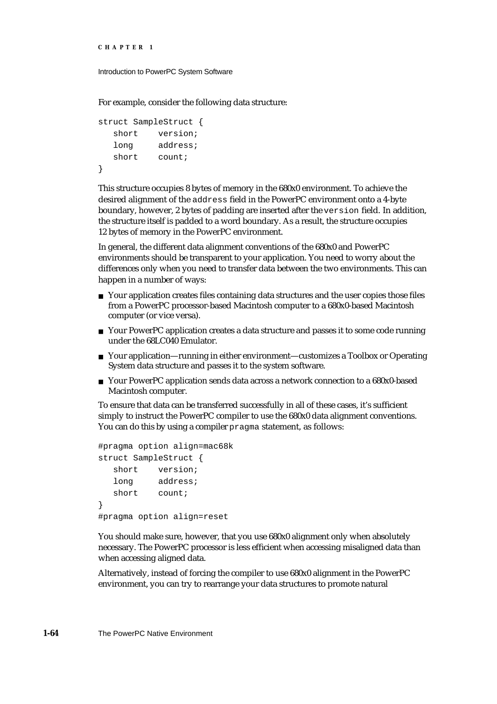```
CHAPTER 1
```
For example, consider the following data structure:

```
struct SampleStruct {
  short version;
  long address;
  short count;
}
```
This structure occupies 8 bytes of memory in the 680x0 environment. To achieve the desired alignment of the address field in the PowerPC environment onto a 4-byte boundary, however, 2 bytes of padding are inserted after the version field. In addition, the structure itself is padded to a word boundary. As a result, the structure occupies 12 bytes of memory in the PowerPC environment.

In general, the different data alignment conventions of the 680x0 and PowerPC environments should be transparent to your application. You need to worry about the differences only when you need to transfer data between the two environments. This can happen in a number of ways:

- n Your application creates files containing data structures and the user copies those files from a PowerPC processor-based Macintosh computer to a 680x0-based Macintosh computer (or vice versa).
- n Your PowerPC application creates a data structure and passes it to some code running under the 68LC040 Emulator.
- n Your application—running in either environment—customizes a Toolbox or Operating System data structure and passes it to the system software.
- Your PowerPC application sends data across a network connection to a 680x0-based Macintosh computer.

To ensure that data can be transferred successfully in all of these cases, it's sufficient simply to instruct the PowerPC compiler to use the 680x0 data alignment conventions. You can do this by using a compiler pragma statement, as follows:

```
#pragma option align=mac68k
struct SampleStruct {
  short version;
  long address;
  short count;
}
#pragma option align=reset
```
You should make sure, however, that you use 680x0 alignment only when absolutely necessary. The PowerPC processor is less efficient when accessing misaligned data than when accessing aligned data.

Alternatively, instead of forcing the compiler to use 680x0 alignment in the PowerPC environment, you can try to rearrange your data structures to promote natural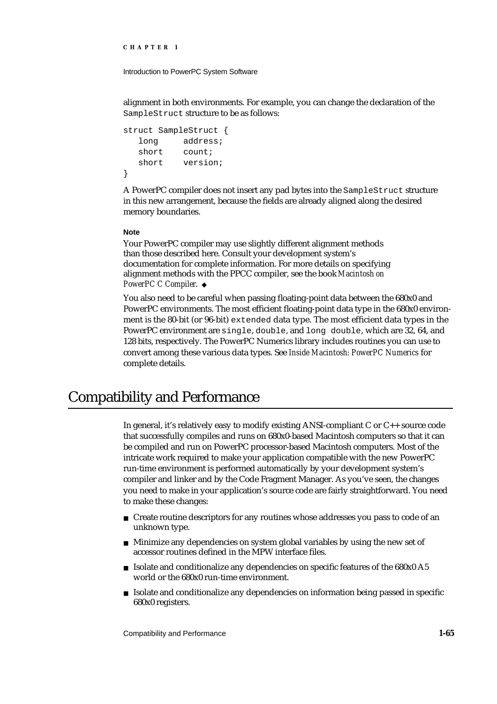```
CHAPTER 1
```
alignment in both environments. For example, you can change the declaration of the SampleStruct structure to be as follows:

```
struct SampleStruct {
  long address;
  short count;
  short version;
}
```
A PowerPC compiler does not insert any pad bytes into the SampleStruct structure in this new arrangement, because the fields are already aligned along the desired memory boundaries.

#### **Note**

Your PowerPC compiler may use slightly different alignment methods than those described here. Consult your development system's documentation for complete information. For more details on specifying alignment methods with the PPCC compiler, see the book *Macintosh on PowerPC C Compiler*.

You also need to be careful when passing floating-point data between the 680x0 and PowerPC environments. The most efficient floating-point data type in the 680x0 environment is the 80-bit (or 96-bit) extended data type. The most efficient data types in the PowerPC environment are single, double, and long double, which are 32, 64, and 128 bits, respectively. The PowerPC Numerics library includes routines you can use to convert among these various data types. See *Inside Macintosh: PowerPC Numerics* for complete details.

### Compatibility and Performance

In general, it's relatively easy to modify existing ANSI-compliant C or  $C_{++}$  source code that successfully compiles and runs on 680x0-based Macintosh computers so that it can be compiled and run on PowerPC processor-based Macintosh computers. Most of the intricate work required to make your application compatible with the new PowerPC run-time environment is performed automatically by your development system's compiler and linker and by the Code Fragment Manager. As you've seen, the changes you need to make in your application's source code are fairly straightforward. You need to make these changes:

- Create routine descriptors for any routines whose addresses you pass to code of an unknown type.
- Minimize any dependencies on system global variables by using the new set of accessor routines defined in the MPW interface files.
- Isolate and conditionalize any dependencies on specific features of the 680x0 A5 world or the 680x0 run-time environment.
- Isolate and conditionalize any dependencies on information being passed in specific 680x0 registers.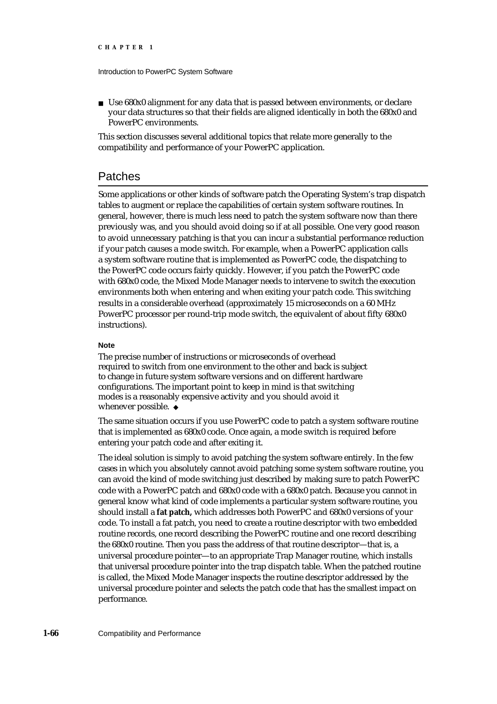Use 680x0 alignment for any data that is passed between environments, or declare your data structures so that their fields are aligned identically in both the 680x0 and PowerPC environments.

This section discusses several additional topics that relate more generally to the compatibility and performance of your PowerPC application.

### Patches

Some applications or other kinds of software patch the Operating System's trap dispatch tables to augment or replace the capabilities of certain system software routines. In general, however, there is much less need to patch the system software now than there previously was, and you should avoid doing so if at all possible. One very good reason to avoid unnecessary patching is that you can incur a substantial performance reduction if your patch causes a mode switch. For example, when a PowerPC application calls a system software routine that is implemented as PowerPC code, the dispatching to the PowerPC code occurs fairly quickly. However, if you patch the PowerPC code with 680x0 code, the Mixed Mode Manager needs to intervene to switch the execution environments both when entering and when exiting your patch code. This switching results in a considerable overhead (approximately 15 microseconds on a 60 MHz PowerPC processor per round-trip mode switch, the equivalent of about fifty 680x0 instructions).

#### **Note**

The precise number of instructions or microseconds of overhead required to switch from one environment to the other and back is subject to change in future system software versions and on different hardware configurations. The important point to keep in mind is that switching modes is a reasonably expensive activity and you should avoid it whenever possible. u

The same situation occurs if you use PowerPC code to patch a system software routine that is implemented as 680x0 code. Once again, a mode switch is required before entering your patch code and after exiting it.

The ideal solution is simply to avoid patching the system software entirely. In the few cases in which you absolutely cannot avoid patching some system software routine, you can avoid the kind of mode switching just described by making sure to patch PowerPC code with a PowerPC patch and 680x0 code with a 680x0 patch. Because you cannot in general know what kind of code implements a particular system software routine, you should install a **fat patch,** which addresses both PowerPC and 680x0 versions of your code. To install a fat patch, you need to create a routine descriptor with two embedded routine records, one record describing the PowerPC routine and one record describing the 680x0 routine. Then you pass the address of that routine descriptor—that is, a universal procedure pointer—to an appropriate Trap Manager routine, which installs that universal procedure pointer into the trap dispatch table. When the patched routine is called, the Mixed Mode Manager inspects the routine descriptor addressed by the universal procedure pointer and selects the patch code that has the smallest impact on performance.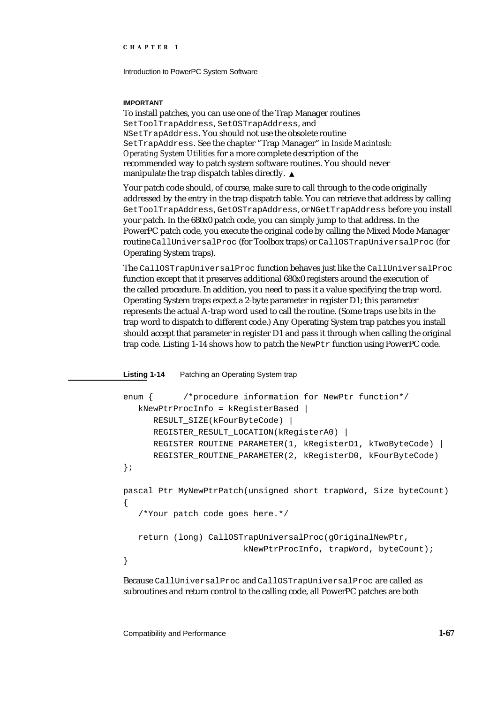Introduction to PowerPC System Software

#### **IMPORTANT**

To install patches, you can use one of the Trap Manager routines SetToolTrapAddress, SetOSTrapAddress, and NSetTrapAddress. You should not use the obsolete routine SetTrapAddress. See the chapter "Trap Manager" in *Inside Macintosh: Operating System Utilities* for a more complete description of the recommended way to patch system software routines. You should never manipulate the trap dispatch tables directly.

Your patch code should, of course, make sure to call through to the code originally addressed by the entry in the trap dispatch table. You can retrieve that address by calling GetToolTrapAddress, GetOSTrapAddress, or NGetTrapAddress before you install your patch. In the 680x0 patch code, you can simply jump to that address. In the PowerPC patch code, you execute the original code by calling the Mixed Mode Manager routine CallUniversalProc (for Toolbox traps) or CallOSTrapUniversalProc (for Operating System traps).

The CallOSTrapUniversalProc function behaves just like the CallUniversalProc function except that it preserves additional 680x0 registers around the execution of the called procedure. In addition, you need to pass it a value specifying the trap word. Operating System traps expect a 2-byte parameter in register D1; this parameter represents the actual A-trap word used to call the routine. (Some traps use bits in the trap word to dispatch to different code.) Any Operating System trap patches you install should accept that parameter in register D1 and pass it through when calling the original trap code. Listing 1-14 shows how to patch the NewPtr function using PowerPC code.

**Listing 1-14** Patching an Operating System trap

```
enum { /*procedure information for NewPtr function*/
   kNewPtrProcInfo = kRegisterBased |
     RESULT_SIZE(kFourByteCode) |
     REGISTER_RESULT_LOCATION(kRegisterA0) |
     REGISTER_ROUTINE_PARAMETER(1, kRegisterD1, kTwoByteCode) |
     REGISTER ROUTINE PARAMETER(2, kRegisterD0, kFourByteCode)
};
pascal Ptr MyNewPtrPatch(unsigned short trapWord, Size byteCount)
{
   /*Your patch code goes here.*/
   return (long) CallOSTrapUniversalProc(gOriginalNewPtr,
                        kNewPtrProcInfo, trapWord, byteCount);
}
```
Because CallUniversalProc and CallOSTrapUniversalProc are called as subroutines and return control to the calling code, all PowerPC patches are both

Compatibility and Performance **1-67**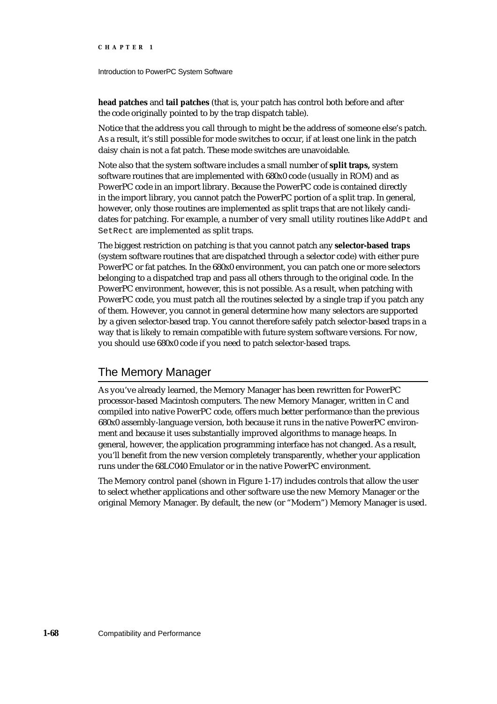#### Introduction to PowerPC System Software

**head patches** and **tail patches** (that is, your patch has control both before and after the code originally pointed to by the trap dispatch table).

Notice that the address you call through to might be the address of someone else's patch. As a result, it's still possible for mode switches to occur, if at least one link in the patch daisy chain is not a fat patch. These mode switches are unavoidable.

Note also that the system software includes a small number of **split traps,** system software routines that are implemented with 680x0 code (usually in ROM) and as PowerPC code in an import library. Because the PowerPC code is contained directly in the import library, you cannot patch the PowerPC portion of a split trap. In general, however, only those routines are implemented as split traps that are not likely candidates for patching. For example, a number of very small utility routines like AddPt and SetRect are implemented as split traps.

The biggest restriction on patching is that you cannot patch any **selector-based traps** (system software routines that are dispatched through a selector code) with either pure PowerPC or fat patches. In the 680x0 environment, you can patch one or more selectors belonging to a dispatched trap and pass all others through to the original code. In the PowerPC environment, however, this is not possible. As a result, when patching with PowerPC code, you must patch all the routines selected by a single trap if you patch any of them. However, you cannot in general determine how many selectors are supported by a given selector-based trap. You cannot therefore safely patch selector-based traps in a way that is likely to remain compatible with future system software versions. For now, you should use 680x0 code if you need to patch selector-based traps.

### The Memory Manager

As you've already learned, the Memory Manager has been rewritten for PowerPC processor-based Macintosh computers. The new Memory Manager, written in C and compiled into native PowerPC code, offers much better performance than the previous 680x0 assembly-language version, both because it runs in the native PowerPC environment and because it uses substantially improved algorithms to manage heaps. In general, however, the application programming interface has not changed. As a result, you'll benefit from the new version completely transparently, whether your application runs under the 68LC040 Emulator or in the native PowerPC environment.

The Memory control panel (shown in Figure 1-17) includes controls that allow the user to select whether applications and other software use the new Memory Manager or the original Memory Manager. By default, the new (or "Modern") Memory Manager is used.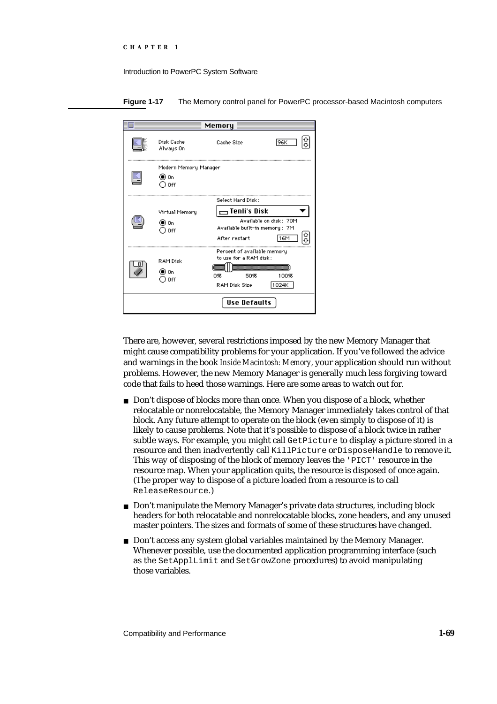| C. |  | НАРТЕR |  |  |  |  |  |
|----|--|--------|--|--|--|--|--|
|----|--|--------|--|--|--|--|--|

|                                        | Memory                                                                                                                             |
|----------------------------------------|------------------------------------------------------------------------------------------------------------------------------------|
| Disk Cache<br>Always On                | Cache Size<br>196K                                                                                                                 |
| Modern Memory Manager<br>(■) On<br>Off |                                                                                                                                    |
| Virtual Memory<br>() On<br>) Off       | Select Hard Disk:<br>$\rightarrow$ Tenli's Disk<br>Available on disk: 70M<br>Available built-in memory: 7M<br>After restart<br>16M |
| RAM Disk<br>) On<br>Off                | Percent of available memory<br>to use for a RAM disk:<br>0%<br>50%<br>100%<br>RAM Disk Size<br>1024K                               |
|                                        | <b>Use Defaults</b>                                                                                                                |

**Figure 1-17** The Memory control panel for PowerPC processor-based Macintosh computers

There are, however, several restrictions imposed by the new Memory Manager that might cause compatibility problems for your application. If you've followed the advice and warnings in the book *Inside Macintosh: Memory,* your application should run without problems. However, the new Memory Manager is generally much less forgiving toward code that fails to heed those warnings. Here are some areas to watch out for.

- Don't dispose of blocks more than once. When you dispose of a block, whether relocatable or nonrelocatable, the Memory Manager immediately takes control of that block. Any future attempt to operate on the block (even simply to dispose of it) is likely to cause problems. Note that it's possible to dispose of a block twice in rather subtle ways. For example, you might call GetPicture to display a picture stored in a resource and then inadvertently call KillPicture or DisposeHandle to remove it. This way of disposing of the block of memory leaves the 'PICT' resource in the resource map. When your application quits, the resource is disposed of once again. (The proper way to dispose of a picture loaded from a resource is to call ReleaseResource.)
- Don't manipulate the Memory Manager's private data structures, including block headers for both relocatable and nonrelocatable blocks, zone headers, and any unused master pointers. The sizes and formats of some of these structures have changed.
- n Don't access any system global variables maintained by the Memory Manager. Whenever possible, use the documented application programming interface (such as the SetApplLimit and SetGrowZone procedures) to avoid manipulating those variables.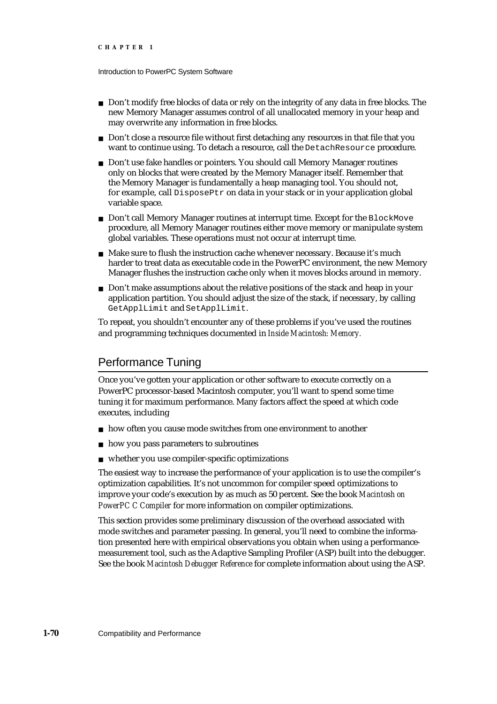- n Don't modify free blocks of data or rely on the integrity of any data in free blocks. The new Memory Manager assumes control of all unallocated memory in your heap and may overwrite any information in free blocks.
- n Don't close a resource file without first detaching any resources in that file that you want to continue using. To detach a resource, call the DetachResource procedure.
- n Don't use fake handles or pointers. You should call Memory Manager routines only on blocks that were created by the Memory Manager itself. Remember that the Memory Manager is fundamentally a heap managing tool. You should not, for example, call DisposePtr on data in your stack or in your application global variable space.
- $n$  Don't call Memory Manager routines at interrupt time. Except for the BlockMove procedure, all Memory Manager routines either move memory or manipulate system global variables. These operations must not occur at interrupt time.
- n Make sure to flush the instruction cache whenever necessary. Because it's much harder to treat data as executable code in the PowerPC environment, the new Memory Manager flushes the instruction cache only when it moves blocks around in memory.
- Don't make assumptions about the relative positions of the stack and heap in your application partition. You should adjust the size of the stack, if necessary, by calling GetApplLimit and SetApplLimit.

To repeat, you shouldn't encounter any of these problems if you've used the routines and programming techniques documented in *Inside Macintosh: Memory.*

### Performance Tuning

Once you've gotten your application or other software to execute correctly on a PowerPC processor-based Macintosh computer, you'll want to spend some time tuning it for maximum performance. Many factors affect the speed at which code executes, including

- n how often you cause mode switches from one environment to another
- how you pass parameters to subroutines
- whether you use compiler-specific optimizations

The easiest way to increase the performance of your application is to use the compiler's optimization capabilities. It's not uncommon for compiler speed optimizations to improve your code's execution by as much as 50 percent. See the book *Macintosh on PowerPC C Compiler* for more information on compiler optimizations.

This section provides some preliminary discussion of the overhead associated with mode switches and parameter passing. In general, you'll need to combine the information presented here with empirical observations you obtain when using a performancemeasurement tool, such as the Adaptive Sampling Profiler (ASP) built into the debugger. See the book *Macintosh Debugger Reference* for complete information about using the ASP.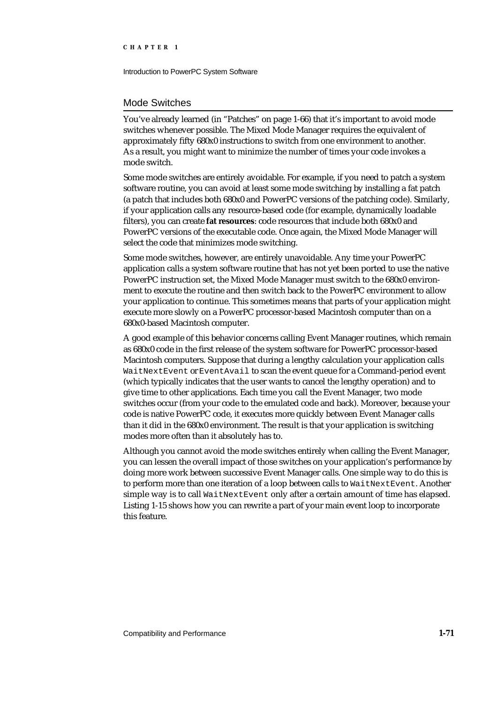Introduction to PowerPC System Software

#### Mode Switches

You've already learned (in "Patches" on page 1-66) that it's important to avoid mode switches whenever possible. The Mixed Mode Manager requires the equivalent of approximately fifty 680x0 instructions to switch from one environment to another. As a result, you might want to minimize the number of times your code invokes a mode switch.

Some mode switches are entirely avoidable. For example, if you need to patch a system software routine, you can avoid at least some mode switching by installing a fat patch (a patch that includes both 680x0 and PowerPC versions of the patching code). Similarly, if your application calls any resource-based code (for example, dynamically loadable filters), you can create **fat resources**: code resources that include both 680x0 and PowerPC versions of the executable code. Once again, the Mixed Mode Manager will select the code that minimizes mode switching.

Some mode switches, however, are entirely unavoidable. Any time your PowerPC application calls a system software routine that has not yet been ported to use the native PowerPC instruction set, the Mixed Mode Manager must switch to the 680x0 environment to execute the routine and then switch back to the PowerPC environment to allow your application to continue. This sometimes means that parts of your application might execute more slowly on a PowerPC processor-based Macintosh computer than on a 680x0-based Macintosh computer.

A good example of this behavior concerns calling Event Manager routines, which remain as 680x0 code in the first release of the system software for PowerPC processor-based Macintosh computers. Suppose that during a lengthy calculation your application calls WaitNextEvent or EventAvail to scan the event queue for a Command-period event (which typically indicates that the user wants to cancel the lengthy operation) and to give time to other applications. Each time you call the Event Manager, two mode switches occur (from your code to the emulated code and back). Moreover, because your code is native PowerPC code, it executes more quickly between Event Manager calls than it did in the 680x0 environment. The result is that your application is switching modes more often than it absolutely has to.

Although you cannot avoid the mode switches entirely when calling the Event Manager, you can lessen the overall impact of those switches on your application's performance by doing more work between successive Event Manager calls. One simple way to do this is to perform more than one iteration of a loop between calls to WaitNextEvent. Another simple way is to call WaitNextEvent only after a certain amount of time has elapsed. Listing 1-15 shows how you can rewrite a part of your main event loop to incorporate this feature.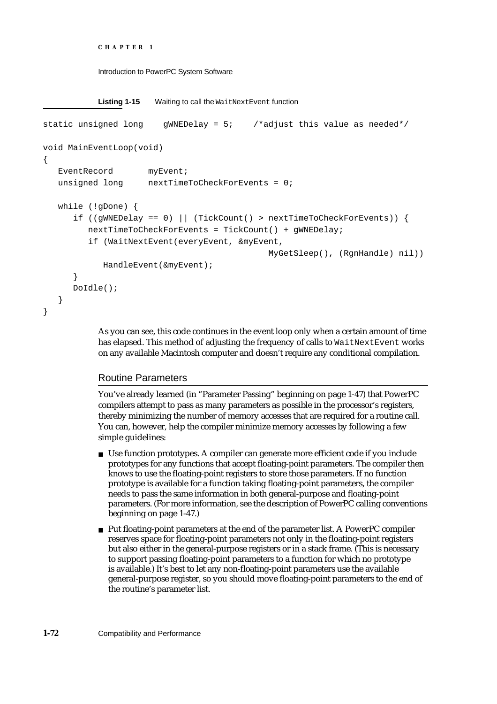```
CHAPTER 1
```
**Listing 1-15** Waiting to call the WaitNextEvent function

```
static unsigned long gWNEDelay = 5; /*adjust this value as needed*/
void MainEventLoop(void)
{
  EventRecord myEvent;
  unsigned long nextTimeToCheckForEvents = 0;
  while (!gDone) {
     if ((gWNEDelay == 0) || (TickCount() > nextTimeToCheckForEvents)) {
        nextTimeToCheckForEvents = TickCount() + gWNEDelay;
        if (WaitNextEvent(everyEvent, &myEvent, 
                                            MyGetSleep(), (RgnHandle) nil))
           HandleEvent(&myEvent);
     }
     DoIdle();
  }
}
```
As you can see, this code continues in the event loop only when a certain amount of time has elapsed. This method of adjusting the frequency of calls to WaitNextEvent works on any available Macintosh computer and doesn't require any conditional compilation.

### Routine Parameters

You've already learned (in "Parameter Passing" beginning on page 1-47) that PowerPC compilers attempt to pass as many parameters as possible in the processor's registers, thereby minimizing the number of memory accesses that are required for a routine call. You can, however, help the compiler minimize memory accesses by following a few simple guidelines:

- Use function prototypes. A compiler can generate more efficient code if you include prototypes for any functions that accept floating-point parameters. The compiler then knows to use the floating-point registers to store those parameters. If no function prototype is available for a function taking floating-point parameters, the compiler needs to pass the same information in both general-purpose and floating-point parameters. (For more information, see the description of PowerPC calling conventions beginning on page 1-47.)
- Put floating-point parameters at the end of the parameter list. A PowerPC compiler reserves space for floating-point parameters not only in the floating-point registers but also either in the general-purpose registers or in a stack frame. (This is necessary to support passing floating-point parameters to a function for which no prototype is available.) It's best to let any non-floating-point parameters use the available general-purpose register, so you should move floating-point parameters to the end of the routine's parameter list.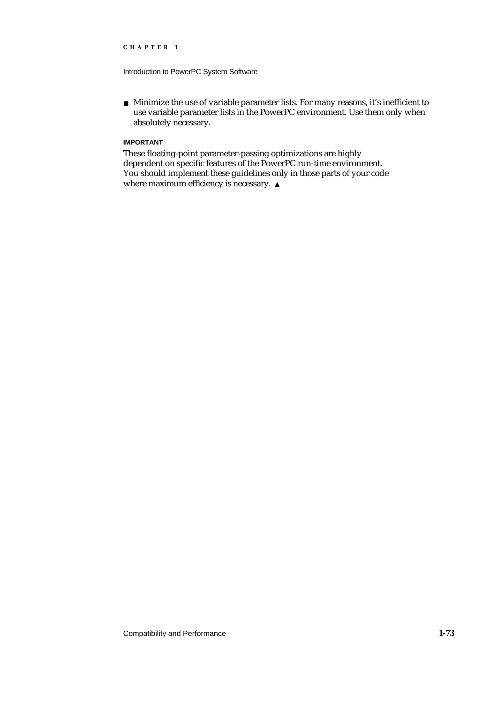Introduction to PowerPC System Software

Minimize the use of variable parameter lists. For many reasons, it's inefficient to use variable parameter lists in the PowerPC environment. Use them only when absolutely necessary.

### **IMPORTANT**

These floating-point parameter-passing optimizations are highly dependent on specific features of the PowerPC run-time environment. You should implement these guidelines only in those parts of your code where maximum efficiency is necessary. s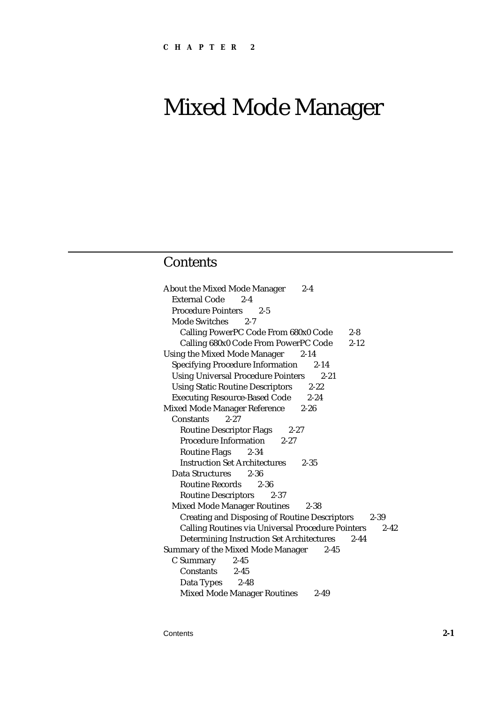# Mixed Mode Manager

### **Contents**

About the Mixed Mode Manager 2-4 External Code 2-4 Procedure Pointers 2-5 Mode Switches 2-7 Calling PowerPC Code From 680x0 Code 2-8 Calling 680x0 Code From PowerPC Code 2-12 Using the Mixed Mode Manager 2-14 Specifying Procedure Information 2-14 Using Universal Procedure Pointers 2-21 Using Static Routine Descriptors 2-22 Executing Resource-Based Code 2-24 Mixed Mode Manager Reference 2-26 Constants 2-27 Routine Descriptor Flags 2-27 Procedure Information 2-27 Routine Flags 2-34 Instruction Set Architectures 2-35 Data Structures 2-36 Routine Records 2-36 Routine Descriptors 2-37 Mixed Mode Manager Routines 2-38 Creating and Disposing of Routine Descriptors 2-39 Calling Routines via Universal Procedure Pointers 2-42 Determining Instruction Set Architectures 2-44 Summary of the Mixed Mode Manager 2-45 C Summary 2-45 Constants 2-45 Data Types 2-48 Mixed Mode Manager Routines 2-49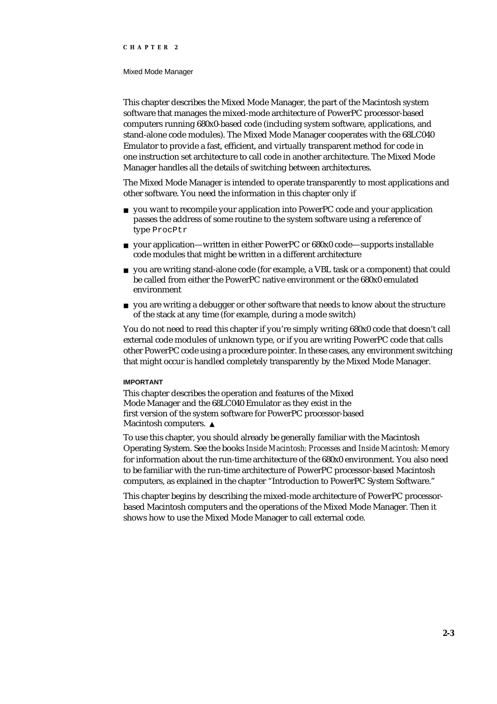#### Mixed Mode Manager

This chapter describes the Mixed Mode Manager, the part of the Macintosh system software that manages the mixed-mode architecture of PowerPC processor-based computers running 680x0-based code (including system software, applications, and stand-alone code modules). The Mixed Mode Manager cooperates with the 68LC040 Emulator to provide a fast, efficient, and virtually transparent method for code in one instruction set architecture to call code in another architecture. The Mixed Mode Manager handles all the details of switching between architectures.

The Mixed Mode Manager is intended to operate transparently to most applications and other software. You need the information in this chapter only if

- you want to recompile your application into PowerPC code and your application passes the address of some routine to the system software using a reference of type ProcPtr
- your application—written in either PowerPC or 680x0 code—supports installable code modules that might be written in a different architecture
- you are writing stand-alone code (for example, a VBL task or a component) that could be called from either the PowerPC native environment or the 680x0 emulated environment
- $n$  you are writing a debugger or other software that needs to know about the structure of the stack at any time (for example, during a mode switch)

You do not need to read this chapter if you're simply writing 680x0 code that doesn't call external code modules of unknown type, or if you are writing PowerPC code that calls other PowerPC code using a procedure pointer. In these cases, any environment switching that might occur is handled completely transparently by the Mixed Mode Manager.

#### **IMPORTANT**

This chapter describes the operation and features of the Mixed Mode Manager and the 68LC040 Emulator as they exist in the first version of the system software for PowerPC processor-based Macintosh computers. s

To use this chapter, you should already be generally familiar with the Macintosh Operating System. See the books *Inside Macintosh: Processes* and *Inside Macintosh: Memory* for information about the run-time architecture of the 680x0 environment. You also need to be familiar with the run-time architecture of PowerPC processor-based Macintosh computers, as explained in the chapter "Introduction to PowerPC System Software."

This chapter begins by describing the mixed-mode architecture of PowerPC processorbased Macintosh computers and the operations of the Mixed Mode Manager. Then it shows how to use the Mixed Mode Manager to call external code.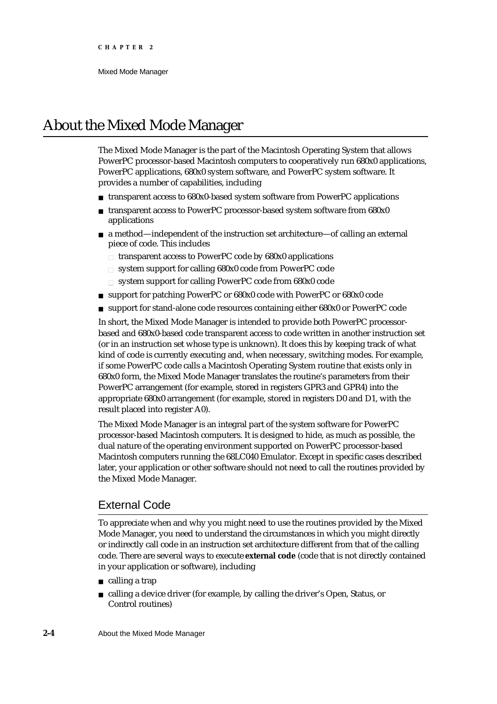Mixed Mode Manager

## About the Mixed Mode Manager

The Mixed Mode Manager is the part of the Macintosh Operating System that allows PowerPC processor-based Macintosh computers to cooperatively run 680x0 applications, PowerPC applications, 680x0 system software, and PowerPC system software. It provides a number of capabilities, including

- $n_{\text{t}}$  transparent access to 680x0-based system software from PowerPC applications
- transparent access to PowerPC processor-based system software from 680x0  $n$ applications
- a method—independent of the instruction set architecture—of calling an external piece of code. This includes
	- transparent access to PowerPC code by 680x0 applications
	- system support for calling 680x0 code from PowerPC code
	- system support for calling PowerPC code from 680x0 code
- support for patching PowerPC or 680x0 code with PowerPC or 680x0 code
- support for stand-alone code resources containing either 680x0 or PowerPC code

In short, the Mixed Mode Manager is intended to provide both PowerPC processorbased and 680x0-based code transparent access to code written in another instruction set (or in an instruction set whose type is unknown). It does this by keeping track of what kind of code is currently executing and, when necessary, switching modes. For example, if some PowerPC code calls a Macintosh Operating System routine that exists only in 680x0 form, the Mixed Mode Manager translates the routine's parameters from their PowerPC arrangement (for example, stored in registers GPR3 and GPR4) into the appropriate 680x0 arrangement (for example, stored in registers D0 and D1, with the result placed into register A0).

The Mixed Mode Manager is an integral part of the system software for PowerPC processor-based Macintosh computers. It is designed to hide, as much as possible, the dual nature of the operating environment supported on PowerPC processor-based Macintosh computers running the 68LC040 Emulator. Except in specific cases described later, your application or other software should not need to call the routines provided by the Mixed Mode Manager.

### External Code

To appreciate when and why you might need to use the routines provided by the Mixed Mode Manager, you need to understand the circumstances in which you might directly or indirectly call code in an instruction set architecture different from that of the calling code. There are several ways to execute **external code** (code that is not directly contained in your application or software), including

- calling a trap
- calling a device driver (for example, by calling the driver's Open, Status, or Control routines)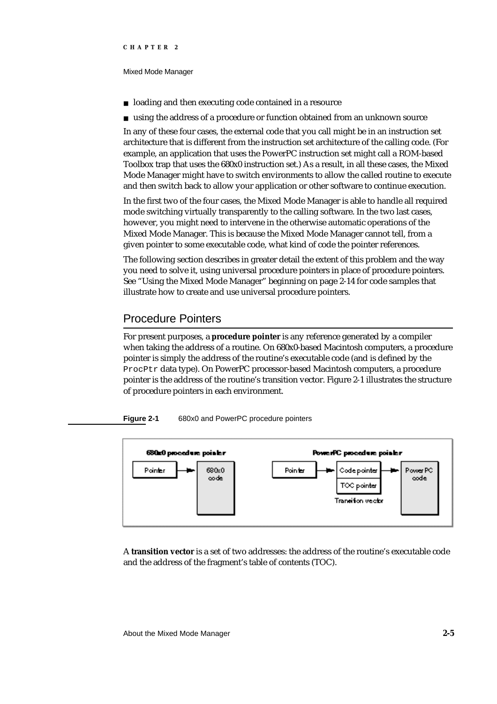#### Mixed Mode Manager

- loading and then executing code contained in a resource  $\overline{a}$
- $n$  using the address of a procedure or function obtained from an unknown source

In any of these four cases, the external code that you call might be in an instruction set architecture that is different from the instruction set architecture of the calling code. (For example, an application that uses the PowerPC instruction set might call a ROM-based Toolbox trap that uses the 680x0 instruction set.) As a result, in all these cases, the Mixed Mode Manager might have to switch environments to allow the called routine to execute and then switch back to allow your application or other software to continue execution.

In the first two of the four cases, the Mixed Mode Manager is able to handle all required mode switching virtually transparently to the calling software. In the two last cases, however, you might need to intervene in the otherwise automatic operations of the Mixed Mode Manager. This is because the Mixed Mode Manager cannot tell, from a given pointer to some executable code, what kind of code the pointer references.

The following section describes in greater detail the extent of this problem and the way you need to solve it, using universal procedure pointers in place of procedure pointers. See "Using the Mixed Mode Manager" beginning on page 2-14 for code samples that illustrate how to create and use universal procedure pointers.

### Procedure Pointers

For present purposes, a **procedure pointer** is any reference generated by a compiler when taking the address of a routine. On 680x0-based Macintosh computers, a procedure pointer is simply the address of the routine's executable code (and is defined by the ProcPtr data type). On PowerPC processor-based Macintosh computers, a procedure pointer is the address of the routine's transition vector. Figure 2-1 illustrates the structure of procedure pointers in each environment.

#### **Figure 2-1** 680x0 and PowerPC procedure pointers



A **transition vector** is a set of two addresses: the address of the routine's executable code and the address of the fragment's table of contents (TOC).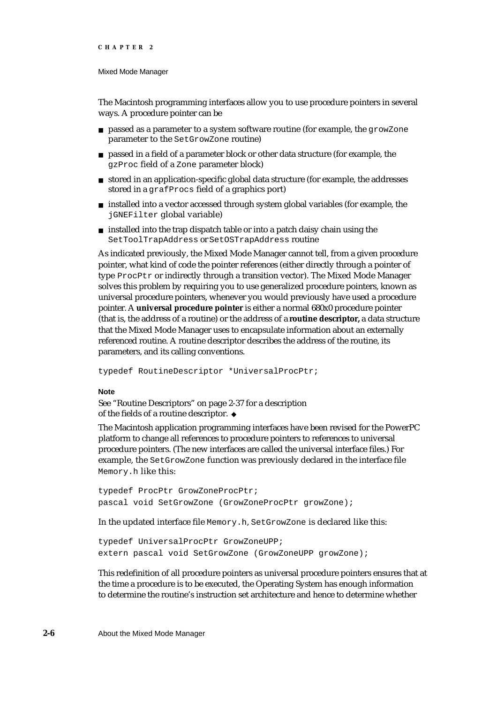#### Mixed Mode Manager

The Macintosh programming interfaces allow you to use procedure pointers in several ways. A procedure pointer can be

- n passed as a parameter to a system software routine (for example, the growZone parameter to the SetGrowZone routine)
- passed in a field of a parameter block or other data structure (for example, the gzProc field of a Zone parameter block)
- $n_{\text{S}}$  stored in an application-specific global data structure (for example, the addresses stored in a grafProcs field of a graphics port)
- $n$  installed into a vector accessed through system global variables (for example, the jGNEFilter global variable)
- $n$  installed into the trap dispatch table or into a patch daisy chain using the SetToolTrapAddress or SetOSTrapAddress routine

As indicated previously, the Mixed Mode Manager cannot tell, from a given procedure pointer, what kind of code the pointer references (either directly through a pointer of type ProcPtr or indirectly through a transition vector). The Mixed Mode Manager solves this problem by requiring you to use generalized procedure pointers, known as universal procedure pointers, whenever you would previously have used a procedure pointer. A **universal procedure pointer** is either a normal 680x0 procedure pointer (that is, the address of a routine) or the address of a **routine descriptor,** a data structure that the Mixed Mode Manager uses to encapsulate information about an externally referenced routine. A routine descriptor describes the address of the routine, its parameters, and its calling conventions.

typedef RoutineDescriptor \*UniversalProcPtr;

#### **Note**

See "Routine Descriptors" on page 2-37 for a description of the fields of a routine descriptor.

The Macintosh application programming interfaces have been revised for the PowerPC platform to change all references to procedure pointers to references to universal procedure pointers. (The new interfaces are called the universal interface files.) For example, the SetGrowZone function was previously declared in the interface file Memory.h like this:

typedef ProcPtr GrowZoneProcPtr; pascal void SetGrowZone (GrowZoneProcPtr growZone);

In the updated interface file Memory.h, SetGrowZone is declared like this:

```
typedef UniversalProcPtr GrowZoneUPP;
extern pascal void SetGrowZone (GrowZoneUPP growZone);
```
This redefinition of all procedure pointers as universal procedure pointers ensures that at the time a procedure is to be executed, the Operating System has enough information to determine the routine's instruction set architecture and hence to determine whether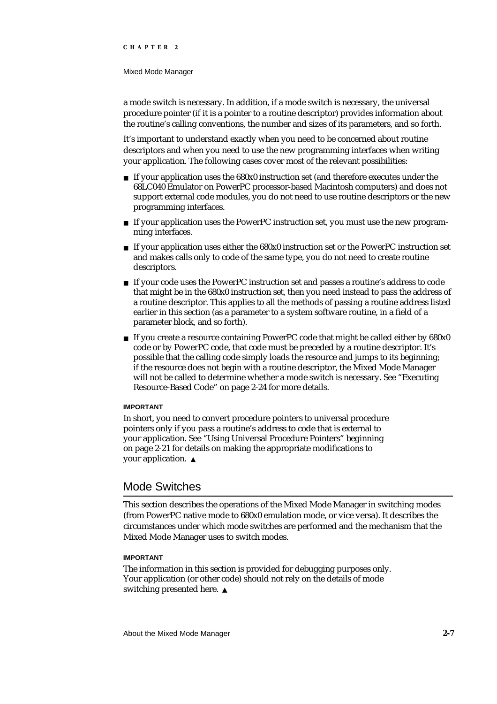#### Mixed Mode Manager

a mode switch is necessary. In addition, if a mode switch is necessary, the universal procedure pointer (if it is a pointer to a routine descriptor) provides information about the routine's calling conventions, the number and sizes of its parameters, and so forth.

It's important to understand exactly when you need to be concerned about routine descriptors and when you need to use the new programming interfaces when writing your application. The following cases cover most of the relevant possibilities:

- n If your application uses the 680x0 instruction set (and therefore executes under the 68LC040 Emulator on PowerPC processor-based Macintosh computers) and does not support external code modules, you do not need to use routine descriptors or the new programming interfaces.
- If your application uses the PowerPC instruction set, you must use the new programming interfaces.
- $\overline{I}$  If your application uses either the 680x0 instruction set or the PowerPC instruction set and makes calls only to code of the same type, you do not need to create routine descriptors.
- If your code uses the PowerPC instruction set and passes a routine's address to code that might be in the 680x0 instruction set, then you need instead to pass the address of a routine descriptor. This applies to all the methods of passing a routine address listed earlier in this section (as a parameter to a system software routine, in a field of a parameter block, and so forth).
- If you create a resource containing PowerPC code that might be called either by 680x0 code or by PowerPC code, that code must be preceded by a routine descriptor. It's possible that the calling code simply loads the resource and jumps to its beginning; if the resource does not begin with a routine descriptor, the Mixed Mode Manager will not be called to determine whether a mode switch is necessary. See "Executing Resource-Based Code" on page 2-24 for more details.

#### **IMPORTANT**

In short, you need to convert procedure pointers to universal procedure pointers only if you pass a routine's address to code that is external to your application. See "Using Universal Procedure Pointers" beginning on page 2-21 for details on making the appropriate modifications to your application. s

### Mode Switches

This section describes the operations of the Mixed Mode Manager in switching modes (from PowerPC native mode to 680x0 emulation mode, or vice versa). It describes the circumstances under which mode switches are performed and the mechanism that the Mixed Mode Manager uses to switch modes.

#### **IMPORTANT**

The information in this section is provided for debugging purposes only. Your application (or other code) should not rely on the details of mode switching presented here. s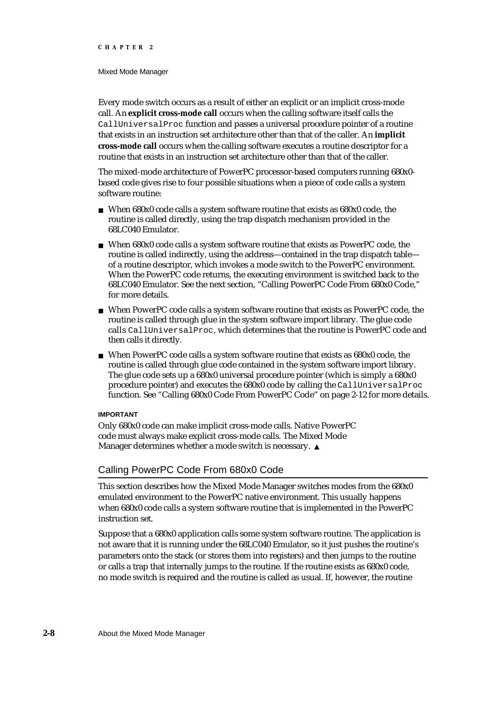#### Mixed Mode Manager

Every mode switch occurs as a result of either an explicit or an implicit cross-mode call. An **explicit cross-mode call** occurs when the calling software itself calls the CallUniversalProc function and passes a universal procedure pointer of a routine that exists in an instruction set architecture other than that of the caller. An **implicit cross-mode call** occurs when the calling software executes a routine descriptor for a routine that exists in an instruction set architecture other than that of the caller.

The mixed-mode architecture of PowerPC processor-based computers running 680x0 based code gives rise to four possible situations when a piece of code calls a system software routine:

- When 680x0 code calls a system software routine that exists as 680x0 code, the routine is called directly, using the trap dispatch mechanism provided in the 68LC040 Emulator.
- When 680x0 code calls a system software routine that exists as PowerPC code, the routine is called indirectly, using the address—contained in the trap dispatch table of a routine descriptor, which invokes a mode switch to the PowerPC environment. When the PowerPC code returns, the executing environment is switched back to the 68LC040 Emulator. See the next section, "Calling PowerPC Code From 680x0 Code," for more details.
- When PowerPC code calls a system software routine that exists as PowerPC code, the routine is called through glue in the system software import library. The glue code calls CallUniversalProc, which determines that the routine is PowerPC code and then calls it directly.
- When PowerPC code calls a system software routine that exists as 680x0 code, the routine is called through glue code contained in the system software import library. The glue code sets up a 680x0 universal procedure pointer (which is simply a 680x0 procedure pointer) and executes the 680x0 code by calling the CallUniversalProc function. See "Calling 680x0 Code From PowerPC Code" on page 2-12 for more details.

#### **IMPORTANT**

Only 680x0 code can make implicit cross-mode calls. Native PowerPC code must always make explicit cross-mode calls. The Mixed Mode Manager determines whether a mode switch is necessary.

### Calling PowerPC Code From 680x0 Code

This section describes how the Mixed Mode Manager switches modes from the 680x0 emulated environment to the PowerPC native environment. This usually happens when 680x0 code calls a system software routine that is implemented in the PowerPC instruction set.

Suppose that a 680x0 application calls some system software routine. The application is not aware that it is running under the 68LC040 Emulator, so it just pushes the routine's parameters onto the stack (or stores them into registers) and then jumps to the routine or calls a trap that internally jumps to the routine. If the routine exists as 680x0 code, no mode switch is required and the routine is called as usual. If, however, the routine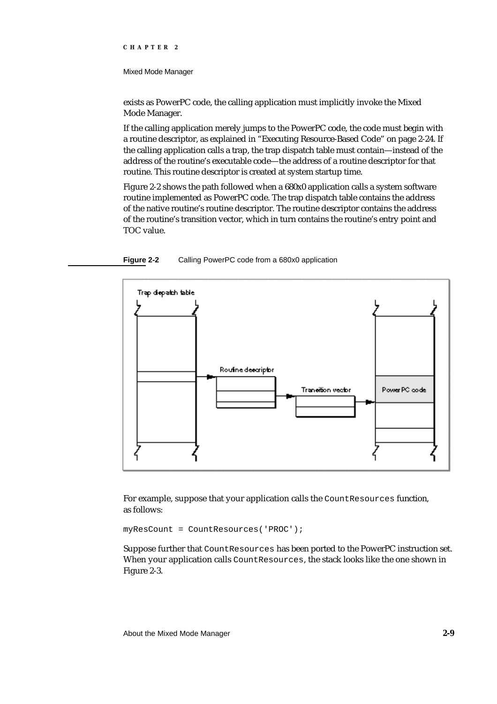#### Mixed Mode Manager

exists as PowerPC code, the calling application must implicitly invoke the Mixed Mode Manager.

If the calling application merely jumps to the PowerPC code, the code must begin with a routine descriptor, as explained in "Executing Resource-Based Code" on page 2-24. If the calling application calls a trap, the trap dispatch table must contain—instead of the address of the routine's executable code—the address of a routine descriptor for that routine. This routine descriptor is created at system startup time.

Figure 2-2 shows the path followed when a 680x0 application calls a system software routine implemented as PowerPC code. The trap dispatch table contains the address of the native routine's routine descriptor. The routine descriptor contains the address of the routine's transition vector, which in turn contains the routine's entry point and TOC value.



**Figure 2-2** Calling PowerPC code from a 680x0 application

For example, suppose that your application calls the CountResources function, as follows:

myResCount = CountResources('PROC');

Suppose further that CountResources has been ported to the PowerPC instruction set. When your application calls CountResources, the stack looks like the one shown in Figure 2-3.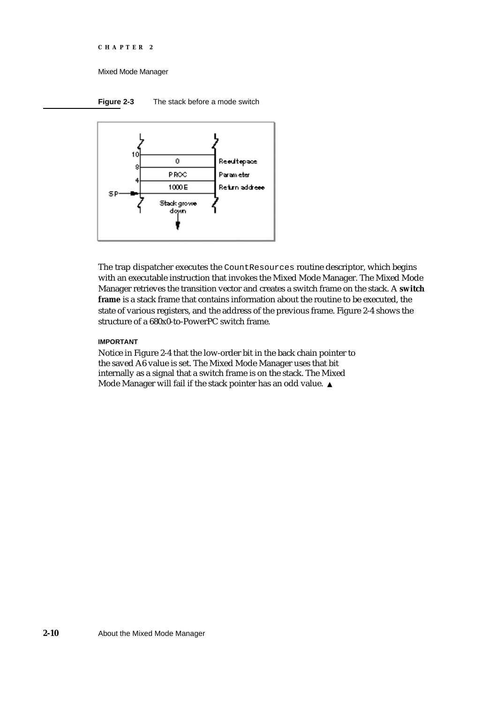#### Mixed Mode Manager

#### **Figure 2-3** The stack before a mode switch



The trap dispatcher executes the CountResources routine descriptor, which begins with an executable instruction that invokes the Mixed Mode Manager. The Mixed Mode Manager retrieves the transition vector and creates a switch frame on the stack. A **switch frame** is a stack frame that contains information about the routine to be executed, the state of various registers, and the address of the previous frame. Figure 2-4 shows the structure of a 680x0-to-PowerPC switch frame.

#### **IMPORTANT**

Notice in Figure 2-4 that the low-order bit in the back chain pointer to the saved A6 value is set. The Mixed Mode Manager uses that bit internally as a signal that a switch frame is on the stack. The Mixed Mode Manager will fail if the stack pointer has an odd value.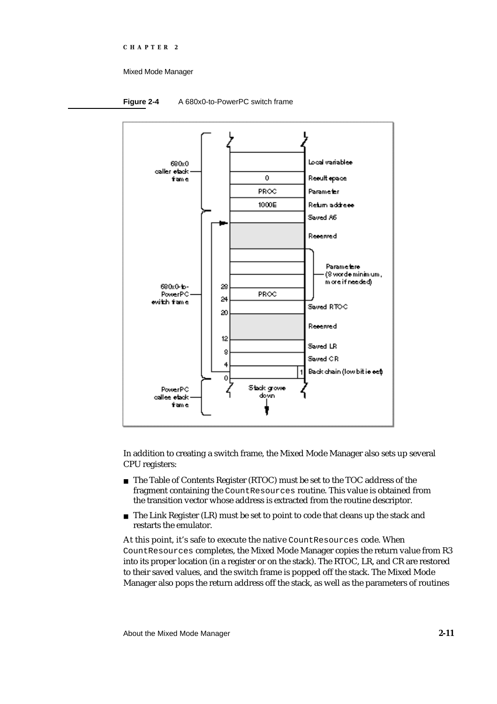#### Mixed Mode Manager

#### **Figure 2-4** A 680x0-to-PowerPC switch frame



In addition to creating a switch frame, the Mixed Mode Manager also sets up several CPU registers:

- n The Table of Contents Register (RTOC) must be set to the TOC address of the fragment containing the CountResources routine. This value is obtained from the transition vector whose address is extracted from the routine descriptor.
- n The Link Register (LR) must be set to point to code that cleans up the stack and restarts the emulator.

At this point, it's safe to execute the native CountResources code. When CountResources completes, the Mixed Mode Manager copies the return value from R3 into its proper location (in a register or on the stack). The RTOC, LR, and CR are restored to their saved values, and the switch frame is popped off the stack. The Mixed Mode Manager also pops the return address off the stack, as well as the parameters of routines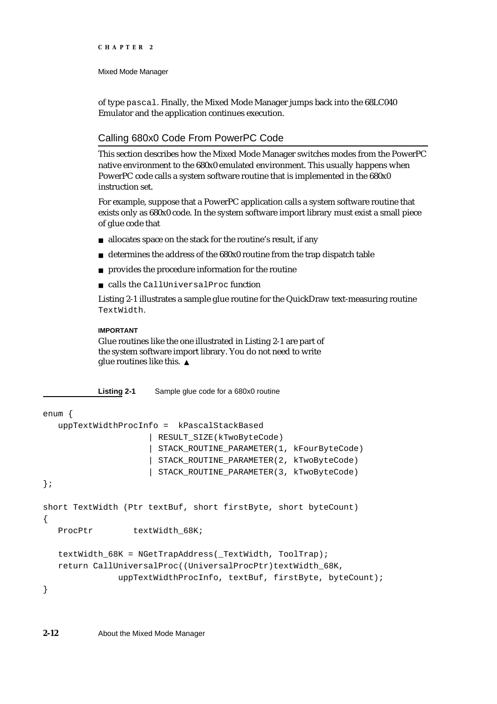Mixed Mode Manager

of type pascal. Finally, the Mixed Mode Manager jumps back into the 68LC040 Emulator and the application continues execution.

### Calling 680x0 Code From PowerPC Code

This section describes how the Mixed Mode Manager switches modes from the PowerPC native environment to the 680x0 emulated environment. This usually happens when PowerPC code calls a system software routine that is implemented in the 680x0 instruction set.

For example, suppose that a PowerPC application calls a system software routine that exists only as 680x0 code. In the system software import library must exist a small piece of glue code that

- n allocates space on the stack for the routine's result, if any
- determines the address of the 680x0 routine from the trap dispatch table  $\mathsf{n}$
- provides the procedure information for the routine
- n calls the CallUniversalProc function

Listing 2-1 illustrates a sample glue routine for the QuickDraw text-measuring routine TextWidth.

#### **IMPORTANT**

Glue routines like the one illustrated in Listing 2-1 are part of the system software import library. You do not need to write glue routines like this.

**Listing 2-1** Sample glue code for a 680x0 routine

```
enum {
  uppTextWidthProcInfo = kPascalStackBased 
                     | RESULT_SIZE(kTwoByteCode) 
                     | STACK_ROUTINE_PARAMETER(1, kFourByteCode)
                     | STACK_ROUTINE_PARAMETER(2, kTwoByteCode)
                     | STACK_ROUTINE_PARAMETER(3, kTwoByteCode)
};
short TextWidth (Ptr textBuf, short firstByte, short byteCount)
{
  ProcPtr textWidth 68K;
  textWidth 68K = NGetTrapAddress( TextWidth, ToolTrap);
  return CallUniversalProc((UniversalProcPtr)textWidth_68K, 
               uppTextWidthProcInfo, textBuf, firstByte, byteCount);
}
```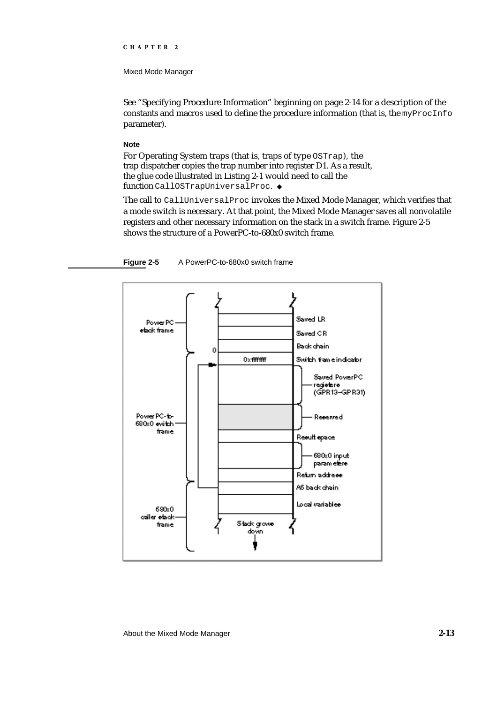#### Mixed Mode Manager

See "Specifying Procedure Information" beginning on page 2-14 for a description of the constants and macros used to define the procedure information (that is, the myProcInfo parameter).

#### **Note**

For Operating System traps (that is, traps of type OSTrap), the trap dispatcher copies the trap number into register D1. As a result, the glue code illustrated in Listing 2-1 would need to call the function CallOSTrapUniversalProc. u

The call to CallUniversalProc invokes the Mixed Mode Manager, which verifies that a mode switch is necessary. At that point, the Mixed Mode Manager saves all nonvolatile registers and other necessary information on the stack in a switch frame. Figure 2-5 shows the structure of a PowerPC-to-680x0 switch frame.

**Figure 2-5** A PowerPC-to-680x0 switch frame

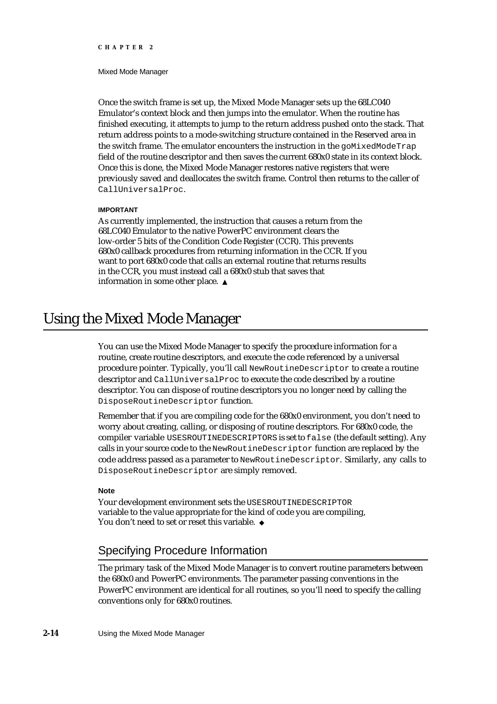#### Mixed Mode Manager

Once the switch frame is set up, the Mixed Mode Manager sets up the 68LC040 Emulator's context block and then jumps into the emulator. When the routine has finished executing, it attempts to jump to the return address pushed onto the stack. That return address points to a mode-switching structure contained in the Reserved area in the switch frame. The emulator encounters the instruction in the  $\sigma$  om  $\mathbf{x}$  ed ModeTrap field of the routine descriptor and then saves the current 680x0 state in its context block. Once this is done, the Mixed Mode Manager restores native registers that were previously saved and deallocates the switch frame. Control then returns to the caller of CallUniversalProc.

#### **IMPORTANT**

As currently implemented, the instruction that causes a return from the 68LC040 Emulator to the native PowerPC environment clears the low-order 5 bits of the Condition Code Register (CCR). This prevents 680x0 callback procedures from returning information in the CCR. If you want to port 680x0 code that calls an external routine that returns results in the CCR, you must instead call a 680x0 stub that saves that information in some other place.

### Using the Mixed Mode Manager

You can use the Mixed Mode Manager to specify the procedure information for a routine, create routine descriptors, and execute the code referenced by a universal procedure pointer. Typically, you'll call NewRoutineDescriptor to create a routine descriptor and CallUniversalProc to execute the code described by a routine descriptor. You can dispose of routine descriptors you no longer need by calling the DisposeRoutineDescriptor function.

Remember that if you are compiling code for the 680x0 environment, you don't need to worry about creating, calling, or disposing of routine descriptors. For 680x0 code, the compiler variable USESROUTINEDESCRIPTORS is set to false (the default setting). Any calls in your source code to the NewRoutineDescriptor function are replaced by the code address passed as a parameter to NewRoutineDescriptor. Similarly, any calls to DisposeRoutineDescriptor are simply removed.

#### **Note**

Your development environment sets the USESROUTINEDESCRIPTOR variable to the value appropriate for the kind of code you are compiling, You don't need to set or reset this variable. u

### Specifying Procedure Information

The primary task of the Mixed Mode Manager is to convert routine parameters between the 680x0 and PowerPC environments. The parameter passing conventions in the PowerPC environment are identical for all routines, so you'll need to specify the calling conventions only for 680x0 routines.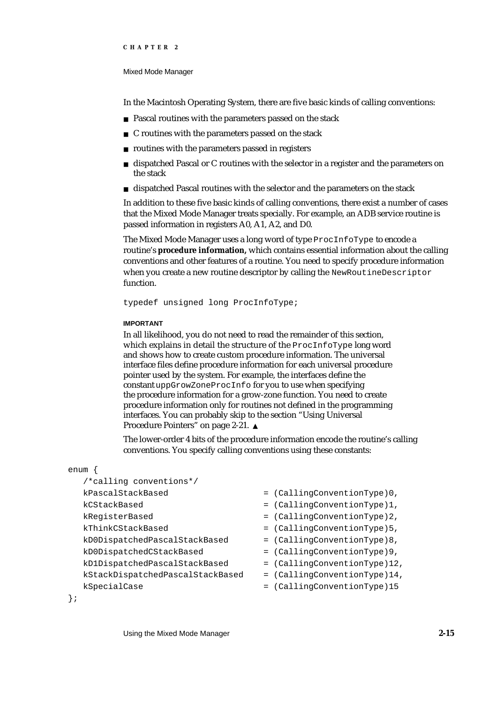#### Mixed Mode Manager

In the Macintosh Operating System, there are five basic kinds of calling conventions:

- n Pascal routines with the parameters passed on the stack
- n C routines with the parameters passed on the stack
- $n$  routines with the parameters passed in registers
- $n$  dispatched Pascal or C routines with the selector in a register and the parameters on the stack
- n dispatched Pascal routines with the selector and the parameters on the stack

In addition to these five basic kinds of calling conventions, there exist a number of cases that the Mixed Mode Manager treats specially. For example, an ADB service routine is passed information in registers A0, A1, A2, and D0.

The Mixed Mode Manager uses a long word of type ProcInfoType to encode a routine's **procedure information,** which contains essential information about the calling conventions and other features of a routine. You need to specify procedure information when you create a new routine descriptor by calling the NewRoutineDescriptor function.

typedef unsigned long ProcInfoType;

#### **IMPORTANT**

In all likelihood, you do not need to read the remainder of this section, which explains in detail the structure of the ProcInfoType long word and shows how to create custom procedure information. The universal interface files define procedure information for each universal procedure pointer used by the system. For example, the interfaces define the constant uppGrowZoneProcInfo for you to use when specifying the procedure information for a grow-zone function. You need to create procedure information only for routines not defined in the programming interfaces. You can probably skip to the section "Using Universal Procedure Pointers" on page 2-21.

The lower-order 4 bits of the procedure information encode the routine's calling conventions. You specify calling conventions using these constants:

#### enum {

- /\*calling conventions\*/ kPascalStackBased = (CallingConventionType)0, kCStackBased = (CallingConventionType)1, kReqisterBased = (CallingConventionType)2, kThinkCStackBased = (CallingConventionType)5, kD0DispatchedPascalStackBased = (CallingConventionType)8, kD0DispatchedCStackBased = (CallingConventionType)9,  $kD1D$ ispatchedPascalStackBased =  $(CallingConventionType)12,$ kStackDispatchedPascalStackBased = (CallingConventionType)14, kSpecialCase = (CallingConventionType)15
	-
	-
	-
	-
	-
	-
	-
	-
	-

};

Using the Mixed Mode Manager **2-15 2-15**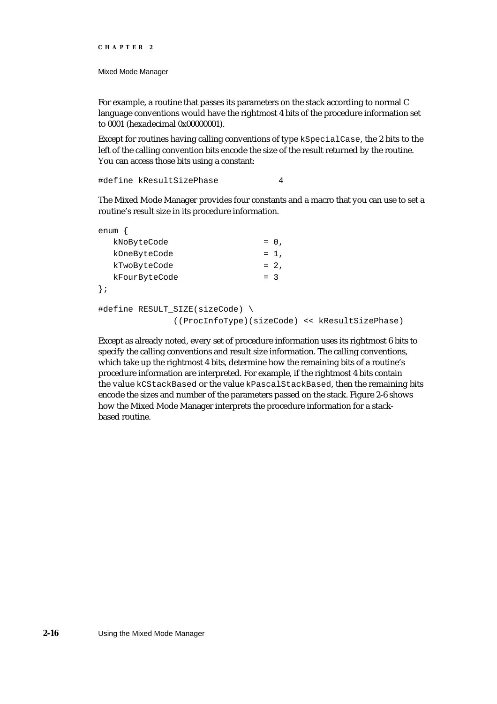Mixed Mode Manager

For example, a routine that passes its parameters on the stack according to normal C language conventions would have the rightmost 4 bits of the procedure information set to 0001 (hexadecimal 0x00000001).

Except for routines having calling conventions of type kSpecialCase, the 2 bits to the left of the calling convention bits encode the size of the result returned by the routine. You can access those bits using a constant:

```
#define kResultSizePhase 4
```
The Mixed Mode Manager provides four constants and a macro that you can use to set a routine's result size in its procedure information.

| enum                            |                                                  |  |
|---------------------------------|--------------------------------------------------|--|
| kNoByteCode                     | $= 0$ ,                                          |  |
| kOneByteCode                    | $= 1$ ,                                          |  |
| kTwoByteCode                    | $= 2,$                                           |  |
| kFourByteCode                   | $=$ 3                                            |  |
| $\}$ ;                          |                                                  |  |
| #define RESULT SIZE(sizeCode) \ |                                                  |  |
|                                 | $((ProcInfoType)(sizeCode) << kResultSizePhase)$ |  |

Except as already noted, every set of procedure information uses its rightmost 6 bits to specify the calling conventions and result size information. The calling conventions, which take up the rightmost 4 bits, determine how the remaining bits of a routine's procedure information are interpreted. For example, if the rightmost 4 bits contain the value kCStackBased or the value kPascalStackBased, then the remaining bits encode the sizes and number of the parameters passed on the stack. Figure 2-6 shows how the Mixed Mode Manager interprets the procedure information for a stackbased routine.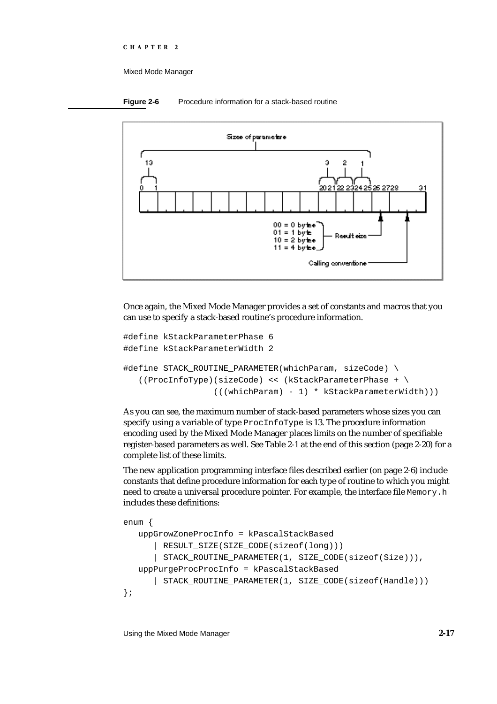#### Mixed Mode Manager

**Figure 2-6** Procedure information for a stack-based routine



Once again, the Mixed Mode Manager provides a set of constants and macros that you can use to specify a stack-based routine's procedure information.

```
#define kStackParameterPhase 6
#define kStackParameterWidth 2
#define STACK_ROUTINE_PARAMETER(whichParam, sizeCode) \
   ((ProcInfoType)(sizeCode) << (kStackParameterPhase + \
                  (((whichParam) - 1) * kStackParameterWidth)))
```
As you can see, the maximum number of stack-based parameters whose sizes you can specify using a variable of type ProcInfoType is 13. The procedure information encoding used by the Mixed Mode Manager places limits on the number of specifiable register-based parameters as well. See Table 2-1 at the end of this section (page 2-20) for a complete list of these limits.

The new application programming interface files described earlier (on page 2-6) include constants that define procedure information for each type of routine to which you might need to create a universal procedure pointer. For example, the interface file Memory.h includes these definitions:

```
enum {
   uppGrowZoneProcInfo = kPascalStackBased 
      | RESULT_SIZE(SIZE_CODE(sizeof(long))) 
      | STACK_ROUTINE_PARAMETER(1, SIZE_CODE(sizeof(Size))),
   uppPurgeProcProcInfo = kPascalStackBased 
      | STACK_ROUTINE_PARAMETER(1, SIZE_CODE(sizeof(Handle)))
};
```
Using the Mixed Mode Manager **2-17**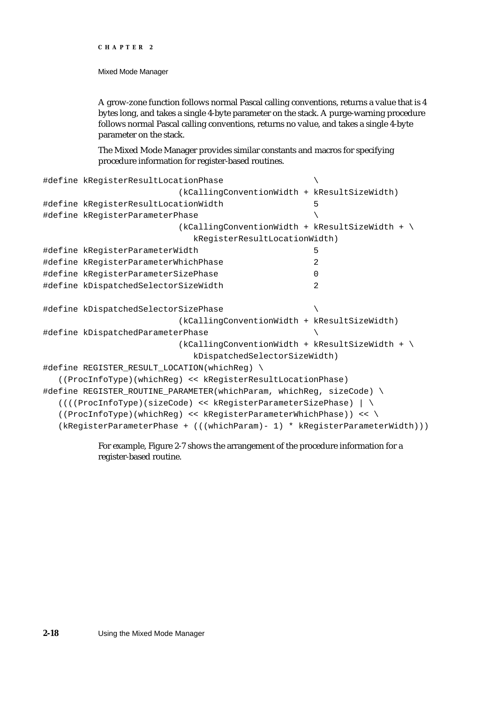```
CHAPTER 2
          Mixed Mode Manager
          A grow-zone function follows normal Pascal calling conventions, returns a value that is 4 
          bytes long, and takes a single 4-byte parameter on the stack. A purge-warning procedure 
          follows normal Pascal calling conventions, returns no value, and takes a single 4-byte 
          parameter on the stack.
          The Mixed Mode Manager provides similar constants and macros for specifying 
          procedure information for register-based routines.
#define kRegisterResultLocationPhase \
                          (kCallingConventionWidth + kResultSizeWidth)
#define kRegisterResultLocationWidth 5
#define kRegisterParameterPhase \
                           (kCallingConventionWidth + kResultSizeWidth + \nkRegisterResultLocationWidth)
#define kRegisterParameterWidth 5
#define kRegisterParameterWhichPhase 2
#define kRegisterParameterSizePhase 0
#define kDispatchedSelectorSizeWidth 2
#define kDispatchedSelectorSizePhase \
                          (kCallingConventionWidth + kResultSizeWidth)
#define kDispatchedParameterPhase \
```
((ProcInfoType)(whichReg) << kRegisterResultLocationPhase) #define REGISTER\_ROUTINE\_PARAMETER(whichParam, whichReg, sizeCode) \ ((((ProcInfoType)(sizeCode) << kRegisterParameterSizePhase) | \ ((ProcInfoType)(whichReg) << kRegisterParameterWhichPhase)) << \

```
(kRegisterParameterPhase + (((whichParam)- 1) * kRegisterParameterWidth)))
         For example, Figure 2-7 shows the arrangement of the procedure information for a 
         register-based routine.
```
 $(kCallingConventionWidth + kResultSizeWidth + \n$ 

kDispatchedSelectorSizeWidth)

#define REGISTER\_RESULT\_LOCATION(whichReg) \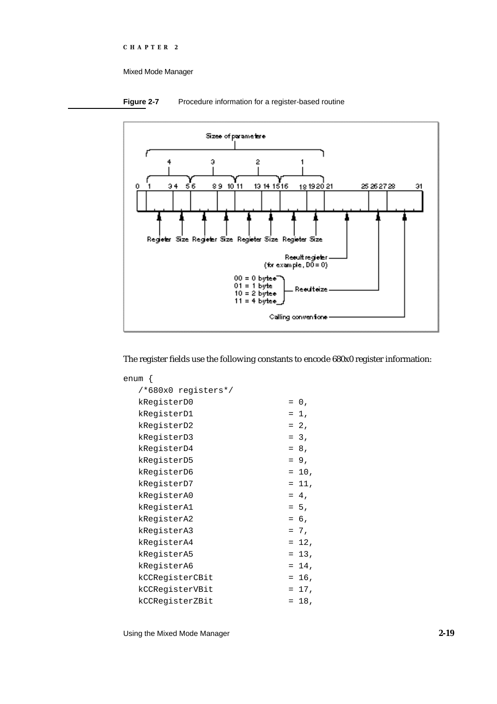

**Figure 2-7** Procedure information for a register-based routine



The register fields use the following constants to encode 680x0 register information:

```
enum {
```

```
/*680x0 registers*/
kRegisterD0 = 0,
kRegisterD1 = 1,
kRegisterD2 = 2,
kRegisterD3 = 3,
kRegisterD4 = 8,
kRegisterD5 = 9,
kRegisterD6 = 10,
kRegisterD7 = 11,
kRegisterA0 = 4,kRegisterA1 = 5,
kRegisterA2 = 6,
kRegisterA3 = 7,
kRegisterA4 = 12,
kReqisterA5 = 13,
kRegisterA6 = 14,
kCCRegisterCBit = 16,
kCCRegisterVBit = 17,
kCCRegisterZBit = 18,
```
Using the Mixed Mode Manager **2-19**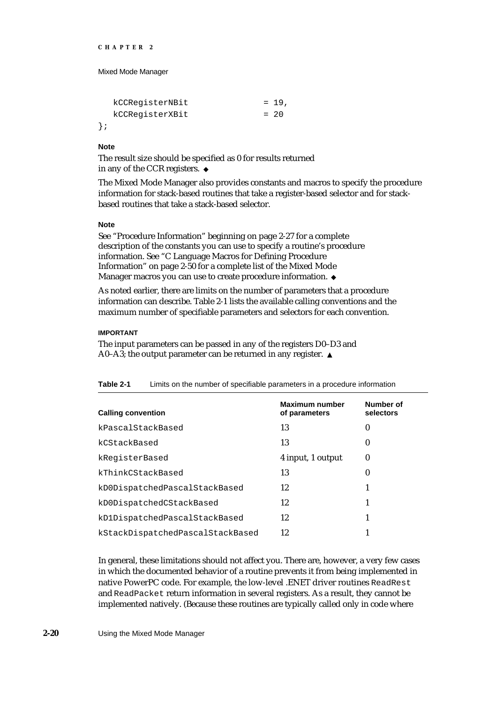Mixed Mode Manager

|           | kCCRegisterNBit | $= 19.$ |
|-----------|-----------------|---------|
|           | kCCReqisterXBit | $= 20$  |
| $\vert$ ; |                 |         |

#### **Note**

The result size should be specified as 0 for results returned in any of the CCR registers.

The Mixed Mode Manager also provides constants and macros to specify the procedure information for stack-based routines that take a register-based selector and for stackbased routines that take a stack-based selector.

#### **Note**

See "Procedure Information" beginning on page 2-27 for a complete description of the constants you can use to specify a routine's procedure information. See "C Language Macros for Defining Procedure Information" on page 2-50 for a complete list of the Mixed Mode Manager macros you can use to create procedure information.

As noted earlier, there are limits on the number of parameters that a procedure information can describe. Table 2-1 lists the available calling conventions and the maximum number of specifiable parameters and selectors for each convention.

#### **IMPORTANT**

The input parameters can be passed in any of the registers D0–D3 and A0–A3; the output parameter can be returned in any register.

**Table 2-1** Limits on the number of specifiable parameters in a procedure information

| <b>Calling convention</b>        | <b>Maximum number</b><br>of parameters | Number of<br>selectors |
|----------------------------------|----------------------------------------|------------------------|
| kPascalStackBased                | 13                                     | $\bf{0}$               |
| kCStackBased                     | 13                                     | 0                      |
| kRegisterBased                   | 4 input, 1 output                      | 0                      |
| kThinkCStackBased                | 13                                     | 0                      |
| kD0DispatchedPascalStackBased    | 12                                     |                        |
| kD0DispatchedCStackBased         | 12                                     |                        |
| kD1DispatchedPascalStackBased    | 12                                     |                        |
| kStackDispatchedPascalStackBased | 12                                     |                        |

In general, these limitations should not affect you. There are, however, a very few cases in which the documented behavior of a routine prevents it from being implemented in native PowerPC code. For example, the low-level .ENET driver routines ReadRest and ReadPacket return information in several registers. As a result, they cannot be implemented natively. (Because these routines are typically called only in code where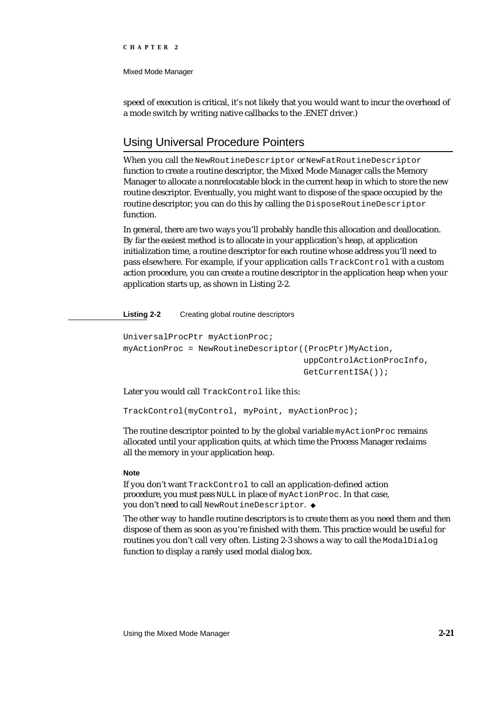#### Mixed Mode Manager

speed of execution is critical, it's not likely that you would want to incur the overhead of a mode switch by writing native callbacks to the .ENET driver.)

### Using Universal Procedure Pointers

When you call the NewRoutineDescriptor or NewFatRoutineDescriptor function to create a routine descriptor, the Mixed Mode Manager calls the Memory Manager to allocate a nonrelocatable block in the current heap in which to store the new routine descriptor. Eventually, you might want to dispose of the space occupied by the routine descriptor; you can do this by calling the DisposeRoutineDescriptor function.

In general, there are two ways you'll probably handle this allocation and deallocation. By far the easiest method is to allocate in your application's heap, at application initialization time, a routine descriptor for each routine whose address you'll need to pass elsewhere. For example, if your application calls TrackControl with a custom action procedure, you can create a routine descriptor in the application heap when your application starts up, as shown in Listing 2-2.

**Listing 2-2** Creating global routine descriptors

```
UniversalProcPtr myActionProc;
myActionProc = NewRoutineDescriptor((ProcPtr)MyAction, 
                                     uppControlActionProcInfo, 
                                     GetCurrentISA());
```
Later you would call TrackControl like this:

TrackControl(myControl, myPoint, myActionProc);

The routine descriptor pointed to by the global variable myActionProc remains allocated until your application quits, at which time the Process Manager reclaims all the memory in your application heap.

#### **Note**

If you don't want TrackControl to call an application-defined action procedure, you must pass NULL in place of myActionProc. In that case, you don't need to call NewRoutineDescriptor.

The other way to handle routine descriptors is to create them as you need them and then dispose of them as soon as you're finished with them. This practice would be useful for routines you don't call very often. Listing 2-3 shows a way to call the ModalDialog function to display a rarely used modal dialog box.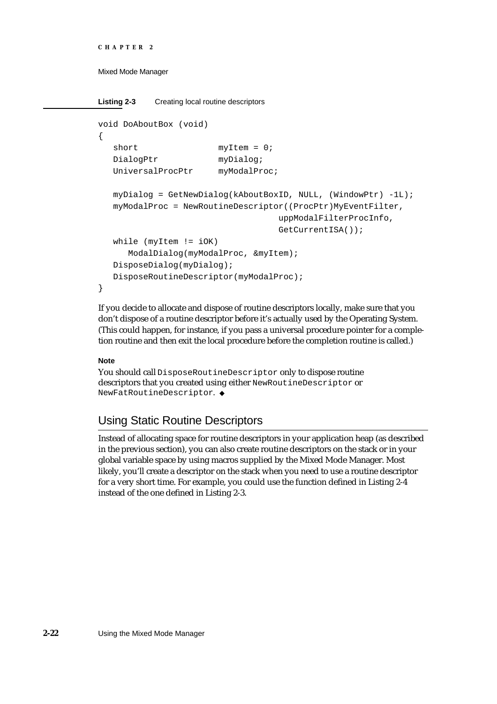```
CHAPTER 2
```

```
Listing 2-3 Creating local routine descriptors
void DoAboutBox (void)
{
  short myItem = 0;
  DialogPtr myDialog;
  UniversalProcPtr myModalProc;
  myDialog = GetNewDialog(kAboutBoxID, NULL, (WindowPtr) -1L);
  myModalProc = NewRoutineDescriptor((ProcPtr)MyEventFilter, 
                                   uppModalFilterProcInfo, 
                                   GetCurrentISA());
  while (myItem != iOK)
     ModalDialog(myModalProc, &myItem);
  DisposeDialog(myDialog);
  DisposeRoutineDescriptor(myModalProc);
}
```
If you decide to allocate and dispose of routine descriptors locally, make sure that you don't dispose of a routine descriptor before it's actually used by the Operating System. (This could happen, for instance, if you pass a universal procedure pointer for a completion routine and then exit the local procedure before the completion routine is called.)

#### **Note**

You should call DisposeRoutineDescriptor only to dispose routine descriptors that you created using either NewRoutineDescriptor or NewFatRoutineDescriptor.

### Using Static Routine Descriptors

Instead of allocating space for routine descriptors in your application heap (as described in the previous section), you can also create routine descriptors on the stack or in your global variable space by using macros supplied by the Mixed Mode Manager. Most likely, you'll create a descriptor on the stack when you need to use a routine descriptor for a very short time. For example, you could use the function defined in Listing 2-4 instead of the one defined in Listing 2-3.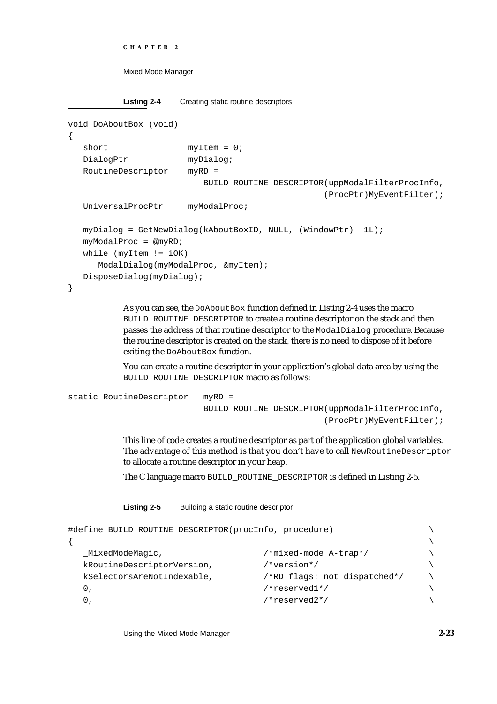```
CHAPTER 2
```

```
Listing 2-4 Creating static routine descriptors
void DoAboutBox (void)
{
  short myItem = 0;
  DialogPtr myDialog;
  RoutineDescriptor myRD = 
                          BUILD_ROUTINE_DESCRIPTOR(uppModalFilterProcInfo,
                                                  (ProcPtr)MyEventFilter);
  UniversalProcPtr myModalProc;
  myDialog = GetNewDialog(kAboutBoxID, NULL, (WindowPtr) -1L);
  myModalProc = @myRD;
  while (myItem != iOK)
     ModalDialog(myModalProc, &myItem);
  DisposeDialog(myDialog);
}
```
As you can see, the DoAboutBox function defined in Listing 2-4 uses the macro BUILD\_ROUTINE\_DESCRIPTOR to create a routine descriptor on the stack and then passes the address of that routine descriptor to the ModalDialog procedure. Because the routine descriptor is created on the stack, there is no need to dispose of it before exiting the DoAboutBox function.

You can create a routine descriptor in your application's global data area by using the BUILD\_ROUTINE\_DESCRIPTOR macro as follows:

```
static RoutineDescriptor myRD = 
                           BUILD_ROUTINE_DESCRIPTOR(uppModalFilterProcInfo,
                                                   (ProcPtr)MyEventFilter);
```
This line of code creates a routine descriptor as part of the application global variables. The advantage of this method is that you don't have to call NewRoutineDescriptor to allocate a routine descriptor in your heap.

The C language macro BUILD\_ROUTINE\_DESCRIPTOR is defined in Listing 2-5.

**Listing 2-5** Building a static routine descriptor

```
#define BUILD_ROUTINE_DESCRIPTOR(procInfo, procedure) \
\{ \{_MixedModeMagic, /*mixed-mode A-trap*/ \
 kRoutineDescriptorVersion, /*version*/ \
 kSelectorsAreNotIndexable, /*RD flags: not dispatched*/ \
 \alpha, \alpha /*reserved1*/
 \alpha, \alpha /*reserved2*/
```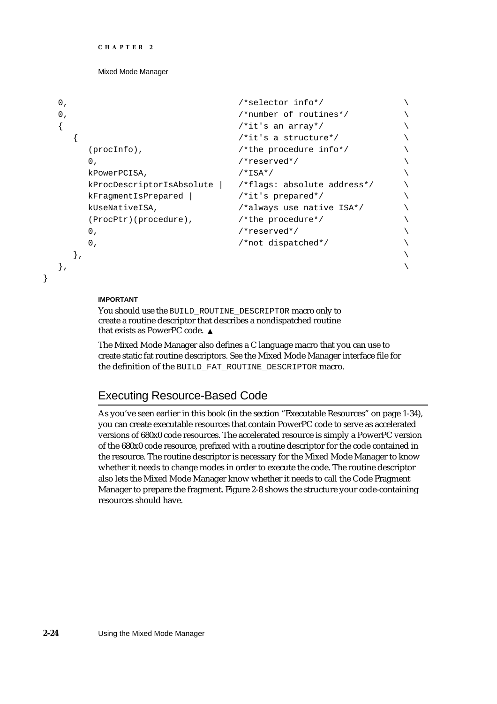```
Mixed Mode Manager
```

```
0, /* selector info*/
0, \sqrt{\frac{1}{2}} and \sqrt{\frac{1}{2}} and \sqrt{\frac{1}{2}} and \sqrt{\frac{1}{2}} and \sqrt{\frac{1}{2}} and \sqrt{\frac{1}{2}} and \sqrt{\frac{1}{2}} and \sqrt{\frac{1}{2}} and \sqrt{\frac{1}{2}} and \sqrt{\frac{1}{2}} and \sqrt{\frac{1}{2}} and \sqrt{\frac{1}{2}} and \sqrt{\frac{1}{2}} and \sqrt{\frac{1}{2}}\{ /*it's an array*/
  \{ /*it's a structure*/
     (procInfo), \overline{\qquad} /*the procedure info*/
     0, {\tt \qquad \qquad } /*reserved*/ {\tt \qquad \qquad }kPowerPCISA, /*ISA*/ \
     kProcDescriptorIsAbsolute | /*flags: absolute address*/ \
     kFragmentIsPrepared | /*it's prepared / ^*kUseNativeISA, \overline{\phantom{a}} /*always use native ISA*/
     (ProcPtr)(procedure), /*the procedure*/ \
     0, {\tt \qquad \qquad } /*reserved*/ {\tt \qquad \qquad }0, /* not{\it{\thinspace\bf d}} /*not dispatched*/
   \}, \qquad \qquad \setminus}, \hspace{1.6cm}
```
#### **IMPORTANT**

}

You should use the BUILD\_ROUTINE\_DESCRIPTOR macro only to create a routine descriptor that describes a nondispatched routine that exists as PowerPC code.

The Mixed Mode Manager also defines a C language macro that you can use to create static fat routine descriptors. See the Mixed Mode Manager interface file for the definition of the BUILD\_FAT\_ROUTINE\_DESCRIPTOR macro.

### Executing Resource-Based Code

As you've seen earlier in this book (in the section "Executable Resources" on page 1-34), you can create executable resources that contain PowerPC code to serve as accelerated versions of 680x0 code resources. The accelerated resource is simply a PowerPC version of the 680x0 code resource, prefixed with a routine descriptor for the code contained in the resource. The routine descriptor is necessary for the Mixed Mode Manager to know whether it needs to change modes in order to execute the code. The routine descriptor also lets the Mixed Mode Manager know whether it needs to call the Code Fragment Manager to prepare the fragment. Figure 2-8 shows the structure your code-containing resources should have.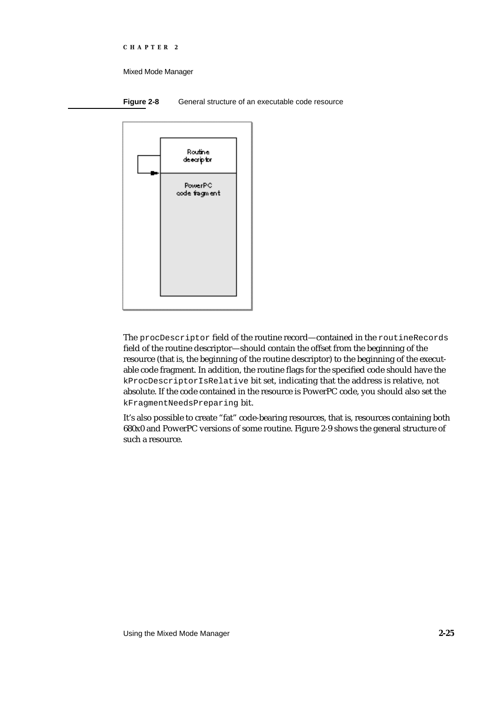**Figure 2-8** General structure of an executable code resource



The procDescriptor field of the routine record—contained in the routineRecords field of the routine descriptor—should contain the offset from the beginning of the resource (that is, the beginning of the routine descriptor) to the beginning of the executable code fragment. In addition, the routine flags for the specified code should have the kProcDescriptorIsRelative bit set, indicating that the address is relative, not absolute. If the code contained in the resource is PowerPC code, you should also set the kFragmentNeedsPreparing bit.

It's also possible to create "fat" code-bearing resources, that is, resources containing both 680x0 and PowerPC versions of some routine. Figure 2-9 shows the general structure of such a resource.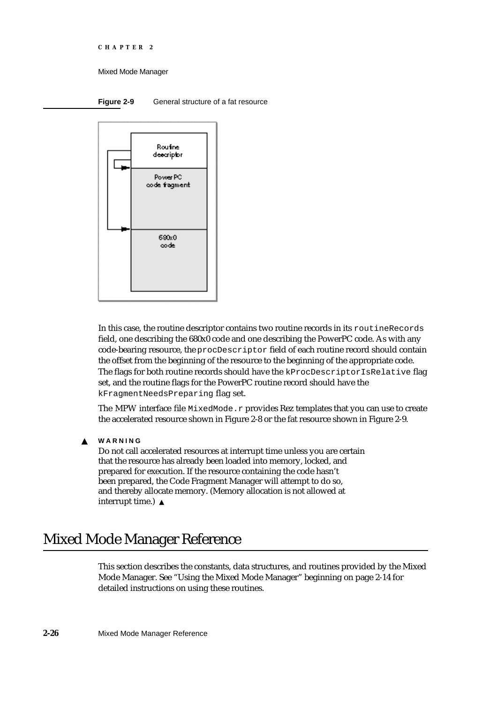```
CHAPTER 2
```
**Figure 2-9** General structure of a fat resource



In this case, the routine descriptor contains two routine records in its routineRecords field, one describing the 680x0 code and one describing the PowerPC code. As with any code-bearing resource, the procDescriptor field of each routine record should contain the offset from the beginning of the resource to the beginning of the appropriate code. The flags for both routine records should have the kProcDescriptorIsRelative flag set, and the routine flags for the PowerPC routine record should have the kFragmentNeedsPreparing flag set.

The MPW interface file  $MixedMode.r$  provides Rez templates that you can use to create the accelerated resource shown in Figure 2-8 or the fat resource shown in Figure 2-9.

**WARNING**  $\mathbf{s}$ 

Do not call accelerated resources at interrupt time unless you are certain that the resource has already been loaded into memory, locked, and prepared for execution. If the resource containing the code hasn't been prepared, the Code Fragment Manager will attempt to do so, and thereby allocate memory. (Memory allocation is not allowed at interrupt time.)

# Mixed Mode Manager Reference

This section describes the constants, data structures, and routines provided by the Mixed Mode Manager. See "Using the Mixed Mode Manager" beginning on page 2-14 for detailed instructions on using these routines.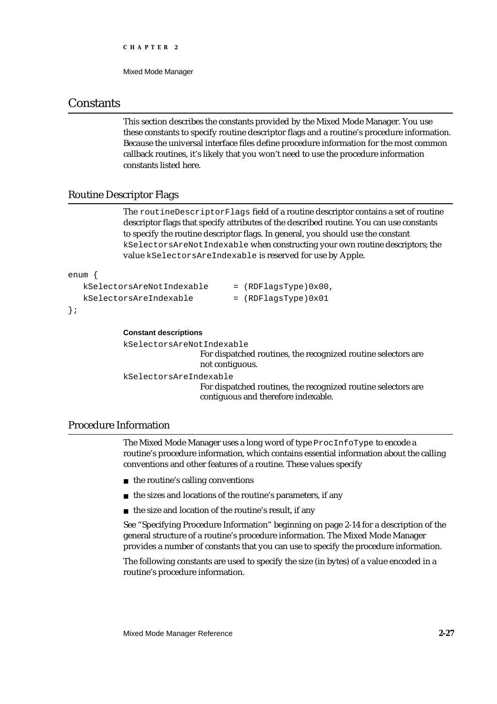```
CHAPTER 2
```
### **Constants**

This section describes the constants provided by the Mixed Mode Manager. You use these constants to specify routine descriptor flags and a routine's procedure information. Because the universal interface files define procedure information for the most common callback routines, it's likely that you won't need to use the procedure information constants listed here.

### Routine Descriptor Flags

The routineDescriptorFlags field of a routine descriptor contains a set of routine descriptor flags that specify attributes of the described routine. You can use constants to specify the routine descriptor flags. In general, you should use the constant kSelectorsAreNotIndexable when constructing your own routine descriptors; the value kSelectorsAreIndexable is reserved for use by Apple.

```
enum {
```

| kSelectorsAreNotIndexable | $=$ (RDFlagsType) $0x00$ , |  |
|---------------------------|----------------------------|--|
| kSelectorsAreIndexable    | $=$ (RDFlagsType) $0x01$   |  |
|                           |                            |  |

```
};
```
#### **Constant descriptions**

kSelectorsAreNotIndexable For dispatched routines, the recognized routine selectors are not contiguous. kSelectorsAreIndexable

> For dispatched routines, the recognized routine selectors are contiguous and therefore indexable.

### Procedure Information

The Mixed Mode Manager uses a long word of type ProcInfoType to encode a routine's procedure information, which contains essential information about the calling conventions and other features of a routine. These values specify

- $n$  the routine's calling conventions
- n the sizes and locations of the routine's parameters, if any
- n the size and location of the routine's result, if any

See "Specifying Procedure Information" beginning on page 2-14 for a description of the general structure of a routine's procedure information. The Mixed Mode Manager provides a number of constants that you can use to specify the procedure information.

The following constants are used to specify the size (in bytes) of a value encoded in a routine's procedure information.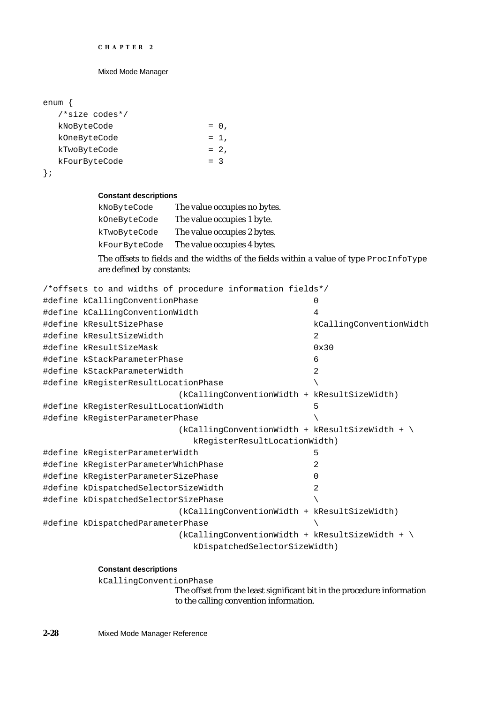#### Mixed Mode Manager

#### enum {

| $/*size codes*/$ |         |
|------------------|---------|
| kNoByteCode      | $= 0.$  |
| kOneByteCode     | $= 1$ . |
| kTwoByteCode     | $= 2.$  |
| kFourByteCode    | $=$ 3   |
|                  |         |

};

#### **Constant descriptions**

| kNoByteCode   | The value occupies no bytes. |
|---------------|------------------------------|
| kOneByteCode  | The value occupies 1 byte.   |
| kTwoByteCode  | The value occupies 2 bytes.  |
| kFourByteCode | The value occupies 4 bytes.  |

The offsets to fields and the widths of the fields within a value of type ProcInfoType are defined by constants:

| /*offsets to and widths of procedure information fields*/ |                         |
|-----------------------------------------------------------|-------------------------|
| #define kCallingConventionPhase                           | $\left( \right)$        |
| #define kCallingConventionWidth                           | 4                       |
| #define kResultSizePhase                                  | kCallingConventionWidth |
| #define kResultSizeWidth                                  | 2                       |
| #define kResultSizeMask                                   | 0x30                    |
| #define kStackParameterPhase                              | 6                       |
| #define kStackParameterWidth                              | 2                       |
| #define kRegisterResultLocationPhase                      |                         |
| (kCallingConventionWidth + kResultSizeWidth)              |                         |
| #define kRegisterResultLocationWidth                      | 5                       |
| #define kRegisterParameterPhase                           |                         |
| $(kCalling ConventionWidth + kResultSizeWidth + \$        |                         |
| kRegisterResultLocationWidth)                             |                         |
| #define kRegisterParameterWidth                           | 5                       |
| #define kRegisterParameterWhichPhase                      | 2                       |
| #define kRegisterParameterSizePhase                       | $\cup$                  |
| #define kDispatchedSelectorSizeWidth                      | 2                       |
| #define kDispatchedSelectorSizePhase                      |                         |
| (kCallingConventionWidth + kResultSizeWidth)              |                         |
| #define kDispatchedParameterPhase                         |                         |
| $(kCalling ConventionWidth + kResultSizeWidth + \$        |                         |
| kDispatchedSelectorSizeWidth)                             |                         |

#### **Constant descriptions**

kCallingConventionPhase

The offset from the least significant bit in the procedure information to the calling convention information.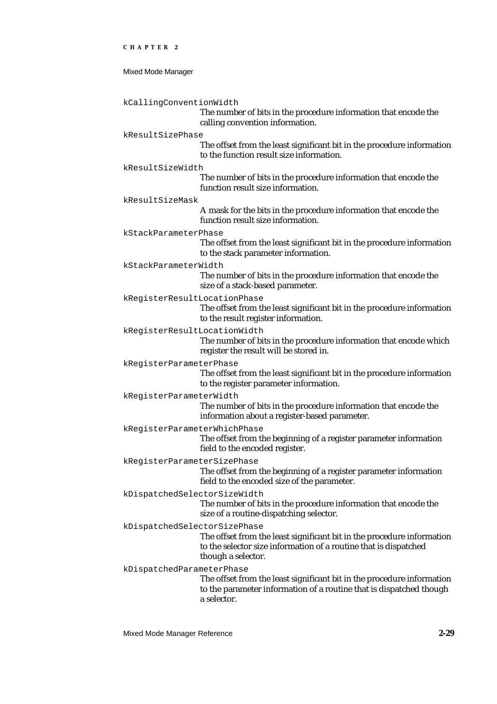Mixed Mode Manager

kCallingConventionWidth The number of bits in the procedure information that encode the calling convention information. kResultSizePhase The offset from the least significant bit in the procedure information to the function result size information. kResultSizeWidth The number of bits in the procedure information that encode the function result size information. kResultSizeMask A mask for the bits in the procedure information that encode the function result size information. kStackParameterPhase The offset from the least significant bit in the procedure information to the stack parameter information. kStackParameterWidth The number of bits in the procedure information that encode the size of a stack-based parameter. kRegisterResultLocationPhase The offset from the least significant bit in the procedure information to the result register information. kRegisterResultLocationWidth The number of bits in the procedure information that encode which register the result will be stored in. kRegisterParameterPhase The offset from the least significant bit in the procedure information to the register parameter information. kRegisterParameterWidth The number of bits in the procedure information that encode the information about a register-based parameter. kRegisterParameterWhichPhase The offset from the beginning of a register parameter information field to the encoded register. kRegisterParameterSizePhase The offset from the beginning of a register parameter information field to the encoded size of the parameter. kDispatchedSelectorSizeWidth The number of bits in the procedure information that encode the size of a routine-dispatching selector. kDispatchedSelectorSizePhase The offset from the least significant bit in the procedure information to the selector size information of a routine that is dispatched though a selector. kDispatchedParameterPhase The offset from the least significant bit in the procedure information to the parameter information of a routine that is dispatched though a selector.

Mixed Mode Manager Reference **2-29**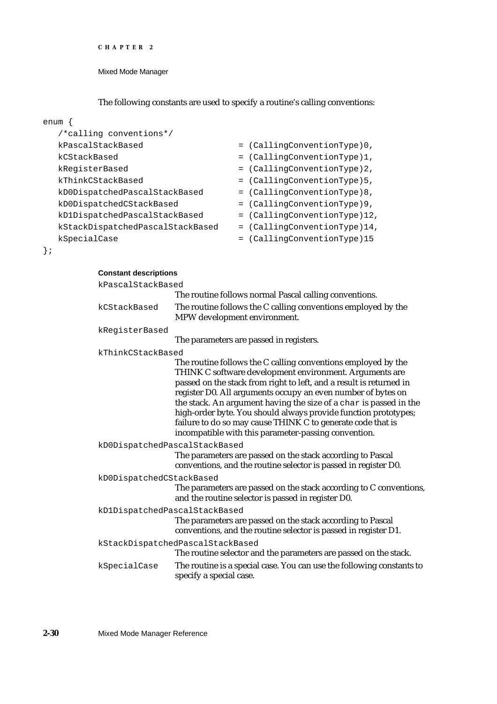```
CHAPTER 2
```
### The following constants are used to specify a routine's calling conventions:

| enum                             |                              |
|----------------------------------|------------------------------|
| /*calling conventions*/          |                              |
| kPascalStackBased                | = (CallingConventionType)0,  |
| kCStackBased                     | = (CallingConventionType)1,  |
| kRegisterBased                   | = (CallingConventionType)2,  |
| kThinkCStackBased                | = (CallingConventionType)5,  |
| kD0DispatchedPascalStackBased    | = (CallingConventionType)8,  |
| kD0DispatchedCStackBased         | = (CallingConventionType)9,  |
| kD1DispatchedPascalStackBased    | = (CallingConventionType)12, |
| kStackDispatchedPascalStackBased | = (CallingConventionType)14, |
| kSpecialCase                     | (CallingConventionType)15    |

};

#### **Constant descriptions**

| kPascalStackBased             |                                                                                                                                                                                                                                                                                                                                                                                                                                                                                                                                |  |  |
|-------------------------------|--------------------------------------------------------------------------------------------------------------------------------------------------------------------------------------------------------------------------------------------------------------------------------------------------------------------------------------------------------------------------------------------------------------------------------------------------------------------------------------------------------------------------------|--|--|
|                               | The routine follows normal Pascal calling conventions.                                                                                                                                                                                                                                                                                                                                                                                                                                                                         |  |  |
| kCStackBased                  | The routine follows the C calling conventions employed by the<br>MPW development environment.                                                                                                                                                                                                                                                                                                                                                                                                                                  |  |  |
| kRegisterBased                |                                                                                                                                                                                                                                                                                                                                                                                                                                                                                                                                |  |  |
|                               | The parameters are passed in registers.                                                                                                                                                                                                                                                                                                                                                                                                                                                                                        |  |  |
| kThinkCStackBased             |                                                                                                                                                                                                                                                                                                                                                                                                                                                                                                                                |  |  |
|                               | The routine follows the C calling conventions employed by the<br>THINK C software development environment. Arguments are<br>passed on the stack from right to left, and a result is returned in<br>register D0. All arguments occupy an even number of bytes on<br>the stack. An argument having the size of a char is passed in the<br>high-order byte. You should always provide function prototypes;<br>failure to do so may cause THINK C to generate code that is<br>incompatible with this parameter-passing convention. |  |  |
| kD0DispatchedPascalStackBased | The parameters are passed on the stack according to Pascal<br>conventions, and the routine selector is passed in register D0.                                                                                                                                                                                                                                                                                                                                                                                                  |  |  |
| kD0DispatchedCStackBased      |                                                                                                                                                                                                                                                                                                                                                                                                                                                                                                                                |  |  |
|                               | The parameters are passed on the stack according to C conventions,<br>and the routine selector is passed in register D0.                                                                                                                                                                                                                                                                                                                                                                                                       |  |  |
| kD1DispatchedPascalStackBased | The parameters are passed on the stack according to Pascal<br>conventions, and the routine selector is passed in register D1.                                                                                                                                                                                                                                                                                                                                                                                                  |  |  |
|                               | kStackDispatchedPascalStackBased<br>The routine selector and the parameters are passed on the stack.                                                                                                                                                                                                                                                                                                                                                                                                                           |  |  |
| kSpecialCase                  | The routine is a special case. You can use the following constants to<br>specify a special case.                                                                                                                                                                                                                                                                                                                                                                                                                               |  |  |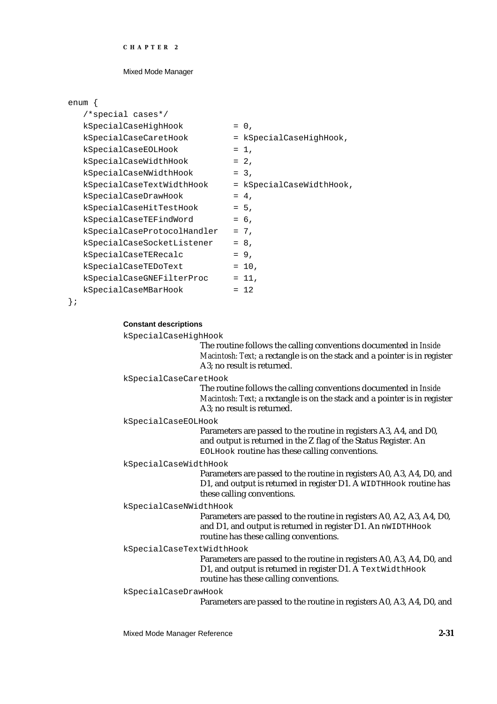```
CHAPTER 2
```
#### enum {

| /*special cases*/           |                          |
|-----------------------------|--------------------------|
| kSpecialCaseHighHook        | $= 0$ ,                  |
| kSpecialCaseCaretHook       | = kSpecialCaseHighHook,  |
| kSpecialCaseEOLHook         | $= 1$ ,                  |
| kSpecialCaseWidthHook       | $= 2,$                   |
| kSpecialCaseNWidthHook      | $= 3.$                   |
| kSpecialCaseTextWidthHook   | = kSpecialCaseWidthHook, |
| kSpecialCaseDrawHook        | $= 4.$                   |
| kSpecialCaseHitTestHook     | $= 5.$                   |
| kSpecialCaseTEFindWord      | $= 6.$                   |
| kSpecialCaseProtocolHandler | $= 7.$                   |
| kSpecialCaseSocketListener  | $= 8.$                   |
| kSpecialCaseTERecalc        | $= 9.$                   |
| kSpecialCaseTEDoText        | $= 10$ ,                 |
| kSpecialCaseGNEFilterProc   | $= 11$ ,                 |
| kSpecialCaseMBarHook        | 12<br>$=$                |
|                             |                          |

};

#### **Constant descriptions**

#### kSpecialCaseHighHook

The routine follows the calling conventions documented in *Inside Macintosh: Text;* a rectangle is on the stack and a pointer is in register A3; no result is returned.

kSpecialCaseCaretHook

The routine follows the calling conventions documented in *Inside Macintosh: Text;* a rectangle is on the stack and a pointer is in register A3; no result is returned.

kSpecialCaseEOLHook

Parameters are passed to the routine in registers A3, A4, and D0, and output is returned in the Z flag of the Status Register. An EOLHook routine has these calling conventions.

kSpecialCaseWidthHook

Parameters are passed to the routine in registers A0, A3, A4, D0, and D1, and output is returned in register D1. A WIDTHHook routine has these calling conventions.

kSpecialCaseNWidthHook

Parameters are passed to the routine in registers A0, A2, A3, A4, D0, and D1, and output is returned in register D1. An nWIDTHHook routine has these calling conventions.

#### kSpecialCaseTextWidthHook

Parameters are passed to the routine in registers A0, A3, A4, D0, and D1, and output is returned in register D1. A TextWidthHook routine has these calling conventions.

kSpecialCaseDrawHook

Parameters are passed to the routine in registers A0, A3, A4, D0, and

Mixed Mode Manager Reference **2-31**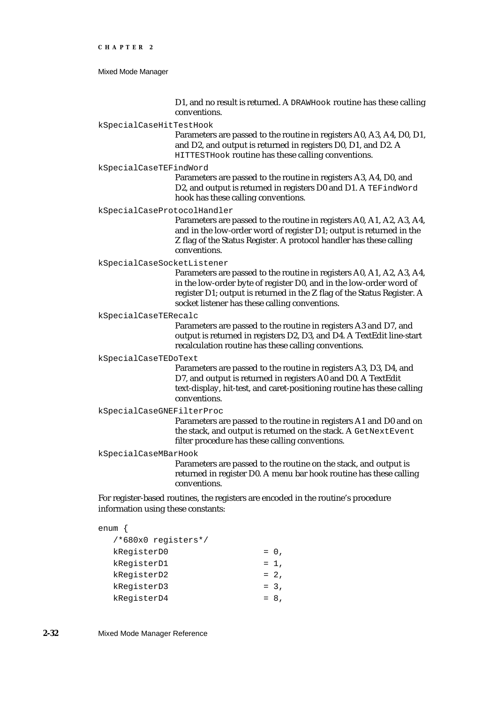D1, and no result is returned. A DRAWHook routine has these calling conventions.

kSpecialCaseHitTestHook

Parameters are passed to the routine in registers A0, A3, A4, D0, D1, and D2, and output is returned in registers D0, D1, and D2. A HITTESTHook routine has these calling conventions.

kSpecialCaseTEFindWord

Parameters are passed to the routine in registers A3, A4, D0, and D2, and output is returned in registers D0 and D1. A TEFindWord hook has these calling conventions.

kSpecialCaseProtocolHandler

Parameters are passed to the routine in registers A0, A1, A2, A3, A4, and in the low-order word of register D1; output is returned in the Z flag of the Status Register. A protocol handler has these calling conventions.

kSpecialCaseSocketListener

Parameters are passed to the routine in registers A0, A1, A2, A3, A4, in the low-order byte of register D0, and in the low-order word of register D1; output is returned in the Z flag of the Status Register. A socket listener has these calling conventions.

kSpecialCaseTERecalc

Parameters are passed to the routine in registers A3 and D7, and output is returned in registers D2, D3, and D4. A TextEdit line-start recalculation routine has these calling conventions.

#### kSpecialCaseTEDoText

Parameters are passed to the routine in registers A3, D3, D4, and D7, and output is returned in registers A0 and D0. A TextEdit text-display, hit-test, and caret-positioning routine has these calling conventions.

kSpecialCaseGNEFilterProc

Parameters are passed to the routine in registers A1 and D0 and on the stack, and output is returned on the stack. A GetNextEvent filter procedure has these calling conventions.

#### kSpecialCaseMBarHook

Parameters are passed to the routine on the stack, and output is returned in register D0. A menu bar hook routine has these calling conventions.

For register-based routines, the registers are encoded in the routine's procedure information using these constants:

#### enum {

| /*680x0 registers*/ |         |
|---------------------|---------|
| kRegisterD0         | $= 0$ , |
| kRegisterD1         | $= 1$ , |
| kRegisterD2         | $= 2.$  |
| kRegisterD3         | $= 3.$  |
| kRegisterD4         | $= 8.$  |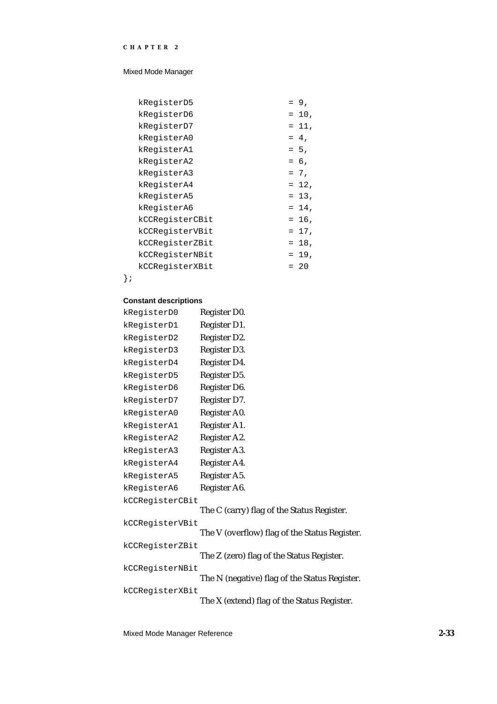#### Mixed Mode Manager

| kRegisterD5     | $= 9.$      |
|-----------------|-------------|
| kRegisterD6     | $= 10$ ,    |
| kRegisterD7     | $= 11$ ,    |
| kRegisterA0     | $= 4.$      |
| kRegisterA1     | $= 5.$      |
| kRegisterA2     | $= 6.$      |
| kRegisterA3     | $= 7.$      |
| kRegisterA4     | $= 12$ ,    |
| kRegisterA5     | $= 13$ ,    |
| kRegisterA6     | $= 14$ ,    |
| kCCRegisterCBit | $= 16$ ,    |
| kCCReqisterVBit | $= 17$ ,    |
| kCCRegisterZBit | $= 18$ ,    |
| kCCRegisterNBit | $= 19$ ,    |
| kCCRegisterXBit | - 20<br>$=$ |
| } ;             |             |

#### **Constant descriptions**

| kRegisterD0     | Register D0. |
|-----------------|--------------|
| kRegisterD1     | Register D1. |
| kRegisterD2     | Register D2. |
| kRegisterD3     | Register D3. |
| kRegisterD4     | Register D4. |
| kRegisterD5     | Register D5. |
| kRegisterD6     | Register D6. |
| kRegisterD7     | Register D7. |
| kRegisterA0     | Register A0. |
| kRegisterA1     | Register A1. |
| kRegisterA2     | Register A2. |
| kRegisterA3     | Register A3. |
| kRegisterA4     | Register A4. |
| kRegisterA5     | Register A5. |
| kRegisterA6     | Register A6. |
| kCCRegisterCBit |              |

The C (carry) flag of the Status Register.

```
kCCRegisterVBit
```
The V (overflow) flag of the Status Register.

kCCRegisterZBit

The Z (zero) flag of the Status Register.

kCCRegisterNBit

The N (negative) flag of the Status Register.

kCCRegisterXBit

The X (extend) flag of the Status Register.

Mixed Mode Manager Reference **2-33**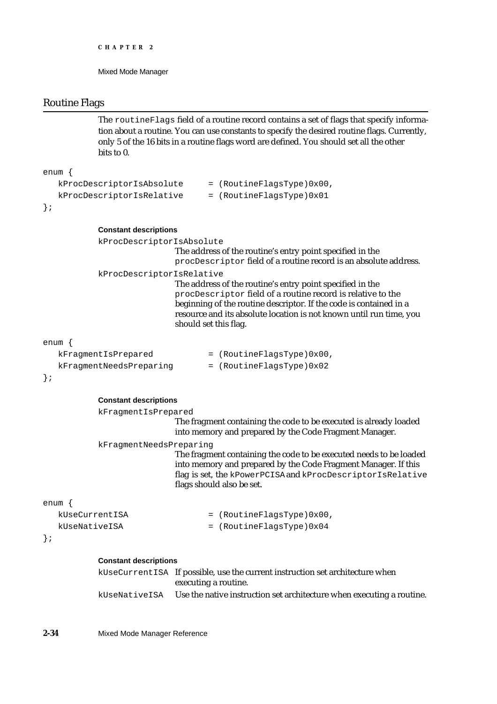```
CHAPTER 2
```
### Routine Flags

The routineFlags field of a routine record contains a set of flags that specify information about a routine. You can use constants to specify the desired routine flags. Currently, only 5 of the 16 bits in a routine flags word are defined. You should set all the other bits to 0.

```
enum {
```

```
kProcoDescriptorIsAbsolute = (RoutineFlagstype)0x00,kProcoDescriptorIsRelative = (RoutineFlagstype)0x01
```
};

#### **Constant descriptions**

```
kProcDescriptorIsAbsolute
```
The address of the routine's entry point specified in the procDescriptor field of a routine record is an absolute address.

kProcDescriptorIsRelative

The address of the routine's entry point specified in the procDescriptor field of a routine record is relative to the beginning of the routine descriptor. If the code is contained in a resource and its absolute location is not known until run time, you should set this flag.

#### enum {

```
kFraqmentIsPrepared = (RoutineFlagsType)0x00,
kFraqmentNeedsPreparing = (RoutineFlagsType)0x02
```

```
};
```
};

```
Constant descriptions
```

```
kFragmentIsPrepared
                             The fragment containing the code to be executed is already loaded 
                             into memory and prepared by the Code Fragment Manager.
            kFragmentNeedsPreparing
                             The fragment containing the code to be executed needs to be loaded 
                             into memory and prepared by the Code Fragment Manager. If this 
                             flag is set, the kPowerPCISA and kProcDescriptorIsRelative
                             flags should also be set.
enum {
  kUseCurrentISA = (RoutineFlagsType)0x00,
  kUsenativeISA = (RoutineFlagsType)0x04
```
#### **Constant descriptions**

| kUseCurrentISA If possible, use the current instruction set architecture when       |  |  |
|-------------------------------------------------------------------------------------|--|--|
| executing a routine.                                                                |  |  |
| kUseNativeISA Use the native instruction set architecture when executing a routine. |  |  |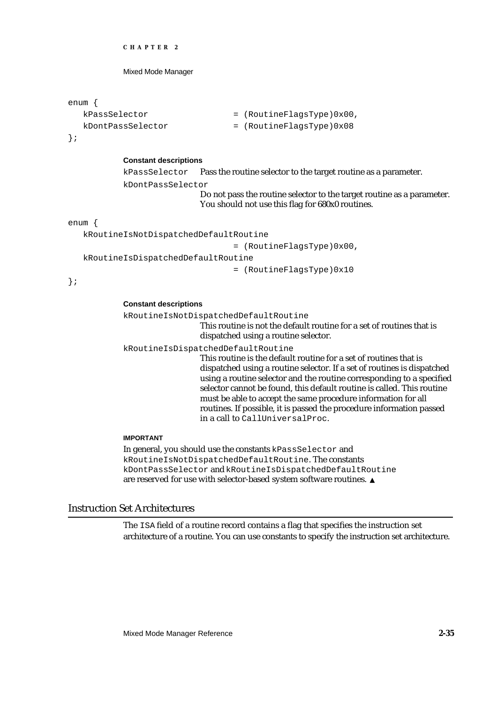Mixed Mode Manager

enum {

```
kPassSelector = (RoutineFlagsType)0x00,
  kDontPassSelector = (RoutineFlagsType)0x08
};
```
#### **Constant descriptions**

kPassSelector Pass the routine selector to the target routine as a parameter. kDontPassSelector Do not pass the routine selector to the target routine as a parameter. You should not use this flag for 680x0 routines.

```
enum {
```
kRoutineIsNotDispatchedDefaultRoutine

= (RoutineFlagsType)0x00,

kRoutineIsDispatchedDefaultRoutine

= (RoutineFlagsType)0x10

};

#### **Constant descriptions**

kRoutineIsNotDispatchedDefaultRoutine

This routine is not the default routine for a set of routines that is dispatched using a routine selector.

kRoutineIsDispatchedDefaultRoutine

This routine is the default routine for a set of routines that is dispatched using a routine selector. If a set of routines is dispatched using a routine selector and the routine corresponding to a specified selector cannot be found, this default routine is called. This routine must be able to accept the same procedure information for all routines. If possible, it is passed the procedure information passed in a call to CallUniversalProc.

#### **IMPORTANT**

In general, you should use the constants kPassSelector and kRoutineIsNotDispatchedDefaultRoutine. The constants kDontPassSelector and kRoutineIsDispatchedDefaultRoutine are reserved for use with selector-based system software routines.

### Instruction Set Architectures

The ISA field of a routine record contains a flag that specifies the instruction set architecture of a routine. You can use constants to specify the instruction set architecture.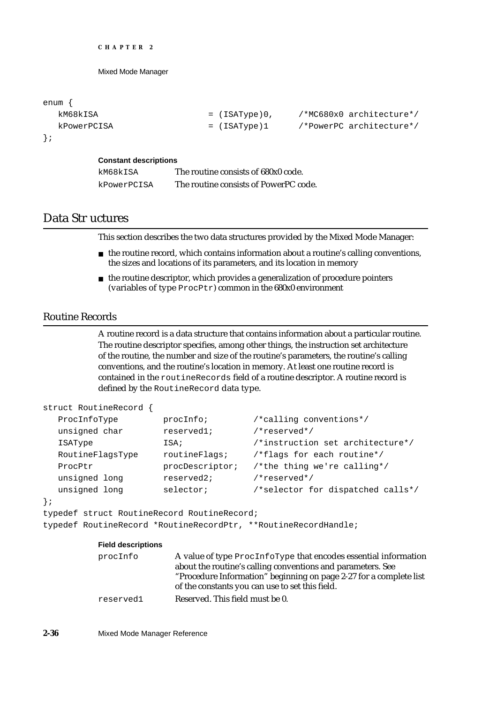```
enum {
 kM68kISA = (ISAType)0, /*MC680x0 architecture*/
 kPowerPCISA = (ISAType)1 /*PowerPC architecture*/
};
```
#### **Constant descriptions**

| kM68kISA    | The routine consists of 680x0 code.   |
|-------------|---------------------------------------|
| kPowerPCISA | The routine consists of PowerPC code. |

### Data Str uctures

This section describes the two data structures provided by the Mixed Mode Manager:

- $n_{\text{th}}$  the routine record, which contains information about a routine's calling conventions, the sizes and locations of its parameters, and its location in memory
- $n$  the routine descriptor, which provides a generalization of procedure pointers (variables of type ProcPtr) common in the 680x0 environment

#### Routine Records

A routine record is a data structure that contains information about a particular routine. The routine descriptor specifies, among other things, the instruction set architecture of the routine, the number and size of the routine's parameters, the routine's calling conventions, and the routine's location in memory. At least one routine record is contained in the routineRecords field of a routine descriptor. A routine record is defined by the RoutineRecord data type.

```
struct RoutineRecord {
  ProcInfoType procInfo; /*calling conventions*/
  unsigned char reserved1; /*reserved*/
  ISAType ISA; /*instruction set architecture*/
  RoutineFlagsType routineFlags; /*flags for each routine*/
  ProcPtr procDescriptor; /*the thing we're calling*/
  unsigned long reserved2; /*reserved*/
  unsigned long selector; \qquad /*selector for dispatched calls*/
};
typedef struct RoutineRecord RoutineRecord;
```

```
typedef RoutineRecord *RoutineRecordPtr, **RoutineRecordHandle;
```

|  |  | <b>Field descriptions</b> |
|--|--|---------------------------|
|--|--|---------------------------|

| procInfo  | A value of type ProcInfoType that encodes essential information    |
|-----------|--------------------------------------------------------------------|
|           | about the routine's calling conventions and parameters. See        |
|           | "Procedure Information" beginning on page 2-27 for a complete list |
|           | of the constants you can use to set this field.                    |
| reserved1 | Reserved. This field must be 0.                                    |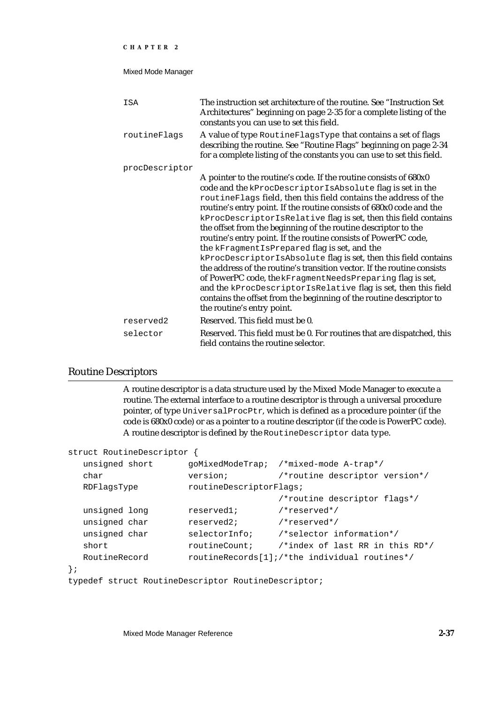Mixed Mode Manager

| ISA            | The instruction set architecture of the routine. See "Instruction Set"<br>Architectures" beginning on page 2-35 for a complete listing of the<br>constants you can use to set this field.                                                                                                                                                                                                                                                                                                                                                                                                                                                                                                                                                                                                                                                                                                                           |  |  |  |
|----------------|---------------------------------------------------------------------------------------------------------------------------------------------------------------------------------------------------------------------------------------------------------------------------------------------------------------------------------------------------------------------------------------------------------------------------------------------------------------------------------------------------------------------------------------------------------------------------------------------------------------------------------------------------------------------------------------------------------------------------------------------------------------------------------------------------------------------------------------------------------------------------------------------------------------------|--|--|--|
| routineFlags   | A value of type RoutineFlagsType that contains a set of flags<br>describing the routine. See "Routine Flags" beginning on page 2-34<br>for a complete listing of the constants you can use to set this field.                                                                                                                                                                                                                                                                                                                                                                                                                                                                                                                                                                                                                                                                                                       |  |  |  |
| procDescriptor |                                                                                                                                                                                                                                                                                                                                                                                                                                                                                                                                                                                                                                                                                                                                                                                                                                                                                                                     |  |  |  |
|                | A pointer to the routine's code. If the routine consists of 680x0<br>code and the kProcDescriptorIsAbsolute flag is set in the<br>routineFlags field, then this field contains the address of the<br>routine's entry point. If the routine consists of 680x0 code and the<br>kProcDescriptorIsRelative flag is set, then this field contains<br>the offset from the beginning of the routine descriptor to the<br>routine's entry point. If the routine consists of PowerPC code,<br>the kFragmentIsPrepared flag is set, and the<br>kProcDescriptorIsAbsolute flag is set, then this field contains<br>the address of the routine's transition vector. If the routine consists<br>of PowerPC code, the kFragmentNeedsPreparing flag is set,<br>and the kProcDescriptorIsRelative flag is set, then this field<br>contains the offset from the beginning of the routine descriptor to<br>the routine's entry point. |  |  |  |
| reserved2      | Reserved. This field must be 0.                                                                                                                                                                                                                                                                                                                                                                                                                                                                                                                                                                                                                                                                                                                                                                                                                                                                                     |  |  |  |
| selector       | Reserved. This field must be 0. For routines that are dispatched, this<br>field contains the routine selector.                                                                                                                                                                                                                                                                                                                                                                                                                                                                                                                                                                                                                                                                                                                                                                                                      |  |  |  |

#### Routine Descriptors

A routine descriptor is a data structure used by the Mixed Mode Manager to execute a routine. The external interface to a routine descriptor is through a universal procedure pointer, of type UniversalProcPtr, which is defined as a procedure pointer (if the code is 680x0 code) or as a pointer to a routine descriptor (if the code is PowerPC code). A routine descriptor is defined by the RoutineDescriptor data type.

```
struct RoutineDescriptor {
```

```
unsigned short goMixedModeTrap; /*mixed-mode A-trap*/
  char version; /*routine descriptor version*/
  RDFlagsType routineDescriptorFlags;
                                 /*routine descriptor flags*/
  unsigned long reserved1; /*reserved*/
  unsigned char reserved2; /*reserved*/
  unsigned char selectorInfo; /*selector information*/
  short routineCount; /*index of last RR in this RD*/
  RoutineRecord routineRecords[1];/*the individual routines*/
};
```

```
typedef struct RoutineDescriptor RoutineDescriptor;
```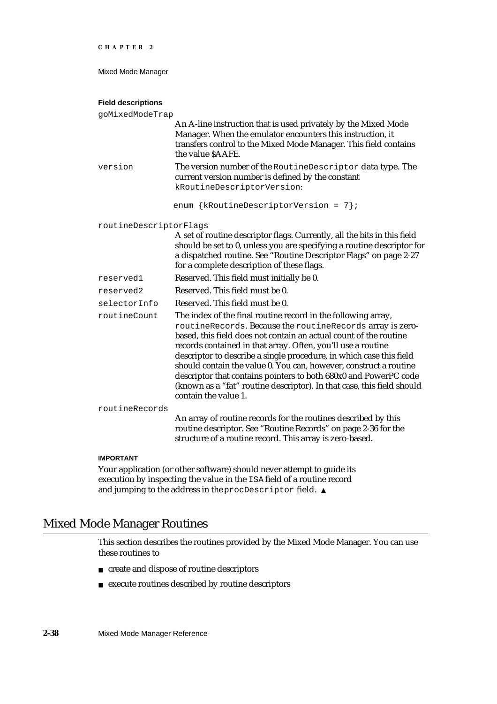```
CHAPTER 2
```
#### **Field descriptions**

| goMixedModeTrap        |                                                                                                                                                                                                                                                                                                                                                                                                                                                                                                                                                                                   |
|------------------------|-----------------------------------------------------------------------------------------------------------------------------------------------------------------------------------------------------------------------------------------------------------------------------------------------------------------------------------------------------------------------------------------------------------------------------------------------------------------------------------------------------------------------------------------------------------------------------------|
|                        | An A-line instruction that is used privately by the Mixed Mode<br>Manager. When the emulator encounters this instruction, it<br>transfers control to the Mixed Mode Manager. This field contains<br>the value \$AAFE.                                                                                                                                                                                                                                                                                                                                                             |
| version                | The version number of the RoutineDescriptor data type. The<br>current version number is defined by the constant<br>kRoutineDescriptorVersion:                                                                                                                                                                                                                                                                                                                                                                                                                                     |
|                        | enum {kRoutineDescriptorVersion = $7$ };                                                                                                                                                                                                                                                                                                                                                                                                                                                                                                                                          |
| routineDescriptorFlags |                                                                                                                                                                                                                                                                                                                                                                                                                                                                                                                                                                                   |
|                        | A set of routine descriptor flags. Currently, all the bits in this field<br>should be set to 0, unless you are specifying a routine descriptor for<br>a dispatched routine. See "Routine Descriptor Flags" on page 2-27<br>for a complete description of these flags.                                                                                                                                                                                                                                                                                                             |
| reserved1              | Reserved. This field must initially be 0.                                                                                                                                                                                                                                                                                                                                                                                                                                                                                                                                         |
| reserved2              | Reserved. This field must be 0.                                                                                                                                                                                                                                                                                                                                                                                                                                                                                                                                                   |
| selectorInfo           | Reserved. This field must be 0.                                                                                                                                                                                                                                                                                                                                                                                                                                                                                                                                                   |
| routineCount           | The index of the final routine record in the following array,<br>routineRecords. Because the routineRecords array is zero-<br>based, this field does not contain an actual count of the routine<br>records contained in that array. Often, you'll use a routine<br>descriptor to describe a single procedure, in which case this field<br>should contain the value 0. You can, however, construct a routine<br>descriptor that contains pointers to both 680x0 and PowerPC code<br>(known as a "fat" routine descriptor). In that case, this field should<br>contain the value 1. |
| routineRecords         |                                                                                                                                                                                                                                                                                                                                                                                                                                                                                                                                                                                   |
|                        | An array of routine records for the routines described by this<br>routine descriptor. See "Routine Records" on page 2-36 for the<br>structure of a routine record. This array is zero-based.                                                                                                                                                                                                                                                                                                                                                                                      |

#### **IMPORTANT**

Your application (or other software) should never attempt to guide its execution by inspecting the value in the ISA field of a routine record and jumping to the address in the procDescriptor field. s

# Mixed Mode Manager Routines

This section describes the routines provided by the Mixed Mode Manager. You can use these routines to

- create and dispose of routine descriptors
- execute routines described by routine descriptors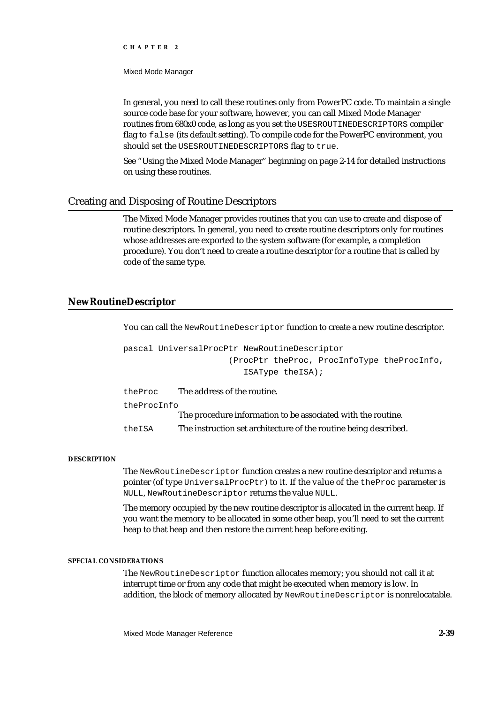#### Mixed Mode Manager

In general, you need to call these routines only from PowerPC code. To maintain a single source code base for your software, however, you can call Mixed Mode Manager routines from 680x0 code, as long as you set the USESROUTINEDESCRIPTORS compiler flag to false (its default setting). To compile code for the PowerPC environment, you should set the USESROUTINEDESCRIPTORS flag to true.

See "Using the Mixed Mode Manager" beginning on page 2-14 for detailed instructions on using these routines.

### Creating and Disposing of Routine Descriptors

The Mixed Mode Manager provides routines that you can use to create and dispose of routine descriptors. In general, you need to create routine descriptors only for routines whose addresses are exported to the system software (for example, a completion procedure). You don't need to create a routine descriptor for a routine that is called by code of the same type.

#### **NewRoutineDescriptor**

You can call the NewRoutineDescriptor function to create a new routine descriptor.

pascal UniversalProcPtr NewRoutineDescriptor (ProcPtr theProc, ProcInfoType theProcInfo, ISAType theISA);

| theProc     | The address of the routine.                                      |
|-------------|------------------------------------------------------------------|
| theProcInfo |                                                                  |
|             | The procedure information to be associated with the routine.     |
| theISA      | The instruction set architecture of the routine being described. |

#### **DESCRIPTION**

The NewRoutineDescriptor function creates a new routine descriptor and returns a pointer (of type UniversalProcPtr) to it. If the value of the theProc parameter is NULL, NewRoutineDescriptor returns the value NULL.

The memory occupied by the new routine descriptor is allocated in the current heap. If you want the memory to be allocated in some other heap, you'll need to set the current heap to that heap and then restore the current heap before exiting.

#### **SPECIAL CONSIDERATIONS**

The NewRoutineDescriptor function allocates memory; you should not call it at interrupt time or from any code that might be executed when memory is low. In addition, the block of memory allocated by NewRoutineDescriptor is nonrelocatable.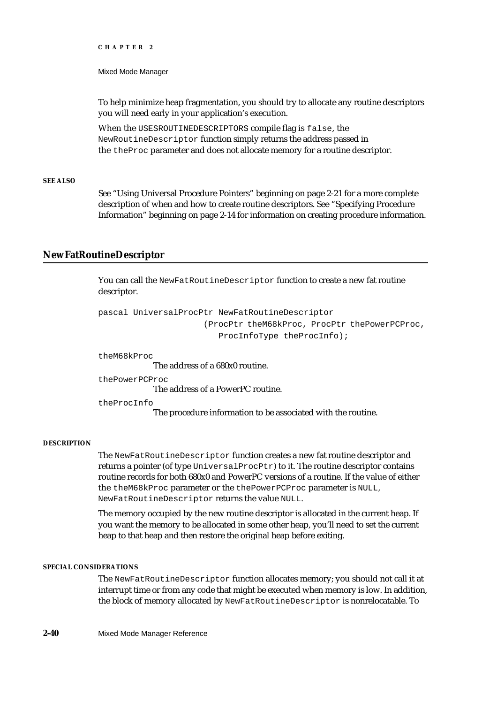#### Mixed Mode Manager

To help minimize heap fragmentation, you should try to allocate any routine descriptors you will need early in your application's execution.

When the USESROUTINEDESCRIPTORS compile flag is false, the NewRoutineDescriptor function simply returns the address passed in the theProc parameter and does not allocate memory for a routine descriptor.

#### **SEE ALSO**

See "Using Universal Procedure Pointers" beginning on page 2-21 for a more complete description of when and how to create routine descriptors. See "Specifying Procedure Information" beginning on page 2-14 for information on creating procedure information.

#### **NewFatRoutineDescriptor**

You can call the NewFatRoutineDescriptor function to create a new fat routine descriptor.

```
pascal UniversalProcPtr NewFatRoutineDescriptor 
                     (ProcPtr theM68kProc, ProcPtr thePowerPCProc, 
                         ProcInfoType theProcInfo);
```
theM68kProc

thePowerPCProc

The address of a 680x0 routine.

The address of a PowerPC routine.

theProcInfo

The procedure information to be associated with the routine.

#### **DESCRIPTION**

The NewFatRoutineDescriptor function creates a new fat routine descriptor and returns a pointer (of type  $UniversalProcPet)$  to it. The routine descriptor contains routine records for both 680x0 and PowerPC versions of a routine. If the value of either the theM68kProc parameter or the thePowerPCProc parameter is NULL, NewFatRoutineDescriptor returns the value NULL.

The memory occupied by the new routine descriptor is allocated in the current heap. If you want the memory to be allocated in some other heap, you'll need to set the current heap to that heap and then restore the original heap before exiting.

#### **SPECIAL CONSIDERATIONS**

The NewFatRoutineDescriptor function allocates memory; you should not call it at interrupt time or from any code that might be executed when memory is low. In addition, the block of memory allocated by NewFatRoutineDescriptor is nonrelocatable. To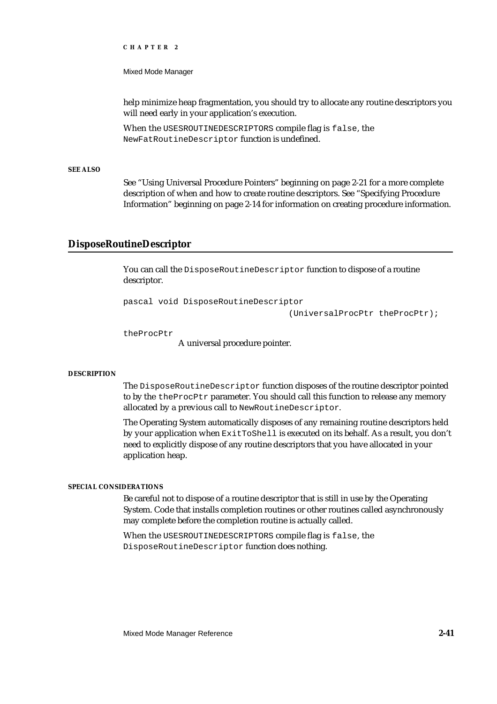Mixed Mode Manager

help minimize heap fragmentation, you should try to allocate any routine descriptors you will need early in your application's execution.

When the USESROUTINEDESCRIPTORS compile flag is false, the NewFatRoutineDescriptor function is undefined.

#### **SEE ALSO**

See "Using Universal Procedure Pointers" beginning on page 2-21 for a more complete description of when and how to create routine descriptors. See "Specifying Procedure Information" beginning on page 2-14 for information on creating procedure information.

#### **DisposeRoutineDescriptor**

You can call the DisposeRoutineDescriptor function to dispose of a routine descriptor.

pascal void DisposeRoutineDescriptor

(UniversalProcPtr theProcPtr);

theProcPtr

A universal procedure pointer.

#### **DESCRIPTION**

The DisposeRoutineDescriptor function disposes of the routine descriptor pointed to by the theProcPtr parameter. You should call this function to release any memory allocated by a previous call to NewRoutineDescriptor.

The Operating System automatically disposes of any remaining routine descriptors held by your application when ExitToShell is executed on its behalf. As a result, you don't need to explicitly dispose of any routine descriptors that you have allocated in your application heap.

#### **SPECIAL CONSIDERATIONS**

Be careful not to dispose of a routine descriptor that is still in use by the Operating System. Code that installs completion routines or other routines called asynchronously may complete before the completion routine is actually called.

When the USESROUTINEDESCRIPTORS compile flag is false, the DisposeRoutineDescriptor function does nothing.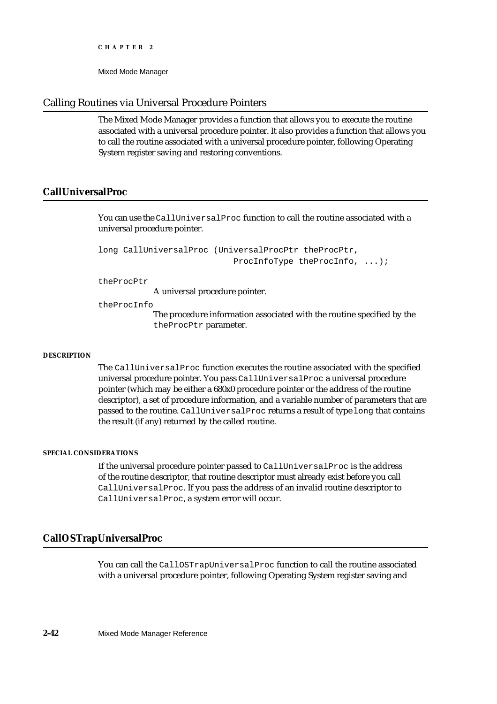```
CHAPTER 2
```
### Calling Routines via Universal Procedure Pointers

The Mixed Mode Manager provides a function that allows you to execute the routine associated with a universal procedure pointer. It also provides a function that allows you to call the routine associated with a universal procedure pointer, following Operating System register saving and restoring conventions.

### **CallUniversalProc**

You can use the CallUniversalProc function to call the routine associated with a universal procedure pointer.

```
long CallUniversalProc (UniversalProcPtr theProcPtr, 
                           ProcInfoType theProcInfo, ...);
```
theProcPtr

A universal procedure pointer.

theProcInfo

The procedure information associated with the routine specified by the theProcPtr parameter.

#### **DESCRIPTION**

The CallUniversalProc function executes the routine associated with the specified universal procedure pointer. You pass CallUniversalProc a universal procedure pointer (which may be either a 680x0 procedure pointer or the address of the routine descriptor), a set of procedure information, and a variable number of parameters that are passed to the routine. CallUniversalProc returns a result of type long that contains the result (if any) returned by the called routine.

#### **SPECIAL CONSIDERATIONS**

If the universal procedure pointer passed to CallUniversalProc is the address of the routine descriptor, that routine descriptor must already exist before you call CallUniversalProc. If you pass the address of an invalid routine descriptor to CallUniversalProc, a system error will occur.

### **CallOSTrapUniversalProc**

You can call the CallOSTrapUniversalProc function to call the routine associated with a universal procedure pointer, following Operating System register saving and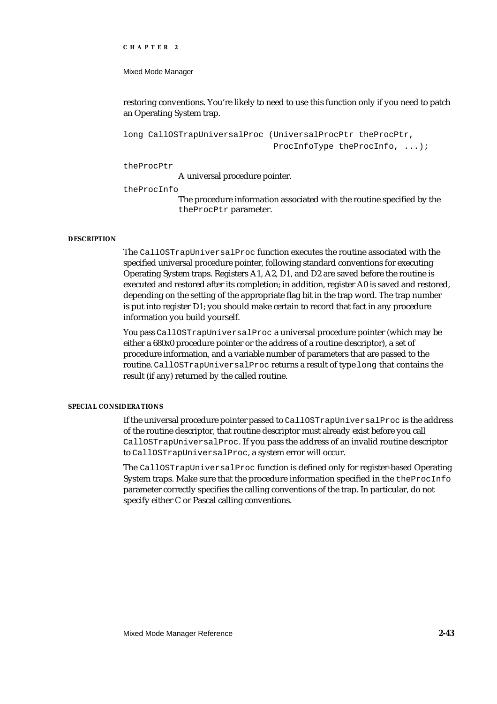#### Mixed Mode Manager

restoring conventions. You're likely to need to use this function only if you need to patch an Operating System trap.

```
long CallOSTrapUniversalProc (UniversalProcPtr theProcPtr, 
                              ProcInfoType theProcInfo, ...);
```
theProcPtr

A universal procedure pointer.

theProcInfo

The procedure information associated with the routine specified by the theProcPtr parameter.

#### **DESCRIPTION**

The CallOSTrapUniversalProc function executes the routine associated with the specified universal procedure pointer, following standard conventions for executing Operating System traps. Registers A1, A2, D1, and D2 are saved before the routine is executed and restored after its completion; in addition, register A0 is saved and restored, depending on the setting of the appropriate flag bit in the trap word. The trap number is put into register D1; you should make certain to record that fact in any procedure information you build yourself.

You pass CallOSTrapUniversalProc a universal procedure pointer (which may be either a 680x0 procedure pointer or the address of a routine descriptor), a set of procedure information, and a variable number of parameters that are passed to the routine. CallOSTrapUniversalProc returns a result of type long that contains the result (if any) returned by the called routine.

#### **SPECIAL CONSIDERATIONS**

If the universal procedure pointer passed to CallOSTrapUniversalProc is the address of the routine descriptor, that routine descriptor must already exist before you call CallOSTrapUniversalProc. If you pass the address of an invalid routine descriptor to CallOSTrapUniversalProc, a system error will occur.

The CallOSTrapUniversalProc function is defined only for register-based Operating System traps. Make sure that the procedure information specified in the theProcInfo parameter correctly specifies the calling conventions of the trap. In particular, do not specify either C or Pascal calling conventions.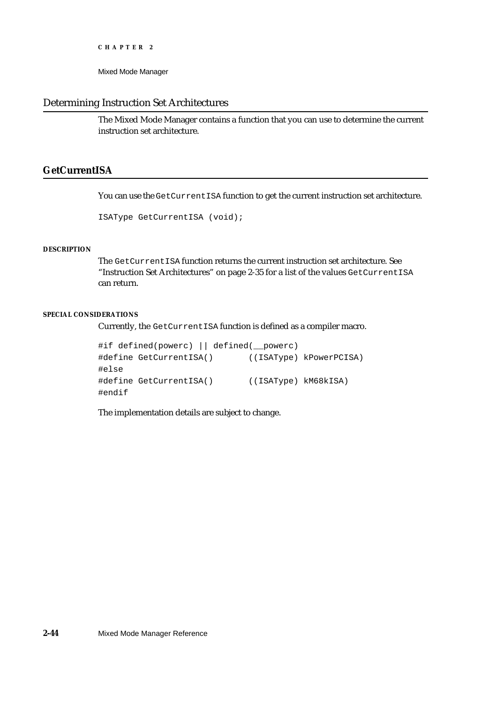```
CHAPTER 2
```
### Determining Instruction Set Architectures

The Mixed Mode Manager contains a function that you can use to determine the current instruction set architecture.

### **GetCurrentISA**

You can use the GetCurrentISA function to get the current instruction set architecture.

```
ISAType GetCurrentISA (void);
```
#### **DESCRIPTION**

The GetCurrentISA function returns the current instruction set architecture. See "Instruction Set Architectures" on page 2-35 for a list of the values GetCurrentISA can return.

#### **SPECIAL CONSIDERATIONS**

Currently, the GetCurrentISA function is defined as a compiler macro.

```
#if defined(powerc) || defined(__powerc)
#define GetCurrentISA() ((ISAType) kPowerPCISA)
#else
#define GetCurrentISA() ((ISAType) kM68kISA)
#endif
```
The implementation details are subject to change.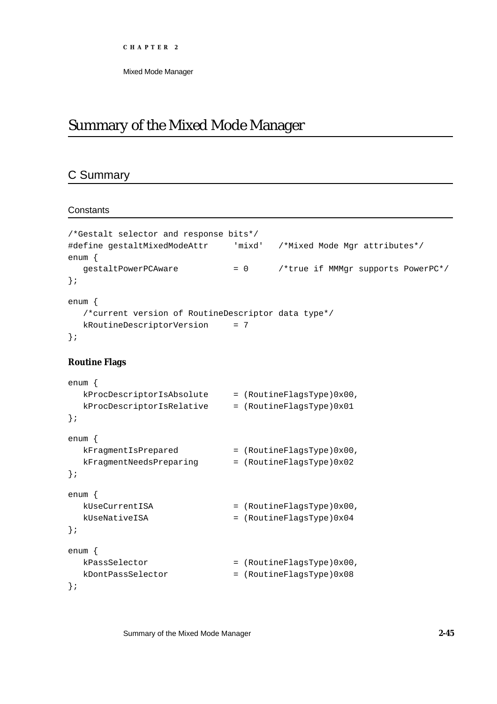```
CHAPTER 2
```
# Summary of the Mixed Mode Manager

### C Summary

### **Constants**

```
/*Gestalt selector and response bits*/
#define gestaltMixedModeAttr 'mixd' /*Mixed Mode Mgr attributes*/
enum {
  gestaltPowerPCAware = 0 /*true if MMMgr supports PowerPC*/
};
enum {
  /*current version of RoutineDescriptor data type*/
  kRoutineDescriptorVersion = 7
};
```
### **Routine Flags**

```
enum {
  kProcoDescriptorIsAbsolute = (RoutineFlagstype)0x00,kProcoDescriptorIsRelative = (RoutineFlagstype)0x01};
enum {
  kFragmentIsPrepared = (RoutineFlagstype)0x00,kFraqmentNeedsPreparing = (RoutineFlagSType)0x02};
enum {
  kUseCurrentISA = (RoutineFlagsType)0x00,
  kUsenativeISA = (RoutineFlagsType)0x04
};
enum {
  kPassSelector = (RoutineFlagsType)0x00,
  kDontPassSelector = (RoutineFlagsType)0x08
};
```
Summary of the Mixed Mode Manager **2-45**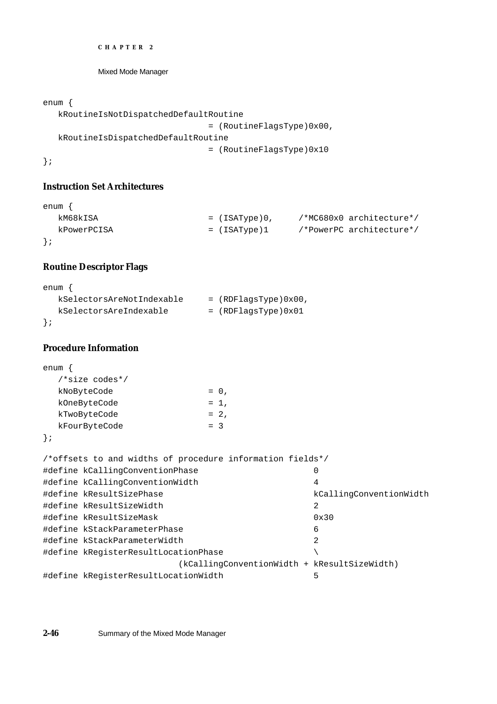```
CHAPTER 2
```
enum {

```
kRoutineIsNotDispatchedDefaultRoutine
                              = (RoutineFlagsType)0x00,
kRoutineIsDispatchedDefaultRoutine
                              = (RoutineFlagsType)0x10
```
};

### **Instruction Set Architectures**

enum { kM68kISA = (ISAType)0, /\*MC680x0 architecture\*/ kPowerPCISA = (ISAType)1 /\*PowerPC architecture\*/ };

### **Routine Descriptor Flags**

| $enum \{$                 |                            |
|---------------------------|----------------------------|
| kSelectorsAreNotIndexable | $=$ (RDFlagsType) $0x00$ , |
| kSelectorsAreIndexable    | $=$ (RDFlagsType) $0x01$   |
| $\}$ ;                    |                            |

### **Procedure Information**

| enum {                       |                                                           |  |                                              |      |
|------------------------------|-----------------------------------------------------------|--|----------------------------------------------|------|
|                              | $/*size codes*/$                                          |  |                                              |      |
|                              | kNoByteCode                                               |  | $= 0,$                                       |      |
|                              | kOneByteCode                                              |  | $= 1,$                                       |      |
|                              | kTwoByteCode                                              |  | $= 2.$                                       |      |
|                              | kFourByteCode                                             |  | $= 3$                                        |      |
| $\}$ ;                       |                                                           |  |                                              |      |
|                              |                                                           |  |                                              |      |
|                              | /*offsets to and widths of procedure information fields*/ |  |                                              |      |
|                              | #define kCallingConventionPhase                           |  |                                              | 0    |
|                              | #define kCallingConventionWidth                           |  |                                              | 4    |
| #define kResultSizePhase     |                                                           |  | kCallingConventionWidth                      |      |
|                              | #define kResultSizeWidth                                  |  |                                              | 2    |
|                              | #define kResultSizeMask                                   |  |                                              | 0x30 |
| #define kStackParameterPhase |                                                           |  | 6                                            |      |
| #define kStackParameterWidth |                                                           |  | 2                                            |      |
|                              | #define kRegisterResultLocationPhase                      |  |                                              |      |
|                              |                                                           |  | (kCallingConventionWidth + kResultSizeWidth) |      |
|                              | #define kRegisterResultLocationWidth                      |  |                                              | 5    |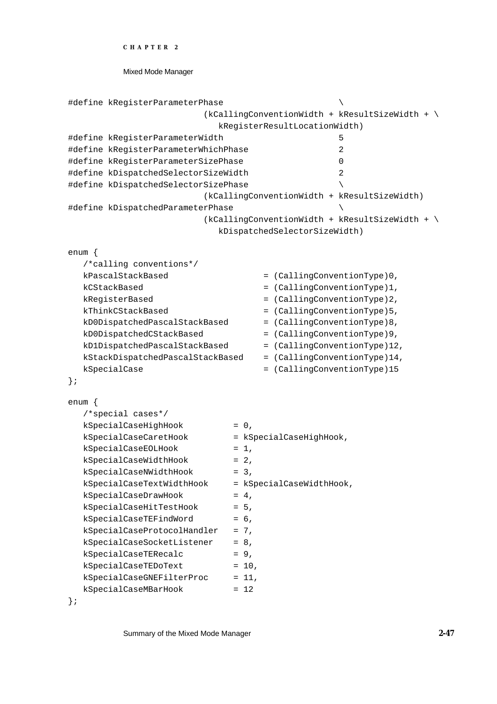#### Mixed Mode Manager

```
#define kRegisterParameterPhase \
                     (kCalling ConventionWidth + kResultSizeWidth + \kRegisterResultLocationWidth)
#define kRegisterParameterWidth 5
#define kRegisterParameterWhichPhase 2
#define kRegisterParameterSizePhase 0
#define kDispatchedSelectorSizeWidth 2
#define kDispatchedSelectorSizePhase \
                     (kCallingConventionWidth + kResultSizeWidth)
#define kDispatchedParameterPhase \
                     (kCallingConventionWidth + kResultSizeWidth + \kDispatchedSelectorSizeWidth)
enum {
  /*calling conventions*/
  kPascalStackBased = (CallingConventionType)0,
  kCStackBased = (CallingConventionType)1,
  kRegisterBased = (CallingConventionType)2,
  kThinkCStackBased = (CallingConventionType)5,
  kD0DispatchedPascalStackBased = (CallingConventionType)8,
  kD0DispatchedCStackBased = (CallingConventionType)9,
  kD1DispatchedPascalStackBased = (CallingConventionType)12,
  kStackDispatchedPascalStackBased = (CallingConventionType)14,
  kSpecialCase = (CallingConventionType)15
};
enum {
  /*special cases*/
  kSpecialCaseHighHook = 0,
  kSpecialCaseCaretHook = kSpecialCaseHighHook,
  kSpecialCaseEOLHook = 1,
  kSpecialCaseWidthBook = 2,kSpecialCaseNWidthBook = 3,kSpecialCaseTextWidthHook = kSpecialCaseWidthHook,
  kSpecialCaseDrawHook = 4,kSpecialCaseHitTestHook = 5,
  kSpecialCaseTEFindWord = 6,
  kSpecialCaseProtocolHandler = 7,
  kSpecialCaseSocketListener = 8,
  kSpecialCaseTERecalc = 9,
  kSpecialCaseTEDOText = 10,kSpecialCaseGNEFilterProc = 11,
  kSpecialCaseMBarHook = 12
};
```

```
Summary of the Mixed Mode Manager 2-47
```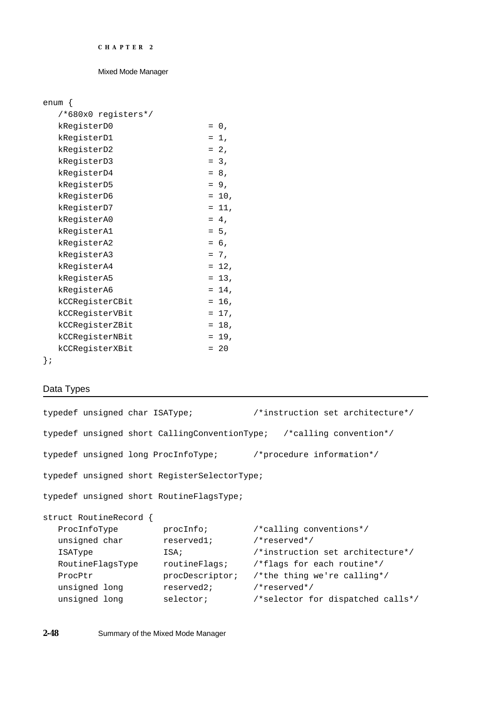#### Mixed Mode Manager

#### enum {

| /*680x0 registers*/ |          |
|---------------------|----------|
| kRegisterD0         | $= 0$ ,  |
| kRegisterD1         | $= 1$ ,  |
| kRegisterD2         | $= 2.$   |
| kRegisterD3         | $= 3.$   |
| kRegisterD4         | $= 8.$   |
| kRegisterD5         | $= 9.$   |
| kRegisterD6         | $= 10$ , |
| kRegisterD7         | $= 11,$  |
| kRegisterA0         | $= 4.$   |
| kRegisterA1         | $= 5.$   |
| kRegisterA2         | $= 6.$   |
| kRegisterA3         | $= 7,$   |
| kRegisterA4         | $= 12,$  |
| kRegisterA5         | $= 13,$  |
| kRegisterA6         | $= 14$ , |
| kCCRegisterCBit     | $= 16$ , |
| kCCRegisterVBit     | $= 17,$  |
| kCCRegisterZBit     | $= 18$ , |
| kCCRegisterNBit     | $= 19,$  |
| kCCRegisterXBit     | 20       |
|                     |          |

### Data Types

```
typedef unsigned char ISAType; /*instruction set architecture*/
typedef unsigned short CallingConventionType; /*calling convention*/
typedef unsigned long ProcInfoType; /*procedure information*/
typedef unsigned short RegisterSelectorType;
typedef unsigned short RoutineFlagsType;
struct RoutineRecord {
  ProcInfoType procInfo; /*calling conventions*/unsigned char reserved1; /*reserved*/
  ISAType ISA; /*instruction set architecture*/
  RoutineFlagsType routineFlags; /*flags for each routine*/
  ProcPtr procDescriptor; /*the thing we're calling*/
  unsigned long reserved2; /*reserved*/
  unsigned long selector; /*selector for dispatched calls*/
```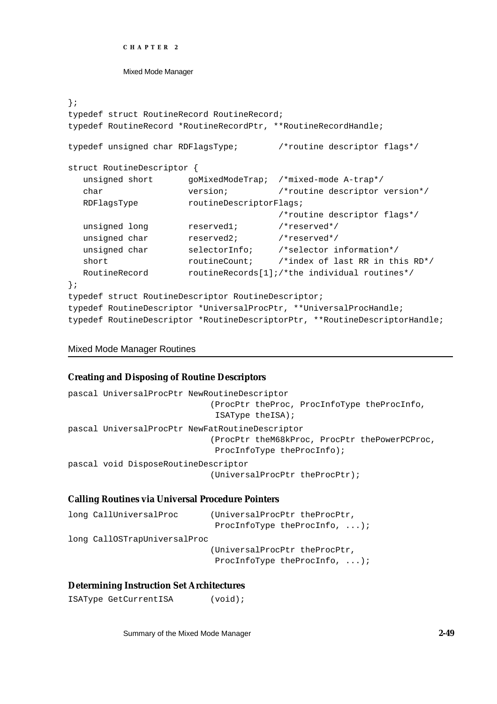```
CHAPTER 2
```

```
};
typedef struct RoutineRecord RoutineRecord;
typedef RoutineRecord *RoutineRecordPtr, **RoutineRecordHandle;
typedef unsigned char RDFlagsType; /*routine descriptor flags*/
struct RoutineDescriptor {
  unsigned short goMixedModeTrap; /*mixed-mode A-trap*/
  char version; /*routine descriptor version*/
  RDFlagsType routineDescriptorFlags;
                                    /*routine descriptor flags*/
  unsigned long reserved1; /*reserved*/
  unsigned char reserved2; /*reserved*/
  unsigned char selectorInfo; /*selector information*/
  short routineCount; /*index of last RR in this RD*/
  RoutineRecord routineRecords[1];/*the individual routines*/
};
typedef struct RoutineDescriptor RoutineDescriptor;
typedef RoutineDescriptor *UniversalProcPtr, **UniversalProcHandle;
typedef RoutineDescriptor *RoutineDescriptorPtr, **RoutineDescriptorHandle;
```
Mixed Mode Manager Routines

### **Creating and Disposing of Routine Descriptors**

```
pascal UniversalProcPtr NewRoutineDescriptor
                             (ProcPtr theProc, ProcInfoType theProcInfo, 
                             ISAType theISA);
pascal UniversalProcPtr NewFatRoutineDescriptor
                             (ProcPtr theM68kProc, ProcPtr thePowerPCProc, 
                             ProcInfoType theProcInfo);
pascal void DisposeRoutineDescriptor
                             (UniversalProcPtr theProcPtr);
```
### **Calling Routines via Universal Procedure Pointers**

| (UniversalProcPtr theProcPtr,         |
|---------------------------------------|
| ProcInfoType theProcInfo, $\ldots$ ); |
|                                       |
| (UniversalProcPtr theProcPtr,         |
| ProcInfoType theProcInfo, $\ldots$ ); |
|                                       |

### **Determining Instruction Set Architectures**

| ISAType GetCurrentISA | $(void)$ ; |
|-----------------------|------------|
|                       |            |

Summary of the Mixed Mode Manager **2-49**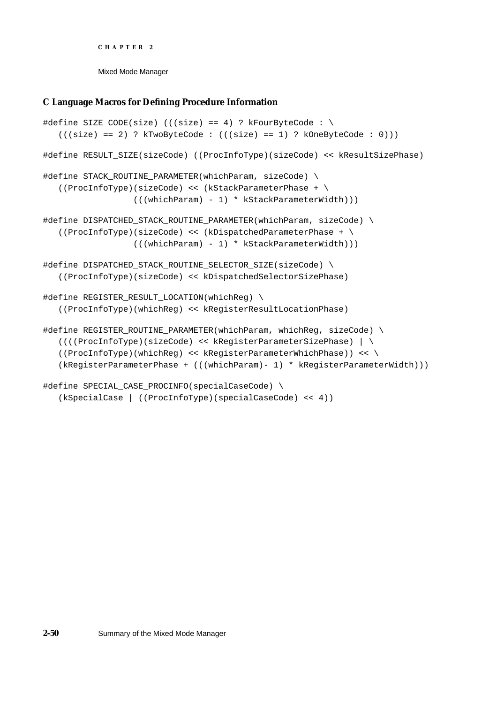```
CHAPTER 2
```
### **C Language Macros for Defining Procedure Information**

```
#define SIZE_CODE(size) (((size) == 4) ? kFourByteCode : \
  ((size) == 2) ? kTwoByteCode : ((size) == 1) ? kOneByteCode : 0)))
#define RESULT_SIZE(sizeCode) ((ProcInfoType)(sizeCode) << kResultSizePhase)
#define STACK_ROUTINE_PARAMETER(whichParam, sizeCode) \
  ((ProcInfoType)(sizeCode) << (kStackParameterPhase + \
                  (((whichParam) - 1) * kStackParameterWidth)))
#define DISPATCHED_STACK_ROUTINE_PARAMETER(whichParam, sizeCode) \
  ((ProcInfoType)(sizeCode) << (kDispatchedParameterPhase + \
                  (((whichParam) - 1) * kStackParameterWidth)))
#define DISPATCHED STACK ROUTINE SELECTOR SIZE(sizeCode) \
  ((ProcInfoType)(sizeCode) << kDispatchedSelectorSizePhase)
#define REGISTER_RESULT_LOCATION(whichReg) \
   ((ProcInfoType)(whichReg) << kRegisterResultLocationPhase)
#define REGISTER_ROUTINE_PARAMETER(whichParam, whichReg, sizeCode) \
  ((((ProcInfoType)(sizeCode) << kRegisterParameterSizePhase) | \
  ((ProcInfoType)(whichReg) << kRegisterParameterWhichPhase)) << \
  (kRegisterParameterPhase + (((whichParam)- 1) * kRegisterParameterWidth)))
#define SPECIAL_CASE_PROCINFO(specialCaseCode) \
  (kSpecialCase | ((ProcInfoType)(specialCaseCode) << 4))
```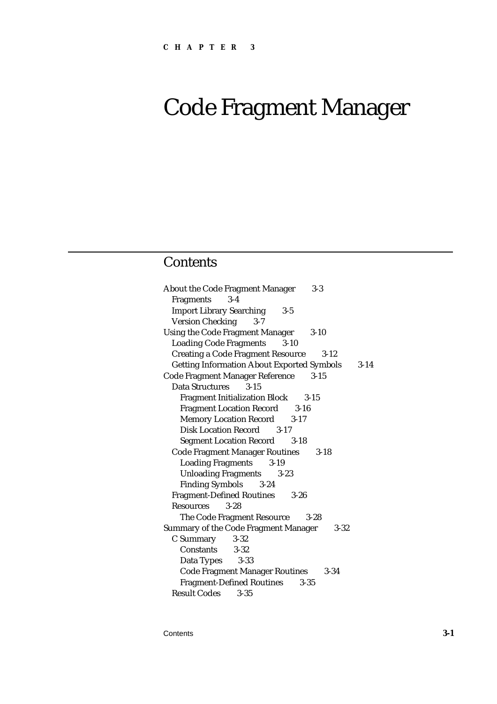# Code Fragment Manager

### **Contents**

About the Code Fragment Manager 3-3 Fragments 3-4 Import Library Searching 3-5 Version Checking 3-7 Using the Code Fragment Manager 3-10 Loading Code Fragments 3-10 Creating a Code Fragment Resource 3-12 Getting Information About Exported Symbols 3-14 Code Fragment Manager Reference 3-15 Data Structures 3-15 Fragment Initialization Block 3-15 Fragment Location Record 3-16 Memory Location Record 3-17 Disk Location Record 3-17 Segment Location Record 3-18 Code Fragment Manager Routines 3-18 Loading Fragments 3-19 Unloading Fragments 3-23 Finding Symbols 3-24 Fragment-Defined Routines 3-26 Resources 3-28 The Code Fragment Resource 3-28 Summary of the Code Fragment Manager 3-32 C Summary 3-32 Constants 3-32 Data Types 3-33 Code Fragment Manager Routines 3-34 Fragment-Defined Routines 3-35 Result Codes 3-35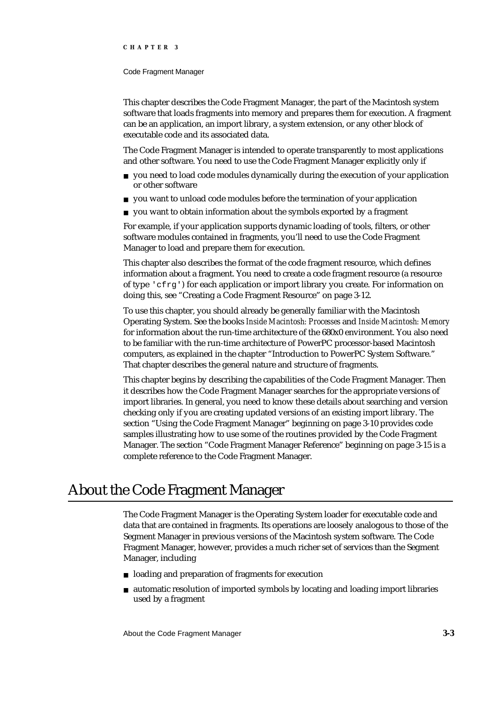#### Code Fragment Manager

This chapter describes the Code Fragment Manager, the part of the Macintosh system software that loads fragments into memory and prepares them for execution. A fragment can be an application, an import library, a system extension, or any other block of executable code and its associated data.

The Code Fragment Manager is intended to operate transparently to most applications and other software. You need to use the Code Fragment Manager explicitly only if

- you need to load code modules dynamically during the execution of your application or other software
- you want to unload code modules before the termination of your application
- you want to obtain information about the symbols exported by a fragment

For example, if your application supports dynamic loading of tools, filters, or other software modules contained in fragments, you'll need to use the Code Fragment Manager to load and prepare them for execution.

This chapter also describes the format of the code fragment resource, which defines information about a fragment. You need to create a code fragment resource (a resource of type 'cfrg') for each application or import library you create. For information on doing this, see "Creating a Code Fragment Resource" on page 3-12.

To use this chapter, you should already be generally familiar with the Macintosh Operating System. See the books *Inside Macintosh: Processes* and *Inside Macintosh: Memory* for information about the run-time architecture of the 680x0 environment. You also need to be familiar with the run-time architecture of PowerPC processor-based Macintosh computers, as explained in the chapter "Introduction to PowerPC System Software." That chapter describes the general nature and structure of fragments.

This chapter begins by describing the capabilities of the Code Fragment Manager. Then it describes how the Code Fragment Manager searches for the appropriate versions of import libraries. In general, you need to know these details about searching and version checking only if you are creating updated versions of an existing import library. The section "Using the Code Fragment Manager" beginning on page 3-10 provides code samples illustrating how to use some of the routines provided by the Code Fragment Manager. The section "Code Fragment Manager Reference" beginning on page 3-15 is a complete reference to the Code Fragment Manager.

## About the Code Fragment Manager

The Code Fragment Manager is the Operating System loader for executable code and data that are contained in fragments. Its operations are loosely analogous to those of the Segment Manager in previous versions of the Macintosh system software. The Code Fragment Manager, however, provides a much richer set of services than the Segment Manager, including

- n loading and preparation of fragments for execution
- $n$  automatic resolution of imported symbols by locating and loading import libraries used by a fragment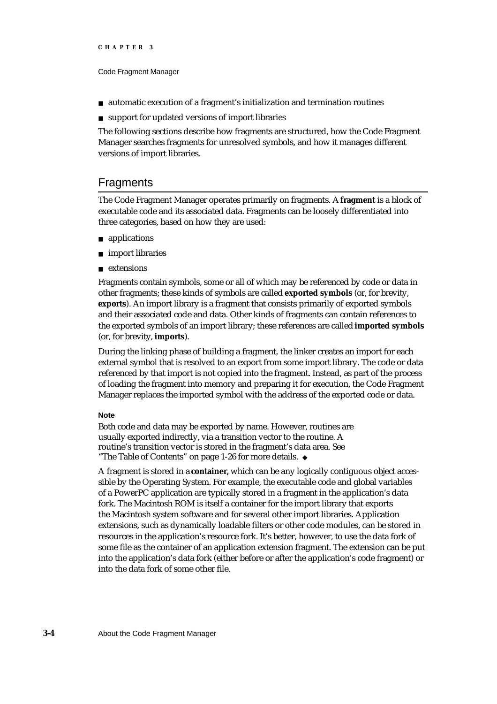#### Code Fragment Manager

- automatic execution of a fragment's initialization and termination routines  $n$
- support for updated versions of import libraries

The following sections describe how fragments are structured, how the Code Fragment Manager searches fragments for unresolved symbols, and how it manages different versions of import libraries.

### **Fragments**

The Code Fragment Manager operates primarily on fragments. A **fragment** is a block of executable code and its associated data. Fragments can be loosely differentiated into three categories, based on how they are used:

- n applications
- import libraries  $\overline{p}$
- n extensions

Fragments contain symbols, some or all of which may be referenced by code or data in other fragments; these kinds of symbols are called **exported symbols** (or, for brevity, **exports**). An import library is a fragment that consists primarily of exported symbols and their associated code and data. Other kinds of fragments can contain references to the exported symbols of an import library; these references are called **imported symbols** (or, for brevity, **imports**).

During the linking phase of building a fragment, the linker creates an import for each external symbol that is resolved to an export from some import library. The code or data referenced by that import is not copied into the fragment. Instead, as part of the process of loading the fragment into memory and preparing it for execution, the Code Fragment Manager replaces the imported symbol with the address of the exported code or data.

#### **Note**

Both code and data may be exported by name. However, routines are usually exported indirectly, via a transition vector to the routine. A routine's transition vector is stored in the fragment's data area. See "The Table of Contents" on page 1-26 for more details.

A fragment is stored in a **container,** which can be any logically contiguous object accessible by the Operating System. For example, the executable code and global variables of a PowerPC application are typically stored in a fragment in the application's data fork. The Macintosh ROM is itself a container for the import library that exports the Macintosh system software and for several other import libraries. Application extensions, such as dynamically loadable filters or other code modules, can be stored in resources in the application's resource fork. It's better, however, to use the data fork of some file as the container of an application extension fragment. The extension can be put into the application's data fork (either before or after the application's code fragment) or into the data fork of some other file.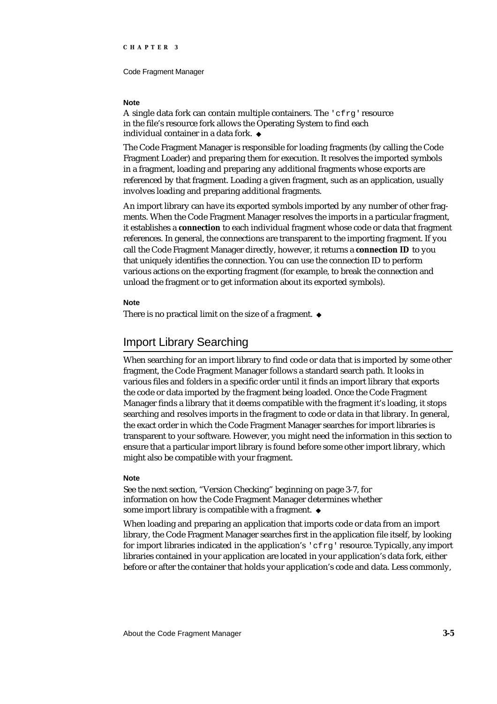#### **Note**

A single data fork can contain multiple containers. The 'cfrg' resource in the file's resource fork allows the Operating System to find each individual container in a data fork.

The Code Fragment Manager is responsible for loading fragments (by calling the Code Fragment Loader) and preparing them for execution. It resolves the imported symbols in a fragment, loading and preparing any additional fragments whose exports are referenced by that fragment. Loading a given fragment, such as an application, usually involves loading and preparing additional fragments.

An import library can have its exported symbols imported by any number of other fragments. When the Code Fragment Manager resolves the imports in a particular fragment, it establishes a **connection** to each individual fragment whose code or data that fragment references. In general, the connections are transparent to the importing fragment. If you call the Code Fragment Manager directly, however, it returns a **connection ID** to you that uniquely identifies the connection. You can use the connection ID to perform various actions on the exporting fragment (for example, to break the connection and unload the fragment or to get information about its exported symbols).

#### **Note**

There is no practical limit on the size of a fragment. u

## Import Library Searching

When searching for an import library to find code or data that is imported by some other fragment, the Code Fragment Manager follows a standard search path. It looks in various files and folders in a specific order until it finds an import library that exports the code or data imported by the fragment being loaded. Once the Code Fragment Manager finds a library that it deems compatible with the fragment it's loading, it stops searching and resolves imports in the fragment to code or data in that library. In general, the exact order in which the Code Fragment Manager searches for import libraries is transparent to your software. However, you might need the information in this section to ensure that a particular import library is found before some other import library, which might also be compatible with your fragment.

#### **Note**

See the next section, "Version Checking" beginning on page 3-7, for information on how the Code Fragment Manager determines whether some import library is compatible with a fragment. u

When loading and preparing an application that imports code or data from an import library, the Code Fragment Manager searches first in the application file itself, by looking for import libraries indicated in the application's 'cfrg' resource. Typically, any import libraries contained in your application are located in your application's data fork, either before or after the container that holds your application's code and data. Less commonly,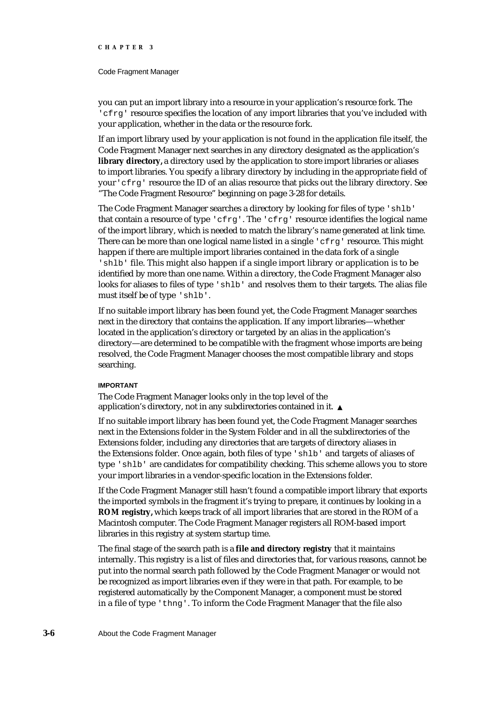#### Code Fragment Manager

you can put an import library into a resource in your application's resource fork. The 'cfrg' resource specifies the location of any import libraries that you've included with your application, whether in the data or the resource fork.

If an import library used by your application is not found in the application file itself, the Code Fragment Manager next searches in any directory designated as the application's **library directory,** a directory used by the application to store import libraries or aliases to import libraries. You specify a library directory by including in the appropriate field of your 'cfrg' resource the ID of an alias resource that picks out the library directory. See "The Code Fragment Resource" beginning on page 3-28 for details.

The Code Fragment Manager searches a directory by looking for files of type 'shlb' that contain a resource of type 'cfrg'. The 'cfrg' resource identifies the logical name of the import library, which is needed to match the library's name generated at link time. There can be more than one logical name listed in a single  $\lceil \text{cfrq} \rceil$  resource. This might happen if there are multiple import libraries contained in the data fork of a single 'shlb' file. This might also happen if a single import library or application is to be identified by more than one name. Within a directory, the Code Fragment Manager also looks for aliases to files of type 'shlb' and resolves them to their targets. The alias file must itself be of type 'shlb'.

If no suitable import library has been found yet, the Code Fragment Manager searches next in the directory that contains the application. If any import libraries—whether located in the application's directory or targeted by an alias in the application's directory—are determined to be compatible with the fragment whose imports are being resolved, the Code Fragment Manager chooses the most compatible library and stops searching.

#### **IMPORTANT**

The Code Fragment Manager looks only in the top level of the application's directory, not in any subdirectories contained in it.

If no suitable import library has been found yet, the Code Fragment Manager searches next in the Extensions folder in the System Folder and in all the subdirectories of the Extensions folder, including any directories that are targets of directory aliases in the Extensions folder. Once again, both files of type 'shlb' and targets of aliases of type 'shlb' are candidates for compatibility checking. This scheme allows you to store your import libraries in a vendor-specific location in the Extensions folder.

If the Code Fragment Manager still hasn't found a compatible import library that exports the imported symbols in the fragment it's trying to prepare, it continues by looking in a **ROM registry,** which keeps track of all import libraries that are stored in the ROM of a Macintosh computer. The Code Fragment Manager registers all ROM-based import libraries in this registry at system startup time.

The final stage of the search path is a **file and directory registry** that it maintains internally. This registry is a list of files and directories that, for various reasons, cannot be put into the normal search path followed by the Code Fragment Manager or would not be recognized as import libraries even if they were in that path. For example, to be registered automatically by the Component Manager, a component must be stored in a file of type 'thng'. To inform the Code Fragment Manager that the file also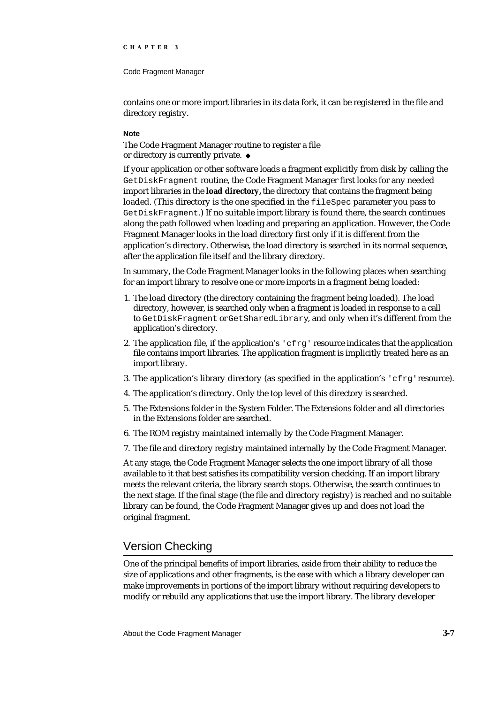#### Code Fragment Manager

contains one or more import libraries in its data fork, it can be registered in the file and directory registry.

#### **Note**

The Code Fragment Manager routine to register a file or directory is currently private.

If your application or other software loads a fragment explicitly from disk by calling the GetDiskFragment routine, the Code Fragment Manager first looks for any needed import libraries in the **load directory,** the directory that contains the fragment being loaded. (This directory is the one specified in the fileSpec parameter you pass to GetDiskFragment.) If no suitable import library is found there, the search continues along the path followed when loading and preparing an application. However, the Code Fragment Manager looks in the load directory first only if it is different from the application's directory. Otherwise, the load directory is searched in its normal sequence, after the application file itself and the library directory.

In summary, the Code Fragment Manager looks in the following places when searching for an import library to resolve one or more imports in a fragment being loaded:

- 1. The load directory (the directory containing the fragment being loaded). The load directory, however, is searched only when a fragment is loaded in response to a call to GetDiskFragment or GetSharedLibrary, and only when it's different from the application's directory.
- 2. The application file, if the application's  $l' c f r g'$  resource indicates that the application file contains import libraries. The application fragment is implicitly treated here as an import library.
- 3. The application's library directory (as specified in the application's 'cfrg' resource).
- 4. The application's directory. Only the top level of this directory is searched.
- 5. The Extensions folder in the System Folder. The Extensions folder and all directories in the Extensions folder are searched.
- 6. The ROM registry maintained internally by the Code Fragment Manager.
- 7. The file and directory registry maintained internally by the Code Fragment Manager.

At any stage, the Code Fragment Manager selects the one import library of all those available to it that best satisfies its compatibility version checking. If an import library meets the relevant criteria, the library search stops. Otherwise, the search continues to the next stage. If the final stage (the file and directory registry) is reached and no suitable library can be found, the Code Fragment Manager gives up and does not load the original fragment.

## Version Checking

One of the principal benefits of import libraries, aside from their ability to reduce the size of applications and other fragments, is the ease with which a library developer can make improvements in portions of the import library without requiring developers to modify or rebuild any applications that use the import library. The library developer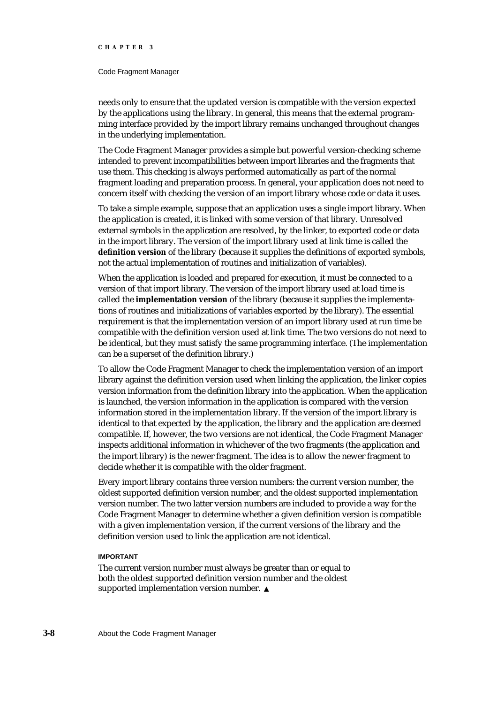#### Code Fragment Manager

needs only to ensure that the updated version is compatible with the version expected by the applications using the library. In general, this means that the external programming interface provided by the import library remains unchanged throughout changes in the underlying implementation.

The Code Fragment Manager provides a simple but powerful version-checking scheme intended to prevent incompatibilities between import libraries and the fragments that use them. This checking is always performed automatically as part of the normal fragment loading and preparation process. In general, your application does not need to concern itself with checking the version of an import library whose code or data it uses.

To take a simple example, suppose that an application uses a single import library. When the application is created, it is linked with some version of that library. Unresolved external symbols in the application are resolved, by the linker, to exported code or data in the import library. The version of the import library used at link time is called the **definition version** of the library (because it supplies the definitions of exported symbols, not the actual implementation of routines and initialization of variables).

When the application is loaded and prepared for execution, it must be connected to a version of that import library. The version of the import library used at load time is called the **implementation version** of the library (because it supplies the implementations of routines and initializations of variables exported by the library). The essential requirement is that the implementation version of an import library used at run time be compatible with the definition version used at link time. The two versions do not need to be identical, but they must satisfy the same programming interface. (The implementation can be a superset of the definition library.)

To allow the Code Fragment Manager to check the implementation version of an import library against the definition version used when linking the application, the linker copies version information from the definition library into the application. When the application is launched, the version information in the application is compared with the version information stored in the implementation library. If the version of the import library is identical to that expected by the application, the library and the application are deemed compatible. If, however, the two versions are not identical, the Code Fragment Manager inspects additional information in whichever of the two fragments (the application and the import library) is the newer fragment. The idea is to allow the newer fragment to decide whether it is compatible with the older fragment.

Every import library contains three version numbers: the current version number, the oldest supported definition version number, and the oldest supported implementation version number. The two latter version numbers are included to provide a way for the Code Fragment Manager to determine whether a given definition version is compatible with a given implementation version, if the current versions of the library and the definition version used to link the application are not identical.

#### **IMPORTANT**

The current version number must always be greater than or equal to both the oldest supported definition version number and the oldest supported implementation version number. s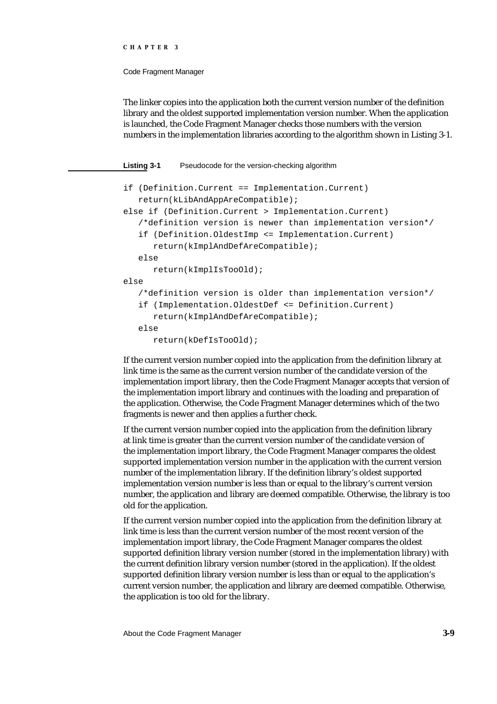#### Code Fragment Manager

The linker copies into the application both the current version number of the definition library and the oldest supported implementation version number. When the application is launched, the Code Fragment Manager checks those numbers with the version numbers in the implementation libraries according to the algorithm shown in Listing 3-1.

#### **Listing 3-1** Pseudocode for the version-checking algorithm

```
if (Definition.Current == Implementation.Current)
   return(kLibAndAppAreCompatible);
else if (Definition.Current > Implementation.Current)
   /*definition version is newer than implementation version*/
   if (Definition.OldestImp <= Implementation.Current)
      return(kImplAndDefAreCompatible);
   else
      return(kImplIsTooOld);
else
   /*definition version is older than implementation version*/
   if (Implementation.OldestDef <= Definition.Current)
      return(kImplAndDefAreCompatible);
   else
      return(kDefIsTooOld);
```
If the current version number copied into the application from the definition library at link time is the same as the current version number of the candidate version of the implementation import library, then the Code Fragment Manager accepts that version of the implementation import library and continues with the loading and preparation of the application. Otherwise, the Code Fragment Manager determines which of the two fragments is newer and then applies a further check.

If the current version number copied into the application from the definition library at link time is greater than the current version number of the candidate version of the implementation import library, the Code Fragment Manager compares the oldest supported implementation version number in the application with the current version number of the implementation library. If the definition library's oldest supported implementation version number is less than or equal to the library's current version number, the application and library are deemed compatible. Otherwise, the library is too old for the application.

If the current version number copied into the application from the definition library at link time is less than the current version number of the most recent version of the implementation import library, the Code Fragment Manager compares the oldest supported definition library version number (stored in the implementation library) with the current definition library version number (stored in the application). If the oldest supported definition library version number is less than or equal to the application's current version number, the application and library are deemed compatible. Otherwise, the application is too old for the library.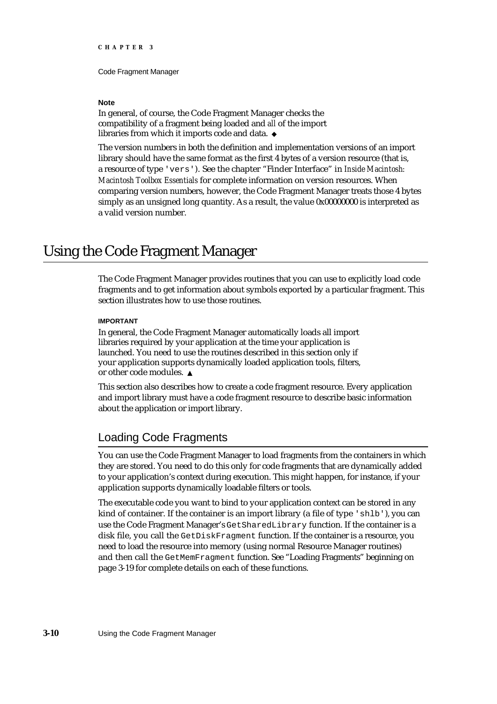#### **Note**

In general, of course, the Code Fragment Manager checks the compatibility of a fragment being loaded and *all* of the import libraries from which it imports code and data.

The version numbers in both the definition and implementation versions of an import library should have the same format as the first 4 bytes of a version resource (that is, a resource of type 'vers'). See the chapter "Finder Interface" in *Inside Macintosh: Macintosh Toolbox Essentials* for complete information on version resources. When comparing version numbers, however, the Code Fragment Manager treats those 4 bytes simply as an unsigned long quantity. As a result, the value 0x00000000 is interpreted as a valid version number.

# Using the Code Fragment Manager

The Code Fragment Manager provides routines that you can use to explicitly load code fragments and to get information about symbols exported by a particular fragment. This section illustrates how to use those routines.

#### **IMPORTANT**

In general, the Code Fragment Manager automatically loads all import libraries required by your application at the time your application is launched. You need to use the routines described in this section only if your application supports dynamically loaded application tools, filters, or other code modules.

This section also describes how to create a code fragment resource. Every application and import library must have a code fragment resource to describe basic information about the application or import library.

## Loading Code Fragments

You can use the Code Fragment Manager to load fragments from the containers in which they are stored. You need to do this only for code fragments that are dynamically added to your application's context during execution. This might happen, for instance, if your application supports dynamically loadable filters or tools.

The executable code you want to bind to your application context can be stored in any kind of container. If the container is an import library (a file of type 'shlb'), you can use the Code Fragment Manager's GetSharedLibrary function. If the container is a disk file, you call the GetDiskFragment function. If the container is a resource, you need to load the resource into memory (using normal Resource Manager routines) and then call the GetMemFragment function. See "Loading Fragments" beginning on page 3-19 for complete details on each of these functions.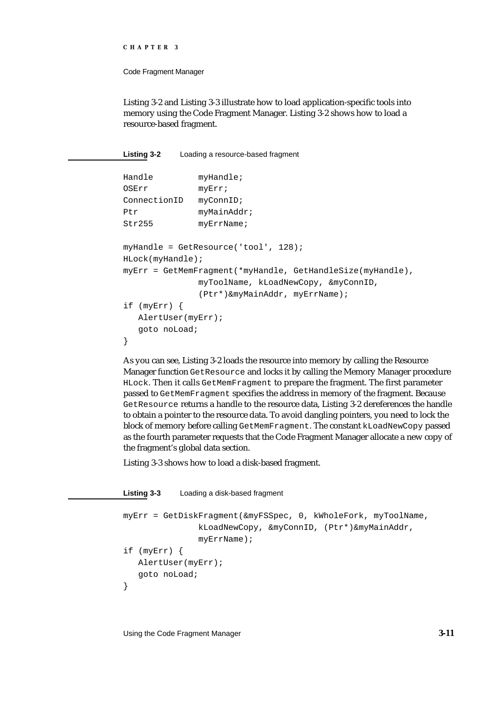```
CHAPTER 3
```
Listing 3-2 and Listing 3-3 illustrate how to load application-specific tools into memory using the Code Fragment Manager. Listing 3-2 shows how to load a resource-based fragment.

```
Listing 3-2 Loading a resource-based fragment
Handle myHandle;
OSErr myErr;
ConnectionID myConnID;
Ptr myMainAddr;
Str255 myErrName;
myHandle = GetResource('tool', 128);
HLock(myHandle);
myErr = GetMemFragment(*myHandle, GetHandleSize(myHandle), 
              myToolName, kLoadNewCopy, &myConnID, 
              (Ptr*)&myMainAddr, myErrName);
if (myErr) {
  AlertUser(myErr);
  goto noLoad;
}
```
As you can see, Listing 3-2 loads the resource into memory by calling the Resource Manager function GetResource and locks it by calling the Memory Manager procedure HLock. Then it calls GetMemFragment to prepare the fragment. The first parameter passed to GetMemFragment specifies the address in memory of the fragment. Because GetResource returns a handle to the resource data, Listing 3-2 dereferences the handle to obtain a pointer to the resource data. To avoid dangling pointers, you need to lock the block of memory before calling GetMemFragment. The constant kLoadNewCopy passed as the fourth parameter requests that the Code Fragment Manager allocate a new copy of the fragment's global data section.

Listing 3-3 shows how to load a disk-based fragment.

**Listing 3-3** Loading a disk-based fragment

```
myErr = GetDiskFragment(&myFSSpec, 0, kWholeFork, myToolName, 
               kLoadNewCopy, &myConnID, (Ptr*)&myMainAddr, 
               myErrName);
if (myErr) {
   AlertUser(myErr);
   goto noLoad;
}
```
Using the Code Fragment Manager **3-11**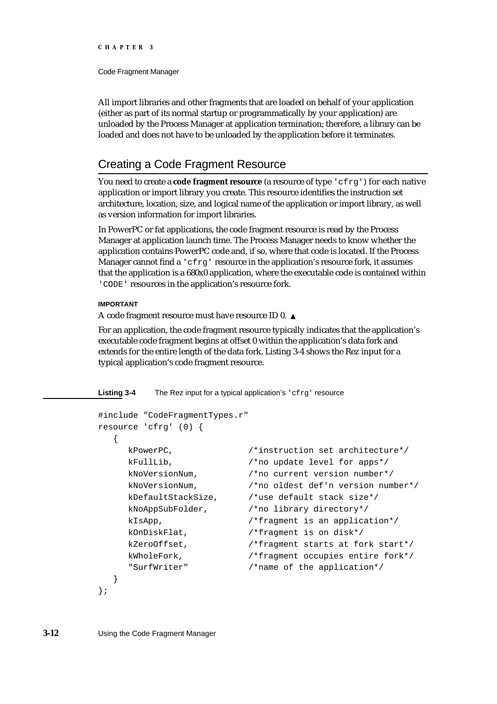Code Fragment Manager

All import libraries and other fragments that are loaded on behalf of your application (either as part of its normal startup or programmatically by your application) are unloaded by the Process Manager at application termination; therefore, a library can be loaded and does not have to be unloaded by the application before it terminates.

## Creating a Code Fragment Resource

You need to create a **code fragment resource** (a resource of type 'cfrg') for each native application or import library you create. This resource identifies the instruction set architecture, location, size, and logical name of the application or import library, as well as version information for import libraries.

In PowerPC or fat applications, the code fragment resource is read by the Process Manager at application launch time. The Process Manager needs to know whether the application contains PowerPC code and, if so, where that code is located. If the Process Manager cannot find a  $l' \text{cfrg} \cdot l'$  resource in the application's resource fork, it assumes that the application is a 680x0 application, where the executable code is contained within 'CODE' resources in the application's resource fork.

#### **IMPORTANT**

A code fragment resource must have resource ID 0.

For an application, the code fragment resource typically indicates that the application's executable code fragment begins at offset 0 within the application's data fork and extends for the entire length of the data fork. Listing 3-4 shows the Rez input for a typical application's code fragment resource.

**Listing 3-4** The Rez input for a typical application's 'cfrg' resource

```
#include "CodeFragmentTypes.r"
resource 'cfrg' (0) {
  {
    kPowerPC, /*instruction set architecture*/
    kFullLib, /*no update level for apps*/
    kNoVersionNum, /*no current version number*/
    kNoVersionNum, /*no oldest def'n version number*/
    kDefaultStackSize, /*use default stack size*/
    kNoAppSubFolder, /*no library directory*/
    kIsApp, /*fragment is an application*/
    kOnDiskFlat, /*fragment is on disk*/
    kZeroOffset, /*fragment starts at fork start*/
    kWholeFork, /*fragment occupies entire fork*/
     "SurfWriter" /*name of the application*/
  }
};
```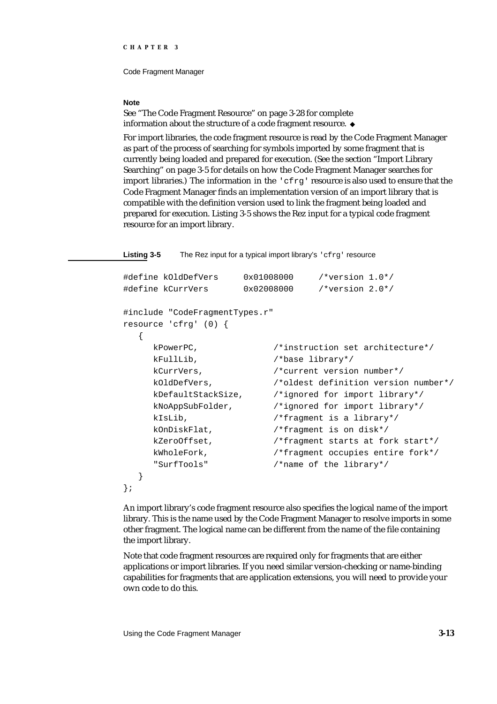#### **Note**

See "The Code Fragment Resource" on page 3-28 for complete information about the structure of a code fragment resource. u

For import libraries, the code fragment resource is read by the Code Fragment Manager as part of the process of searching for symbols imported by some fragment that is currently being loaded and prepared for execution. (See the section "Import Library Searching" on page 3-5 for details on how the Code Fragment Manager searches for import libraries.) The information in the  $l'cfrq'$  resource is also used to ensure that the Code Fragment Manager finds an implementation version of an import library that is compatible with the definition version used to link the fragment being loaded and prepared for execution. Listing 3-5 shows the Rez input for a typical code fragment resource for an import library.

Listing 3-5 The Rez input for a typical import library's 'cfrg' resource

```
#define kOldDefVers 0x01008000 /*version 1.0*/
#define kCurrVers 0x02008000 /*version 2.0*/
#include "CodeFragmentTypes.r"
resource 'cfrg' (0) {
  {
    kPowerPC, /*instruction set architecture*/
    kFullLib, /*base library*/
    kCurrVers, /*current version number*/
    kOldDefVers, /*oldest definition version number*/
    kDefaultStackSize, /*ignored for import library*/
    kNoAppSubFolder, /*ignored for import library*/
    kIsLib, /*fragment is a library*/
    kOnDiskFlat, /*fragment is on disk*/
    kZeroOffset, /*fragment starts at fork start*/
    kWholeFork, /*fragment occupies entire fork*/
     "SurfTools" /*name of the library*/
  }
};
```
An import library's code fragment resource also specifies the logical name of the import library. This is the name used by the Code Fragment Manager to resolve imports in some other fragment. The logical name can be different from the name of the file containing the import library.

Note that code fragment resources are required only for fragments that are either applications or import libraries. If you need similar version-checking or name-binding capabilities for fragments that are application extensions, you will need to provide your own code to do this.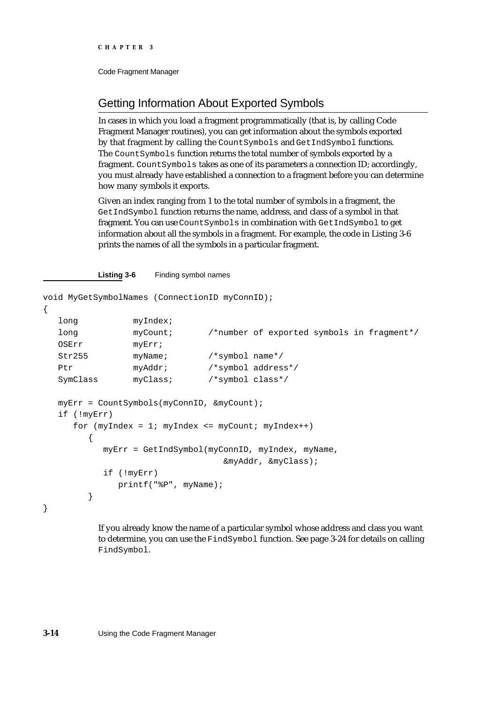## Getting Information About Exported Symbols

In cases in which you load a fragment programmatically (that is, by calling Code Fragment Manager routines), you can get information about the symbols exported by that fragment by calling the CountSymbols and GetIndSymbol functions. The CountSymbols function returns the total number of symbols exported by a fragment. CountSymbols takes as one of its parameters a connection ID; accordingly, you must already have established a connection to a fragment before you can determine how many symbols it exports.

Given an index ranging from 1 to the total number of symbols in a fragment, the GetIndSymbol function returns the name, address, and class of a symbol in that fragment. You can use CountSymbols in combination with GetIndSymbol to get information about all the symbols in a fragment. For example, the code in Listing 3-6 prints the names of all the symbols in a particular fragment.

**Listing 3-6** Finding symbol names

```
void MyGetSymbolNames (ConnectionID myConnID);
{
  long myIndex;
  long myCount; /*number of exported symbols in fragment*/
  OSErr myErr;
  Str255 myName; /*symbol name*/
  Ptr myAddr; /*symbol address*/
  SymClass myClass; /*symbol class*/
  myErr = CountSymbols(myConnID, &myCount);
  if (!myErr)
     for (myIndex = 1; myIndex \le myCount; myIndex++){
          myErr = GetIndSymbol(myConnID, myIndex, myName, 
                               &myAddr, &myClass);
          if (!myErr)
            printf("%P", myName);
       }
}
```
If you already know the name of a particular symbol whose address and class you want to determine, you can use the FindSymbol function. See page 3-24 for details on calling FindSymbol.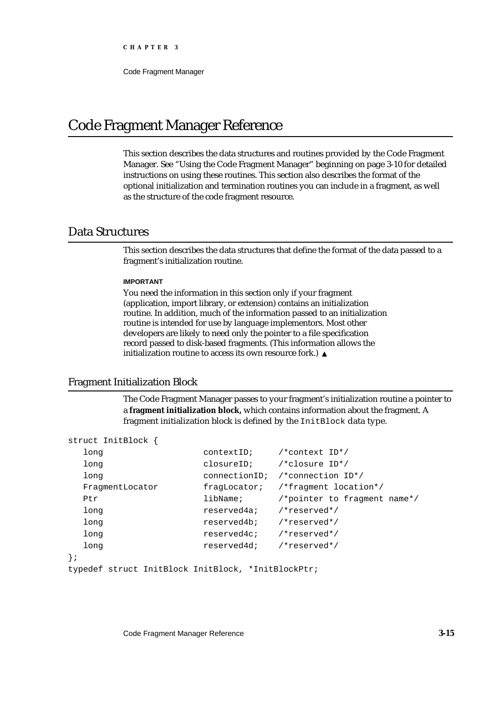# Code Fragment Manager Reference

This section describes the data structures and routines provided by the Code Fragment Manager. See "Using the Code Fragment Manager" beginning on page 3-10 for detailed instructions on using these routines. This section also describes the format of the optional initialization and termination routines you can include in a fragment, as well as the structure of the code fragment resource.

## Data Structures

This section describes the data structures that define the format of the data passed to a fragment's initialization routine.

#### **IMPORTANT**

You need the information in this section only if your fragment (application, import library, or extension) contains an initialization routine. In addition, much of the information passed to an initialization routine is intended for use by language implementors. Most other developers are likely to need only the pointer to a file specification record passed to disk-based fragments. (This information allows the initialization routine to access its own resource fork.) s

## Fragment Initialization Block

The Code Fragment Manager passes to your fragment's initialization routine a pointer to a **fragment initialization block,** which contains information about the fragment. A fragment initialization block is defined by the InitBlock data type.

```
struct InitBlock {
```

| long                                               | contextID;    | /*context ID*/               |
|----------------------------------------------------|---------------|------------------------------|
| long                                               | closureID;    | /*closure ID*/               |
| long                                               | connectionID; | /*connection ID*/            |
| FragmentLocator                                    | fraqLocator;  | /*fragment location*/        |
| Ptr                                                | libName       | /*pointer to fragment name*/ |
| long                                               | reserved4a;   | /*reserved*/                 |
| long                                               | reserved4b;   | /*reserved*/                 |
| long                                               | reserved4c;   | /*reserved*/                 |
| long                                               | reserved4d;   | /*reserved*/                 |
| $\}$ ;                                             |               |                              |
| typedef struct InitBlock InitBlock, *InitBlockPtr; |               |                              |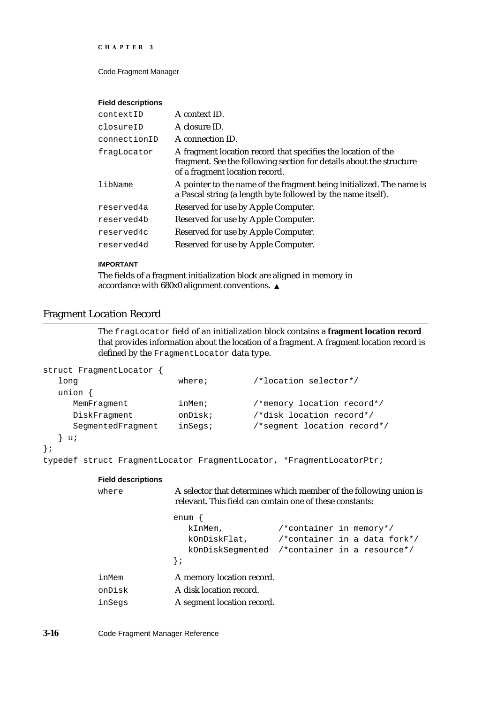Code Fragment Manager

#### **Field descriptions**

| contextID    | A context ID.                                                                                                                                                          |
|--------------|------------------------------------------------------------------------------------------------------------------------------------------------------------------------|
| closureID    | A closure ID.                                                                                                                                                          |
| connectionID | A connection ID.                                                                                                                                                       |
| fraqLocator  | A fragment location record that specifies the location of the<br>fragment. See the following section for details about the structure<br>of a fragment location record. |
| libName      | A pointer to the name of the fragment being initialized. The name is<br>a Pascal string (a length byte followed by the name itself).                                   |
| reserved4a   | Reserved for use by Apple Computer.                                                                                                                                    |
| reserved4b   | Reserved for use by Apple Computer.                                                                                                                                    |
| reserved4c   | Reserved for use by Apple Computer.                                                                                                                                    |
| reserved4d   | Reserved for use by Apple Computer.                                                                                                                                    |
|              |                                                                                                                                                                        |

#### **IMPORTANT**

The fields of a fragment initialization block are aligned in memory in accordance with 680x0 alignment conventions.

## Fragment Location Record

The fragLocator field of an initialization block contains a **fragment location record** that provides information about the location of a fragment. A fragment location record is defined by the FragmentLocator data type.

```
struct FragmentLocator {
  long where; \sqrt{10} /*location selector*/
  union {
    MemFragment inMem; /*memory location record*/
    DiskFragment onDisk; /*disk location record*/
     SegmentedFragment inSegs; /*segment location record*/
  } u;
};
typedef struct FragmentLocator FragmentLocator, *FragmentLocatorPtr;
```
#### **Field descriptions**

| where                     | A selector that determines which member of the following union is<br>relevant. This field can contain one of these constants: |  |                                                         |  |
|---------------------------|-------------------------------------------------------------------------------------------------------------------------------|--|---------------------------------------------------------|--|
|                           | $enum \{$<br>kInMem,<br>kOnDiskFlat,<br>kOnDiskSegmented /*container in a resource*/<br>$\, \cdot \,$                         |  | /*container in memory*/<br>/*container in a data fork*/ |  |
| inMem<br>onDisk<br>inSegs | A memory location record.<br>A disk location record.<br>A segment location record.                                            |  |                                                         |  |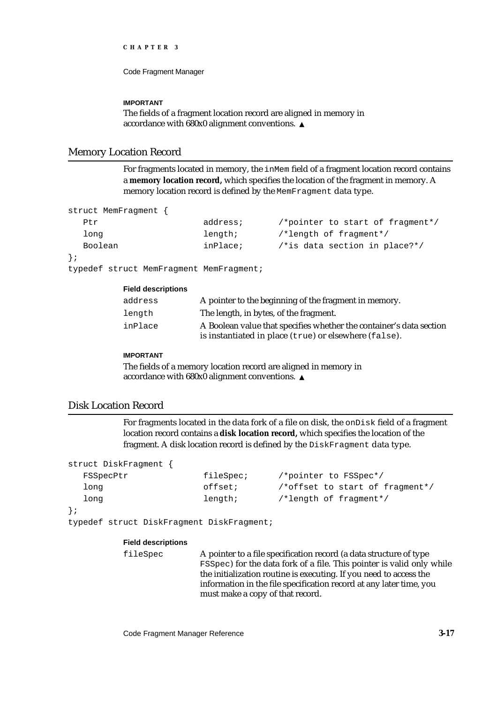Code Fragment Manager

#### **IMPORTANT**

The fields of a fragment location record are aligned in memory in accordance with 680x0 alignment conventions.

## Memory Location Record

For fragments located in memory, the inMem field of a fragment location record contains a **memory location record,** which specifies the location of the fragment in memory. A memory location record is defined by the MemFragment data type.

```
struct MemFragment {
  Ptr address; \gamma*pointer to start of fragment*/
  long length; \sqrt{*}length of fragment*/
  Boolean inPlace; /*is data section in place?*/
};
typedef struct MemFragment MemFragment;
```
#### **Field descriptions**

| address | A pointer to the beginning of the fragment in memory.                                                                        |
|---------|------------------------------------------------------------------------------------------------------------------------------|
| length  | The length, in bytes, of the fragment.                                                                                       |
| inPlace | A Boolean value that specifies whether the container's data section<br>is instantiated in place (true) or elsewhere (false). |

#### **IMPORTANT**

The fields of a memory location record are aligned in memory in accordance with 680x0 alignment conventions.

## Disk Location Record

For fragments located in the data fork of a file on disk, the onDisk field of a fragment location record contains a **disk location record,** which specifies the location of the fragment. A disk location record is defined by the DiskFragment data type.

```
struct DiskFragment {
  FSSpecPtr fileSpec; /*pointer to FSSpec*/
  long \qquad \qquad offset; \qquad \qquad /*offset to start of fragment*/
  long length; \frac{1}{2} /*length of fragment*/
};
typedef struct DiskFragment DiskFragment;
          Field descriptions
          fileSpec A pointer to a file specification record (a data structure of type
```
FSSpec) for the data fork of a file. This pointer is valid only while the initialization routine is executing. If you need to access the information in the file specification record at any later time, you must make a copy of that record.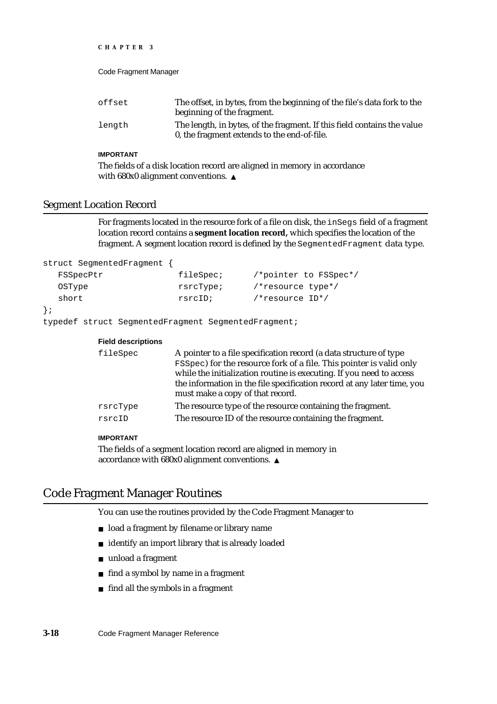Code Fragment Manager

| offset | The offset, in bytes, from the beginning of the file's data fork to the<br>beginning of the fragment.                  |
|--------|------------------------------------------------------------------------------------------------------------------------|
| length | The length, in bytes, of the fragment. If this field contains the value<br>0, the fragment extends to the end-of-file. |
|        |                                                                                                                        |

#### **IMPORTANT**

The fields of a disk location record are aligned in memory in accordance with 680x0 alignment conventions. s

## Segment Location Record

For fragments located in the resource fork of a file on disk, the inSegs field of a fragment location record contains a **segment location record,** which specifies the location of the fragment. A segment location record is defined by the SegmentedFragment data type.

```
struct SegmentedFragment {
```

| FSSpecPtr     | fileSpec; | /*pointer to FSSpec*/ |
|---------------|-----------|-----------------------|
| <b>OSType</b> | rsrcType; | /*resource type*/     |
| short         | rsrcID;   | /*resource ID*/       |
| $\}$ ;        |           |                       |

typedef struct SegmentedFragment SegmentedFragment;

| <b>Field descriptions</b> |                                                                                                                                                                                                                                                                                                                                  |
|---------------------------|----------------------------------------------------------------------------------------------------------------------------------------------------------------------------------------------------------------------------------------------------------------------------------------------------------------------------------|
| fileSpec                  | A pointer to a file specification record (a data structure of type<br>FSSpec) for the resource fork of a file. This pointer is valid only<br>while the initialization routine is executing. If you need to access<br>the information in the file specification record at any later time, you<br>must make a copy of that record. |
| rsrcType                  | The resource type of the resource containing the fragment.                                                                                                                                                                                                                                                                       |
| rsrcID                    | The resource ID of the resource containing the fragment.                                                                                                                                                                                                                                                                         |

#### **IMPORTANT**

The fields of a segment location record are aligned in memory in accordance with 680x0 alignment conventions.

## Code Fragment Manager Routines

You can use the routines provided by the Code Fragment Manager to

- n load a fragment by filename or library name
- n identify an import library that is already loaded
- unload a fragment
- $n$  find a symbol by name in a fragment
- find all the symbols in a fragment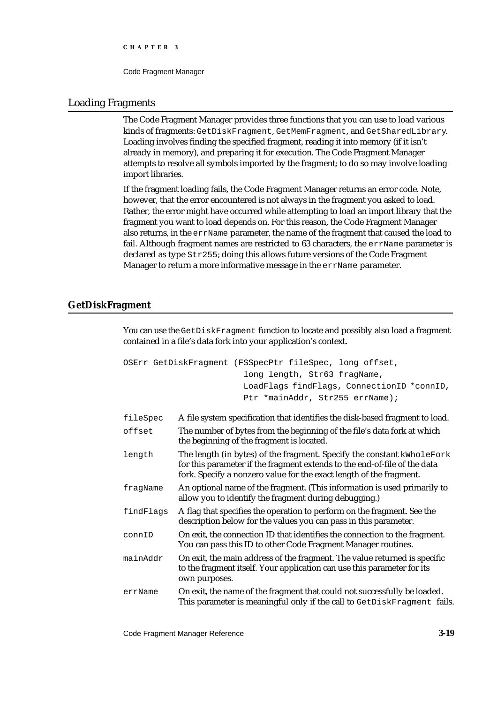Code Fragment Manager

## Loading Fragments

The Code Fragment Manager provides three functions that you can use to load various kinds of fragments: GetDiskFragment, GetMemFragment, and GetSharedLibrary. Loading involves finding the specified fragment, reading it into memory (if it isn't already in memory), and preparing it for execution. The Code Fragment Manager attempts to resolve all symbols imported by the fragment; to do so may involve loading import libraries.

If the fragment loading fails, the Code Fragment Manager returns an error code. Note, however, that the error encountered is not always in the fragment you asked to load. Rather, the error might have occurred while attempting to load an import library that the fragment you want to load depends on. For this reason, the Code Fragment Manager also returns, in the errName parameter, the name of the fragment that caused the load to fail. Although fragment names are restricted to  $63$  characters, the  $errName$  parameter is declared as type Str255; doing this allows future versions of the Code Fragment Manager to return a more informative message in the errName parameter.

## **GetDiskFragment**

You can use the GetDiskFragment function to locate and possibly also load a fragment contained in a file's data fork into your application's context.

|           | OSErr GetDiskFragment (FSSpecPtr fileSpec, long offset,<br>long length, Str63 fragName,                                                                                                                                    |  |  |
|-----------|----------------------------------------------------------------------------------------------------------------------------------------------------------------------------------------------------------------------------|--|--|
|           | LoadFlags findFlags, ConnectionID *connID,                                                                                                                                                                                 |  |  |
|           | Ptr *mainAddr, Str255 errName);                                                                                                                                                                                            |  |  |
| fileSpec  | A file system specification that identifies the disk-based fragment to load.                                                                                                                                               |  |  |
| offset    | The number of bytes from the beginning of the file's data fork at which<br>the beginning of the fragment is located.                                                                                                       |  |  |
| length    | The length (in bytes) of the fragment. Specify the constant kWholeFork<br>for this parameter if the fragment extends to the end-of-file of the data<br>fork. Specify a nonzero value for the exact length of the fragment. |  |  |
| fragName  | An optional name of the fragment. (This information is used primarily to<br>allow you to identify the fragment during debugging.)                                                                                          |  |  |
| findFlags | A flag that specifies the operation to perform on the fragment. See the<br>description below for the values you can pass in this parameter.                                                                                |  |  |
| connID    | On exit, the connection ID that identifies the connection to the fragment.<br>You can pass this ID to other Code Fragment Manager routines.                                                                                |  |  |
| mainAddr  | On exit, the main address of the fragment. The value returned is specific<br>to the fragment itself. Your application can use this parameter for its<br>own purposes.                                                      |  |  |
| errName   | On exit, the name of the fragment that could not successfully be loaded.<br>This parameter is meaningful only if the call to GetDiskFragment fails.                                                                        |  |  |

Code Fragment Manager Reference **3-19**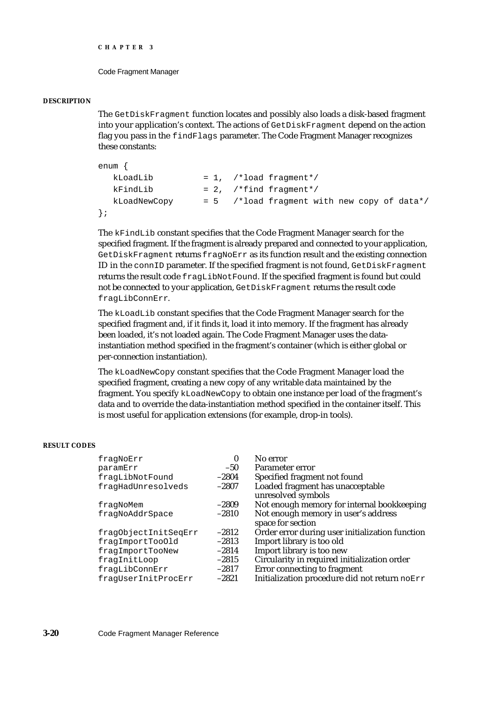```
CHAPTER 3
```
#### **DESCRIPTION**

The GetDiskFragment function locates and possibly also loads a disk-based fragment into your application's context. The actions of GetDiskFragment depend on the action flag you pass in the findFlags parameter. The Code Fragment Manager recognizes these constants:

```
enum {
  kLoadLib = 1, /*load fragment*/
  kFindLib = 2, /*find fragment*/
  kLoadNewCopy = 5 /*load fragment with new copy of data*/};
```
The kFindLib constant specifies that the Code Fragment Manager search for the specified fragment. If the fragment is already prepared and connected to your application, GetDiskFragment returns fragNoErr as its function result and the existing connection ID in the connID parameter. If the specified fragment is not found, GetDiskFragment returns the result code fragLibNotFound. If the specified fragment is found but could not be connected to your application, GetDiskFragment returns the result code fragLibConnErr.

The kLoadLib constant specifies that the Code Fragment Manager search for the specified fragment and, if it finds it, load it into memory. If the fragment has already been loaded, it's not loaded again. The Code Fragment Manager uses the datainstantiation method specified in the fragment's container (which is either global or per-connection instantiation).

The kLoadNewCopy constant specifies that the Code Fragment Manager load the specified fragment, creating a new copy of any writable data maintained by the fragment. You specify kLoadNewCopy to obtain one instance per load of the fragment's data and to override the data-instantiation method specified in the container itself. This is most useful for application extensions (for example, drop-in tools).

#### **RESULT CODES**

| fraqNoErr            | 0       | No error                                        |
|----------------------|---------|-------------------------------------------------|
| paramErr             | $-50$   | Parameter error                                 |
| fraqLibNotFound      | $-2804$ | Specified fragment not found                    |
| fragHadUnresolveds   | $-2807$ | Loaded fragment has unacceptable                |
|                      |         | unresolved symbols                              |
| fraqNoMem            | $-2809$ | Not enough memory for internal bookkeeping      |
| fragNoAddrSpace      | $-2810$ | Not enough memory in user's address             |
|                      |         | space for section                               |
| fragObjectInitSeqErr | $-2812$ | Order error during user initialization function |
| fragImportTooOld     | $-2813$ | Import library is too old                       |
| fragImportTooNew     | $-2814$ | Import library is too new                       |
| fragInitLoop         | $-2815$ | Circularity in required initialization order    |
| fraqLibConnErr       | $-2817$ | Error connecting to fragment                    |
| fraqUserInitProcErr  | $-2821$ | Initialization procedure did not return noErr   |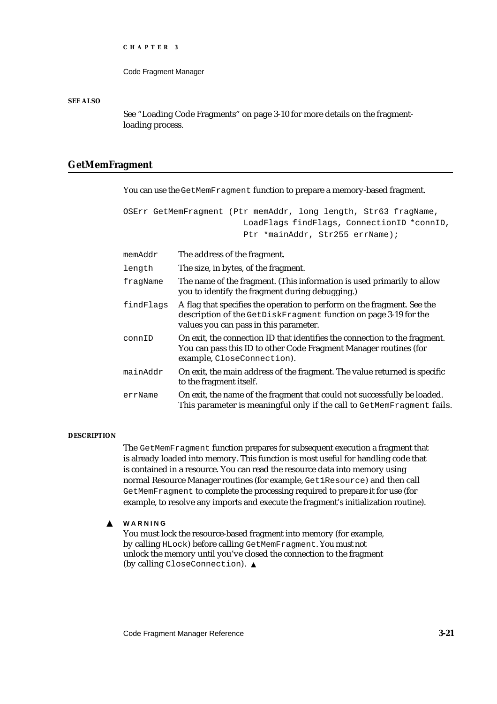Code Fragment Manager

#### **SEE ALSO**

See "Loading Code Fragments" on page 3-10 for more details on the fragmentloading process.

## **GetMemFragment**

You can use the GetMemFragment function to prepare a memory-based fragment.

|           | OSErr GetMemFragment (Ptr memAddr, long length, Str63 fragName,                                                                                                                       |
|-----------|---------------------------------------------------------------------------------------------------------------------------------------------------------------------------------------|
|           | LoadFlags findFlags, ConnectionID *connID,                                                                                                                                            |
|           | Ptr *mainAddr, Str255 errName);                                                                                                                                                       |
| memAddr   | The address of the fragment.                                                                                                                                                          |
| length    | The size, in bytes, of the fragment.                                                                                                                                                  |
| fragName  | The name of the fragment. (This information is used primarily to allow<br>you to identify the fragment during debugging.)                                                             |
| findFlags | A flag that specifies the operation to perform on the fragment. See the<br>description of the GetDiskFragment function on page 3-19 for the<br>values you can pass in this parameter. |
| connID    | On exit, the connection ID that identifies the connection to the fragment.<br>You can pass this ID to other Code Fragment Manager routines (for<br>example, CloseConnection).         |
| mainAddr  | On exit, the main address of the fragment. The value returned is specific<br>to the fragment itself.                                                                                  |
| errName   | On exit, the name of the fragment that could not successfully be loaded.<br>This parameter is meaningful only if the call to GetMemFragment fails.                                    |

## **DESCRIPTION**

The GetMemFragment function prepares for subsequent execution a fragment that is already loaded into memory. This function is most useful for handling code that is contained in a resource. You can read the resource data into memory using normal Resource Manager routines (for example, Get1Resource) and then call GetMemFragment to complete the processing required to prepare it for use (for example, to resolve any imports and execute the fragment's initialization routine).

#### s **WARNING**

You must lock the resource-based fragment into memory (for example, by calling HLock) before calling GetMemFragment. You must not unlock the memory until you've closed the connection to the fragment (by calling CloseConnection).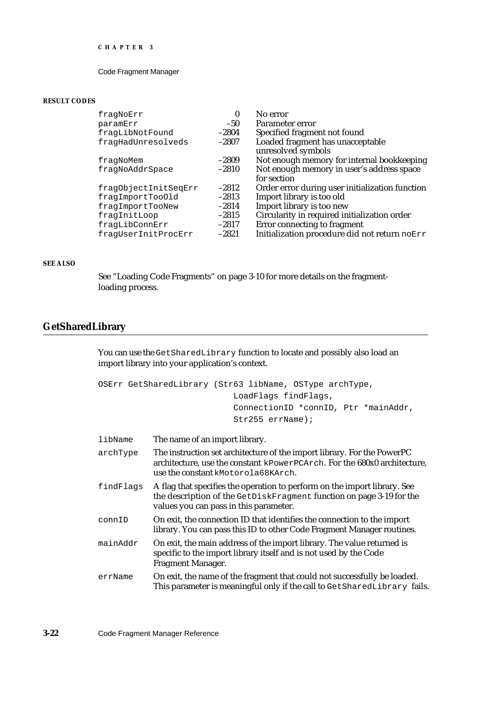#### Code Fragment Manager

#### **RESULT CODES**

| fraqNoErr            | $\boldsymbol{0}$ | No error                                               |
|----------------------|------------------|--------------------------------------------------------|
| paramErr             | $-50$            | Parameter error                                        |
| fragLibNotFound      | $-2804$          | Specified fragment not found                           |
| fragHadUnresolveds   | $-2807$          | Loaded fragment has unacceptable<br>unresolved symbols |
| fragNoMem            | $-2809$          | Not enough memory for internal bookkeeping             |
| fragNoAddrSpace      | $-2810$          | Not enough memory in user's address space              |
|                      |                  | for section                                            |
| fragObjectInitSeqErr | $-2812$          | Order error during user initialization function        |
| fragImportTooOld     | $-2813$          | Import library is too old                              |
| fragImportTooNew     | $-2814$          | Import library is too new                              |
| fragInitLoop         | $-2815$          | Circularity in required initialization order           |
| fraqLibConnErr       | $-2817$          | Error connecting to fragment                           |
| fraqUserInitProcErr  | $-2821$          | Initialization procedure did not return noErr          |

#### **SEE ALSO**

See "Loading Code Fragments" on page 3-10 for more details on the fragmentloading process.

## **GetSharedLibrary**

You can use the GetSharedLibrary function to locate and possibly also load an import library into your application's context.

|  | OSErr GetSharedLibrary (Str63 libName, OSType archType, |
|--|---------------------------------------------------------|
|  | LoadFlags findFlags,                                    |
|  | ConnectionID *connID, Ptr *mainAddr,                    |
|  | $Str255$ errName);                                      |
|  |                                                         |

- libName The name of an import library.
- archType The instruction set architecture of the import library. For the PowerPC architecture, use the constant kPowerPCArch. For the 680x0 architecture, use the constant kMotorola68KArch.
- findFlags A flag that specifies the operation to perform on the import library. See the description of the GetDiskFragment function on page 3-19 for the values you can pass in this parameter.
- connID On exit, the connection ID that identifies the connection to the import library. You can pass this ID to other Code Fragment Manager routines.
- mainAddr On exit, the main address of the import library. The value returned is specific to the import library itself and is not used by the Code Fragment Manager.
- errName On exit, the name of the fragment that could not successfully be loaded. This parameter is meaningful only if the call to GetSharedLibrary fails.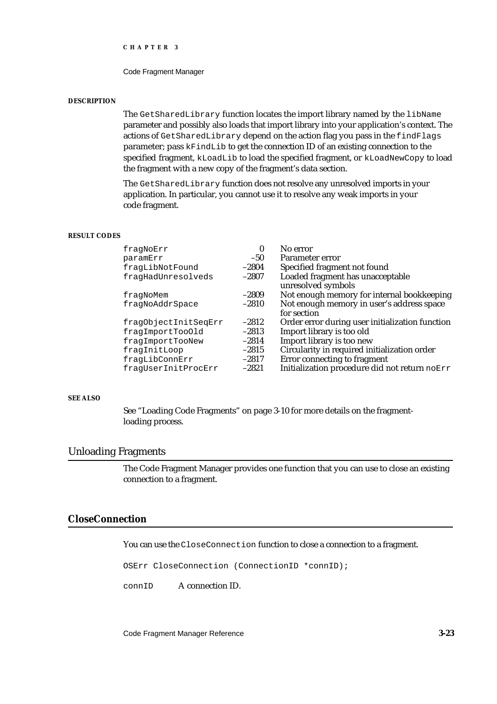#### Code Fragment Manager

#### **DESCRIPTION**

The GetSharedLibrary function locates the import library named by the libName parameter and possibly also loads that import library into your application's context. The actions of GetSharedLibrary depend on the action flag you pass in the findFlags parameter; pass kFindLib to get the connection ID of an existing connection to the specified fragment, kLoadLib to load the specified fragment, or kLoadNewCopy to load the fragment with a new copy of the fragment's data section.

The GetSharedLibrary function does not resolve any unresolved imports in your application. In particular, you cannot use it to resolve any weak imports in your code fragment.

#### **RESULT CODES**

| fraqNoErr            |         | No error                                                 |
|----------------------|---------|----------------------------------------------------------|
| paramErr             | $-50$   | Parameter error                                          |
| fragLibNotFound      | $-2804$ | Specified fragment not found                             |
| fragHadUnresolveds   | $-2807$ | Loaded fragment has unacceptable<br>unresolved symbols   |
| fragNoMem            | $-2809$ | Not enough memory for internal bookkeeping               |
| fragNoAddrSpace      | $-2810$ | Not enough memory in user's address space<br>for section |
| fragObjectInitSeqErr | $-2812$ | Order error during user initialization function          |
| fragImportTooOld     | $-2813$ | Import library is too old                                |
| fragImportTooNew     | $-2814$ | Import library is too new                                |
| fragInitLoop         | $-2815$ | Circularity in required initialization order             |
| fraqLibConnErr       | $-2817$ | Error connecting to fragment                             |
| fraqUserInitProcErr  | $-2821$ | Initialization procedure did not return noErr            |

#### **SEE ALSO**

See "Loading Code Fragments" on page 3-10 for more details on the fragmentloading process.

## Unloading Fragments

The Code Fragment Manager provides one function that you can use to close an existing connection to a fragment.

## **CloseConnection**

You can use the CloseConnection function to close a connection to a fragment.

OSErr CloseConnection (ConnectionID \*connID);

connID A connection ID.

Code Fragment Manager Reference **3-23**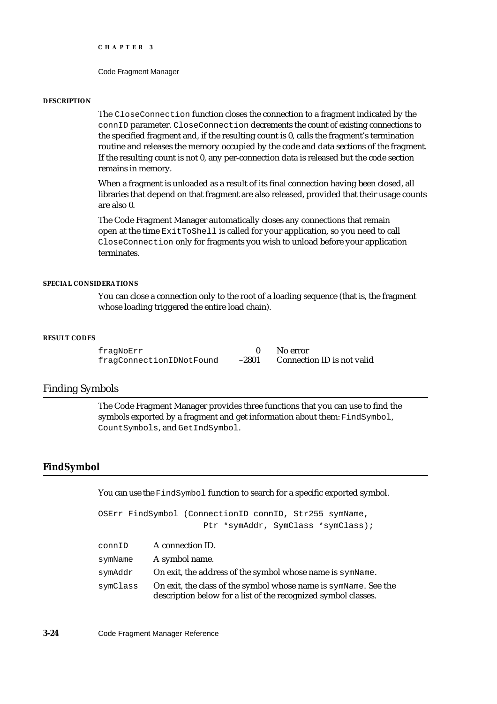```
CHAPTER 3
```
#### **DESCRIPTION**

The CloseConnection function closes the connection to a fragment indicated by the connID parameter. CloseConnection decrements the count of existing connections to the specified fragment and, if the resulting count is 0, calls the fragment's termination routine and releases the memory occupied by the code and data sections of the fragment. If the resulting count is not 0, any per-connection data is released but the code section remains in memory.

When a fragment is unloaded as a result of its final connection having been closed, all libraries that depend on that fragment are also released, provided that their usage counts are also 0.

The Code Fragment Manager automatically closes any connections that remain open at the time ExitToShell is called for your application, so you need to call CloseConnection only for fragments you wish to unload before your application terminates.

#### **SPECIAL CONSIDERATIONS**

You can close a connection only to the root of a loading sequence (that is, the fragment whose loading triggered the entire load chain).

#### **RESULT CODES**

fragNoErr 0 No error<br>fragConnectionIDNotFound -2801 Connection ID is not valid fragConnectionIDNotFound

## Finding Symbols

The Code Fragment Manager provides three functions that you can use to find the symbols exported by a fragment and get information about them: FindSymbol, CountSymbols, and GetIndSymbol.

## **FindSymbol**

You can use the FindSymbol function to search for a specific exported symbol.

OSErr FindSymbol (ConnectionID connID, Str255 symName, Ptr \*symAddr, SymClass \*symClass);

| connID   | A connection ID.                                                                                                                  |
|----------|-----------------------------------------------------------------------------------------------------------------------------------|
| symName  | A symbol name.                                                                                                                    |
| symAddr  | On exit, the address of the symbol whose name is symName.                                                                         |
| symClass | On exit, the class of the symbol whose name is symName. See the<br>description below for a list of the recognized symbol classes. |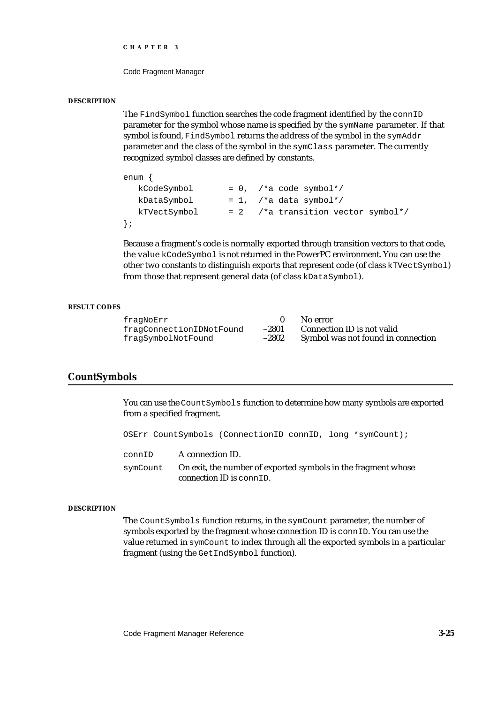Code Fragment Manager

#### **DESCRIPTION**

The FindSymbol function searches the code fragment identified by the connID parameter for the symbol whose name is specified by the symName parameter. If that symbol is found, FindSymbol returns the address of the symbol in the symAddr parameter and the class of the symbol in the symClass parameter. The currently recognized symbol classes are defined by constants.

```
enum {
  kCodeSymbol = 0, \t/*a code symbol*/kDataSymbol = 1, /*a data symbol*/
  kTVectSymbol = 2 /*a transition vector symbol*/
};
```
Because a fragment's code is normally exported through transition vectors to that code, the value kCodeSymbol is not returned in the PowerPC environment. You can use the other two constants to distinguish exports that represent code (of class kTVectSymbol) from those that represent general data (of class kDataSymbol).

#### **RESULT CODES**

| fraqNoErr                |         | No error                           |
|--------------------------|---------|------------------------------------|
| fragConnectionIDNotFound | $-2801$ | Connection ID is not valid         |
| fraqSymbolNotFound       | $-2802$ | Symbol was not found in connection |

#### **CountSymbols**

You can use the CountSymbols function to determine how many symbols are exported from a specified fragment.

|  |  | OSErr CountSymbols (ConnectionID connID, long *symCount); |  |  |  |
|--|--|-----------------------------------------------------------|--|--|--|
|--|--|-----------------------------------------------------------|--|--|--|

connID A connection ID.

symCount On exit, the number of exported symbols in the fragment whose connection ID is connID.

#### **DESCRIPTION**

The CountSymbols function returns, in the symCount parameter, the number of symbols exported by the fragment whose connection ID is  $\text{connID}$ . You can use the value returned in symCount to index through all the exported symbols in a particular fragment (using the GetIndSymbol function).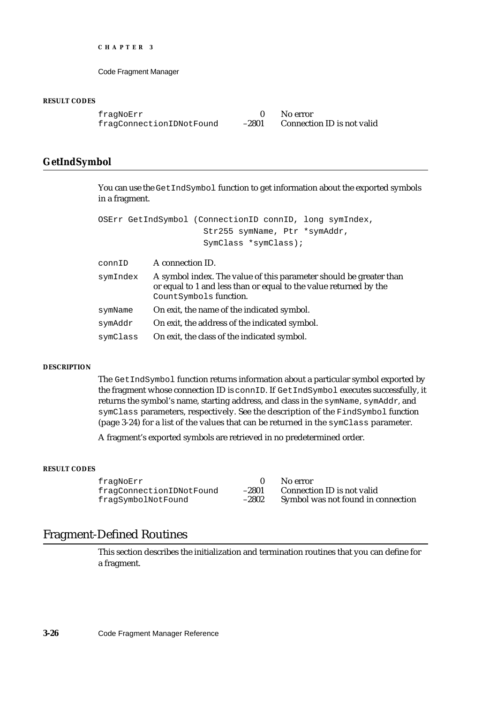Code Fragment Manager

#### **RESULT CODES**

fragNoErr 0 No error<br>fragConnectionIDNotFound -2801 Connection ID is not valid fragConnectionIDNotFound

## **GetIndSymbol**

You can use the GetIndSymbol function to get information about the exported symbols in a fragment.

```
OSErr GetIndSymbol (ConnectionID connID, long symIndex, 
                     Str255 symName, Ptr *symAddr, 
                     SymClass *symClass);
```

| connID   | A connection ID.                                                                                                                                                  |
|----------|-------------------------------------------------------------------------------------------------------------------------------------------------------------------|
| symIndex | A symbol index. The value of this parameter should be greater than<br>or equal to 1 and less than or equal to the value returned by the<br>CountSymbols function. |
| symName  | On exit, the name of the indicated symbol.                                                                                                                        |
| symAddr  | On exit, the address of the indicated symbol.                                                                                                                     |
| symClass | On exit, the class of the indicated symbol.                                                                                                                       |
|          |                                                                                                                                                                   |

#### **DESCRIPTION**

The GetIndSymbol function returns information about a particular symbol exported by the fragment whose connection ID is connID. If GetIndSymbol executes successfully, it returns the symbol's name, starting address, and class in the symName, symAddr, and symClass parameters, respectively. See the description of the FindSymbol function (page 3-24) for a list of the values that can be returned in the symClass parameter.

A fragment's exported symbols are retrieved in no predetermined order.

#### **RESULT CODES**

| fraqNoErr                |         | No error                           |
|--------------------------|---------|------------------------------------|
| fragConnectionIDNotFound | $-2801$ | Connection ID is not valid         |
| fraqSymbolNotFound       | $-2802$ | Symbol was not found in connection |

## Fragment-Defined Routines

This section describes the initialization and termination routines that you can define for a fragment.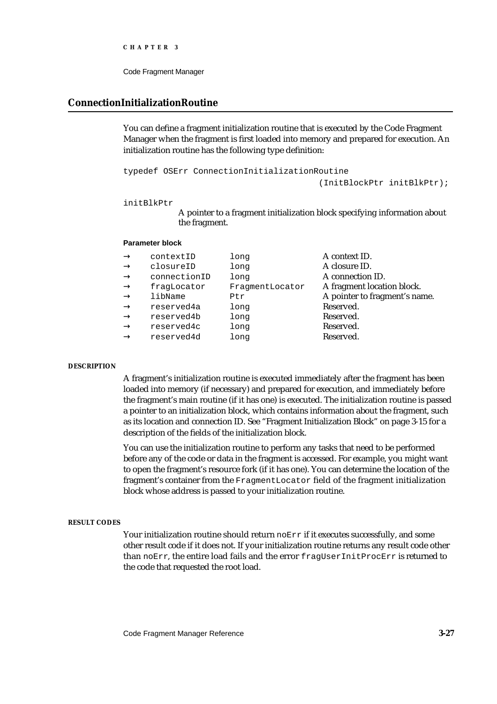Code Fragment Manager

## **ConnectionInitializationRoutine**

You can define a fragment initialization routine that is executed by the Code Fragment Manager when the fragment is first loaded into memory and prepared for execution. An initialization routine has the following type definition:

```
typedef OSErr ConnectionInitializationRoutine 
                                        (InitBlockPtr initBlkPtr);
```
initBlkPtr

A pointer to a fragment initialization block specifying information about the fragment.

#### **Parameter block**

| contextID    | long            | A context ID.                 |
|--------------|-----------------|-------------------------------|
| closureID    | long            | A closure ID.                 |
| connectionID | long            | A connection ID.              |
| fragLocator  | FragmentLocator | A fragment location block.    |
| libName      | Ptr             | A pointer to fragment's name. |
| reserved4a   | long            | Reserved.                     |
| reserved4b   | long            | Reserved.                     |
| reserved4c   | long            | Reserved.                     |
| reserved4d   | long            | Reserved.                     |

#### **DESCRIPTION**

A fragment's initialization routine is executed immediately after the fragment has been loaded into memory (if necessary) and prepared for execution, and immediately before the fragment's main routine (if it has one) is executed. The initialization routine is passed a pointer to an initialization block, which contains information about the fragment, such as its location and connection ID. See "Fragment Initialization Block" on page 3-15 for a description of the fields of the initialization block.

You can use the initialization routine to perform any tasks that need to be performed before any of the code or data in the fragment is accessed. For example, you might want to open the fragment's resource fork (if it has one). You can determine the location of the fragment's container from the FragmentLocator field of the fragment initialization block whose address is passed to your initialization routine.

#### **RESULT CODES**

Your initialization routine should return noErr if it executes successfully, and some other result code if it does not. If your initialization routine returns any result code other than noErr, the entire load fails and the error fragUserInitProcErr is returned to the code that requested the root load.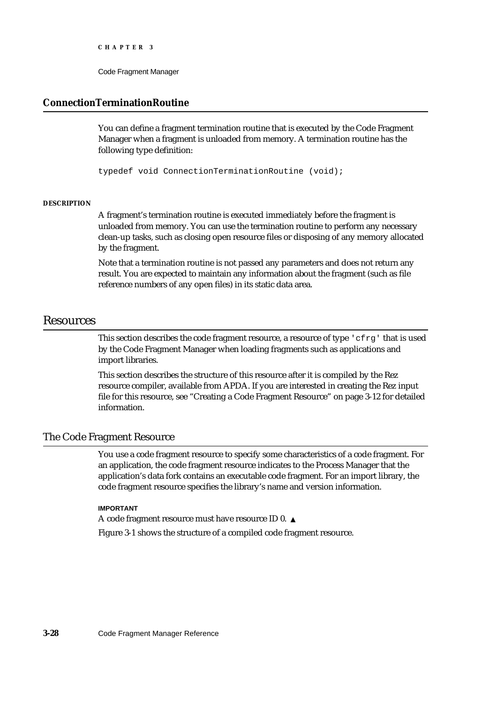Code Fragment Manager

## **ConnectionTerminationRoutine**

You can define a fragment termination routine that is executed by the Code Fragment Manager when a fragment is unloaded from memory. A termination routine has the following type definition:

typedef void ConnectionTerminationRoutine (void);

#### **DESCRIPTION**

A fragment's termination routine is executed immediately before the fragment is unloaded from memory. You can use the termination routine to perform any necessary clean-up tasks, such as closing open resource files or disposing of any memory allocated by the fragment.

Note that a termination routine is not passed any parameters and does not return any result. You are expected to maintain any information about the fragment (such as file reference numbers of any open files) in its static data area.

## Resources

This section describes the code fragment resource, a resource of type 'cfrg' that is used by the Code Fragment Manager when loading fragments such as applications and import libraries.

This section describes the structure of this resource after it is compiled by the Rez resource compiler, available from APDA. If you are interested in creating the Rez input file for this resource, see "Creating a Code Fragment Resource" on page 3-12 for detailed information.

## The Code Fragment Resource

You use a code fragment resource to specify some characteristics of a code fragment. For an application, the code fragment resource indicates to the Process Manager that the application's data fork contains an executable code fragment. For an import library, the code fragment resource specifies the library's name and version information.

#### **IMPORTANT**

A code fragment resource must have resource ID 0.

Figure 3-1 shows the structure of a compiled code fragment resource.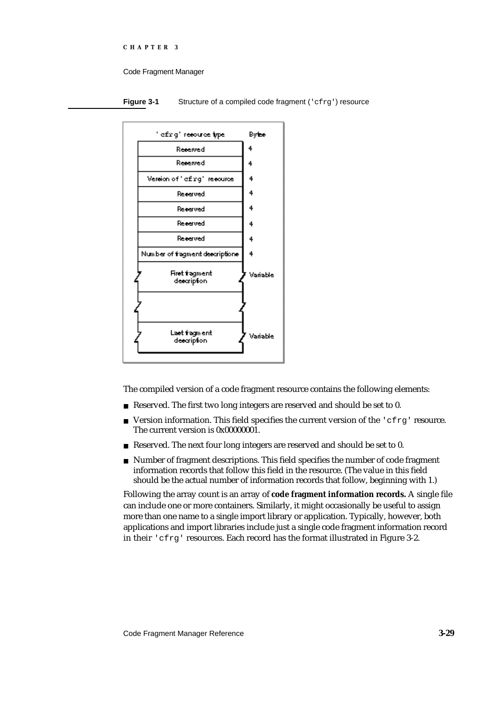**Figure 3-1** Structure of a compiled code fragment ('cfrg') resource



The compiled version of a code fragment resource contains the following elements:

- n Reserved. The first two long integers are reserved and should be set to 0.
- $n$  Version information. This field specifies the current version of the 'cfrg' resource. The current version is 0x00000001.
- n Reserved. The next four long integers are reserved and should be set to 0.
- $n$  Number of fragment descriptions. This field specifies the number of code fragment information records that follow this field in the resource. (The value in this field should be the actual number of information records that follow, beginning with 1.)

Following the array count is an array of **code fragment information records.** A single file can include one or more containers. Similarly, it might occasionally be useful to assign more than one name to a single import library or application. Typically, however, both applications and import libraries include just a single code fragment information record in their 'cfrg' resources. Each record has the format illustrated in Figure 3-2.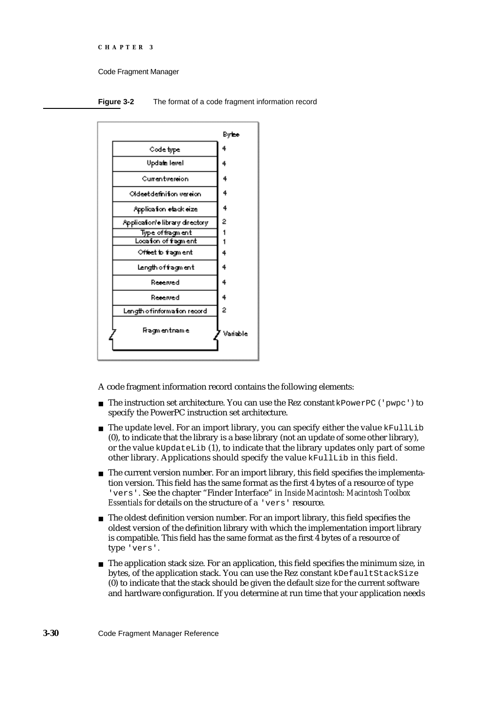#### **Figure 3-2** The format of a code fragment information record



A code fragment information record contains the following elements:

- The instruction set architecture. You can use the Rez constant kPowerPC ('pwpc') to  $n$ specify the PowerPC instruction set architecture.
- $n$  The update level. For an import library, you can specify either the value kFullLib (0), to indicate that the library is a base library (not an update of some other library), or the value kUpdateLib  $(1)$ , to indicate that the library updates only part of some other library. Applications should specify the value kFullLib in this field.
- $n$  The current version number. For an import library, this field specifies the implementation version. This field has the same format as the first 4 bytes of a resource of type 'vers'. See the chapter "Finder Interface" in *Inside Macintosh: Macintosh Toolbox Essentials* for details on the structure of a 'vers' resource.
- $n$  The oldest definition version number. For an import library, this field specifies the oldest version of the definition library with which the implementation import library is compatible. This field has the same format as the first 4 bytes of a resource of type 'vers'.
- $n$  The application stack size. For an application, this field specifies the minimum size, in bytes, of the application stack. You can use the Rez constant kDefaultStackSize (0) to indicate that the stack should be given the default size for the current software and hardware configuration. If you determine at run time that your application needs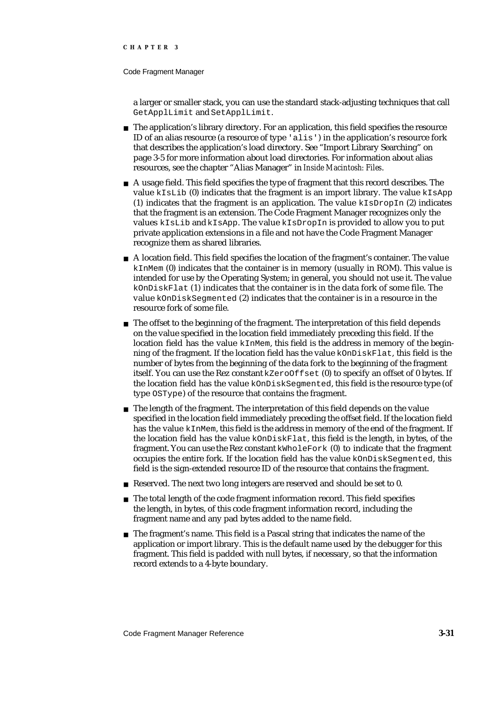a larger or smaller stack, you can use the standard stack-adjusting techniques that call GetApplLimit and SetApplLimit.

- $n$  The application's library directory. For an application, this field specifies the resource ID of an alias resource (a resource of type 'alis') in the application's resource fork that describes the application's load directory. See "Import Library Searching" on page 3-5 for more information about load directories. For information about alias resources, see the chapter "Alias Manager" in *Inside Macintosh: Files*.
- A usage field. This field specifies the type of fragment that this record describes. The value kIsLib (0) indicates that the fragment is an import library. The value kIsApp (1) indicates that the fragment is an application. The value  $kISDYOPIn (2)$  indicates that the fragment is an extension. The Code Fragment Manager recognizes only the values kIsLib and kIsApp. The value kIsDropIn is provided to allow you to put private application extensions in a file and not have the Code Fragment Manager recognize them as shared libraries.
- $A$  A location field. This field specifies the location of the fragment's container. The value kInMem (0) indicates that the container is in memory (usually in ROM). This value is intended for use by the Operating System; in general, you should not use it. The value kOnDiskFlat (1) indicates that the container is in the data fork of some file. The value kOnDiskSegmented (2) indicates that the container is in a resource in the resource fork of some file.
- $n$  The offset to the beginning of the fragment. The interpretation of this field depends on the value specified in the location field immediately preceding this field. If the location field has the value kInMem, this field is the address in memory of the beginning of the fragment. If the location field has the value kOnDiskFlat, this field is the number of bytes from the beginning of the data fork to the beginning of the fragment itself. You can use the Rez constant kZeroOffset (0) to specify an offset of 0 bytes. If the location field has the value kOnDiskSegmented, this field is the resource type (of type OSType) of the resource that contains the fragment.
- $n$  The length of the fragment. The interpretation of this field depends on the value specified in the location field immediately preceding the offset field. If the location field has the value kInMem, this field is the address in memory of the end of the fragment. If the location field has the value kOnDiskFlat, this field is the length, in bytes, of the fragment. You can use the Rez constant kWholeFork (0) to indicate that the fragment occupies the entire fork. If the location field has the value kOnDiskSegmented, this field is the sign-extended resource ID of the resource that contains the fragment.
- n Reserved. The next two long integers are reserved and should be set to 0.
- n The total length of the code fragment information record. This field specifies the length, in bytes, of this code fragment information record, including the fragment name and any pad bytes added to the name field.
- n The fragment's name. This field is a Pascal string that indicates the name of the application or import library. This is the default name used by the debugger for this fragment. This field is padded with null bytes, if necessary, so that the information record extends to a 4-byte boundary.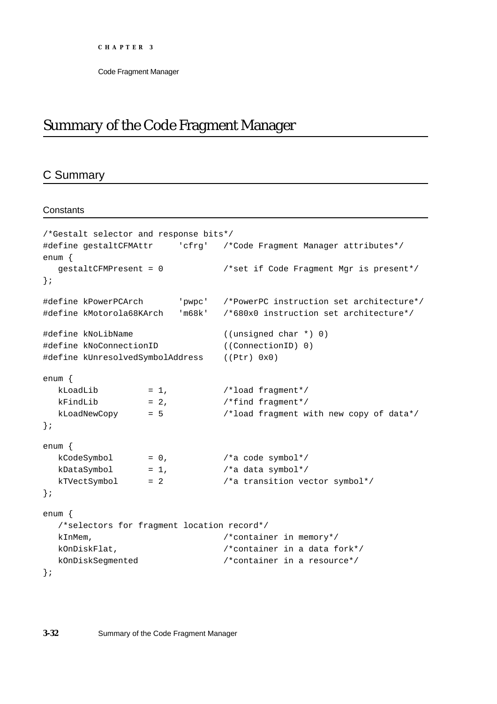# Summary of the Code Fragment Manager

## C Summary

## **Constants**

```
/*Gestalt selector and response bits*/
#define gestaltCFMAttr 'cfrg' /*Code Fragment Manager attributes*/
enum {
  gestaltCFMPresent = 0 /*set if Code Fragment Mgr is present*/
};
#define kPowerPCArch 'pwpc' /*PowerPC instruction set architecture*/
#define kMotorola68KArch 'm68k' /*680x0 instruction set architecture*/
#define kNoLibName ((unsigned char *) 0)
#define kNoConnectionID ((ConnectionID) 0)
#define kUnresolvedSymbolAddress ((Ptr) 0x0)
enum {
  kLoadLib = 1, / *load fragment*/kFindLib = 2, /*find fragment*/
  kLoadNewCopy = 5 /*load fragment with new copy of data*/
};
enum {
  kCodeSymbol = 0, /*a code symbol*/
  kDataSymbol = 1, \frac{1}{4} /*a data symbol*/
  kTVectSymbol = 2 /*a transition vector symbol*/
};
enum {
  /*selectors for fragment location record*/
  kInMem, /*container in memory*/
  kOnDiskFlat, /*container in a data fork*/
  kOnDiskSegmented /*container in a resource*/
};
```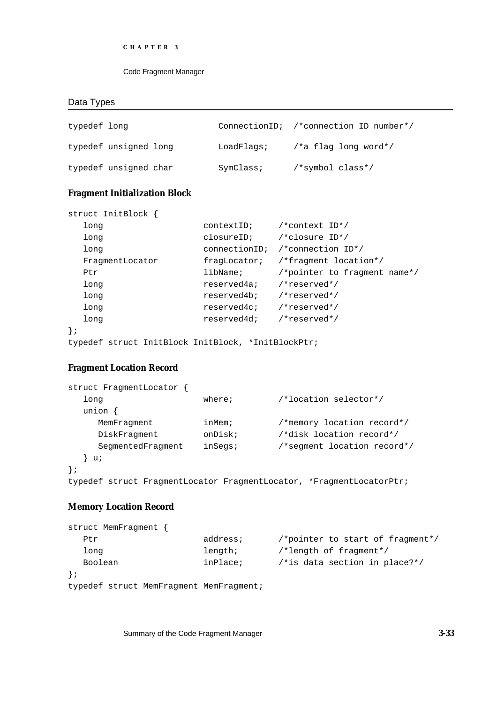```
CHAPTER 3
```
## Data Types

| typedef long |                       |            | ConnectionID; /*connection ID number*/ |
|--------------|-----------------------|------------|----------------------------------------|
|              | typedef unsigned long | LoadFlaqs; | /*a flag long word*/                   |
|              | typedef unsigned char | SymClass;  | /*symbol class*/                       |

## **Fragment Initialization Block**

| struct InitBlock {                                 |               |                              |
|----------------------------------------------------|---------------|------------------------------|
| long                                               | contextID;    | /*context ID*/               |
| long                                               | closureID;    | /*closure ID*/               |
| long                                               | connectionID; | /*connection ID*/            |
| FragmentLocator                                    | fraqLocator;  | /*fragment location*/        |
| Ptr                                                | libName       | /*pointer to fragment name*/ |
| long                                               | reserved4a;   | /*reserved*/                 |
| long                                               | reserved4b;   | /*reserved*/                 |
| long                                               | reserved4c;   | /*reserved*/                 |
| long                                               | reserved4d;   | /*reserved*/                 |
| $\}$ ;                                             |               |                              |
| typedef struct InitBlock InitBlock, *InitBlockPtr; |               |                              |

## **Fragment Location Record**

| struct FragmentLocator                          |         |                             |
|-------------------------------------------------|---------|-----------------------------|
| long                                            | where;  | /*location selector*/       |
| union                                           |         |                             |
| MemFragment                                     | inMem;  | /*memory location record*/  |
| DiskFraqment                                    | onDisk; | /*disk location record*/    |
| SegmentedFragment                               | inSegs; | /*segment location record*/ |
| ∤ u;                                            |         |                             |
| $\}$ ;                                          |         |                             |
| typedef struct FragmentLocator FragmentLocator, |         | *FraqmentLocatorPtr;        |

## **Memory Location Record**

| struct MemFragment {                    |          |                                  |
|-----------------------------------------|----------|----------------------------------|
| Ptr                                     | address; | /*pointer to start of fragment*/ |
| Tond                                    | length;  | /*length of fragment*/           |
| Boolean                                 | inPlace; | /*is data section in place?*/    |
| $\}$ ;                                  |          |                                  |
| typedef struct MemFraqment MemFraqment; |          |                                  |

Summary of the Code Fragment Manager **3-33**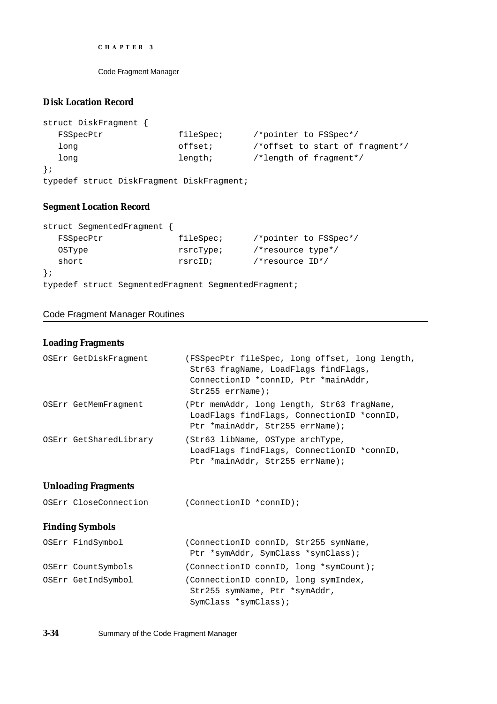```
CHAPTER 3
```
## **Disk Location Record**

```
struct DiskFragment {
  FSSpecPtr fileSpec; /*pointer to FSSpec*/
  long betts offset; the offset to start of fragment*/
  long length; \sqrt{*}length of fragment*/
};
typedef struct DiskFragment DiskFragment;
```
## **Segment Location Record**

```
struct SegmentedFragment {
  FSSpecPtr fileSpec; /*pointer to FSSpec*/
  OSType rsrcType; /*resource type*/
  short rsrcID; /*resource ID*/
};
typedef struct SegmentedFragment SegmentedFragment;
```
## Code Fragment Manager Routines

## **Loading Fragments**

| OSErr GetDiskFragment      | (FSSpecPtr fileSpec, long offset, long length,<br>Str63 fragName, LoadFlags findFlags,<br>ConnectionID *connID, Ptr *mainAddr,<br>$Str255$ errName); |
|----------------------------|------------------------------------------------------------------------------------------------------------------------------------------------------|
| OSErr GetMemFragment       | (Ptr memAddr, long length, Str63 fragName,<br>LoadFlags findFlags, ConnectionID *connID,<br>Ptr *mainAddr, Str255 errName);                          |
| OSErr GetSharedLibrary     | (Str63 libName, OSType archType,<br>LoadFlags findFlags, ConnectionID *connID,<br>Ptr *mainAddr, Str255 errName);                                    |
| <b>Unloading Fragments</b> |                                                                                                                                                      |
| OSErr CloseConnection      | (ConnectionID *connID);                                                                                                                              |
| <b>Finding Symbols</b>     |                                                                                                                                                      |
| OSErr FindSymbol           | (ConnectionID connID, Str255 symName,<br>Ptr *symAddr, SymClass *symClass);                                                                          |
| OSErr CountSymbols         | (ConnectionID connID, long *symCount);                                                                                                               |
| OSErr GetIndSymbol         | (ConnectionID connID, long symIndex,<br>Str255 symName, Ptr *symAddr,<br>SymClass *symClass);                                                        |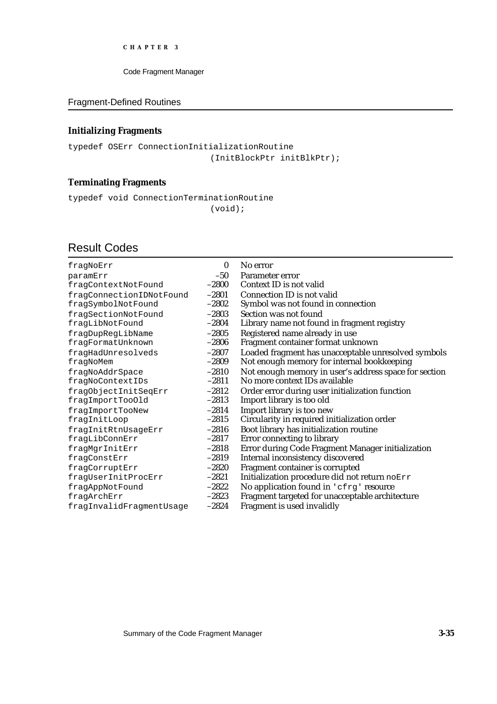Code Fragment Manager

## Fragment-Defined Routines

## **Initializing Fragments**

typedef OSErr ConnectionInitializationRoutine (InitBlockPtr initBlkPtr);

## **Terminating Fragments**

typedef void ConnectionTerminationRoutine (void);

# Result Codes

| fragNoErr                | $\bf{0}$ | No error                                              |
|--------------------------|----------|-------------------------------------------------------|
| paramErr                 | $-50$    | Parameter error                                       |
| fragContextNotFound      | $-2800$  | Context ID is not valid                               |
| fragConnectionIDNotFound | $-2801$  | Connection ID is not valid                            |
| fragSymbolNotFound       | $-2802$  | Symbol was not found in connection                    |
| fragSectionNotFound      | $-2803$  | Section was not found                                 |
| fragLibNotFound          | $-2804$  | Library name not found in fragment registry           |
| fragDupRegLibName        | $-2805$  | Registered name already in use                        |
| fragFormatUnknown        | $-2806$  | Fragment container format unknown                     |
| fragHadUnresolveds       | $-2807$  | Loaded fragment has unacceptable unresolved symbols   |
| fragNoMem                | $-2809$  | Not enough memory for internal bookkeeping            |
| fragNoAddrSpace          | $-2810$  | Not enough memory in user's address space for section |
| fragNoContextIDs         | $-2811$  | No more context IDs available                         |
| fragObjectInitSeqErr     | $-2812$  | Order error during user initialization function       |
| fragImportTooOld         | $-2813$  | Import library is too old                             |
| fragImportTooNew         | $-2814$  | Import library is too new                             |
| fragInitLoop             | $-2815$  | Circularity in required initialization order          |
| fragInitRtnUsageErr      | $-2816$  | Boot library has initialization routine               |
| fragLibConnErr           | $-2817$  | Error connecting to library                           |
| fragMgrInitErr           | $-2818$  | Error during Code Fragment Manager initialization     |
| fragConstErr             | $-2819$  | Internal inconsistency discovered                     |
| fragCorruptErr           | $-2820$  | Fragment container is corrupted                       |
| fragUserInitProcErr      | $-2821$  | Initialization procedure did not return noErr         |
| fragAppNotFound          | $-2822$  | No application found in 'cfrg' resource               |
| fragArchErr              | $-2823$  | Fragment targeted for unacceptable architecture       |
| fragInvalidFragmentUsage | $-2824$  | Fragment is used invalidly                            |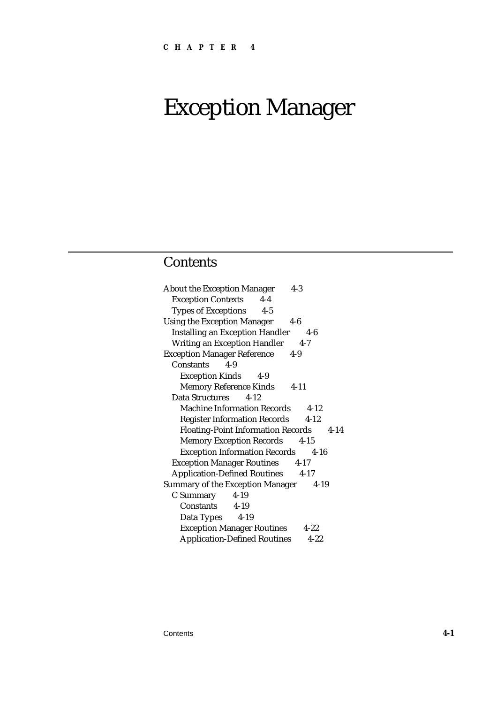# Exception Manager

# **Contents**

| <b>About the Exception Manager</b><br>4-3             |
|-------------------------------------------------------|
| <b>Exception Contexts</b><br>$4 - 4$                  |
| <b>Types of Exceptions</b><br>$4 - 5$                 |
| <b>Using the Exception Manager</b><br>$4-6$           |
| <b>Installing an Exception Handler</b><br>4-6         |
| <b>Writing an Exception Handler</b> 4-7               |
| <b>Exception Manager Reference</b><br>- 4-9           |
| Constants<br>$4 - 9$                                  |
| <b>Exception Kinds</b><br>- 4-9                       |
| <b>Memory Reference Kinds</b><br>$4 - 11$             |
| <b>Data Structures</b><br>$4 - 12$                    |
| <b>Machine Information Records</b> 4-12               |
| <b>Register Information Records</b><br>$4 - 12$       |
| <b>Floating-Point Information Records</b><br>$4 - 14$ |
| <b>Memory Exception Records</b> 4-15                  |
| <b>Exception Information Records</b><br>4-16          |
| <b>Exception Manager Routines</b> 4-17                |
| <b>Application-Defined Routines 4-17</b>              |
| <b>Summary of the Exception Manager</b><br>$4-19$     |
| C Summary 4-19                                        |
| Constants 4-19                                        |
| Data Types 4-19                                       |
| <b>Exception Manager Routines</b><br>$4-22$           |
| <b>Application-Defined Routines</b><br>$4 - 22$       |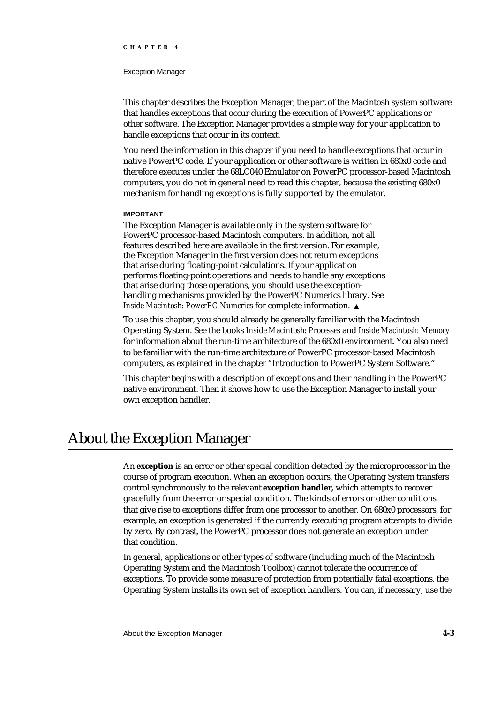#### Exception Manager

This chapter describes the Exception Manager, the part of the Macintosh system software that handles exceptions that occur during the execution of PowerPC applications or other software. The Exception Manager provides a simple way for your application to handle exceptions that occur in its context.

You need the information in this chapter if you need to handle exceptions that occur in native PowerPC code. If your application or other software is written in 680x0 code and therefore executes under the 68LC040 Emulator on PowerPC processor-based Macintosh computers, you do not in general need to read this chapter, because the existing 680x0 mechanism for handling exceptions is fully supported by the emulator.

#### **IMPORTANT**

The Exception Manager is available only in the system software for PowerPC processor-based Macintosh computers. In addition, not all features described here are available in the first version. For example, the Exception Manager in the first version does not return exceptions that arise during floating-point calculations. If your application performs floating-point operations and needs to handle any exceptions that arise during those operations, you should use the exceptionhandling mechanisms provided by the PowerPC Numerics library. See *Inside Macintosh: PowerPC Numerics* for complete information.

To use this chapter, you should already be generally familiar with the Macintosh Operating System. See the books *Inside Macintosh: Processes* and *Inside Macintosh: Memory* for information about the run-time architecture of the 680x0 environment. You also need to be familiar with the run-time architecture of PowerPC processor-based Macintosh computers, as explained in the chapter "Introduction to PowerPC System Software."

This chapter begins with a description of exceptions and their handling in the PowerPC native environment. Then it shows how to use the Exception Manager to install your own exception handler.

# About the Exception Manager

An **exception** is an error or other special condition detected by the microprocessor in the course of program execution. When an exception occurs, the Operating System transfers control synchronously to the relevant **exception handler,** which attempts to recover gracefully from the error or special condition. The kinds of errors or other conditions that give rise to exceptions differ from one processor to another. On 680x0 processors, for example, an exception is generated if the currently executing program attempts to divide by zero. By contrast, the PowerPC processor does not generate an exception under that condition.

In general, applications or other types of software (including much of the Macintosh Operating System and the Macintosh Toolbox) cannot tolerate the occurrence of exceptions. To provide some measure of protection from potentially fatal exceptions, the Operating System installs its own set of exception handlers. You can, if necessary, use the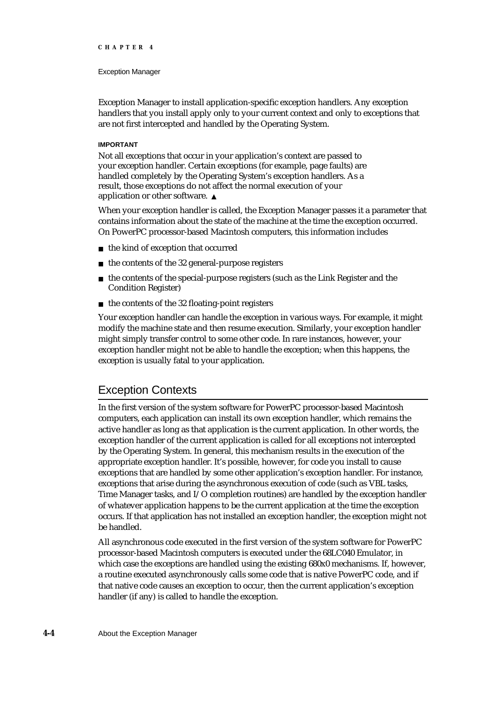#### Exception Manager

Exception Manager to install application-specific exception handlers. Any exception handlers that you install apply only to your current context and only to exceptions that are not first intercepted and handled by the Operating System.

#### **IMPORTANT**

Not all exceptions that occur in your application's context are passed to your exception handler. Certain exceptions (for example, page faults) are handled completely by the Operating System's exception handlers. As a result, those exceptions do not affect the normal execution of your application or other software.

When your exception handler is called, the Exception Manager passes it a parameter that contains information about the state of the machine at the time the exception occurred. On PowerPC processor-based Macintosh computers, this information includes

- n the kind of exception that occurred
- $n$  the contents of the 32 general-purpose registers
- n the contents of the special-purpose registers (such as the Link Register and the Condition Register)
- $n$  the contents of the 32 floating-point registers

Your exception handler can handle the exception in various ways. For example, it might modify the machine state and then resume execution. Similarly, your exception handler might simply transfer control to some other code. In rare instances, however, your exception handler might not be able to handle the exception; when this happens, the exception is usually fatal to your application.

## Exception Contexts

In the first version of the system software for PowerPC processor-based Macintosh computers, each application can install its own exception handler, which remains the active handler as long as that application is the current application. In other words, the exception handler of the current application is called for all exceptions not intercepted by the Operating System. In general, this mechanism results in the execution of the appropriate exception handler. It's possible, however, for code you install to cause exceptions that are handled by some other application's exception handler. For instance, exceptions that arise during the asynchronous execution of code (such as VBL tasks, Time Manager tasks, and I/O completion routines) are handled by the exception handler of whatever application happens to be the current application at the time the exception occurs. If that application has not installed an exception handler, the exception might not be handled.

All asynchronous code executed in the first version of the system software for PowerPC processor-based Macintosh computers is executed under the 68LC040 Emulator, in which case the exceptions are handled using the existing 680x0 mechanisms. If, however, a routine executed asynchronously calls some code that is native PowerPC code, and if that native code causes an exception to occur, then the current application's exception handler (if any) is called to handle the exception.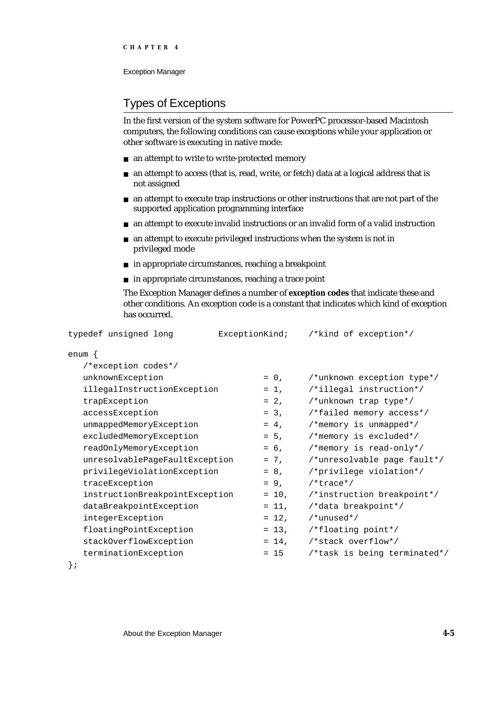## Types of Exceptions

In the first version of the system software for PowerPC processor-based Macintosh computers, the following conditions can cause exceptions while your application or other software is executing in native mode:

- an attempt to write to write-protected memory
- an attempt to access (that is, read, write, or fetch) data at a logical address that is not assigned
- $n \text{ a}$  an attempt to execute trap instructions or other instructions that are not part of the supported application programming interface
- an attempt to execute invalid instructions or an invalid form of a valid instruction
- an attempt to execute privileged instructions when the system is not in privileged mode
- in appropriate circumstances, reaching a breakpoint
- in appropriate circumstances, reaching a trace point

The Exception Manager defines a number of **exception codes** that indicate these and other conditions. An exception code is a constant that indicates which kind of exception has occurred.

| typedef unsigned long          | ExceptionKind; | /*kind of exception*/        |
|--------------------------------|----------------|------------------------------|
| $enum \{$                      |                |                              |
| /*exception codes*/            |                |                              |
| unknownException               | $= 0$ ,        | /*unknown exception type*/   |
| illegalInstructionException    | $= 1,$         | /*illegal instruction*/      |
| trapException                  | $= 2,$         | /*unknown trap type*/        |
| accessException                | $= 3.$         | /*failed memory access*/     |
| unmappedMemoryException        | $= 4.$         | /*memory is unmapped*/       |
| excludedMemoryException        | $= 5,$         | /*memory is excluded*/       |
| readOnlyMemoryException        | $= 6.$         | /*memory is read-only*/      |
| unresolvablePageFaultException | $= 7.$         | /*unresolvable page fault*/  |
| privilegeViolationException    | $= 8.$         | /*privilege violation*/      |
| traceException                 | $= 9.$         | $/*trace*/$                  |
| instructionBreakpointException | $= 10,$        | /*instruction breakpoint*/   |
| dataBreakpointException        | $= 11,$        | /*data breakpoint*/          |
| integerException               | $= 12,$        | $/*$ unused*/                |
| floatingPointException         | $= 13,$        | /*floating point*/           |
| stackOverflowException         | $= 14$ ,       | /*stack overflow*/           |
| terminationException           | $= 15$         | /*task is being terminated*/ |
|                                |                |                              |

};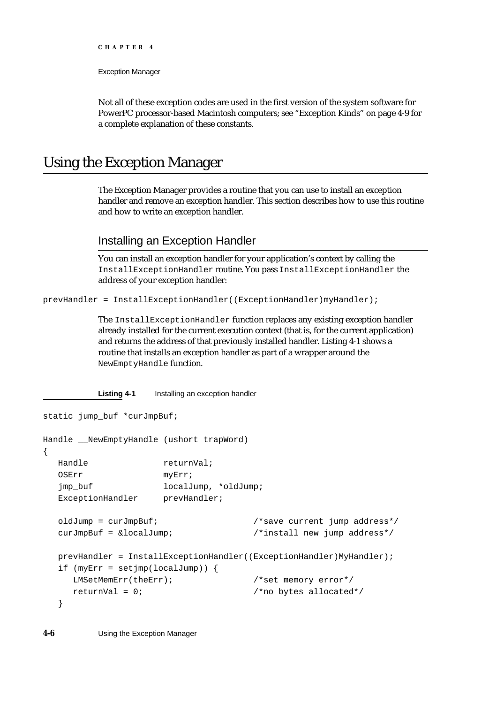Exception Manager

Not all of these exception codes are used in the first version of the system software for PowerPC processor-based Macintosh computers; see "Exception Kinds" on page 4-9 for a complete explanation of these constants.

## Using the Exception Manager

The Exception Manager provides a routine that you can use to install an exception handler and remove an exception handler. This section describes how to use this routine and how to write an exception handler.

## Installing an Exception Handler

You can install an exception handler for your application's context by calling the InstallExceptionHandler routine. You pass InstallExceptionHandler the address of your exception handler:

prevHandler = InstallExceptionHandler((ExceptionHandler)myHandler);

The InstallExceptionHandler function replaces any existing exception handler already installed for the current execution context (that is, for the current application) and returns the address of that previously installed handler. Listing 4-1 shows a routine that installs an exception handler as part of a wrapper around the NewEmptyHandle function.

**Listing 4-1** Installing an exception handler

```
static jump_buf *curJmpBuf;
Handle __NewEmptyHandle (ushort trapWord)
{
  Handle returnVal;
  OSErr myErr;
  jmp_buf localJump, *oldJump;
  ExceptionHandler prevHandler;
  oldJump = curJmpBuf; /*save current jump address*/
  curJmpBuf = &localJump; /*install new jump address*/
  prevHandler = InstallExceptionHandler((ExceptionHandler)MyHandler);if (myErr = setjmp(localJump)) {
    LMSetMemErr(theErr); /*set memory error*/
    returnVal = 0; /*no bytes allocated*/
  }
```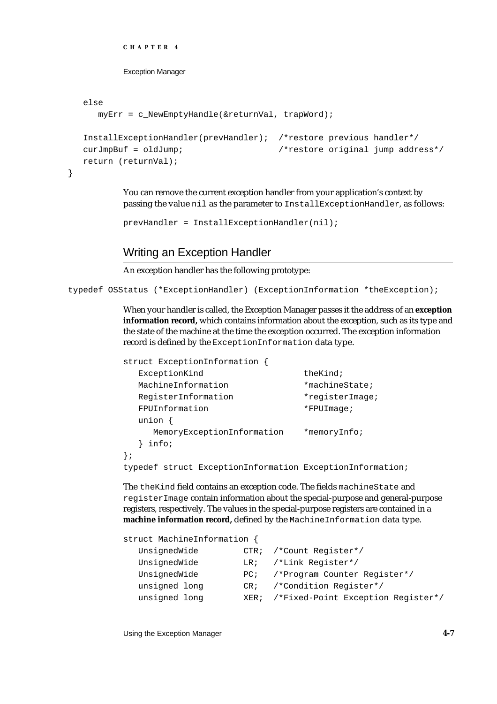```
CHAPTER 4
```

```
else
     myErr = c_NewEmptyHandle(&returnVal, trapWord);
  InstallExceptionHandler(prevHandler); /*restore previous handler*/
  curJmpBuf = oldJump; /*restore original jump address*/
  return (returnVal);
}
```
You can remove the current exception handler from your application's context by passing the value nil as the parameter to InstallExceptionHandler, as follows:

```
prevHandler = InstallExceptionHandler(nil);
```
## Writing an Exception Handler

An exception handler has the following prototype:

```
typedef OSStatus (*ExceptionHandler) (ExceptionInformation *theException);
```
When your handler is called, the Exception Manager passes it the address of an **exception information record,** which contains information about the exception, such as its type and the state of the machine at the time the exception occurred. The exception information record is defined by the ExceptionInformation data type.

```
struct ExceptionInformation {
  ExceptionKind theKind;
  MachineInformation *machineState;
  RegisterInformation *registerImage;
  FPUInformation *FPUImage;
  union {
    MemoryExceptionInformation *memoryInfo;
  } info;
};
typedef struct ExceptionInformation ExceptionInformation;
```
The theKind field contains an exception code. The fields machineState and registerImage contain information about the special-purpose and general-purpose registers, respectively. The values in the special-purpose registers are contained in a **machine information record,** defined by the MachineInformation data type.

| struct MachineInformation { |                                         |
|-----------------------------|-----------------------------------------|
|                             | CTR; /*Count Register*/                 |
| LR;                         | /*Link Register*/                       |
|                             | PC; /*Program Counter Register*/        |
| CR;                         | /*Condition Register*/                  |
|                             | XER; /*Fixed-Point Exception Register*/ |
|                             |                                         |

Using the Exception Manager **4-7**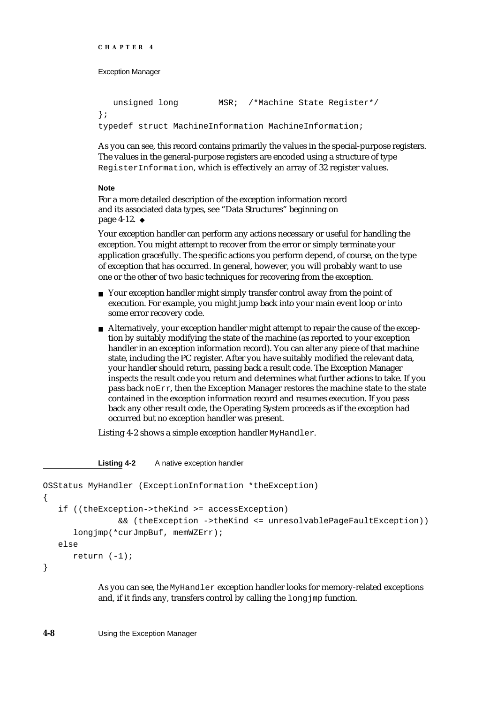```
CHAPTER 4
```

```
unsigned long MSR; /*Machine State Register*/
};
typedef struct MachineInformation MachineInformation;
```
As you can see, this record contains primarily the values in the special-purpose registers. The values in the general-purpose registers are encoded using a structure of type RegisterInformation, which is effectively an array of 32 register values.

#### **Note**

For a more detailed description of the exception information record and its associated data types, see "Data Structures" beginning on page 4-12.

Your exception handler can perform any actions necessary or useful for handling the exception. You might attempt to recover from the error or simply terminate your application gracefully. The specific actions you perform depend, of course, on the type of exception that has occurred. In general, however, you will probably want to use one or the other of two basic techniques for recovering from the exception.

- Your exception handler might simply transfer control away from the point of execution. For example, you might jump back into your main event loop or into some error recovery code.
- Alternatively, your exception handler might attempt to repair the cause of the exception by suitably modifying the state of the machine (as reported to your exception handler in an exception information record). You can alter any piece of that machine state, including the PC register. After you have suitably modified the relevant data, your handler should return, passing back a result code. The Exception Manager inspects the result code you return and determines what further actions to take. If you pass back noErr, then the Exception Manager restores the machine state to the state contained in the exception information record and resumes execution. If you pass back any other result code, the Operating System proceeds as if the exception had occurred but no exception handler was present.

Listing 4-2 shows a simple exception handler MyHandler.

#### **Listing 4-2** A native exception handler

```
OSStatus MyHandler (ExceptionInformation *theException)
{
  if ((theException->theKind >= accessException) 
               && (theException ->theKind <= unresolvablePageFaultException))
      longjmp(*curJmpBuf, memWZErr);
  else
      return (-1);
}
```
As you can see, the MyHandler exception handler looks for memory-related exceptions and, if it finds any, transfers control by calling the longjmp function.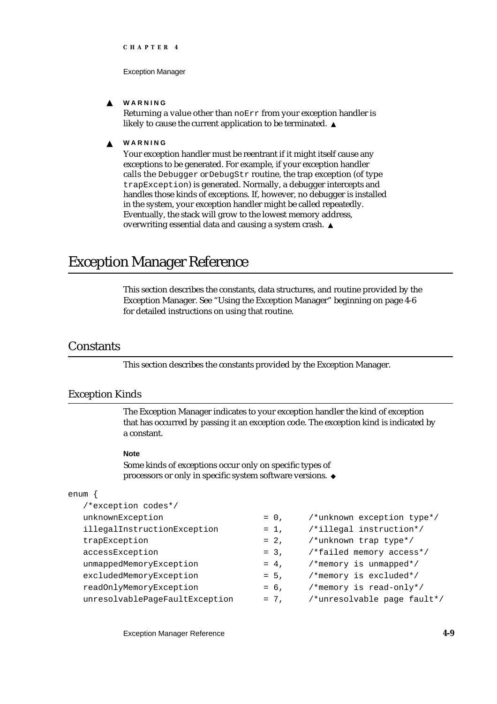Exception Manager

#### $\mathsf s$ **WARNING**

Returning a value other than noErr from your exception handler is likely to cause the current application to be terminated.

#### $\mathbf{s}$ **WARNING**

Your exception handler must be reentrant if it might itself cause any exceptions to be generated. For example, if your exception handler calls the Debugger or DebugStr routine, the trap exception (of type trapException) is generated. Normally, a debugger intercepts and handles those kinds of exceptions. If, however, no debugger is installed in the system, your exception handler might be called repeatedly. Eventually, the stack will grow to the lowest memory address, overwriting essential data and causing a system crash.

## Exception Manager Reference

This section describes the constants, data structures, and routine provided by the Exception Manager. See "Using the Exception Manager" beginning on page 4-6 for detailed instructions on using that routine.

## **Constants**

This section describes the constants provided by the Exception Manager.

## Exception Kinds

The Exception Manager indicates to your exception handler the kind of exception that has occurred by passing it an exception code. The exception kind is indicated by a constant.

#### **Note**

Some kinds of exceptions occur only on specific types of processors or only in specific system software versions.

#### enum {

| /*exception codes*/            |         |                             |
|--------------------------------|---------|-----------------------------|
| unknownException               | $= 0$ , | /*unknown exception type*/  |
| illegalInstructionException    | $= 1,$  | /*illegal instruction*/     |
| trapException                  | $= 2,$  | /*unknown trap type*/       |
| accessException                | $= 3.$  | /*failed memory access*/    |
| unmappedMemoryException        | $= 4.$  | /*memory is unmapped*/      |
| excludedMemoryException        | $= 5.$  | /*memory is excluded*/      |
| readOnlyMemoryException        | $= 6.$  | /*memory is read-only*/     |
| unresolvablePageFaultException | $= 7.$  | /*unresolvable page fault*/ |

Exception Manager Reference **4-9**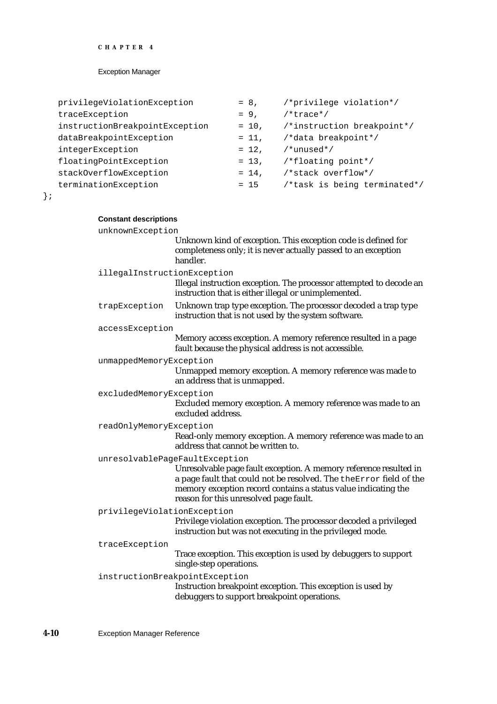| privilegeViolationException    | $= 8.$   | /*privilege violation*/      |
|--------------------------------|----------|------------------------------|
| traceException                 | $= 9.$   | $/*trace*/$                  |
| instructionBreakpointException | $= 10$ , | /*instruction breakpoint*/   |
| dataBreakpointException        | $= 11$ , | /*data breakpoint*/          |
| integerException               | $= 12$ , | $/*$ unused*/                |
| floatingPointException         | $= 13$ , | /*floating point*/           |
| stackOverflowException         | $= 14$ , | /*stack overflow*/           |
| terminationException           | $= 15$   | /*task is being terminated*/ |
|                                |          |                              |

};

| <b>Constant descriptions</b> |
|------------------------------|
|------------------------------|

| Constant descriptions       |                                                                                                                                                                                                                                                     |
|-----------------------------|-----------------------------------------------------------------------------------------------------------------------------------------------------------------------------------------------------------------------------------------------------|
| unknownException            |                                                                                                                                                                                                                                                     |
|                             | Unknown kind of exception. This exception code is defined for<br>completeness only; it is never actually passed to an exception<br>handler.                                                                                                         |
| illegalInstructionException | Illegal instruction exception. The processor attempted to decode an<br>instruction that is either illegal or unimplemented.                                                                                                                         |
| trapException               | Unknown trap type exception. The processor decoded a trap type<br>instruction that is not used by the system software.                                                                                                                              |
| accessException             |                                                                                                                                                                                                                                                     |
|                             | Memory access exception. A memory reference resulted in a page<br>fault because the physical address is not accessible.                                                                                                                             |
| unmappedMemoryException     |                                                                                                                                                                                                                                                     |
|                             | Unmapped memory exception. A memory reference was made to<br>an address that is unmapped.                                                                                                                                                           |
| excludedMemoryException     |                                                                                                                                                                                                                                                     |
|                             | Excluded memory exception. A memory reference was made to an<br>excluded address.                                                                                                                                                                   |
| readOnlyMemoryException     |                                                                                                                                                                                                                                                     |
|                             | Read-only memory exception. A memory reference was made to an<br>address that cannot be written to.                                                                                                                                                 |
|                             | unresolvablePageFaultException                                                                                                                                                                                                                      |
|                             | Unresolvable page fault exception. A memory reference resulted in<br>a page fault that could not be resolved. The theError field of the<br>memory exception record contains a status value indicating the<br>reason for this unresolved page fault. |
| privilegeViolationException |                                                                                                                                                                                                                                                     |
|                             | Privilege violation exception. The processor decoded a privileged<br>instruction but was not executing in the privileged mode.                                                                                                                      |
| traceException              |                                                                                                                                                                                                                                                     |
|                             | Trace exception. This exception is used by debuggers to support<br>single-step operations.                                                                                                                                                          |
|                             | instructionBreakpointException                                                                                                                                                                                                                      |
|                             | Instruction breakpoint exception. This exception is used by<br>debuggers to support breakpoint operations.                                                                                                                                          |
|                             |                                                                                                                                                                                                                                                     |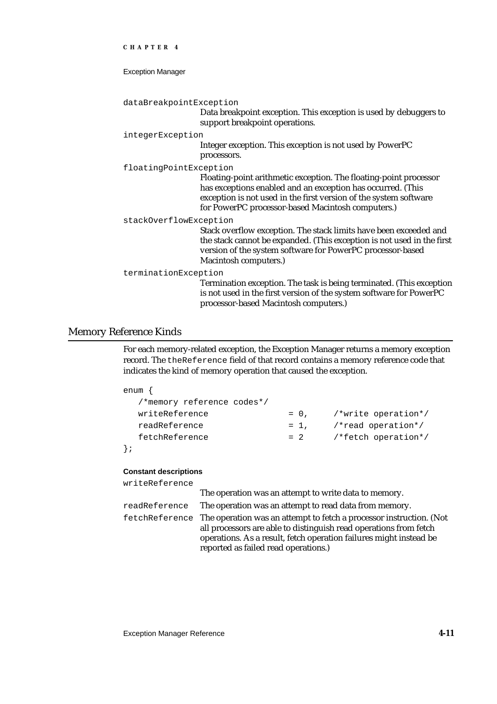```
CHAPTER 4
```

```
dataBreakpointException
                   Data breakpoint exception. This exception is used by debuggers to 
                   support breakpoint operations.
integerException
                   Integer exception. This exception is not used by PowerPC 
                   processors.
floatingPointException
                   Floating-point arithmetic exception. The floating-point processor 
                   has exceptions enabled and an exception has occurred. (This 
                    exception is not used in the first version of the system software 
                   for PowerPC processor-based Macintosh computers.)
stackOverflowException
                   Stack overflow exception. The stack limits have been exceeded and 
                   the stack cannot be expanded. (This exception is not used in the first 
                   version of the system software for PowerPC processor-based 
                   Macintosh computers.)
terminationException
                   Termination exception. The task is being terminated. (This exception 
                   is not used in the first version of the system software for PowerPC 
                   processor-based Macintosh computers.)
```
## Memory Reference Kinds

};

For each memory-related exception, the Exception Manager returns a memory exception record. The theReference field of that record contains a memory reference code that indicates the kind of memory operation that caused the exception.

#### enum {

| /*memory reference codes*/ |        |                     |
|----------------------------|--------|---------------------|
| writeReference             | $= 0.$ | /*write operation*/ |
| readReference              | $= 1.$ | /*read operation*/  |
| fetchReference             | $= 2$  | /*fetch operation*/ |
|                            |        |                     |

#### **Constant descriptions**

writeReference

|               | The operation was an attempt to write data to memory.                                                                                                                                                                                                                 |
|---------------|-----------------------------------------------------------------------------------------------------------------------------------------------------------------------------------------------------------------------------------------------------------------------|
| readReference | The operation was an attempt to read data from memory.                                                                                                                                                                                                                |
|               | fetchReference The operation was an attempt to fetch a processor instruction. (Not<br>all processors are able to distinguish read operations from fetch<br>operations. As a result, fetch operation failures might instead be<br>reported as failed read operations.) |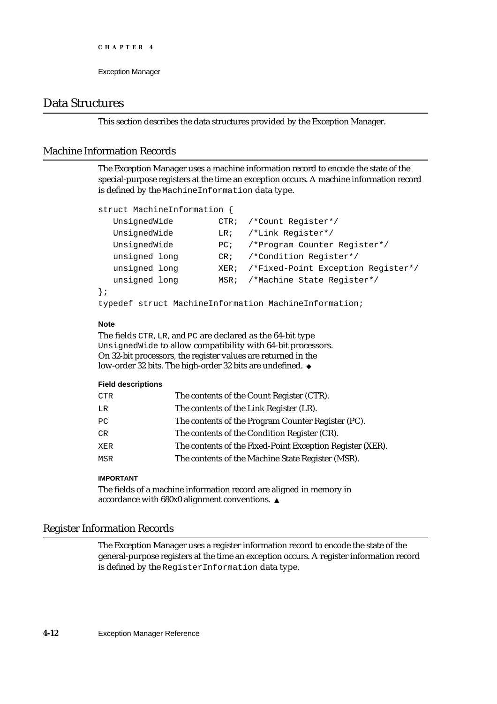## Data Structures

This section describes the data structures provided by the Exception Manager.

## Machine Information Records

The Exception Manager uses a machine information record to encode the state of the special-purpose registers at the time an exception occurs. A machine information record is defined by the MachineInformation data type.

```
struct MachineInformation {
  UnsignedWide CTR; /*Count Register*/
  UnsignedWide LR; /*Link Register*/
  UnsignedWide PC; /*Program Counter Register*/
  unsigned long CR; /*Condition Register*/
  unsigned long XER; /*Fixed-Point Exception Register*/
  unsigned long MSR; /*Machine State Register*/
};
typedef struct MachineInformation MachineInformation;
```
#### **Note**

The fields CTR, LR, and PC are declared as the 64-bit type UnsignedWide to allow compatibility with 64-bit processors. On 32-bit processors, the register values are returned in the low-order 32 bits. The high-order 32 bits are undefined.

#### **Field descriptions**

| CTR | The contents of the Count Register (CTR).                 |
|-----|-----------------------------------------------------------|
| LR  | The contents of the Link Register (LR).                   |
| РC  | The contents of the Program Counter Register (PC).        |
| CR  | The contents of the Condition Register (CR).              |
| XER | The contents of the Fixed-Point Exception Register (XER). |
| MSR | The contents of the Machine State Register (MSR).         |
|     |                                                           |

#### **IMPORTANT**

The fields of a machine information record are aligned in memory in accordance with 680x0 alignment conventions.

#### Register Information Records

The Exception Manager uses a register information record to encode the state of the general-purpose registers at the time an exception occurs. A register information record is defined by the RegisterInformation data type.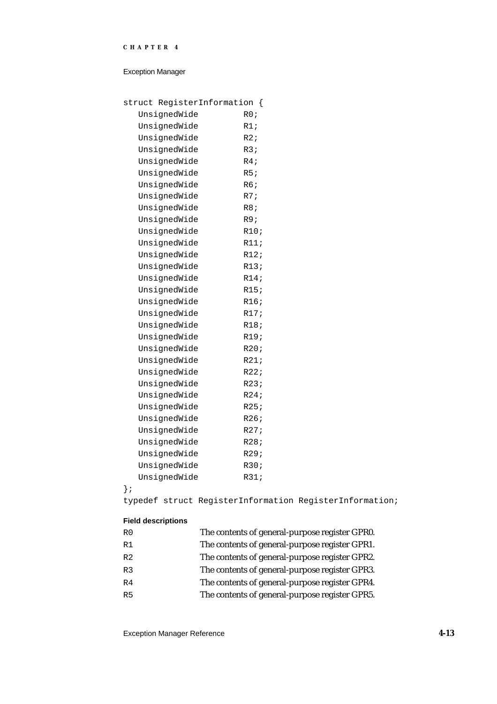#### Exception Manager

| struct RegisterInformation { |      |
|------------------------------|------|
| UnsignedWide                 | RO:  |
| UnsignedWide                 | R1;  |
| UnsignedWide                 | R2;  |
| UnsignedWide                 | R3;  |
| UnsignedWide                 | R4;  |
| UnsignedWide                 | R5;  |
| UnsignedWide                 | R6;  |
| UnsignedWide                 | R7;  |
| UnsignedWide                 | R8;  |
| UnsignedWide                 | R9;  |
| UnsignedWide                 | R10; |
| UnsignedWide                 | R11; |
| UnsignedWide                 | R12; |
| UnsignedWide                 | R13; |
| UnsignedWide                 | R14; |
| UnsignedWide                 | R15; |
| UnsignedWide                 | R16; |
| UnsignedWide                 | R17; |
| UnsignedWide                 | R18; |
| UnsignedWide                 | R19; |
| UnsignedWide                 | R20; |
| UnsignedWide                 | R21; |
| UnsignedWide                 | R22; |
| UnsignedWide                 | R23; |
| UnsignedWide                 | R24; |
| UnsignedWide                 | R25; |
| UnsignedWide                 | R26; |
| UnsignedWide                 | R27; |
| UnsignedWide                 | R28; |
| UnsignedWide                 | R29; |
| UnsignedWide                 | R30; |
| UnsignedWide                 | R31; |
| $\}$ ;                       |      |

typedef struct RegisterInformation RegisterInformation;

## **Field descriptions**

| R0 | The contents of general-purpose register GPR0. |
|----|------------------------------------------------|
| R1 | The contents of general-purpose register GPR1. |
| R2 | The contents of general-purpose register GPR2. |
| R3 | The contents of general-purpose register GPR3. |
| R4 | The contents of general-purpose register GPR4. |
| R5 | The contents of general-purpose register GPR5. |
|    |                                                |

Exception Manager Reference **4-13**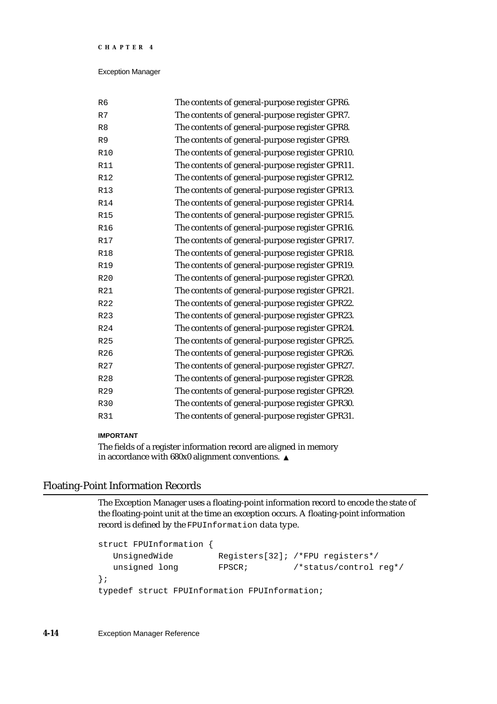#### Exception Manager

| R <sub>6</sub>  | The contents of general-purpose register GPR6.  |
|-----------------|-------------------------------------------------|
| R7              | The contents of general-purpose register GPR7.  |
| R8              | The contents of general-purpose register GPR8.  |
| R <sub>9</sub>  | The contents of general-purpose register GPR9.  |
| <b>R10</b>      | The contents of general-purpose register GPR10. |
| R11             | The contents of general-purpose register GPR11. |
| <b>R12</b>      | The contents of general-purpose register GPR12. |
| <b>R13</b>      | The contents of general-purpose register GPR13. |
| R14             | The contents of general-purpose register GPR14. |
| <b>R15</b>      | The contents of general-purpose register GPR15. |
| <b>R16</b>      | The contents of general-purpose register GPR16. |
| R17             | The contents of general-purpose register GPR17. |
| <b>R18</b>      | The contents of general-purpose register GPR18. |
| <b>R19</b>      | The contents of general-purpose register GPR19. |
| R20             | The contents of general-purpose register GPR20. |
| R21             | The contents of general-purpose register GPR21. |
| R <sub>22</sub> | The contents of general-purpose register GPR22. |
| R23             | The contents of general-purpose register GPR23. |
| R24             | The contents of general-purpose register GPR24. |
| R <sub>25</sub> | The contents of general-purpose register GPR25. |
| R26             | The contents of general-purpose register GPR26. |
| R <sub>27</sub> | The contents of general-purpose register GPR27. |
| R28             | The contents of general-purpose register GPR28. |
| R29             | The contents of general-purpose register GPR29. |
| <b>R30</b>      | The contents of general-purpose register GPR30. |
| <b>R31</b>      | The contents of general-purpose register GPR31. |

#### **IMPORTANT**

The fields of a register information record are aligned in memory in accordance with 680x0 alignment conventions.

## Floating-Point Information Records

The Exception Manager uses a floating-point information record to encode the state of the floating-point unit at the time an exception occurs. A floating-point information record is defined by the FPUInformation data type.

```
struct FPUInformation {
  UnsignedWide Registers[32]; /*FPU registers*/
  unsigned long FPSCR; /*status/control reg*/
};
typedef struct FPUInformation FPUInformation;
```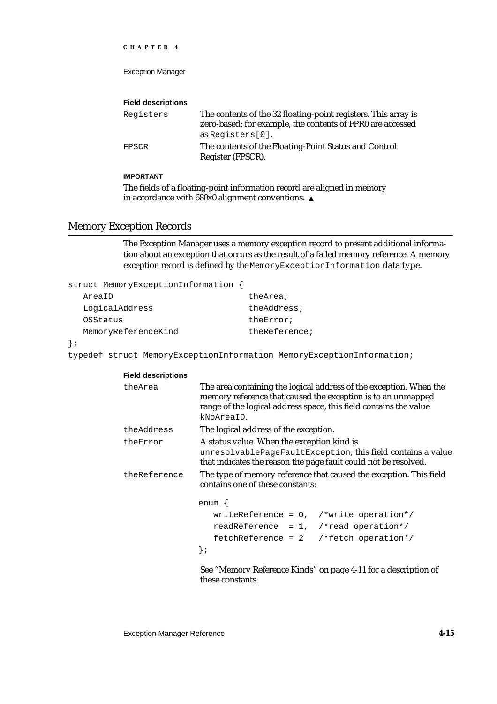Exception Manager

#### **Field descriptions**

| Registers | The contents of the 32 floating-point registers. This array is<br>zero-based; for example, the contents of FPR0 are accessed<br>as Registers $[0]$ . |
|-----------|------------------------------------------------------------------------------------------------------------------------------------------------------|
| FPSCR     | The contents of the Floating-Point Status and Control<br>Register (FPSCR).                                                                           |

#### **IMPORTANT**

The fields of a floating-point information record are aligned in memory in accordance with 680x0 alignment conventions.

## Memory Exception Records

The Exception Manager uses a memory exception record to present additional information about an exception that occurs as the result of a failed memory reference. A memory exception record is defined by the MemoryExceptionInformation data type.

```
struct MemoryExceptionInformation {
```

| AreaID              | the Area;     |
|---------------------|---------------|
| LogicalAddress      | theAddress;   |
| OSStatus            | theError;     |
| MemoryReferenceKind | theReference; |
|                     |               |

};

typedef struct MemoryExceptionInformation MemoryExceptionInformation;

| <b>Field descriptions</b> |                                                                                                                                                                                                                       |  |
|---------------------------|-----------------------------------------------------------------------------------------------------------------------------------------------------------------------------------------------------------------------|--|
| theArea                   | The area containing the logical address of the exception. When the<br>memory reference that caused the exception is to an unmapped<br>range of the logical address space, this field contains the value<br>kNoAreaID. |  |
| theAddress                | The logical address of the exception.                                                                                                                                                                                 |  |
| theError                  | A status value. When the exception kind is<br>unresolvablePageFaultException, this field contains a value<br>that indicates the reason the page fault could not be resolved.                                          |  |
| theReference              | The type of memory reference that caused the exception. This field<br>contains one of these constants:                                                                                                                |  |
|                           | enum {                                                                                                                                                                                                                |  |
|                           | writeReference = $0,$ /*write operation*/                                                                                                                                                                             |  |
|                           | readReference = $1,$ /*read operation*/                                                                                                                                                                               |  |
|                           | $fetchReference = 2$ /*fetch operation*/                                                                                                                                                                              |  |
|                           | } ;                                                                                                                                                                                                                   |  |

See "Memory Reference Kinds" on page 4-11 for a description of these constants.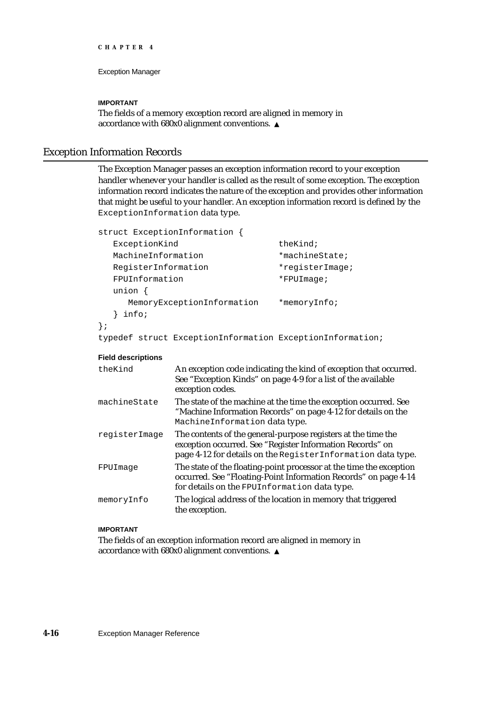#### **IMPORTANT**

The fields of a memory exception record are aligned in memory in accordance with 680x0 alignment conventions. s

## Exception Information Records

The Exception Manager passes an exception information record to your exception handler whenever your handler is called as the result of some exception. The exception information record indicates the nature of the exception and provides other information that might be useful to your handler. An exception information record is defined by the ExceptionInformation data type.

| struct ExceptionInformation {                             |                 |
|-----------------------------------------------------------|-----------------|
| ExceptionKind                                             | theKind;        |
| MachineInformation                                        | *machineState;  |
| RegisterInformation                                       | *registerImage; |
| FPUInformation                                            | $*$ FPUImage;   |
| union                                                     |                 |
| MemoryExceptionInformation                                | *memoryInfo;    |
| info;                                                     |                 |
| $\}$ ;                                                    |                 |
| typedef struct ExceptionInformation ExceptionInformation; |                 |

#### **Field descriptions**

| theKind       | An exception code indicating the kind of exception that occurred.<br>See "Exception Kinds" on page 4-9 for a list of the available<br>exception codes.                                     |
|---------------|--------------------------------------------------------------------------------------------------------------------------------------------------------------------------------------------|
| machineState  | The state of the machine at the time the exception occurred. See<br>"Machine Information Records" on page 4-12 for details on the<br>MachineInformation data type.                         |
| registerImage | The contents of the general-purpose registers at the time the<br>exception occurred. See "Register Information Records" on<br>page 4-12 for details on the Register Information data type. |
| FPUImage      | The state of the floating-point processor at the time the exception<br>occurred. See "Floating-Point Information Records" on page 4-14<br>for details on the FPUInformation data type.     |
| memoryInfo    | The logical address of the location in memory that triggered<br>the exception.                                                                                                             |

#### **IMPORTANT**

The fields of an exception information record are aligned in memory in accordance with 680x0 alignment conventions.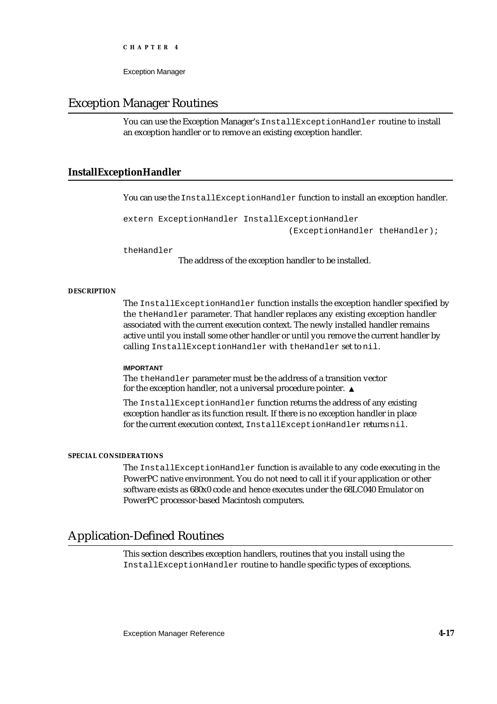Exception Manager

## Exception Manager Routines

You can use the Exception Manager's InstallExceptionHandler routine to install an exception handler or to remove an existing exception handler.

## **InstallExceptionHandler**

You can use the InstallExceptionHandler function to install an exception handler.

```
extern ExceptionHandler InstallExceptionHandler 
                                  (ExceptionHandler theHandler);
```
theHandler

The address of the exception handler to be installed.

#### **DESCRIPTION**

The InstallExceptionHandler function installs the exception handler specified by the theHandler parameter. That handler replaces any existing exception handler associated with the current execution context. The newly installed handler remains active until you install some other handler or until you remove the current handler by calling InstallExceptionHandler with theHandler set to nil.

#### **IMPORTANT**

The theHandler parameter must be the address of a transition vector for the exception handler, not a universal procedure pointer.

The InstallExceptionHandler function returns the address of any existing exception handler as its function result. If there is no exception handler in place for the current execution context, InstallExceptionHandler returns nil.

#### **SPECIAL CONSIDERATIONS**

The InstallExceptionHandler function is available to any code executing in the PowerPC native environment. You do not need to call it if your application or other software exists as 680x0 code and hence executes under the 68LC040 Emulator on PowerPC processor-based Macintosh computers.

## Application-Defined Routines

This section describes exception handlers, routines that you install using the InstallExceptionHandler routine to handle specific types of exceptions.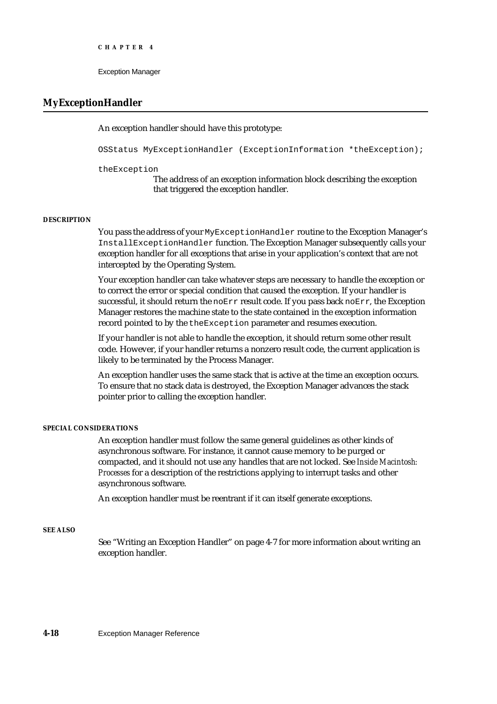## **MyExceptionHandler**

An exception handler should have this prototype:

OSStatus MyExceptionHandler (ExceptionInformation \*theException);

theException

The address of an exception information block describing the exception that triggered the exception handler.

#### **DESCRIPTION**

You pass the address of your MyExceptionHandler routine to the Exception Manager's InstallExceptionHandler function. The Exception Manager subsequently calls your exception handler for all exceptions that arise in your application's context that are not intercepted by the Operating System.

Your exception handler can take whatever steps are necessary to handle the exception or to correct the error or special condition that caused the exception. If your handler is successful, it should return the noErr result code. If you pass back noErr, the Exception Manager restores the machine state to the state contained in the exception information record pointed to by the theException parameter and resumes execution.

If your handler is not able to handle the exception, it should return some other result code. However, if your handler returns a nonzero result code, the current application is likely to be terminated by the Process Manager.

An exception handler uses the same stack that is active at the time an exception occurs. To ensure that no stack data is destroyed, the Exception Manager advances the stack pointer prior to calling the exception handler.

#### **SPECIAL CONSIDERATIONS**

An exception handler must follow the same general guidelines as other kinds of asynchronous software. For instance, it cannot cause memory to be purged or compacted, and it should not use any handles that are not locked. See *Inside Macintosh: Processes* for a description of the restrictions applying to interrupt tasks and other asynchronous software.

An exception handler must be reentrant if it can itself generate exceptions.

#### **SEE ALSO**

See "Writing an Exception Handler" on page 4-7 for more information about writing an exception handler.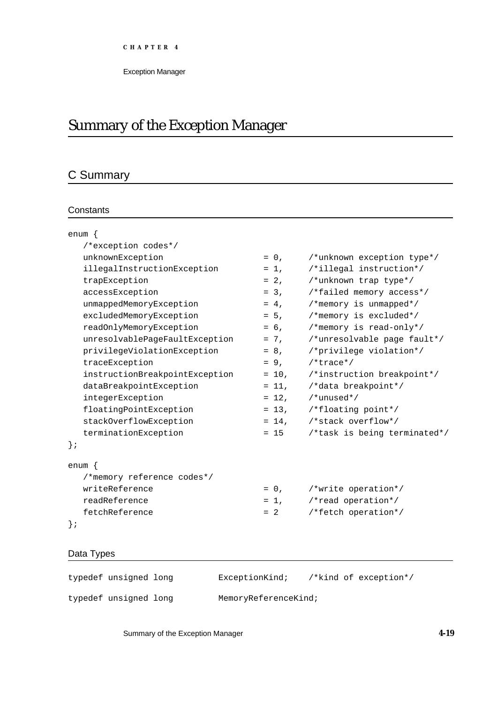# Summary of the Exception Manager

# C Summary

## **Constants**

| enum {                         |          |                              |
|--------------------------------|----------|------------------------------|
| /*exception codes*/            |          |                              |
| unknownException               | $= 0,$   | /*unknown exception type*/   |
| illegalInstructionException    | $= 1$ ,  | /*illegal instruction*/      |
| trapException                  | $= 2,$   | /*unknown trap type*/        |
| accessException                | $= 3.$   | /*failed memory access*/     |
| unmappedMemoryException        | $= 4.$   | /*memory is unmapped*/       |
| excludedMemoryException        | $= 5,$   | /*memory is excluded*/       |
| readOnlyMemoryException        | $= 6.$   | /*memory is read-only*/      |
| unresolvablePageFaultException | $= 7,$   | /*unresolvable page fault*/  |
| privilegeViolationException    | $= 8,$   | /*privilege violation*/      |
| traceException                 |          | $= 9,$ /*trace*/             |
| instructionBreakpointException | $= 10$ , | /*instruction breakpoint*/   |
| dataBreakpointException        | $= 11$ , | /*data breakpoint*/          |
| integerException               | $= 12,$  | /*unused*/                   |
| floatingPointException         |          | $= 13,$ /*floating point*/   |
| stackOverflowException         |          | $= 14$ , /*stack overflow*/  |
| terminationException           | $= 15$   | /*task is being terminated*/ |
| $\}$ ;                         |          |                              |
| enum {                         |          |                              |
| /*memory reference codes*/     |          |                              |
| writeReference                 | $= 0.$   | /*write operation*/          |
| readReference                  |          | $= 1,$ /*read operation*/    |
| fetchReference                 | $= 2$    | /*fetch operation*/          |
| $\}$ ;                         |          |                              |

## Data Types

| typedef unsigned long | ExceptionKind;       | /*kind of exception*/ |
|-----------------------|----------------------|-----------------------|
| typedef unsigned long | MemoryReferenceKind; |                       |

Summary of the Exception Manager **4-19**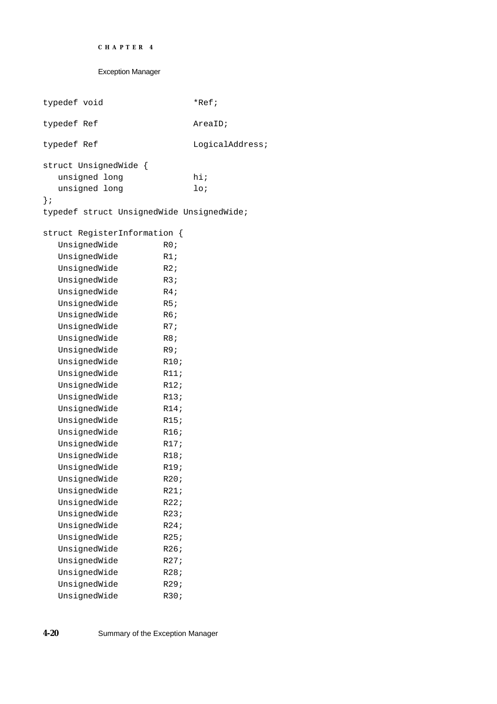```
CHAPTER 4
```

| typedef void                              | *Ref;           |
|-------------------------------------------|-----------------|
| typedef Ref                               | AreaID;         |
| typedef Ref                               | LogicalAddress; |
| struct UnsignedWide {                     |                 |
| unsigned long                             | hi;             |
| unsigned long                             | 10i             |
| $\}$ ;                                    |                 |
| typedef struct UnsignedWide UnsignedWide; |                 |
| struct RegisterInformation {              |                 |
| UnsignedWide                              | RO:             |
| UnsignedWide                              | R1;             |
| UnsignedWide                              | R2;             |
| UnsignedWide                              | R3;             |
| UnsignedWide                              | R4;             |
| UnsignedWide                              | R5;             |
| UnsignedWide                              | R6;             |
| UnsignedWide                              | R7;             |
| UnsignedWide                              | R8;             |
| UnsignedWide                              | R9;             |
| UnsignedWide                              | R10;            |
| UnsignedWide                              | R11;            |
| UnsignedWide                              | R12;            |
| UnsignedWide                              | R13;            |
| UnsignedWide                              | R14;            |
| UnsignedWide                              | R15;            |
| UnsignedWide                              | R16;            |
| UnsignedWide                              | R17;            |
| UnsignedWide                              | R18;            |
| UnsignedWide                              | R19;            |
| UnsignedWide                              | R20;            |
| UnsignedWide                              | R21;            |
| UnsignedWide                              | R22;            |
| UnsignedWide                              | R23;            |
| UnsignedWide                              | R24;            |
| UnsignedWide                              | R25;            |
| UnsignedWide                              | R26;            |
| UnsignedWide                              | R27;            |
| UnsignedWide                              | R28;            |
| UnsignedWide                              | R29;            |
| UnsignedWide                              | R30;            |
|                                           |                 |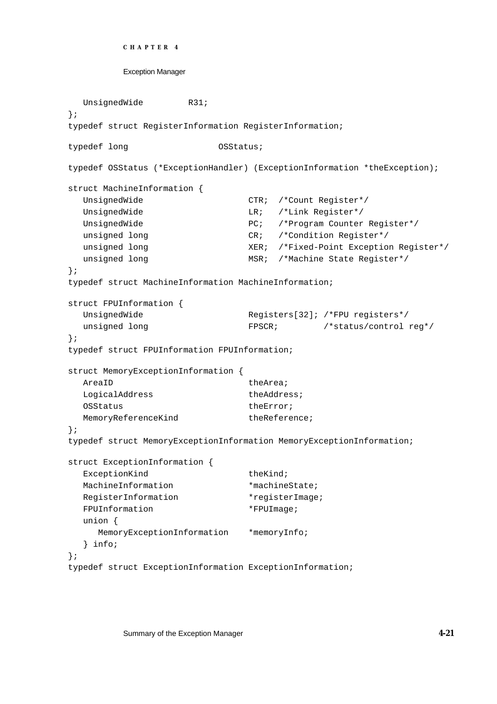```
CHAPTER 4
```

```
UnsignedWide R31;
};
typedef struct RegisterInformation RegisterInformation;
typedef long OSStatus;
typedef OSStatus (*ExceptionHandler) (ExceptionInformation *theException);
struct MachineInformation {
  UnsignedWide CTR; /*Count Register*/
  UnsignedWide LR; /*Link Register*/
  UnsignedWide PC; /*Program Counter Register*/
  unsigned long CR; /*Condition Register*/
  unsigned long XER; /*Fixed-Point Exception Register*/
  unsigned long MSR; /*Machine State Register*/
};
typedef struct MachineInformation MachineInformation;
struct FPUInformation {
  UnsignedWide Registers[32]; /*FPU registers*/
  unsigned long FPSCR; /* status/control reg*/
};
typedef struct FPUInformation FPUInformation;
struct MemoryExceptionInformation {
  AreaID theArea;
  LogicalAddress theAddress;
  OSStatus theError;
  MemoryReferenceKind theReference;
};
typedef struct MemoryExceptionInformation MemoryExceptionInformation;
struct ExceptionInformation {
  ExceptionKind theKind;
  MachineInformation *machineState;
  RegisterInformation *registerImage;
  FPUInformation *FPUImage;
  union {
    MemoryExceptionInformation *memoryInfo;
  } info;
};
typedef struct ExceptionInformation ExceptionInformation;
```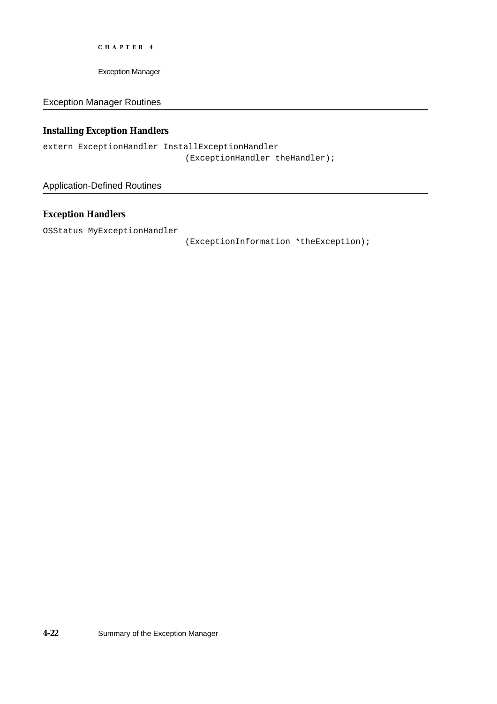```
CHAPTER 4
```
## Exception Manager Routines

## **Installing Exception Handlers**

```
extern ExceptionHandler InstallExceptionHandler
                             (ExceptionHandler theHandler);
```
Application-Defined Routines

## **Exception Handlers**

OSStatus MyExceptionHandler

(ExceptionInformation \*theException);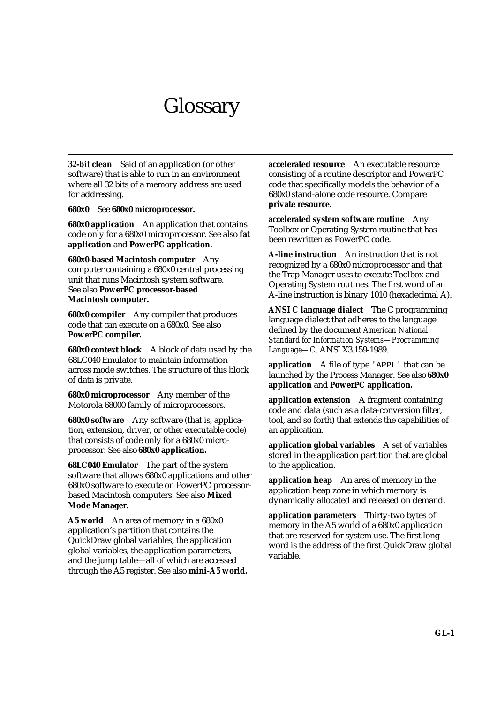# **Glossary**

**32-bit clean** Said of an application (or other software) that is able to run in an environment where all 32 bits of a memory address are used for addressing.

**680x0** See **680x0 microprocessor.**

**680x0 application** An application that contains code only for a 680x0 microprocessor. See also **fat application** and **PowerPC application.**

**680x0-based Macintosh computer** Any computer containing a 680x0 central processing unit that runs Macintosh system software. See also **PowerPC processor-based Macintosh computer.**

**680x0 compiler** Any compiler that produces code that can execute on a 680x0. See also **PowerPC compiler.**

**680x0 context block** A block of data used by the 68LC040 Emulator to maintain information across mode switches. The structure of this block of data is private.

**680x0 microprocessor** Any member of the Motorola 68000 family of microprocessors.

**680x0 software** Any software (that is, application, extension, driver, or other executable code) that consists of code only for a 680x0 microprocessor. See also **680x0 application.**

**68LC040 Emulator** The part of the system software that allows 680x0 applications and other 680x0 software to execute on PowerPC processorbased Macintosh computers. See also **Mixed Mode Manager.**

**A5 world** An area of memory in a 680x0 application's partition that contains the QuickDraw global variables, the application global variables, the application parameters, and the jump table—all of which are accessed through the A5 register. See also **mini-A5 world.** **accelerated resource** An executable resource consisting of a routine descriptor and PowerPC code that specifically models the behavior of a 680x0 stand-alone code resource. Compare **private resource.**

**accelerated system software routine** Any Toolbox or Operating System routine that has been rewritten as PowerPC code.

**A-line instruction** An instruction that is not recognized by a 680x0 microprocessor and that the Trap Manager uses to execute Toolbox and Operating System routines. The first word of an A-line instruction is binary 1010 (hexadecimal A).

**ANSI C language dialect** The C programming language dialect that adheres to the language defined by the document *American National Standard for Information Systems—Programming Language—C,* ANSI X3.159-1989.

**application** A file of type 'APPL' that can be launched by the Process Manager. See also **680x0 application** and **PowerPC application.**

**application extension** A fragment containing code and data (such as a data-conversion filter, tool, and so forth) that extends the capabilities of an application.

**application global variables** A set of variables stored in the application partition that are global to the application.

**application heap** An area of memory in the application heap zone in which memory is dynamically allocated and released on demand.

**application parameters** Thirty-two bytes of memory in the A5 world of a 680x0 application that are reserved for system use. The first long word is the address of the first QuickDraw global variable.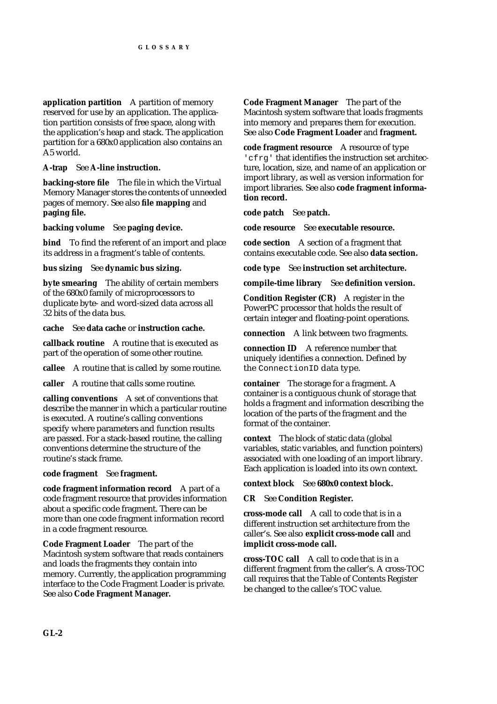**application partition** A partition of memory reserved for use by an application. The application partition consists of free space, along with the application's heap and stack. The application partition for a 680x0 application also contains an A5 world.

#### **A-trap** See **A-line instruction.**

**backing-store file** The file in which the Virtual Memory Manager stores the contents of unneeded pages of memory. See also **file mapping** and **paging file.**

**backing volume** See **paging device.**

**bind** To find the referent of an import and place its address in a fragment's table of contents.

**bus sizing** See **dynamic bus sizing.**

**byte smearing** The ability of certain members of the 680x0 family of microprocessors to duplicate byte- and word-sized data across all 32 bits of the data bus.

**cache** See **data cache** or **instruction cache.**

**callback routine** A routine that is executed as part of the operation of some other routine.

**callee** A routine that is called by some routine.

**caller** A routine that calls some routine.

**calling conventions** A set of conventions that describe the manner in which a particular routine is executed. A routine's calling conventions specify where parameters and function results are passed. For a stack-based routine, the calling conventions determine the structure of the routine's stack frame.

#### **code fragment** See **fragment.**

**code fragment information record** A part of a code fragment resource that provides information about a specific code fragment. There can be more than one code fragment information record in a code fragment resource.

**Code Fragment Loader** The part of the Macintosh system software that reads containers and loads the fragments they contain into memory. Currently, the application programming interface to the Code Fragment Loader is private. See also **Code Fragment Manager.**

**Code Fragment Manager** The part of the Macintosh system software that loads fragments into memory and prepares them for execution. See also **Code Fragment Loader** and **fragment.**

**code fragment resource** A resource of type 'cfrg' that identifies the instruction set architecture, location, size, and name of an application or import library, as well as version information for import libraries. See also **code fragment information record.**

**code patch** See **patch.**

**code resource** See **executable resource.**

**code section** A section of a fragment that contains executable code. See also **data section.**

**code type** See **instruction set architecture.**

**compile-time library** See **definition version.**

**Condition Register (CR)** A register in the PowerPC processor that holds the result of certain integer and floating-point operations.

**connection** A link between two fragments.

**connection ID** A reference number that uniquely identifies a connection. Defined by the ConnectionID data type.

**container** The storage for a fragment. A container is a contiguous chunk of storage that holds a fragment and information describing the location of the parts of the fragment and the format of the container.

**context** The block of static data (global variables, static variables, and function pointers) associated with one loading of an import library. Each application is loaded into its own context.

#### **context block** See **680x0 context block.**

#### **CR** See **Condition Register.**

**cross-mode call** A call to code that is in a different instruction set architecture from the caller's. See also **explicit cross-mode call** and **implicit cross-mode call.**

**cross-TOC call** A call to code that is in a different fragment from the caller's. A cross-TOC call requires that the Table of Contents Register be changed to the callee's TOC value.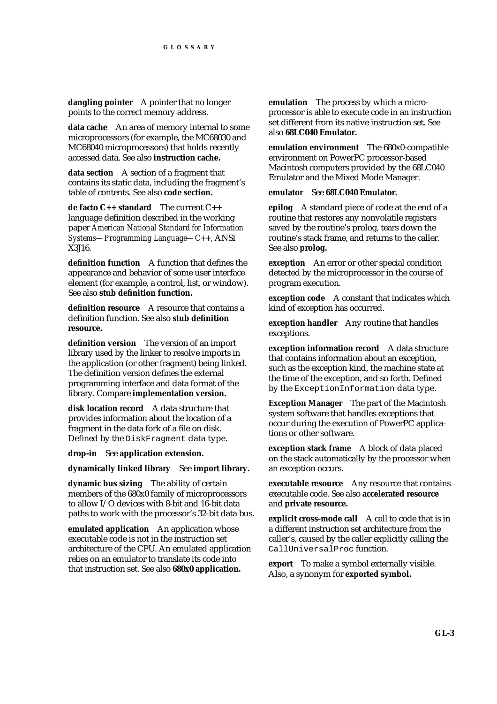**dangling pointer** A pointer that no longer points to the correct memory address.

**data cache** An area of memory internal to some microprocessors (for example, the MC68030 and MC68040 microprocessors) that holds recently accessed data. See also **instruction cache.**

**data section** A section of a fragment that contains its static data, including the fragment's table of contents. See also **code section.**

**de facto C++ standard** The current C++ language definition described in the working paper *American National Standard for Information Systems—Programming Language—C++,* ANSI X3J16.

**definition function** A function that defines the appearance and behavior of some user interface element (for example, a control, list, or window). See also **stub definition function.**

**definition resource** A resource that contains a definition function. See also **stub definition resource.**

**definition version** The version of an import library used by the linker to resolve imports in the application (or other fragment) being linked. The definition version defines the external programming interface and data format of the library. Compare **implementation version.**

**disk location record** A data structure that provides information about the location of a fragment in the data fork of a file on disk. Defined by the DiskFragment data type.

**drop-in** See **application extension.**

**dynamically linked library** See **import library.**

**dynamic bus sizing** The ability of certain members of the 680x0 family of microprocessors to allow I/O devices with 8-bit and 16-bit data paths to work with the processor's 32-bit data bus.

**emulated application** An application whose executable code is not in the instruction set architecture of the CPU. An emulated application relies on an emulator to translate its code into that instruction set. See also **680x0 application.**

**emulation** The process by which a microprocessor is able to execute code in an instruction set different from its native instruction set. See also **68LC040 Emulator.**

**emulation environment** The 680x0-compatible environment on PowerPC processor-based Macintosh computers provided by the 68LC040 Emulator and the Mixed Mode Manager.

**emulator** See **68LC040 Emulator.**

**epilog** A standard piece of code at the end of a routine that restores any nonvolatile registers saved by the routine's prolog, tears down the routine's stack frame, and returns to the caller. See also **prolog.**

**exception** An error or other special condition detected by the microprocessor in the course of program execution.

**exception code** A constant that indicates which kind of exception has occurred.

**exception handler** Any routine that handles exceptions.

**exception information record** A data structure that contains information about an exception, such as the exception kind, the machine state at the time of the exception, and so forth. Defined by the ExceptionInformation data type.

**Exception Manager** The part of the Macintosh system software that handles exceptions that occur during the execution of PowerPC applications or other software.

**exception stack frame** A block of data placed on the stack automatically by the processor when an exception occurs.

**executable resource** Any resource that contains executable code. See also **accelerated resource** and **private resource.**

**explicit cross-mode call** A call to code that is in a different instruction set architecture from the caller's, caused by the caller explicitly calling the CallUniversalProc function.

**export** To make a symbol externally visible. Also, a synonym for **exported symbol.**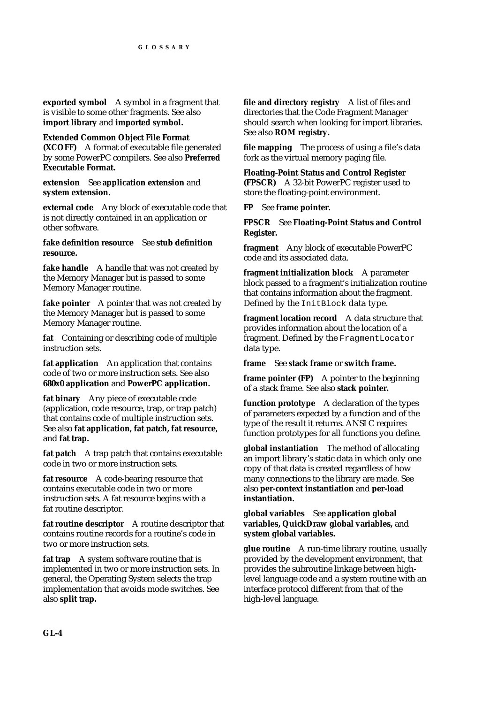**exported symbol** A symbol in a fragment that is visible to some other fragments. See also **import library** and **imported symbol.**

**Extended Common Object File Format (XCOFF)** A format of executable file generated by some PowerPC compilers. See also **Preferred Executable Format.**

**extension** See **application extension** and **system extension.**

**external code** Any block of executable code that is not directly contained in an application or other software.

**fake definition resource** See **stub definition resource.**

**fake handle** A handle that was not created by the Memory Manager but is passed to some Memory Manager routine.

**fake pointer** A pointer that was not created by the Memory Manager but is passed to some Memory Manager routine.

**fat** Containing or describing code of multiple instruction sets.

**fat application** An application that contains code of two or more instruction sets. See also **680x0 application** and **PowerPC application.**

**fat binary** Any piece of executable code (application, code resource, trap, or trap patch) that contains code of multiple instruction sets. See also **fat application, fat patch, fat resource,** and **fat trap.**

**fat patch** A trap patch that contains executable code in two or more instruction sets.

**fat resource** A code-bearing resource that contains executable code in two or more instruction sets. A fat resource begins with a fat routine descriptor.

**fat routine descriptor** A routine descriptor that contains routine records for a routine's code in two or more instruction sets.

**fat trap** A system software routine that is implemented in two or more instruction sets. In general, the Operating System selects the trap implementation that avoids mode switches. See also **split trap.**

**file and directory registry** A list of files and directories that the Code Fragment Manager should search when looking for import libraries. See also **ROM registry.**

**file mapping** The process of using a file's data fork as the virtual memory paging file.

**Floating-Point Status and Control Register (FPSCR)** A 32-bit PowerPC register used to store the floating-point environment.

**FP** See **frame pointer.**

**FPSCR** See **Floating-Point Status and Control Register.**

**fragment** Any block of executable PowerPC code and its associated data.

**fragment initialization block** A parameter block passed to a fragment's initialization routine that contains information about the fragment. Defined by the InitBlock data type.

**fragment location record** A data structure that provides information about the location of a fragment. Defined by the FragmentLocator data type.

**frame** See **stack frame** or **switch frame.**

**frame pointer (FP)** A pointer to the beginning of a stack frame. See also **stack pointer.**

**function prototype** A declaration of the types of parameters expected by a function and of the type of the result it returns. ANSI C requires function prototypes for all functions you define.

**global instantiation** The method of allocating an import library's static data in which only one copy of that data is created regardless of how many connections to the library are made. See also **per-context instantiation** and **per-load instantiation.**

**global variables** See **application global variables, QuickDraw global variables,** and **system global variables.**

**glue routine** A run-time library routine, usually provided by the development environment, that provides the subroutine linkage between highlevel language code and a system routine with an interface protocol different from that of the high-level language.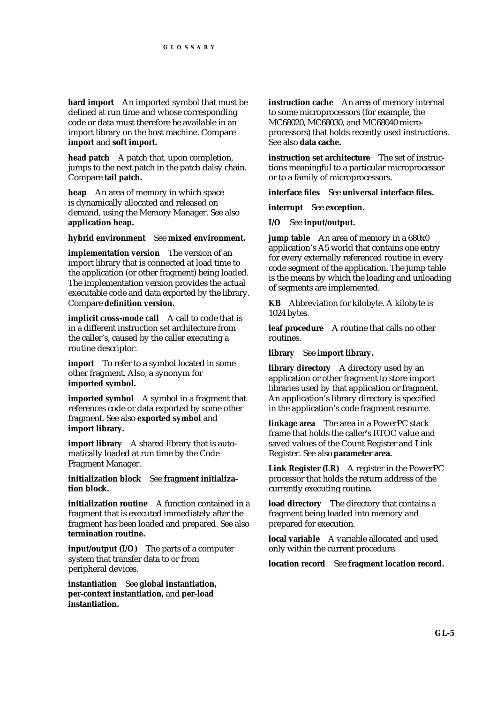**hard import** An imported symbol that must be defined at run time and whose corresponding code or data must therefore be available in an import library on the host machine. Compare **import** and **soft import.**

**head patch** A patch that, upon completion, jumps to the next patch in the patch daisy chain. Compare **tail patch.**

**heap** An area of memory in which space is dynamically allocated and released on demand, using the Memory Manager. See also **application heap.**

**hybrid environment** See **mixed environment.**

**implementation version** The version of an import library that is connected at load time to the application (or other fragment) being loaded. The implementation version provides the actual executable code and data exported by the library. Compare **definition version.**

**implicit cross-mode call** A call to code that is in a different instruction set architecture from the caller's, caused by the caller executing a routine descriptor.

**import** To refer to a symbol located in some other fragment. Also, a synonym for **imported symbol.**

**imported symbol** A symbol in a fragment that references code or data exported by some other fragment. See also **exported symbol** and **import library.**

**import library** A shared library that is automatically loaded at run time by the Code Fragment Manager.

**initialization block** See **fragment initialization block.**

**initialization routine** A function contained in a fragment that is executed immediately after the fragment has been loaded and prepared. See also **termination routine.**

**input/output (I/O)** The parts of a computer system that transfer data to or from peripheral devices.

**instantiation** See **global instantiation, per-context instantiation,** and **per-load instantiation.**

**instruction cache** An area of memory internal to some microprocessors (for example, the MC68020, MC68030, and MC68040 microprocessors) that holds recently used instructions. See also **data cache.**

**instruction set architecture** The set of instructions meaningful to a particular microprocessor or to a family of microprocessors.

**interface files** See **universal interface files.**

**interrupt** See **exception.**

**I/O** See **input/output.**

**jump table** An area of memory in a 680x0 application's A5 world that contains one entry for every externally referenced routine in every code segment of the application. The jump table is the means by which the loading and unloading of segments are implemented.

**KB** Abbreviation for kilobyte. A kilobyte is 1024 bytes.

leaf procedure A routine that calls no other routines.

**library** See **import library.**

**library directory** A directory used by an application or other fragment to store import libraries used by that application or fragment. An application's library directory is specified in the application's code fragment resource.

**linkage area** The area in a PowerPC stack frame that holds the caller's RTOC value and saved values of the Count Register and Link Register. See also **parameter area.**

**Link Register (LR)** A register in the PowerPC processor that holds the return address of the currently executing routine**.**

**load directory** The directory that contains a fragment being loaded into memory and prepared for execution.

**local variable** A variable allocated and used only within the current procedure**.**

**location record** See **fragment location record.**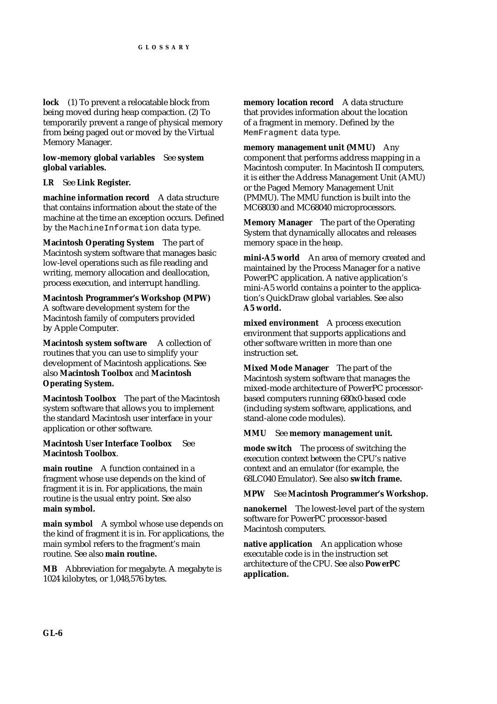**lock** (1) To prevent a relocatable block from being moved during heap compaction. (2) To temporarily prevent a range of physical memory from being paged out or moved by the Virtual Memory Manager.

**low-memory global variables** See **system global variables.**

**LR** See **Link Register.**

**machine information record** A data structure that contains information about the state of the machine at the time an exception occurs. Defined by the MachineInformation data type.

**Macintosh Operating System** The part of Macintosh system software that manages basic low-level operations such as file reading and writing, memory allocation and deallocation, process execution, and interrupt handling.

**Macintosh Programmer's Workshop (MPW)** A software development system for the Macintosh family of computers provided by Apple Computer.

**Macintosh system software** A collection of routines that you can use to simplify your development of Macintosh applications. See also **Macintosh Toolbox** and **Macintosh Operating System.**

**Macintosh Toolbox** The part of the Macintosh system software that allows you to implement the standard Macintosh user interface in your application or other software.

**Macintosh User Interface Toolbox** See **Macintosh Toolbox**.

**main routine** A function contained in a fragment whose use depends on the kind of fragment it is in. For applications, the main routine is the usual entry point. See also **main symbol.**

**main symbol** A symbol whose use depends on the kind of fragment it is in. For applications, the main symbol refers to the fragment's main routine. See also **main routine.**

**MB** Abbreviation for megabyte. A megabyte is 1024 kilobytes, or 1,048,576 bytes.

**memory location record** A data structure that provides information about the location of a fragment in memory. Defined by the MemFragment data type.

**memory management unit (MMU)** Any component that performs address mapping in a Macintosh computer. In Macintosh II computers, it is either the Address Management Unit (AMU) or the Paged Memory Management Unit (PMMU). The MMU function is built into the MC68030 and MC68040 microprocessors.

**Memory Manager** The part of the Operating System that dynamically allocates and releases memory space in the heap.

**mini-A5 world** An area of memory created and maintained by the Process Manager for a native PowerPC application. A native application's mini-A5 world contains a pointer to the application's QuickDraw global variables. See also **A5 world.**

**mixed environment** A process execution environment that supports applications and other software written in more than one instruction set.

**Mixed Mode Manager** The part of the Macintosh system software that manages the mixed-mode architecture of PowerPC processorbased computers running 680x0-based code (including system software, applications, and stand-alone code modules).

**MMU** See **memory management unit.**

**mode switch** The process of switching the execution context between the CPU's native context and an emulator (for example, the 68LC040 Emulator). See also **switch frame.**

#### **MPW** See **Macintosh Programmer's Workshop.**

**nanokernel** The lowest-level part of the system software for PowerPC processor-based Macintosh computers.

**native application** An application whose executable code is in the instruction set architecture of the CPU. See also **PowerPC application.**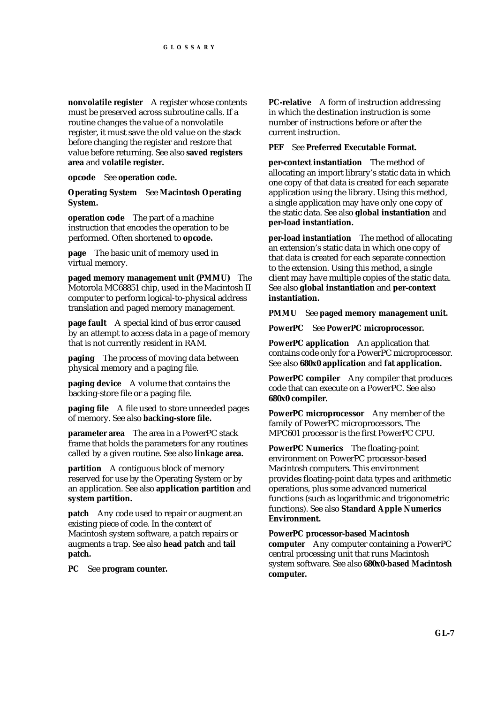**nonvolatile register** A register whose contents must be preserved across subroutine calls. If a routine changes the value of a nonvolatile register, it must save the old value on the stack before changing the register and restore that value before returning. See also **saved registers area** and **volatile register.**

**opcode** See **operation code.**

**Operating System** See **Macintosh Operating System.**

**operation code** The part of a machine instruction that encodes the operation to be performed. Often shortened to **opcode.**

**page** The basic unit of memory used in virtual memory.

**paged memory management unit (PMMU)** The Motorola MC68851 chip, used in the Macintosh II computer to perform logical-to-physical address translation and paged memory management.

**page fault** A special kind of bus error caused by an attempt to access data in a page of memory that is not currently resident in RAM.

**paging** The process of moving data between physical memory and a paging file.

**paging device** A volume that contains the backing-store file or a paging file.

**paging file** A file used to store unneeded pages of memory. See also **backing-store file.**

**parameter area** The area in a PowerPC stack frame that holds the parameters for any routines called by a given routine. See also **linkage area.**

**partition** A contiguous block of memory reserved for use by the Operating System or by an application. See also **application partition** and **system partition.**

**patch** Any code used to repair or augment an existing piece of code. In the context of Macintosh system software, a patch repairs or augments a trap. See also **head patch** and **tail patch.**

**PC** See **program counter.**

**PC-relative** A form of instruction addressing in which the destination instruction is some number of instructions before or after the current instruction.

#### **PEF** See **Preferred Executable Format.**

**per-context instantiation** The method of allocating an import library's static data in which one copy of that data is created for each separate application using the library. Using this method, a single application may have only one copy of the static data. See also **global instantiation** and **per-load instantiation.**

**per-load instantiation** The method of allocating an extension's static data in which one copy of that data is created for each separate connection to the extension. Using this method, a single client may have multiple copies of the static data. See also **global instantiation** and **per-context instantiation.**

**PMMU** See **paged memory management unit.**

**PowerPC** See **PowerPC microprocessor.**

**PowerPC application** An application that contains code only for a PowerPC microprocessor. See also **680x0 application** and **fat application.**

**PowerPC compiler** Any compiler that produces code that can execute on a PowerPC. See also **680x0 compiler.**

**PowerPC microprocessor** Any member of the family of PowerPC microprocessors. The MPC601 processor is the first PowerPC CPU.

**PowerPC Numerics** The floating-point environment on PowerPC processor-based Macintosh computers. This environment provides floating-point data types and arithmetic operations, plus some advanced numerical functions (such as logarithmic and trigonometric functions). See also **Standard Apple Numerics Environment.**

**PowerPC processor-based Macintosh computer** Any computer containing a PowerPC central processing unit that runs Macintosh system software. See also **680x0-based Macintosh computer.**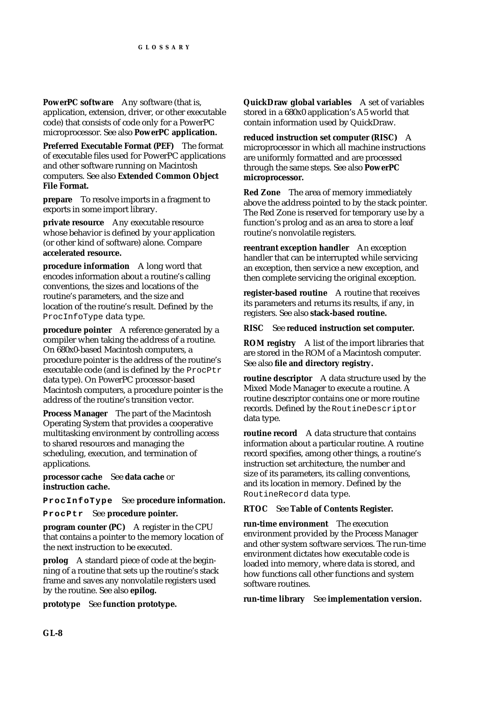**PowerPC software** Any software (that is, application, extension, driver, or other executable code) that consists of code only for a PowerPC microprocessor. See also **PowerPC application.**

**Preferred Executable Format (PEF)** The format of executable files used for PowerPC applications and other software running on Macintosh computers. See also **Extended Common Object File Format.**

**prepare** To resolve imports in a fragment to exports in some import library.

**private resource** Any executable resource whose behavior is defined by your application (or other kind of software) alone. Compare **accelerated resource.**

**procedure information** A long word that encodes information about a routine's calling conventions, the sizes and locations of the routine's parameters, and the size and location of the routine's result. Defined by the ProcInfoType data type.

**procedure pointer** A reference generated by a compiler when taking the address of a routine. On 680x0-based Macintosh computers, a procedure pointer is the address of the routine's executable code (and is defined by the ProcPtr data type). On PowerPC processor-based Macintosh computers, a procedure pointer is the address of the routine's transition vector.

**Process Manager** The part of the Macintosh Operating System that provides a cooperative multitasking environment by controlling access to shared resources and managing the scheduling, execution, and termination of applications.

**processor cache** See **data cache** or **instruction cache.**

**ProcInfoType** See **procedure information.**

**ProcPtr** See **procedure pointer.**

**program counter (PC)** A register in the CPU that contains a pointer to the memory location of the next instruction to be executed.

**prolog** A standard piece of code at the beginning of a routine that sets up the routine's stack frame and saves any nonvolatile registers used by the routine. See also **epilog.**

**prototype** See **function prototype.**

**QuickDraw global variables** A set of variables stored in a 680x0 application's A5 world that contain information used by QuickDraw.

**reduced instruction set computer (RISC)** A microprocessor in which all machine instructions are uniformly formatted and are processed through the same steps. See also **PowerPC microprocessor.**

**Red Zone** The area of memory immediately above the address pointed to by the stack pointer. The Red Zone is reserved for temporary use by a function's prolog and as an area to store a leaf routine's nonvolatile registers.

**reentrant exception handler** An exception handler that can be interrupted while servicing an exception, then service a new exception, and then complete servicing the original exception.

**register-based routine** A routine that receives its parameters and returns its results, if any, in registers. See also **stack-based routine.**

#### **RISC** See **reduced instruction set computer.**

**ROM registry** A list of the import libraries that are stored in the ROM of a Macintosh computer. See also **file and directory registry.**

**routine descriptor** A data structure used by the Mixed Mode Manager to execute a routine. A routine descriptor contains one or more routine records. Defined by the RoutineDescriptor data type.

**routine record** A data structure that contains information about a particular routine. A routine record specifies, among other things, a routine's instruction set architecture, the number and size of its parameters, its calling conventions, and its location in memory. Defined by the RoutineRecord data type.

#### **RTOC** See **Table of Contents Register.**

**run-time environment** The execution environment provided by the Process Manager and other system software services. The run-time environment dictates how executable code is loaded into memory, where data is stored, and how functions call other functions and system software routines.

**run-time library** See **implementation version.**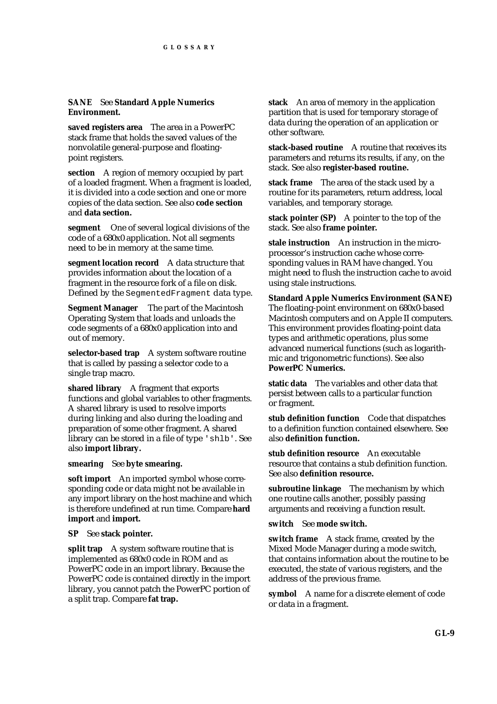#### **SANE** See **Standard Apple Numerics Environment.**

**saved registers area** The area in a PowerPC stack frame that holds the saved values of the nonvolatile general-purpose and floatingpoint registers.

**section** A region of memory occupied by part of a loaded fragment. When a fragment is loaded, it is divided into a code section and one or more copies of the data section. See also **code section** and **data section.**

**segment** One of several logical divisions of the code of a 680x0 application. Not all segments need to be in memory at the same time.

**segment location record** A data structure that provides information about the location of a fragment in the resource fork of a file on disk. Defined by the SegmentedFragment data type.

**Segment Manager** The part of the Macintosh Operating System that loads and unloads the code segments of a 680x0 application into and out of memory.

selector-based trap A system software routine that is called by passing a selector code to a single trap macro.

**shared library** A fragment that exports functions and global variables to other fragments. A shared library is used to resolve imports during linking and also during the loading and preparation of some other fragment. A shared library can be stored in a file of type 'shlb'. See also **import library.**

**smearing** See **byte smearing.**

**soft import** An imported symbol whose corresponding code or data might not be available in any import library on the host machine and which is therefore undefined at run time. Compare **hard import** and **import.**

#### **SP** See **stack pointer.**

**split trap** A system software routine that is implemented as 680x0 code in ROM and as PowerPC code in an import library. Because the PowerPC code is contained directly in the import library, you cannot patch the PowerPC portion of a split trap. Compare **fat trap.**

**stack** An area of memory in the application partition that is used for temporary storage of data during the operation of an application or other software.

**stack-based routine** A routine that receives its parameters and returns its results, if any, on the stack. See also **register-based routine.**

**stack frame** The area of the stack used by a routine for its parameters, return address, local variables, and temporary storage.

**stack pointer (SP)** A pointer to the top of the stack. See also **frame pointer.**

**stale instruction** An instruction in the microprocessor's instruction cache whose corresponding values in RAM have changed. You might need to flush the instruction cache to avoid using stale instructions.

**Standard Apple Numerics Environment (SANE)**  The floating-point environment on 680x0-based Macintosh computers and on Apple II computers. This environment provides floating-point data types and arithmetic operations, plus some advanced numerical functions (such as logarithmic and trigonometric functions). See also **PowerPC Numerics.**

**static data** The variables and other data that persist between calls to a particular function or fragment.

**stub definition function** Code that dispatches to a definition function contained elsewhere. See also **definition function.**

**stub definition resource** An executable resource that contains a stub definition function. See also **definition resource.**

**subroutine linkage** The mechanism by which one routine calls another, possibly passing arguments and receiving a function result.

**switch** See **mode switch.**

**switch frame** A stack frame, created by the Mixed Mode Manager during a mode switch, that contains information about the routine to be executed, the state of various registers, and the address of the previous frame.

**symbol** A name for a discrete element of code or data in a fragment.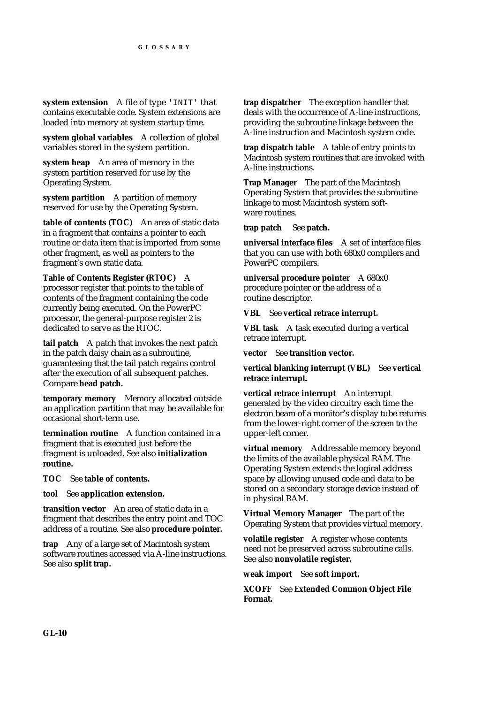**system extension** A file of type 'INIT' that contains executable code. System extensions are loaded into memory at system startup time.

**system global variables** A collection of global variables stored in the system partition.

**system heap** An area of memory in the system partition reserved for use by the Operating System.

**system partition** A partition of memory reserved for use by the Operating System.

**table of contents (TOC)** An area of static data in a fragment that contains a pointer to each routine or data item that is imported from some other fragment, as well as pointers to the fragment's own static data.

**Table of Contents Register (RTOC)** A processor register that points to the table of contents of the fragment containing the code currently being executed. On the PowerPC processor, the general-purpose register 2 is dedicated to serve as the RTOC.

**tail patch** A patch that invokes the next patch in the patch daisy chain as a subroutine, guaranteeing that the tail patch regains control after the execution of all subsequent patches. Compare **head patch.**

**temporary memory** Memory allocated outside an application partition that may be available for occasional short-term use.

**termination routine** A function contained in a fragment that is executed just before the fragment is unloaded. See also **initialization routine.**

**TOC** See **table of contents.**

**tool** See **application extension.**

**transition vector** An area of static data in a fragment that describes the entry point and TOC address of a routine. See also **procedure pointer.**

**trap** Any of a large set of Macintosh system software routines accessed via A-line instructions. See also **split trap.**

**trap dispatcher** The exception handler that deals with the occurrence of A-line instructions, providing the subroutine linkage between the A-line instruction and Macintosh system code.

**trap dispatch table** A table of entry points to Macintosh system routines that are invoked with A-line instructions.

**Trap Manager** The part of the Macintosh Operating System that provides the subroutine linkage to most Macintosh system software routines.

**trap patch** See **patch.**

**universal interface files** A set of interface files that you can use with both 680x0 compilers and PowerPC compilers.

**universal procedure pointer** A 680x0 procedure pointer or the address of a routine descriptor.

**VBL** See **vertical retrace interrupt.**

**VBL task** A task executed during a vertical retrace interrupt.

**vector** See **transition vector.**

**vertical blanking interrupt (VBL)** See **vertical retrace interrupt.**

**vertical retrace interrupt** An interrupt generated by the video circuitry each time the electron beam of a monitor's display tube returns from the lower-right corner of the screen to the upper-left corner.

**virtual memory** Addressable memory beyond the limits of the available physical RAM. The Operating System extends the logical address space by allowing unused code and data to be stored on a secondary storage device instead of in physical RAM.

**Virtual Memory Manager** The part of the Operating System that provides virtual memory.

**volatile register** A register whose contents need not be preserved across subroutine calls. See also **nonvolatile register.**

**weak import** See **soft import.**

**XCOFF** See **Extended Common Object File Format.**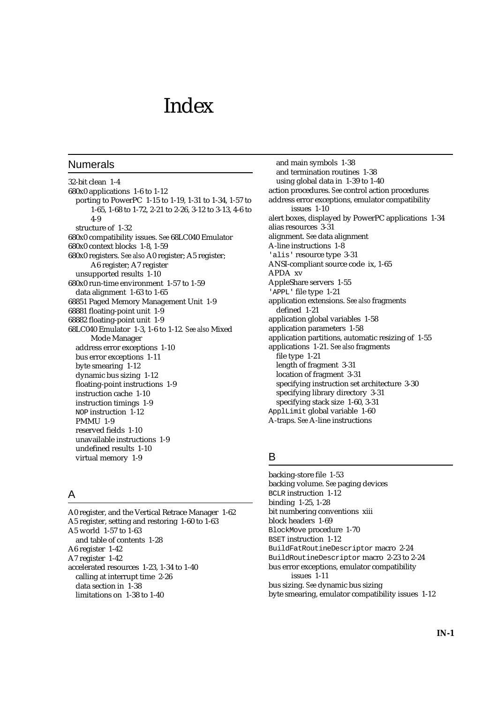# Index

#### Numerals

32-bit clean 1-4 680x0 applications 1-6 to 1-12 porting to PowerPC 1-15 to 1-19, 1-31 to 1-34, 1-57 to 1-65, 1-68 to 1-72, 2-21 to 2-26, 3-12 to 3-13, 4-6 to  $A_-\Omega$ structure of 1-32 680x0 compatibility issues. *See* 68LC040 Emulator 680x0 context blocks 1-8, 1-59 680x0 registers. *See also* A0 register; A5 register; A6 register; A7 register unsupported results 1-10 680x0 run-time environment 1-57 to 1-59 data alignment 1-63 to 1-65 68851 Paged Memory Management Unit 1-9 68881 floating-point unit 1-9 68882 floating-point unit 1-9 68LC040 Emulator 1-3, 1-6 to 1-12*. See also* Mixed Mode Manager address error exceptions 1-10 bus error exceptions 1-11 byte smearing 1-12 dynamic bus sizing 1-12 floating-point instructions 1-9 instruction cache 1-10 instruction timings 1-9 NOP instruction 1-12 PMMU 1-9 reserved fields 1-10 unavailable instructions 1-9 undefined results 1-10 virtual memory 1-9

## A

A0 register, and the Vertical Retrace Manager 1-62 A5 register, setting and restoring 1-60 to 1-63 A5 world 1-57 to 1-63 and table of contents 1-28 A6 register 1-42 A7 register 1-42 accelerated resources 1-23, 1-34 to 1-40 calling at interrupt time 2-26 data section in 1-38 limitations on 1-38 to 1-40

and main symbols 1-38 and termination routines 1-38 using global data in 1-39 to 1-40 action procedures. *See* control action procedures address error exceptions, emulator compatibility issues 1-10 alert boxes, displayed by PowerPC applications 1-34 alias resources 3-31 alignment. *See* data alignment A-line instructions 1-8 'alis' resource type 3-31 ANSI-compliant source code ix, 1-65 APDA xv AppleShare servers 1-55 'APPL' file type 1-21 application extensions. *See also* fragments defined 1-21 application global variables 1-58 application parameters 1-58 application partitions, automatic resizing of 1-55 applications 1-21. *See also* fragments file type 1-21 length of fragment 3-31 location of fragment 3-31 specifying instruction set architecture 3-30 specifying library directory 3-31 specifying stack size 1-60, 3-31 ApplLimit global variable 1-60 A-traps. *See* A-line instructions

## B

backing-store file 1-53 backing volume. *See* paging devices BCLR instruction 1-12 binding 1-25, 1-28 bit numbering conventions xiii block headers 1-69 BlockMove procedure 1-70 BSET instruction 1-12 BuildFatRoutineDescriptor macro 2-24 BuildRoutineDescriptor macro 2-23 to 2-24 bus error exceptions, emulator compatibility issues 1-11 bus sizing. *See* dynamic bus sizing byte smearing, emulator compatibility issues 1-12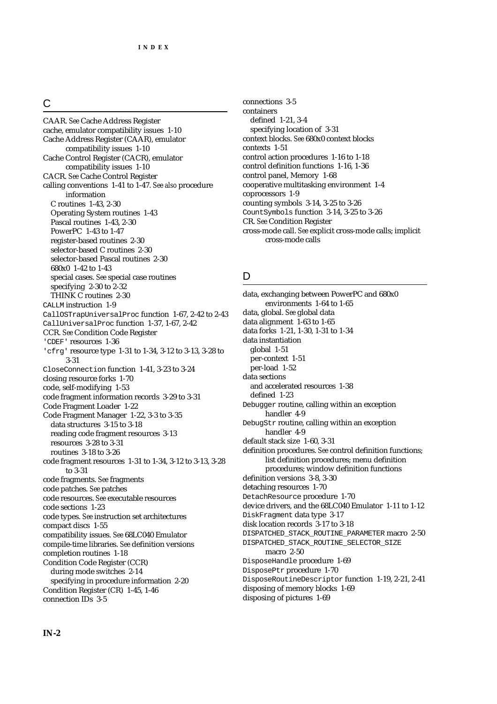## C

CAAR. *See* Cache Address Register cache, emulator compatibility issues 1-10 Cache Address Register (CAAR), emulator compatibility issues 1-10 Cache Control Register (CACR), emulator compatibility issues 1-10 CACR. *See* Cache Control Register calling conventions 1-41 to 1-47. *See also* procedure information C routines 1-43, 2-30 Operating System routines 1-43 Pascal routines 1-43, 2-30 PowerPC 1-43 to 1-47 register-based routines 2-30 selector-based C routines 2-30 selector-based Pascal routines 2-30 680x0 1-42 to 1-43 special cases. *See* special case routines specifying 2-30 to 2-32 THINK C routines 2-30 CALLM instruction 1-9 CallOSTrapUniversalProc function 1-67, 2-42 to 2-43 CallUniversalProc function 1-37, 1-67, 2-42 CCR. *See* Condition Code Register 'CDEF' resources 1-36 'cfrg' resource type 1-31 to 1-34, 3-12 to 3-13, 3-28 to 3-31 CloseConnection function 1-41, 3-23 to 3-24 closing resource forks 1-70 code, self-modifying 1-53 code fragment information records 3-29 to 3-31 Code Fragment Loader 1-22 Code Fragment Manager 1-22, 3-3 to 3-35 data structures 3-15 to 3-18 reading code fragment resources 3-13 resources 3-28 to 3-31 routines 3-18 to 3-26 code fragment resources 1-31 to 1-34, 3-12 to 3-13, 3-28 to 3-31 code fragments. *See* fragments code patches. *See* patches code resources. *See* executable resources code sections 1-23 code types. *See* instruction set architectures compact discs 1-55 compatibility issues. *See* 68LC040 Emulator compile-time libraries. *See* definition versions completion routines 1-18 Condition Code Register (CCR) during mode switches 2-14 specifying in procedure information 2-20 Condition Register (CR) 1-45, 1-46 connection IDs 3-5

connections 3-5 containers defined 1-21, 3-4 specifying location of 3-31 context blocks. *See* 680x0 context blocks contexts 1-51 control action procedures 1-16 to 1-18 control definition functions 1-16, 1-36 control panel, Memory 1-68 cooperative multitasking environment 1-4 coprocessors 1-9 counting symbols 3-14, 3-25 to 3-26 CountSymbols function 3-14, 3-25 to 3-26 CR. *See* Condition Register cross-mode call. *See* explicit cross-mode calls; implicit cross-mode calls

#### D

data, exchanging between PowerPC and 680x0 environments 1-64 to 1-65 data, global. *See* global data data alignment 1-63 to 1-65 data forks 1-21, 1-30, 1-31 to 1-34 data instantiation global 1-51 per-context 1-51 per-load 1-52 data sections and accelerated resources 1-38 defined 1-23 Debugger routine, calling within an exception handler 4-9 DebugStr routine, calling within an exception handler 4-9 default stack size 1-60, 3-31 definition procedures. *See* control definition functions; list definition procedures; menu definition procedures; window definition functions definition versions 3-8, 3-30 detaching resources 1-70 DetachResource procedure 1-70 device drivers, and the 68LC040 Emulator 1-11 to 1-12 DiskFragment data type 3-17 disk location records 3-17 to 3-18 DISPATCHED\_STACK\_ROUTINE\_PARAMETER macro 2-50 DISPATCHED\_STACK\_ROUTINE\_SELECTOR\_SIZE macro 2-50 DisposeHandle procedure 1-69 DisposePtr procedure 1-70 DisposeRoutineDescriptor function 1-19, 2-21, 2-41 disposing of memory blocks 1-69 disposing of pictures 1-69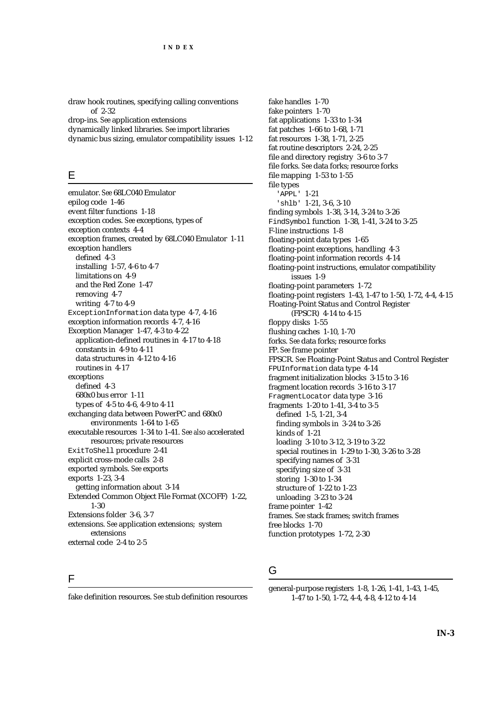draw hook routines, specifying calling conventions of 2-32 drop-ins. *See* application extensions dynamically linked libraries. *See* import libraries dynamic bus sizing, emulator compatibility issues 1-12

## E

emulator. *See* 68LC040 Emulator epilog code 1-46 event filter functions 1-18 exception codes. *See* exceptions, types of exception contexts 4-4 exception frames, created by 68LC040 Emulator 1-11 exception handlers defined 4-3 installing 1-57, 4-6 to 4-7 limitations on 4-9 and the Red Zone 1-47 removing 4-7 writing 4-7 to 4-9 ExceptionInformation data type 4-7, 4-16 exception information records 4-7, 4-16 Exception Manager 1-47, 4-3 to 4-22 application-defined routines in 4-17 to 4-18 constants in 4-9 to 4-11 data structures in 4-12 to 4-16 routines in 4-17 exceptions defined 4-3 680x0 bus error 1-11 types of 4-5 to 4-6, 4-9 to 4-11 exchanging data between PowerPC and 680x0 environments 1-64 to 1-65 executable resources 1-34 to 1-41. *See also* accelerated resources; private resources ExitToShell procedure 2-41 explicit cross-mode calls 2-8 exported symbols. *See* exports exports 1-23, 3-4 getting information about 3-14 Extended Common Object File Format (XCOFF) 1-22, 1-30 Extensions folder 3-6, 3-7 extensions. *See* application extensions; system extensions external code 2-4 to 2-5

### F

fake definition resources. *See* stub definition resources

fake handles 1-70 fake pointers 1-70 fat applications 1-33 to 1-34 fat patches 1-66 to 1-68, 1-71 fat resources 1-38, 1-71, 2-25 fat routine descriptors 2-24, 2-25 file and directory registry 3-6 to 3-7 file forks. *See* data forks; resource forks file mapping 1-53 to 1-55 file types 'APPL' 1-21 'shlb' 1-21, 3-6, 3-10 finding symbols 1-38, 3-14, 3-24 to 3-26 FindSymbol function 1-38, 1-41, 3-24 to 3-25 F-line instructions 1-8 floating-point data types 1-65 floating-point exceptions, handling 4-3 floating-point information records 4-14 floating-point instructions, emulator compatibility issues 1-9 floating-point parameters 1-72 floating-point registers 1-43, 1-47 to 1-50, 1-72, 4-4, 4-15 Floating-Point Status and Control Register (FPSCR) 4-14 to 4-15 floppy disks 1-55 flushing caches 1-10, 1-70 forks. *See* data forks; resource forks FP. *See* frame pointer FPSCR. *See* Floating-Point Status and Control Register FPUInformation data type 4-14 fragment initialization blocks 3-15 to 3-16 fragment location records 3-16 to 3-17 FragmentLocator data type 3-16 fragments 1-20 to 1-41, 3-4 to 3-5 defined 1-5, 1-21, 3-4 finding symbols in 3-24 to 3-26 kinds of 1-21 loading 3-10 to 3-12, 3-19 to 3-22 special routines in 1-29 to 1-30, 3-26 to 3-28 specifying names of 3-31 specifying size of 3-31 storing 1-30 to 1-34 structure of 1-22 to 1-23 unloading 3-23 to 3-24 frame pointer 1-42 frames. *See* stack frames; switch frames free blocks 1-70 function prototypes 1-72, 2-30

## G

general-purpose registers 1-8, 1-26, 1-41, 1-43, 1-45, 1-47 to 1-50, 1-72, 4-4, 4-8, 4-12 to 4-14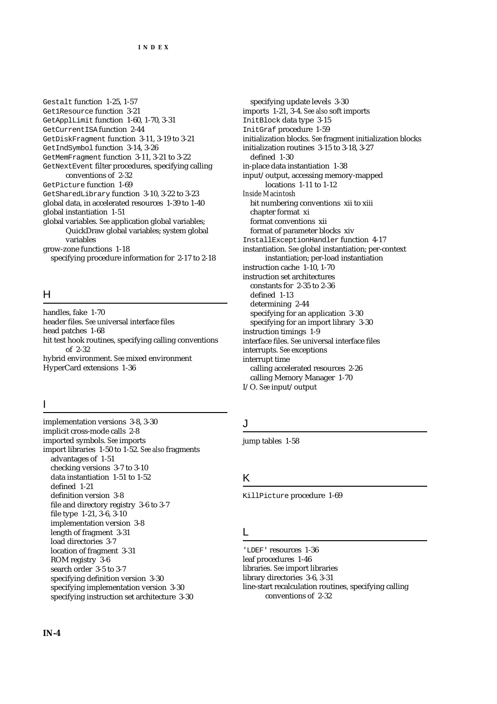Gestalt function 1-25, 1-57 Get1Resource function 3-21 GetApplLimit function 1-60, 1-70, 3-31 GetCurrentISA function 2-44 GetDiskFragment function 3-11, 3-19 to 3-21 GetIndSymbol function 3-14, 3-26 GetMemFragment function 3-11, 3-21 to 3-22 GetNextEvent filter procedures, specifying calling conventions of 2-32 GetPicture function 1-69 GetSharedLibrary function 3-10, 3-22 to 3-23 global data, in accelerated resources 1-39 to 1-40 global instantiation 1-51 global variables. *See* application global variables; QuickDraw global variables; system global variables grow-zone functions 1-18 specifying procedure information for 2-17 to 2-18

## H

handles, fake 1-70 header files. *See* universal interface files head patches 1-68 hit test hook routines, specifying calling conventions of 2-32 hybrid environment. *See* mixed environment HyperCard extensions 1-36

## I

implementation versions 3-8, 3-30 implicit cross-mode calls 2-8 imported symbols. *See* imports import libraries 1-50 to 1-52. *See also* fragments advantages of 1-51 checking versions 3-7 to 3-10 data instantiation 1-51 to 1-52 defined 1-21 definition version 3-8 file and directory registry 3-6 to 3-7 file type 1-21, 3-6, 3-10 implementation version 3-8 length of fragment 3-31 load directories 3-7 location of fragment 3-31 ROM registry 3-6 search order 3-5 to 3-7 specifying definition version 3-30 specifying implementation version 3-30 specifying instruction set architecture 3-30

specifying update levels 3-30 imports 1-21, 3-4. *See also* soft imports InitBlock data type 3-15 InitGraf procedure 1-59 initialization blocks. *See* fragment initialization blocks initialization routines 3-15 to 3-18, 3-27 defined 1-30 in-place data instantiation 1-38 input/output, accessing memory-mapped locations 1-11 to 1-12 *Inside Macintosh* bit numbering conventions xii to xiii chapter format xi format conventions xii format of parameter blocks xiv InstallExceptionHandler function 4-17 instantiation. *See* global instantiation; per-context instantiation; per-load instantiation instruction cache 1-10, 1-70 instruction set architectures constants for 2-35 to 2-36 defined 1-13 determining 2-44 specifying for an application 3-30 specifying for an import library 3-30 instruction timings 1-9 interface files. *See* universal interface files interrupts. *See* exceptions interrupt time calling accelerated resources 2-26 calling Memory Manager 1-70 I/O. *See* input/output

#### J

jump tables 1-58

## K

KillPicture procedure 1-69

## L

'LDEF' resources 1-36 leaf procedures 1-46 libraries. *See* import libraries library directories 3-6, 3-31 line-start recalculation routines, specifying calling conventions of 2-32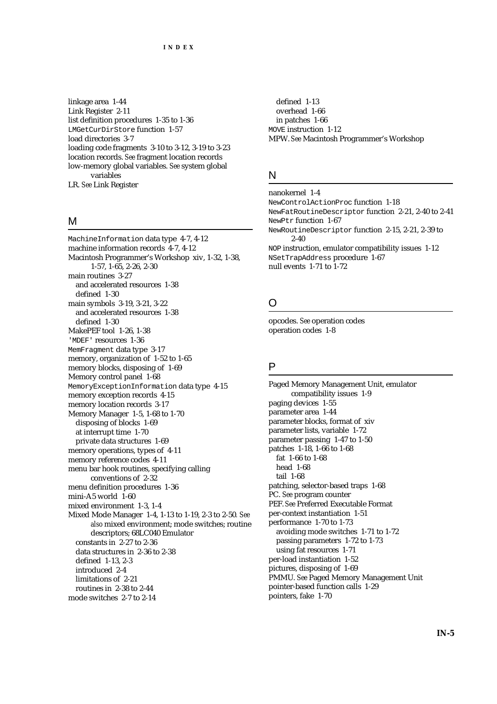linkage area 1-44 Link Register 2-11 list definition procedures 1-35 to 1-36 LMGetCurDirStore function 1-57 load directories 3-7 loading code fragments 3-10 to 3-12, 3-19 to 3-23 location records. *See* fragment location records low-memory global variables. *See* system global variables LR. *See* Link Register

#### M

MachineInformation data type 4-7, 4-12 machine information records 4-7, 4-12 Macintosh Programmer's Workshop xiv, 1-32, 1-38, 1-57, 1-65, 2-26, 2-30 main routines 3-27 and accelerated resources 1-38 defined 1-30 main symbols 3-19, 3-21, 3-22 and accelerated resources 1-38 defined 1-30 MakePEF tool 1-26, 1-38 'MDEF' resources 1-36 MemFragment data type 3-17 memory, organization of 1-52 to 1-65 memory blocks, disposing of 1-69 Memory control panel 1-68 MemoryExceptionInformation data type 4-15 memory exception records 4-15 memory location records 3-17 Memory Manager 1-5, 1-68 to 1-70 disposing of blocks 1-69 at interrupt time 1-70 private data structures 1-69 memory operations, types of 4-11 memory reference codes 4-11 menu bar hook routines, specifying calling conventions of 2-32 menu definition procedures 1-36 mini-A5 world 1-60 mixed environment 1-3, 1-4 Mixed Mode Manager 1-4, 1-13 to 1-19, 2-3 to 2-50*. See also* mixed environment; mode switches; routine descriptors; 68LC040 Emulator constants in 2-27 to 2-36 data structures in 2-36 to 2-38 defined 1-13, 2-3 introduced 2-4 limitations of 2-21 routines in 2-38 to 2-44 mode switches 2-7 to 2-14

defined 1-13 overhead 1-66 in patches 1-66 MOVE instruction 1-12 MPW. *See* Macintosh Programmer's Workshop

## N

nanokernel 1-4 NewControlActionProc function 1-18 NewFatRoutineDescriptor function 2-21, 2-40 to 2-41 NewPtr function 1-67 NewRoutineDescriptor function 2-15, 2-21, 2-39 to 2-40 NOP instruction, emulator compatibility issues 1-12 NSetTrapAddress procedure 1-67 null events 1-71 to 1-72

## $\Omega$

opcodes. *See* operation codes operation codes 1-8

#### P

Paged Memory Management Unit, emulator compatibility issues 1-9 paging devices 1-55 parameter area 1-44 parameter blocks, format of xiv parameter lists, variable 1-72 parameter passing 1-47 to 1-50 patches 1-18, 1-66 to 1-68 fat 1-66 to 1-68 head 1-68 tail 1-68 patching, selector-based traps 1-68 PC. *See* program counter PEF. *See* Preferred Executable Format per-context instantiation 1-51 performance 1-70 to 1-73 avoiding mode switches 1-71 to 1-72 passing parameters 1-72 to 1-73 using fat resources 1-71 per-load instantiation 1-52 pictures, disposing of 1-69 PMMU. *See* Paged Memory Management Unit pointer-based function calls 1-29 pointers, fake 1-70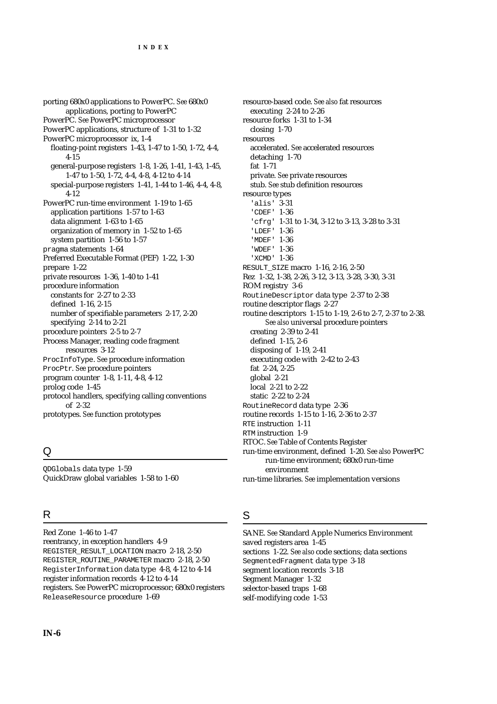porting 680x0 applications to PowerPC. *See* 680x0 applications, porting to PowerPC PowerPC. *See* PowerPC microprocessor PowerPC applications, structure of 1-31 to 1-32 PowerPC microprocessor ix, 1-4 floating-point registers 1-43, 1-47 to 1-50, 1-72, 4-4, 4-15 general-purpose registers 1-8, 1-26, 1-41, 1-43, 1-45, 1-47 to 1-50, 1-72, 4-4, 4-8, 4-12 to 4-14 special-purpose registers 1-41, 1-44 to 1-46, 4-4, 4-8, 4-12 PowerPC run-time environment 1-19 to 1-65 application partitions 1-57 to 1-63 data alignment 1-63 to 1-65 organization of memory in 1-52 to 1-65 system partition 1-56 to 1-57 pragma statements 1-64 Preferred Executable Format (PEF) 1-22, 1-30 prepare 1-22 private resources 1-36, 1-40 to 1-41 procedure information constants for 2-27 to 2-33 defined 1-16, 2-15 number of specifiable parameters 2-17, 2-20 specifying 2-14 to 2-21 procedure pointers 2-5 to 2-7 Process Manager, reading code fragment resources 3-12 ProcInfoType. *See* procedure information ProcPtr. *See* procedure pointers program counter 1-8, 1-11, 4-8, 4-12 prolog code 1-45 protocol handlers, specifying calling conventions of 2-32 prototypes. *See* function prototypes

## Q

QDGlobals data type 1-59 QuickDraw global variables 1-58 to 1-60

## R

Red Zone 1-46 to 1-47 reentrancy, in exception handlers 4-9 REGISTER\_RESULT\_LOCATION macro 2-18, 2-50 REGISTER\_ROUTINE\_PARAMETER macro 2-18, 2-50 RegisterInformation data type 4-8, 4-12 to 4-14 register information records 4-12 to 4-14 registers. *See* PowerPC microprocessor; 680x0 registers ReleaseResource procedure 1-69

resource-based code. *See also* fat resources executing 2-24 to 2-26 resource forks 1-31 to 1-34 closing 1-70 resources accelerated. *See* accelerated resources detaching 1-70 fat 1-71 private. *See* private resources stub. *See* stub definition resources resource types 'alis' 3-31 'CDEF' 1-36 'cfrg' 1-31 to 1-34, 3-12 to 3-13, 3-28 to 3-31 'LDEF' 1-36 'MDEF' 1-36 'WDEF' 1-36 'XCMD' 1-36 RESULT\_SIZE macro 1-16, 2-16, 2-50 Rez 1-32, 1-38, 2-26, 3-12, 3-13, 3-28, 3-30, 3-31 ROM registry 3-6 RoutineDescriptor data type 2-37 to 2-38 routine descriptor flags 2-27 routine descriptors 1-15 to 1-19, 2-6 to 2-7, 2-37 to 2-38. *See also* universal procedure pointers creating 2-39 to 2-41 defined 1-15, 2-6 disposing of 1-19, 2-41 executing code with 2-42 to 2-43 fat 2-24, 2-25 global 2-21 local 2-21 to 2-22 static 2-22 to 2-24 RoutineRecord data type 2-36 routine records 1-15 to 1-16, 2-36 to 2-37 RTE instruction 1-11 RTM instruction 1-9 RTOC. *See* Table of Contents Register run-time environment, defined 1-20. *See also* PowerPC run-time environment; 680x0 run-time environment run-time libraries. *See* implementation versions

## S

SANE. *See* Standard Apple Numerics Environment saved registers area 1-45 sections 1-22. *See also* code sections; data sections SegmentedFragment data type 3-18 segment location records 3-18 Segment Manager 1-32 selector-based traps 1-68 self-modifying code 1-53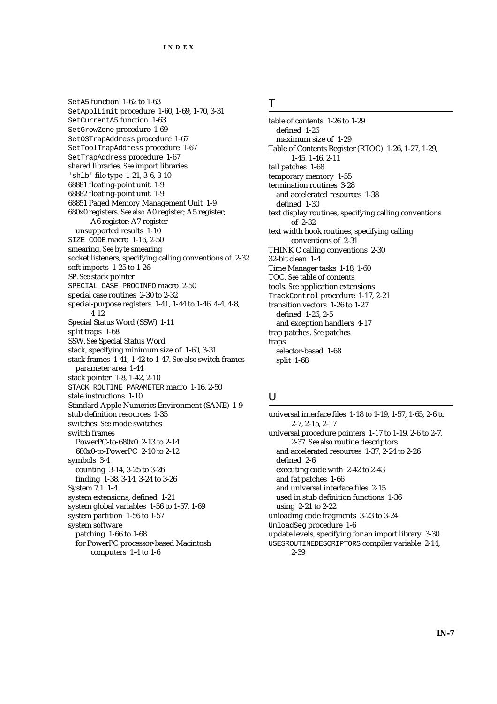SetA5 function 1-62 to 1-63 SetApplLimit procedure 1-60, 1-69, 1-70, 3-31 SetCurrentA5 function 1-63 SetGrowZone procedure 1-69 SetOSTrapAddress procedure 1-67 SetToolTrapAddress procedure 1-67 SetTrapAddress procedure 1-67 shared libraries. *See* import libraries 'shlb' file type 1-21, 3-6, 3-10 68881 floating-point unit 1-9 68882 floating-point unit 1-9 68851 Paged Memory Management Unit 1-9 680x0 registers. *See also* A0 register; A5 register; A6 register; A7 register unsupported results 1-10 SIZE\_CODE macro 1-16, 2-50 smearing. *See* byte smearing socket listeners, specifying calling conventions of 2-32 soft imports 1-25 to 1-26 SP. *See* stack pointer SPECIAL\_CASE\_PROCINFO macro 2-50 special case routines 2-30 to 2-32 special-purpose registers 1-41, 1-44 to 1-46, 4-4, 4-8, 4-12 Special Status Word (SSW) 1-11 split traps 1-68 SSW. *See* Special Status Word stack, specifying minimum size of 1-60, 3-31 stack frames 1-41, 1-42 to 1-47. *See also* switch frames parameter area 1-44 stack pointer 1-8, 1-42, 2-10 STACK\_ROUTINE\_PARAMETER macro 1-16, 2-50 stale instructions 1-10 Standard Apple Numerics Environment (SANE) 1-9 stub definition resources 1-35 switches. *See* mode switches switch frames PowerPC-to-680x0 2-13 to 2-14 680x0-to-PowerPC 2-10 to 2-12 symbols 3-4 counting 3-14, 3-25 to 3-26 finding 1-38, 3-14, 3-24 to 3-26 System 7.1 1-4 system extensions, defined 1-21 system global variables 1-56 to 1-57, 1-69 system partition 1-56 to 1-57 system software patching 1-66 to 1-68 for PowerPC processor-based Macintosh computers 1-4 to 1-6

## T

table of contents 1-26 to 1-29 defined 1-26 maximum size of 1-29 Table of Contents Register (RTOC) 1-26, 1-27, 1-29, 1-45, 1-46, 2-11 tail patches 1-68 temporary memory 1-55 termination routines 3-28 and accelerated resources 1-38 defined 1-30 text display routines, specifying calling conventions of 2-32 text width hook routines, specifying calling conventions of 2-31 THINK C calling conventions 2-30 32-bit clean 1-4 Time Manager tasks 1-18, 1-60 TOC. *See* table of contents tools. *See* application extensions TrackControl procedure 1-17, 2-21 transition vectors 1-26 to 1-27 defined 1-26, 2-5 and exception handlers 4-17 trap patches. *See* patches traps selector-based 1-68 split 1-68

## $\cup$

universal interface files 1-18 to 1-19, 1-57, 1-65, 2-6 to 2-7, 2-15, 2-17 universal procedure pointers 1-17 to 1-19, 2-6 to 2-7, 2-37. *See also* routine descriptors and accelerated resources 1-37, 2-24 to 2-26 defined 2-6 executing code with 2-42 to 2-43 and fat patches 1-66 and universal interface files 2-15 used in stub definition functions 1-36 using 2-21 to 2-22 unloading code fragments 3-23 to 3-24 UnloadSeg procedure 1-6 update levels, specifying for an import library 3-30 USESROUTINEDESCRIPTORS compiler variable 2-14, 2-39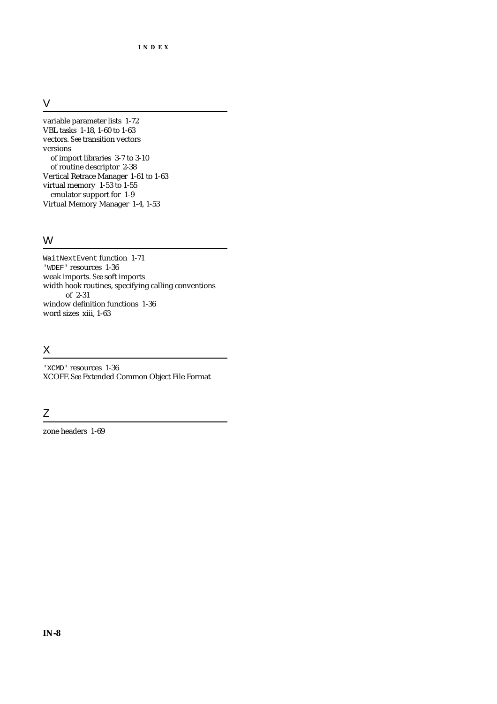**INDEX**

## V

variable parameter lists 1-72 VBL tasks 1-18, 1-60 to 1-63 vectors. *See* transition vectors versions of import libraries 3-7 to 3-10 of routine descriptor 2-38 Vertical Retrace Manager 1-61 to 1-63 virtual memory 1-53 to 1-55 emulator support for 1-9 Virtual Memory Manager 1-4, 1-53

## W

WaitNextEvent function 1-71 'WDEF' resources 1-36 weak imports. *See* soft imports width hook routines, specifying calling conventions of 2-31 window definition functions 1-36 word sizes xiii, 1-63

## X

'XCMD' resources 1-36 XCOFF. *See* Extended Common Object File Format

## Z

zone headers 1-69